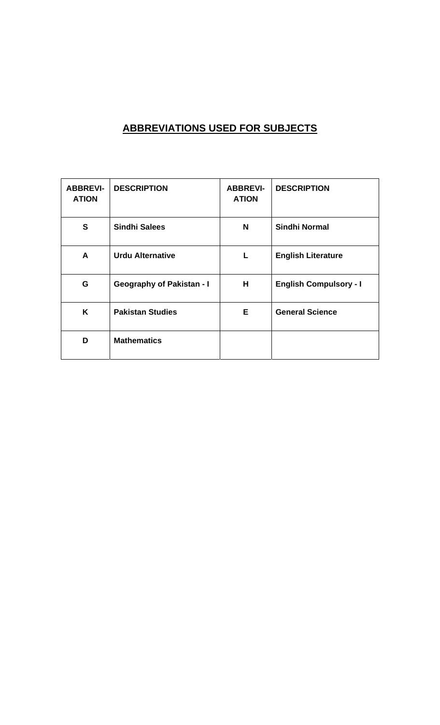# **ABBREVIATIONS USED FOR SUBJECTS**

| <b>ABBREVI-</b><br><b>ATION</b> | <b>DESCRIPTION</b>               | <b>ABBREVI-</b><br><b>ATION</b> | <b>DESCRIPTION</b>            |
|---------------------------------|----------------------------------|---------------------------------|-------------------------------|
| S                               | <b>Sindhi Salees</b>             | N                               | <b>Sindhi Normal</b>          |
| A                               | <b>Urdu Alternative</b>          | L                               | <b>English Literature</b>     |
| G                               | <b>Geography of Pakistan - I</b> | H.                              | <b>English Compulsory - I</b> |
| K                               | <b>Pakistan Studies</b>          | E.                              | <b>General Science</b>        |
| D                               | <b>Mathematics</b>               |                                 |                               |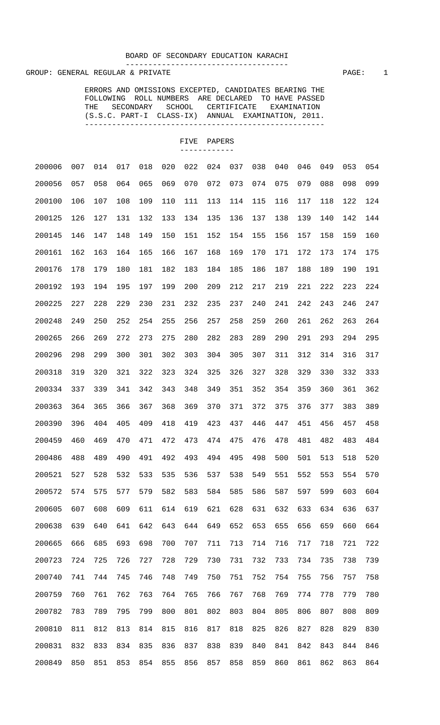#### BOARD OF SECONDARY EDUCATION KARACHI ------------------------------------

GROUP: GENERAL REGULAR & PRIVATE **PAGE:** 1

 ERRORS AND OMISSIONS EXCEPTED, CANDIDATES BEARING THE FOLLOWING ROLL NUMBERS ARE DECLARED TO HAVE PASSED THE SECONDARY SCHOOL CERTIFICATE EXAMINATION (S.S.C. PART-I CLASS-IX) ANNUAL EXAMINATION, 2011. -----------------------------------------------------

| 200006 | 007 | 014 | 017 | 018 | 020 | 022 | 024 | 037 | 038 | 040 | 046 | 049 | 053 | 054 |
|--------|-----|-----|-----|-----|-----|-----|-----|-----|-----|-----|-----|-----|-----|-----|
| 200056 | 057 | 058 | 064 | 065 | 069 | 070 | 072 | 073 | 074 | 075 | 079 | 088 | 098 | 099 |
| 200100 | 106 | 107 | 108 | 109 | 110 | 111 | 113 | 114 | 115 | 116 | 117 | 118 | 122 | 124 |
| 200125 | 126 | 127 | 131 | 132 | 133 | 134 | 135 | 136 | 137 | 138 | 139 | 140 | 142 | 144 |
| 200145 | 146 | 147 | 148 | 149 | 150 | 151 | 152 | 154 | 155 | 156 | 157 | 158 | 159 | 160 |
| 200161 | 162 | 163 | 164 | 165 | 166 | 167 | 168 | 169 | 170 | 171 | 172 | 173 | 174 | 175 |
| 200176 | 178 | 179 | 180 | 181 | 182 | 183 | 184 | 185 | 186 | 187 | 188 | 189 | 190 | 191 |
| 200192 | 193 | 194 | 195 | 197 | 199 | 200 | 209 | 212 | 217 | 219 | 221 | 222 | 223 | 224 |
| 200225 | 227 | 228 | 229 | 230 | 231 | 232 | 235 | 237 | 240 | 241 | 242 | 243 | 246 | 247 |
| 200248 | 249 | 250 | 252 | 254 | 255 | 256 | 257 | 258 | 259 | 260 | 261 | 262 | 263 | 264 |
| 200265 | 266 | 269 | 272 | 273 | 275 | 280 | 282 | 283 | 289 | 290 | 291 | 293 | 294 | 295 |
| 200296 | 298 | 299 | 300 | 301 | 302 | 303 | 304 | 305 | 307 | 311 | 312 | 314 | 316 | 317 |
| 200318 | 319 | 320 | 321 | 322 | 323 | 324 | 325 | 326 | 327 | 328 | 329 | 330 | 332 | 333 |
| 200334 | 337 | 339 | 341 | 342 | 343 | 348 | 349 | 351 | 352 | 354 | 359 | 360 | 361 | 362 |
| 200363 | 364 | 365 | 366 | 367 | 368 | 369 | 370 | 371 | 372 | 375 | 376 | 377 | 383 | 389 |
| 200390 | 396 | 404 | 405 | 409 | 418 | 419 | 423 | 437 | 446 | 447 | 451 | 456 | 457 | 458 |
| 200459 | 460 | 469 | 470 | 471 | 472 | 473 | 474 | 475 | 476 | 478 | 481 | 482 | 483 | 484 |
| 200486 | 488 | 489 | 490 | 491 | 492 | 493 | 494 | 495 | 498 | 500 | 501 | 513 | 518 | 520 |
| 200521 | 527 | 528 | 532 | 533 | 535 | 536 | 537 | 538 | 549 | 551 | 552 | 553 | 554 | 570 |
| 200572 | 574 | 575 | 577 | 579 | 582 | 583 | 584 | 585 | 586 | 587 | 597 | 599 | 603 | 604 |
| 200605 | 607 | 608 | 609 | 611 | 614 | 619 | 621 | 628 | 631 | 632 | 633 | 634 | 636 | 637 |
| 200638 | 639 | 640 | 641 | 642 | 643 | 644 | 649 | 652 | 653 | 655 | 656 | 659 | 660 | 664 |
| 200665 | 666 | 685 | 693 | 698 | 700 | 707 | 711 | 713 | 714 | 716 | 717 | 718 | 721 | 722 |
| 200723 | 724 | 725 | 726 | 727 | 728 | 729 | 730 | 731 | 732 | 733 | 734 | 735 | 738 | 739 |
| 200740 | 741 | 744 | 745 | 746 | 748 | 749 | 750 | 751 | 752 | 754 | 755 | 756 | 757 | 758 |
| 200759 | 760 | 761 | 762 | 763 | 764 | 765 | 766 | 767 | 768 | 769 | 774 | 778 | 779 | 780 |
| 200782 | 783 | 789 | 795 | 799 | 800 | 801 | 802 | 803 | 804 | 805 | 806 | 807 | 808 | 809 |
| 200810 | 811 | 812 | 813 | 814 | 815 | 816 | 817 | 818 | 825 | 826 | 827 | 828 | 829 | 830 |
| 200831 | 832 | 833 | 834 | 835 | 836 | 837 | 838 | 839 | 840 | 841 | 842 | 843 | 844 | 846 |
| 200849 | 850 | 851 | 853 | 854 | 855 | 856 | 857 | 858 | 859 | 860 | 861 | 862 | 863 | 864 |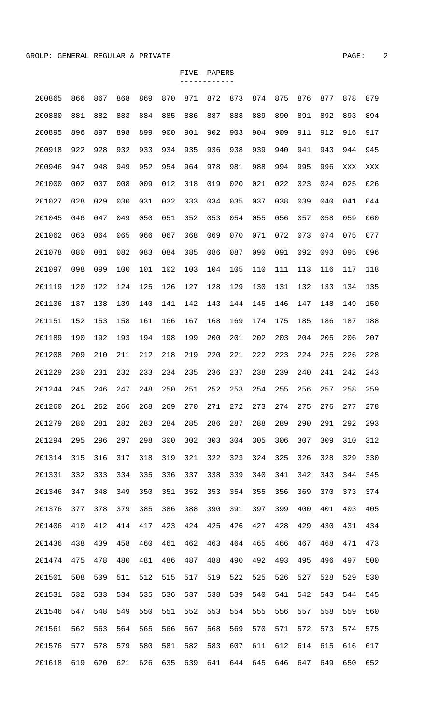| 200865 | 866 | 867 | 868 | 869 | 870 | 871 | 872 | 873 | 874 | 875 | 876 | 877 | 878 | 879 |
|--------|-----|-----|-----|-----|-----|-----|-----|-----|-----|-----|-----|-----|-----|-----|
| 200880 | 881 | 882 | 883 | 884 | 885 | 886 | 887 | 888 | 889 | 890 | 891 | 892 | 893 | 894 |
| 200895 | 896 | 897 | 898 | 899 | 900 | 901 | 902 | 903 | 904 | 909 | 911 | 912 | 916 | 917 |
| 200918 | 922 | 928 | 932 | 933 | 934 | 935 | 936 | 938 | 939 | 940 | 941 | 943 | 944 | 945 |
| 200946 | 947 | 948 | 949 | 952 | 954 | 964 | 978 | 981 | 988 | 994 | 995 | 996 | XXX | XXX |
| 201000 | 002 | 007 | 008 | 009 | 012 | 018 | 019 | 020 | 021 | 022 | 023 | 024 | 025 | 026 |
| 201027 | 028 | 029 | 030 | 031 | 032 | 033 | 034 | 035 | 037 | 038 | 039 | 040 | 041 | 044 |
| 201045 | 046 | 047 | 049 | 050 | 051 | 052 | 053 | 054 | 055 | 056 | 057 | 058 | 059 | 060 |
| 201062 | 063 | 064 | 065 | 066 | 067 | 068 | 069 | 070 | 071 | 072 | 073 | 074 | 075 | 077 |
| 201078 | 080 | 081 | 082 | 083 | 084 | 085 | 086 | 087 | 090 | 091 | 092 | 093 | 095 | 096 |
| 201097 | 098 | 099 | 100 | 101 | 102 | 103 | 104 | 105 | 110 | 111 | 113 | 116 | 117 | 118 |
| 201119 | 120 | 122 | 124 | 125 | 126 | 127 | 128 | 129 | 130 | 131 | 132 | 133 | 134 | 135 |
| 201136 | 137 | 138 | 139 | 140 | 141 | 142 | 143 | 144 | 145 | 146 | 147 | 148 | 149 | 150 |
| 201151 | 152 | 153 | 158 | 161 | 166 | 167 | 168 | 169 | 174 | 175 | 185 | 186 | 187 | 188 |
| 201189 | 190 | 192 | 193 | 194 | 198 | 199 | 200 | 201 | 202 | 203 | 204 | 205 | 206 | 207 |
| 201208 | 209 | 210 | 211 | 212 | 218 | 219 | 220 | 221 | 222 | 223 | 224 | 225 | 226 | 228 |
| 201229 | 230 | 231 | 232 | 233 | 234 | 235 | 236 | 237 | 238 | 239 | 240 | 241 | 242 | 243 |
| 201244 | 245 | 246 | 247 | 248 | 250 | 251 | 252 | 253 | 254 | 255 | 256 | 257 | 258 | 259 |
| 201260 | 261 | 262 | 266 | 268 | 269 | 270 | 271 | 272 | 273 | 274 | 275 | 276 | 277 | 278 |
| 201279 | 280 | 281 | 282 | 283 | 284 | 285 | 286 | 287 | 288 | 289 | 290 | 291 | 292 | 293 |
| 201294 | 295 | 296 | 297 | 298 | 300 | 302 | 303 | 304 | 305 | 306 | 307 | 309 | 310 | 312 |
| 201314 | 315 | 316 | 317 | 318 | 319 | 321 | 322 | 323 | 324 | 325 | 326 | 328 | 329 | 330 |
| 201331 | 332 | 333 | 334 | 335 | 336 | 337 | 338 | 339 | 340 | 341 | 342 | 343 | 344 | 345 |
| 201346 | 347 | 348 | 349 | 350 | 351 | 352 | 353 | 354 | 355 | 356 | 369 | 370 | 373 | 374 |
| 201376 | 377 | 378 | 379 | 385 | 386 | 388 | 390 | 391 | 397 | 399 | 400 | 401 | 403 | 405 |
| 201406 | 410 | 412 | 414 | 417 | 423 | 424 | 425 | 426 | 427 | 428 | 429 | 430 | 431 | 434 |
| 201436 | 438 | 439 | 458 | 460 | 461 | 462 | 463 | 464 | 465 | 466 | 467 | 468 | 471 | 473 |
| 201474 | 475 | 478 | 480 | 481 | 486 | 487 | 488 | 490 | 492 | 493 | 495 | 496 | 497 | 500 |
| 201501 | 508 | 509 | 511 | 512 | 515 | 517 | 519 | 522 | 525 | 526 | 527 | 528 | 529 | 530 |
| 201531 | 532 | 533 | 534 | 535 | 536 | 537 | 538 | 539 | 540 | 541 | 542 | 543 | 544 | 545 |
| 201546 | 547 | 548 | 549 | 550 | 551 | 552 | 553 | 554 | 555 | 556 | 557 | 558 | 559 | 560 |
| 201561 | 562 | 563 | 564 | 565 | 566 | 567 | 568 | 569 | 570 | 571 | 572 | 573 | 574 | 575 |
| 201576 | 577 | 578 | 579 | 580 | 581 | 582 | 583 | 607 | 611 | 612 | 614 | 615 | 616 | 617 |
| 201618 | 619 | 620 | 621 | 626 | 635 | 639 | 641 | 644 | 645 | 646 | 647 | 649 | 650 | 652 |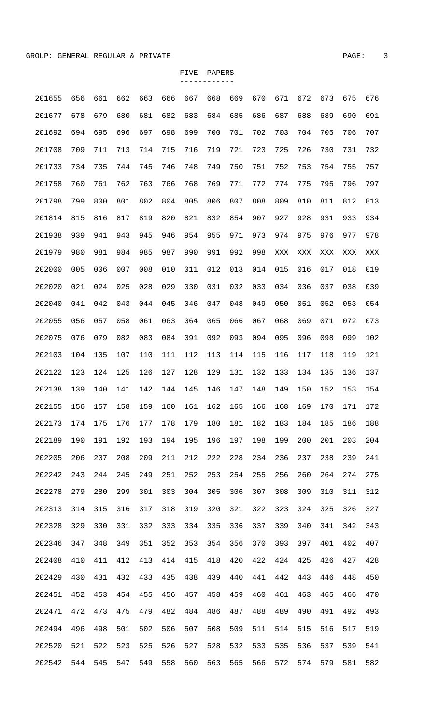| 201655 | 656 | 661 | 662 | 663 | 666 | 667 | 668 | 669 | 670 | 671 | 672 | 673 | 675 | 676 |
|--------|-----|-----|-----|-----|-----|-----|-----|-----|-----|-----|-----|-----|-----|-----|
| 201677 | 678 | 679 | 680 | 681 | 682 | 683 | 684 | 685 | 686 | 687 | 688 | 689 | 690 | 691 |
| 201692 | 694 | 695 | 696 | 697 | 698 | 699 | 700 | 701 | 702 | 703 | 704 | 705 | 706 | 707 |
| 201708 | 709 | 711 | 713 | 714 | 715 | 716 | 719 | 721 | 723 | 725 | 726 | 730 | 731 | 732 |
| 201733 | 734 | 735 | 744 | 745 | 746 | 748 | 749 | 750 | 751 | 752 | 753 | 754 | 755 | 757 |
| 201758 | 760 | 761 | 762 | 763 | 766 | 768 | 769 | 771 | 772 | 774 | 775 | 795 | 796 | 797 |
| 201798 | 799 | 800 | 801 | 802 | 804 | 805 | 806 | 807 | 808 | 809 | 810 | 811 | 812 | 813 |
| 201814 | 815 | 816 | 817 | 819 | 820 | 821 | 832 | 854 | 907 | 927 | 928 | 931 | 933 | 934 |
| 201938 | 939 | 941 | 943 | 945 | 946 | 954 | 955 | 971 | 973 | 974 | 975 | 976 | 977 | 978 |
| 201979 | 980 | 981 | 984 | 985 | 987 | 990 | 991 | 992 | 998 | XXX | XXX | XXX | XXX | XXX |
| 202000 | 005 | 006 | 007 | 008 | 010 | 011 | 012 | 013 | 014 | 015 | 016 | 017 | 018 | 019 |
| 202020 | 021 | 024 | 025 | 028 | 029 | 030 | 031 | 032 | 033 | 034 | 036 | 037 | 038 | 039 |
| 202040 | 041 | 042 | 043 | 044 | 045 | 046 | 047 | 048 | 049 | 050 | 051 | 052 | 053 | 054 |
| 202055 | 056 | 057 | 058 | 061 | 063 | 064 | 065 | 066 | 067 | 068 | 069 | 071 | 072 | 073 |
| 202075 | 076 | 079 | 082 | 083 | 084 | 091 | 092 | 093 | 094 | 095 | 096 | 098 | 099 | 102 |
| 202103 | 104 | 105 | 107 | 110 | 111 | 112 | 113 | 114 | 115 | 116 | 117 | 118 | 119 | 121 |
| 202122 | 123 | 124 | 125 | 126 | 127 | 128 | 129 | 131 | 132 | 133 | 134 | 135 | 136 | 137 |
| 202138 | 139 | 140 | 141 | 142 | 144 | 145 | 146 | 147 | 148 | 149 | 150 | 152 | 153 | 154 |
| 202155 | 156 | 157 | 158 | 159 | 160 | 161 | 162 | 165 | 166 | 168 | 169 | 170 | 171 | 172 |
| 202173 | 174 | 175 | 176 | 177 | 178 | 179 | 180 | 181 | 182 | 183 | 184 | 185 | 186 | 188 |
| 202189 | 190 | 191 | 192 | 193 | 194 | 195 | 196 | 197 | 198 | 199 | 200 | 201 | 203 | 204 |
| 202205 | 206 | 207 | 208 | 209 | 211 | 212 | 222 | 228 | 234 | 236 | 237 | 238 | 239 | 241 |
| 202242 | 243 | 244 | 245 | 249 | 251 | 252 | 253 | 254 | 255 | 256 | 260 | 264 | 274 | 275 |
| 202278 | 279 | 280 | 299 | 301 | 303 | 304 | 305 | 306 | 307 | 308 | 309 | 310 | 311 | 312 |
| 202313 | 314 | 315 | 316 | 317 | 318 | 319 | 320 | 321 | 322 | 323 | 324 | 325 | 326 | 327 |
| 202328 | 329 | 330 | 331 | 332 | 333 | 334 | 335 | 336 | 337 | 339 | 340 | 341 | 342 | 343 |
| 202346 | 347 | 348 | 349 | 351 | 352 | 353 | 354 | 356 | 370 | 393 | 397 | 401 | 402 | 407 |
| 202408 | 410 | 411 | 412 | 413 | 414 | 415 | 418 | 420 | 422 | 424 | 425 | 426 | 427 | 428 |
| 202429 | 430 | 431 | 432 | 433 | 435 | 438 | 439 | 440 | 441 | 442 | 443 | 446 | 448 | 450 |
| 202451 | 452 | 453 | 454 | 455 | 456 | 457 | 458 | 459 | 460 | 461 | 463 | 465 | 466 | 470 |
| 202471 | 472 | 473 | 475 | 479 | 482 | 484 | 486 | 487 | 488 | 489 | 490 | 491 | 492 | 493 |
| 202494 | 496 | 498 | 501 | 502 | 506 | 507 | 508 | 509 | 511 | 514 | 515 | 516 | 517 | 519 |
| 202520 | 521 | 522 | 523 | 525 | 526 | 527 | 528 | 532 | 533 | 535 | 536 | 537 | 539 | 541 |
| 202542 | 544 | 545 | 547 | 549 | 558 | 560 | 563 | 565 | 566 | 572 | 574 | 579 | 581 | 582 |
|        |     |     |     |     |     |     |     |     |     |     |     |     |     |     |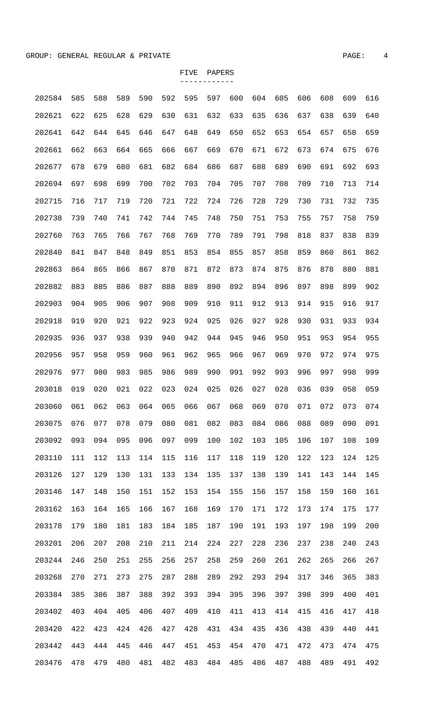| 202584 | 585 | 588 | 589 | 590 | 592 | 595 | 597 | 600 | 604 | 605 | 606 | 608 | 609 | 616 |
|--------|-----|-----|-----|-----|-----|-----|-----|-----|-----|-----|-----|-----|-----|-----|
| 202621 | 622 | 625 | 628 | 629 | 630 | 631 | 632 | 633 | 635 | 636 | 637 | 638 | 639 | 640 |
| 202641 | 642 | 644 | 645 | 646 | 647 | 648 | 649 | 650 | 652 | 653 | 654 | 657 | 658 | 659 |
| 202661 | 662 | 663 | 664 | 665 | 666 | 667 | 669 | 670 | 671 | 672 | 673 | 674 | 675 | 676 |
| 202677 | 678 | 679 | 680 | 681 | 682 | 684 | 686 | 687 | 688 | 689 | 690 | 691 | 692 | 693 |
| 202694 | 697 | 698 | 699 | 700 | 702 | 703 | 704 | 705 | 707 | 708 | 709 | 710 | 713 | 714 |
| 202715 | 716 | 717 | 719 | 720 | 721 | 722 | 724 | 726 | 728 | 729 | 730 | 731 | 732 | 735 |
| 202738 | 739 | 740 | 741 | 742 | 744 | 745 | 748 | 750 | 751 | 753 | 755 | 757 | 758 | 759 |
| 202760 | 763 | 765 | 766 | 767 | 768 | 769 | 770 | 789 | 791 | 798 | 818 | 837 | 838 | 839 |
| 202840 | 841 | 847 | 848 | 849 | 851 | 853 | 854 | 855 | 857 | 858 | 859 | 860 | 861 | 862 |
| 202863 | 864 | 865 | 866 | 867 | 870 | 871 | 872 | 873 | 874 | 875 | 876 | 878 | 880 | 881 |
| 202882 | 883 | 885 | 886 | 887 | 888 | 889 | 890 | 892 | 894 | 896 | 897 | 898 | 899 | 902 |
| 202903 | 904 | 905 | 906 | 907 | 908 | 909 | 910 | 911 | 912 | 913 | 914 | 915 | 916 | 917 |
| 202918 | 919 | 920 | 921 | 922 | 923 | 924 | 925 | 926 | 927 | 928 | 930 | 931 | 933 | 934 |
| 202935 | 936 | 937 | 938 | 939 | 940 | 942 | 944 | 945 | 946 | 950 | 951 | 953 | 954 | 955 |
| 202956 | 957 | 958 | 959 | 960 | 961 | 962 | 965 | 966 | 967 | 969 | 970 | 972 | 974 | 975 |
| 202976 | 977 | 980 | 983 | 985 | 986 | 989 | 990 | 991 | 992 | 993 | 996 | 997 | 998 | 999 |
| 203018 | 019 | 020 | 021 | 022 | 023 | 024 | 025 | 026 | 027 | 028 | 036 | 039 | 058 | 059 |
| 203060 | 061 | 062 | 063 | 064 | 065 | 066 | 067 | 068 | 069 | 070 | 071 | 072 | 073 | 074 |
| 203075 | 076 | 077 | 078 | 079 | 080 | 081 | 082 | 083 | 084 | 086 | 088 | 089 | 090 | 091 |
| 203092 | 093 | 094 | 095 | 096 | 097 | 099 | 100 | 102 | 103 | 105 | 106 | 107 | 108 | 109 |
| 203110 | 111 | 112 | 113 | 114 | 115 | 116 | 117 | 118 | 119 | 120 | 122 | 123 | 124 | 125 |
| 203126 | 127 | 129 | 130 | 131 | 133 | 134 | 135 | 137 | 138 | 139 | 141 | 143 | 144 | 145 |
| 203146 | 147 | 148 | 150 | 151 | 152 | 153 | 154 | 155 | 156 | 157 | 158 | 159 | 160 | 161 |
| 203162 | 163 | 164 | 165 | 166 | 167 | 168 | 169 | 170 | 171 | 172 | 173 | 174 | 175 | 177 |
| 203178 | 179 | 180 | 181 | 183 | 184 | 185 | 187 | 190 | 191 | 193 | 197 | 198 | 199 | 200 |
| 203201 | 206 | 207 | 208 | 210 | 211 | 214 | 224 | 227 | 228 | 236 | 237 | 238 | 240 | 243 |
| 203244 | 246 | 250 | 251 | 255 | 256 | 257 | 258 | 259 | 260 | 261 | 262 | 265 | 266 | 267 |
| 203268 | 270 | 271 | 273 | 275 | 287 | 288 | 289 | 292 | 293 | 294 | 317 | 346 | 365 | 383 |
| 203384 | 385 | 386 | 387 | 388 | 392 | 393 | 394 | 395 | 396 | 397 | 398 | 399 | 400 | 401 |
| 203402 | 403 | 404 | 405 | 406 | 407 | 409 | 410 | 411 | 413 | 414 | 415 | 416 | 417 | 418 |
| 203420 | 422 | 423 | 424 | 426 | 427 | 428 | 431 | 434 | 435 | 436 | 438 | 439 | 440 | 441 |
| 203442 | 443 | 444 | 445 | 446 | 447 | 451 | 453 | 454 | 470 | 471 | 472 | 473 | 474 | 475 |
| 203476 | 478 | 479 | 480 | 481 | 482 | 483 | 484 | 485 | 486 | 487 | 488 | 489 | 491 | 492 |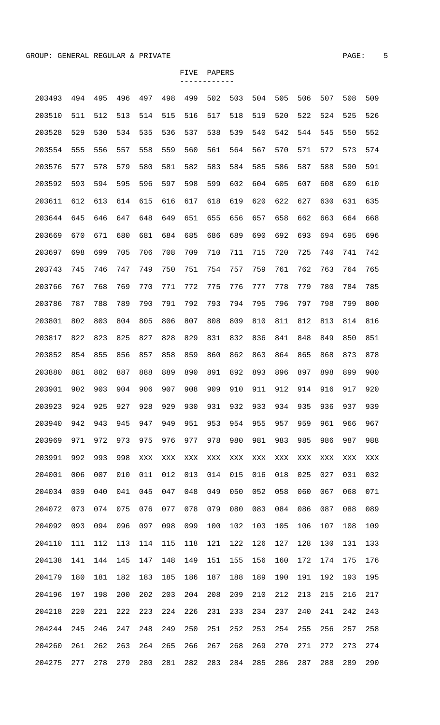| 203493 | 494 | 495 | 496 | 497            | 498 | 499            | 502 | 503 | 504 | 505 | 506 | 507 | 508 | 509 |
|--------|-----|-----|-----|----------------|-----|----------------|-----|-----|-----|-----|-----|-----|-----|-----|
| 203510 | 511 | 512 | 513 | 514            | 515 | 516            | 517 | 518 | 519 | 520 | 522 | 524 | 525 | 526 |
| 203528 | 529 | 530 | 534 | 535            | 536 | 537            | 538 | 539 | 540 | 542 | 544 | 545 | 550 | 552 |
| 203554 | 555 | 556 | 557 | 558            | 559 | 560            | 561 | 564 | 567 | 570 | 571 | 572 | 573 | 574 |
| 203576 | 577 | 578 | 579 | 580            | 581 | 582            | 583 | 584 | 585 | 586 | 587 | 588 | 590 | 591 |
| 203592 | 593 | 594 | 595 | 596            | 597 | 598            | 599 | 602 | 604 | 605 | 607 | 608 | 609 | 610 |
| 203611 | 612 | 613 | 614 | 615            | 616 | 617            | 618 | 619 | 620 | 622 | 627 | 630 | 631 | 635 |
| 203644 | 645 | 646 | 647 | 648            | 649 | 651            | 655 | 656 | 657 | 658 | 662 | 663 | 664 | 668 |
| 203669 | 670 | 671 | 680 | 681            | 684 | 685            | 686 | 689 | 690 | 692 | 693 | 694 | 695 | 696 |
| 203697 | 698 | 699 | 705 | 706            | 708 | 709            | 710 | 711 | 715 | 720 | 725 | 740 | 741 | 742 |
| 203743 | 745 | 746 | 747 | 749            | 750 | 751            | 754 | 757 | 759 | 761 | 762 | 763 | 764 | 765 |
| 203766 | 767 | 768 | 769 | 770            | 771 | 772            | 775 | 776 | 777 | 778 | 779 | 780 | 784 | 785 |
| 203786 | 787 | 788 | 789 | 790            | 791 | 792            | 793 | 794 | 795 | 796 | 797 | 798 | 799 | 800 |
| 203801 | 802 | 803 | 804 | 805            | 806 | 807            | 808 | 809 | 810 | 811 | 812 | 813 | 814 | 816 |
| 203817 | 822 | 823 | 825 | 827            | 828 | 829            | 831 | 832 | 836 | 841 | 848 | 849 | 850 | 851 |
| 203852 | 854 | 855 | 856 | 857            | 858 | 859            | 860 | 862 | 863 | 864 | 865 | 868 | 873 | 878 |
| 203880 | 881 | 882 | 887 | 888            | 889 | 890            | 891 | 892 | 893 | 896 | 897 | 898 | 899 | 900 |
| 203901 | 902 | 903 | 904 | 906            | 907 | 908            | 909 | 910 | 911 | 912 | 914 | 916 | 917 | 920 |
| 203923 | 924 | 925 | 927 | 928            | 929 | 930            | 931 | 932 | 933 | 934 | 935 | 936 | 937 | 939 |
| 203940 | 942 | 943 | 945 | 947            | 949 | 951            | 953 | 954 | 955 | 957 | 959 | 961 | 966 | 967 |
| 203969 | 971 | 972 | 973 | 975            | 976 | 977            | 978 | 980 | 981 | 983 | 985 | 986 | 987 | 988 |
| 203991 | 992 | 993 | 998 | $\mathbf{XXX}$ | XXX | $\mathbf{XXX}$ | XXX | XXX | XXX | XXX | XXX | XXX | XXX | XXX |
| 204001 | 006 | 007 | 010 | 011            | 012 | 013            | 014 | 015 | 016 | 018 | 025 | 027 | 031 | 032 |
| 204034 | 039 | 040 | 041 | 045            | 047 | 048            | 049 | 050 | 052 | 058 | 060 | 067 | 068 | 071 |
| 204072 | 073 | 074 | 075 | 076            | 077 | 078            | 079 | 080 | 083 | 084 | 086 | 087 | 088 | 089 |
| 204092 | 093 | 094 | 096 | 097            | 098 | 099            | 100 | 102 | 103 | 105 | 106 | 107 | 108 | 109 |
| 204110 | 111 | 112 | 113 | 114            | 115 | 118            | 121 | 122 | 126 | 127 | 128 | 130 | 131 | 133 |
| 204138 | 141 | 144 | 145 | 147            | 148 | 149            | 151 | 155 | 156 | 160 | 172 | 174 | 175 | 176 |
| 204179 | 180 | 181 | 182 | 183            | 185 | 186            | 187 | 188 | 189 | 190 | 191 | 192 | 193 | 195 |
| 204196 | 197 | 198 | 200 | 202            | 203 | 204            | 208 | 209 | 210 | 212 | 213 | 215 | 216 | 217 |
| 204218 | 220 | 221 | 222 | 223            | 224 | 226            | 231 | 233 | 234 | 237 | 240 | 241 | 242 | 243 |
| 204244 | 245 | 246 | 247 | 248            | 249 | 250            | 251 | 252 | 253 | 254 | 255 | 256 | 257 | 258 |
| 204260 | 261 | 262 | 263 | 264            | 265 | 266            | 267 | 268 | 269 | 270 | 271 | 272 | 273 | 274 |
| 204275 | 277 | 278 | 279 | 280            | 281 | 282            | 283 | 284 | 285 | 286 | 287 | 288 | 289 | 290 |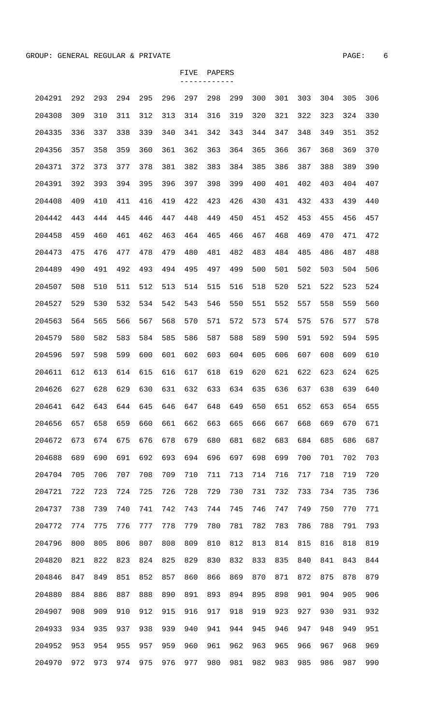| 204291 | 292 | 293 | 294 | 295 | 296 | 297 | 298 | 299 | 300 | 301 | 303 | 304 | 305 | 306 |
|--------|-----|-----|-----|-----|-----|-----|-----|-----|-----|-----|-----|-----|-----|-----|
| 204308 | 309 | 310 | 311 | 312 | 313 | 314 | 316 | 319 | 320 | 321 | 322 | 323 | 324 | 330 |
| 204335 | 336 | 337 | 338 | 339 | 340 | 341 | 342 | 343 | 344 | 347 | 348 | 349 | 351 | 352 |
| 204356 | 357 | 358 | 359 | 360 | 361 | 362 | 363 | 364 | 365 | 366 | 367 | 368 | 369 | 370 |
| 204371 | 372 | 373 | 377 | 378 | 381 | 382 | 383 | 384 | 385 | 386 | 387 | 388 | 389 | 390 |
| 204391 | 392 | 393 | 394 | 395 | 396 | 397 | 398 | 399 | 400 | 401 | 402 | 403 | 404 | 407 |
| 204408 | 409 | 410 | 411 | 416 | 419 | 422 | 423 | 426 | 430 | 431 | 432 | 433 | 439 | 440 |
| 204442 | 443 | 444 | 445 | 446 | 447 | 448 | 449 | 450 | 451 | 452 | 453 | 455 | 456 | 457 |
| 204458 | 459 | 460 | 461 | 462 | 463 | 464 | 465 | 466 | 467 | 468 | 469 | 470 | 471 | 472 |
| 204473 | 475 | 476 | 477 | 478 | 479 | 480 | 481 | 482 | 483 | 484 | 485 | 486 | 487 | 488 |
| 204489 | 490 | 491 | 492 | 493 | 494 | 495 | 497 | 499 | 500 | 501 | 502 | 503 | 504 | 506 |
| 204507 | 508 | 510 | 511 | 512 | 513 | 514 | 515 | 516 | 518 | 520 | 521 | 522 | 523 | 524 |
| 204527 | 529 | 530 | 532 | 534 | 542 | 543 | 546 | 550 | 551 | 552 | 557 | 558 | 559 | 560 |
| 204563 | 564 | 565 | 566 | 567 | 568 | 570 | 571 | 572 | 573 | 574 | 575 | 576 | 577 | 578 |
| 204579 | 580 | 582 | 583 | 584 | 585 | 586 | 587 | 588 | 589 | 590 | 591 | 592 | 594 | 595 |
| 204596 | 597 | 598 | 599 | 600 | 601 | 602 | 603 | 604 | 605 | 606 | 607 | 608 | 609 | 610 |
| 204611 | 612 | 613 | 614 | 615 | 616 | 617 | 618 | 619 | 620 | 621 | 622 | 623 | 624 | 625 |
| 204626 | 627 | 628 | 629 | 630 | 631 | 632 | 633 | 634 | 635 | 636 | 637 | 638 | 639 | 640 |
| 204641 | 642 | 643 | 644 | 645 | 646 | 647 | 648 | 649 | 650 | 651 | 652 | 653 | 654 | 655 |
| 204656 | 657 | 658 | 659 | 660 | 661 | 662 | 663 | 665 | 666 | 667 | 668 | 669 | 670 | 671 |
| 204672 | 673 | 674 | 675 | 676 | 678 | 679 | 680 | 681 | 682 | 683 | 684 | 685 | 686 | 687 |
| 204688 | 689 | 690 | 691 | 692 | 693 | 694 | 696 | 697 | 698 | 699 | 700 | 701 | 702 | 703 |
| 204704 | 705 | 706 | 707 | 708 | 709 | 710 | 711 | 713 | 714 | 716 | 717 | 718 | 719 | 720 |
| 204721 | 722 | 723 | 724 | 725 | 726 | 728 | 729 | 730 | 731 | 732 | 733 | 734 | 735 | 736 |
| 204737 | 738 | 739 | 740 | 741 | 742 | 743 | 744 | 745 | 746 | 747 | 749 | 750 | 770 | 771 |
| 204772 | 774 | 775 | 776 | 777 | 778 | 779 | 780 | 781 | 782 | 783 | 786 | 788 | 791 | 793 |
| 204796 | 800 | 805 | 806 | 807 | 808 | 809 | 810 | 812 | 813 | 814 | 815 | 816 | 818 | 819 |
| 204820 | 821 | 822 | 823 | 824 | 825 | 829 | 830 | 832 | 833 | 835 | 840 | 841 | 843 | 844 |
| 204846 | 847 | 849 | 851 | 852 | 857 | 860 | 866 | 869 | 870 | 871 | 872 | 875 | 878 | 879 |
| 204880 | 884 | 886 | 887 | 888 | 890 | 891 | 893 | 894 | 895 | 898 | 901 | 904 | 905 | 906 |
| 204907 | 908 | 909 | 910 | 912 | 915 | 916 | 917 | 918 | 919 | 923 | 927 | 930 | 931 | 932 |
| 204933 | 934 | 935 | 937 | 938 | 939 | 940 | 941 | 944 | 945 | 946 | 947 | 948 | 949 | 951 |
| 204952 | 953 | 954 | 955 | 957 | 959 | 960 | 961 | 962 | 963 | 965 | 966 | 967 | 968 | 969 |
| 204970 | 972 | 973 | 974 | 975 | 976 | 977 | 980 | 981 | 982 | 983 | 985 | 986 | 987 | 990 |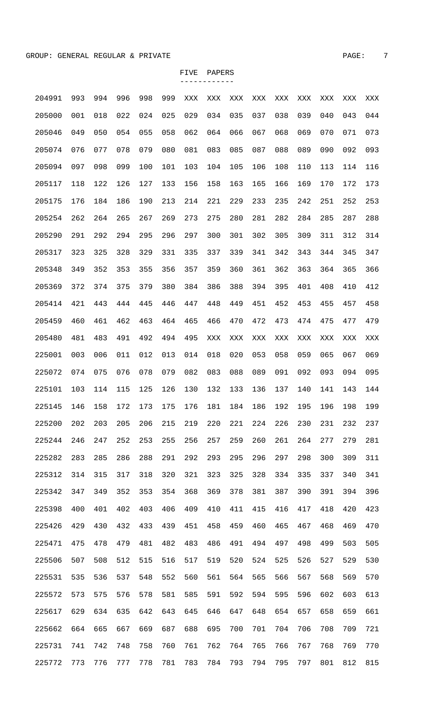| 204991 | 993 | 994 | 996 | 998 | 999 | XXX | XXX            | XXX            | XXX | XXX | XXX | XXX | XXX | XXX |
|--------|-----|-----|-----|-----|-----|-----|----------------|----------------|-----|-----|-----|-----|-----|-----|
| 205000 | 001 | 018 | 022 | 024 | 025 | 029 | 034            | 035            | 037 | 038 | 039 | 040 | 043 | 044 |
| 205046 | 049 | 050 | 054 | 055 | 058 | 062 | 064            | 066            | 067 | 068 | 069 | 070 | 071 | 073 |
| 205074 | 076 | 077 | 078 | 079 | 080 | 081 | 083            | 085            | 087 | 088 | 089 | 090 | 092 | 093 |
| 205094 | 097 | 098 | 099 | 100 | 101 | 103 | 104            | 105            | 106 | 108 | 110 | 113 | 114 | 116 |
| 205117 | 118 | 122 | 126 | 127 | 133 | 156 | 158            | 163            | 165 | 166 | 169 | 170 | 172 | 173 |
| 205175 | 176 | 184 | 186 | 190 | 213 | 214 | 221            | 229            | 233 | 235 | 242 | 251 | 252 | 253 |
| 205254 | 262 | 264 | 265 | 267 | 269 | 273 | 275            | 280            | 281 | 282 | 284 | 285 | 287 | 288 |
| 205290 | 291 | 292 | 294 | 295 | 296 | 297 | 300            | 301            | 302 | 305 | 309 | 311 | 312 | 314 |
| 205317 | 323 | 325 | 328 | 329 | 331 | 335 | 337            | 339            | 341 | 342 | 343 | 344 | 345 | 347 |
| 205348 | 349 | 352 | 353 | 355 | 356 | 357 | 359            | 360            | 361 | 362 | 363 | 364 | 365 | 366 |
| 205369 | 372 | 374 | 375 | 379 | 380 | 384 | 386            | 388            | 394 | 395 | 401 | 408 | 410 | 412 |
| 205414 | 421 | 443 | 444 | 445 | 446 | 447 | 448            | 449            | 451 | 452 | 453 | 455 | 457 | 458 |
| 205459 | 460 | 461 | 462 | 463 | 464 | 465 | 466            | 470            | 472 | 473 | 474 | 475 | 477 | 479 |
| 205480 | 481 | 483 | 491 | 492 | 494 | 495 | $\mathbf{XXX}$ | $\mathbf{XXX}$ | XXX | XXX | XXX | XXX | XXX | XXX |
| 225001 | 003 | 006 | 011 | 012 | 013 | 014 | 018            | 020            | 053 | 058 | 059 | 065 | 067 | 069 |
| 225072 | 074 | 075 | 076 | 078 | 079 | 082 | 083            | 088            | 089 | 091 | 092 | 093 | 094 | 095 |
| 225101 | 103 | 114 | 115 | 125 | 126 | 130 | 132            | 133            | 136 | 137 | 140 | 141 | 143 | 144 |
| 225145 | 146 | 158 | 172 | 173 | 175 | 176 | 181            | 184            | 186 | 192 | 195 | 196 | 198 | 199 |
| 225200 | 202 | 203 | 205 | 206 | 215 | 219 | 220            | 221            | 224 | 226 | 230 | 231 | 232 | 237 |
| 225244 | 246 | 247 | 252 | 253 | 255 | 256 | 257            | 259            | 260 | 261 | 264 | 277 | 279 | 281 |
| 225282 | 283 | 285 | 286 | 288 | 291 | 292 | 293            | 295            | 296 | 297 | 298 | 300 | 309 | 311 |
| 225312 | 314 | 315 | 317 | 318 | 320 | 321 | 323            | 325            | 328 | 334 | 335 | 337 | 340 | 341 |
| 225342 | 347 | 349 | 352 | 353 | 354 | 368 | 369            | 378            | 381 | 387 | 390 | 391 | 394 | 396 |
| 225398 | 400 | 401 | 402 | 403 | 406 | 409 | 410            | 411            | 415 | 416 | 417 | 418 | 420 | 423 |
| 225426 | 429 | 430 | 432 | 433 | 439 | 451 | 458            | 459            | 460 | 465 | 467 | 468 | 469 | 470 |
| 225471 | 475 | 478 | 479 | 481 | 482 | 483 | 486            | 491            | 494 | 497 | 498 | 499 | 503 | 505 |
| 225506 | 507 | 508 | 512 | 515 | 516 | 517 | 519            | 520            | 524 | 525 | 526 | 527 | 529 | 530 |
| 225531 | 535 | 536 | 537 | 548 | 552 | 560 | 561            | 564            | 565 | 566 | 567 | 568 | 569 | 570 |
| 225572 | 573 | 575 | 576 | 578 | 581 | 585 | 591            | 592            | 594 | 595 | 596 | 602 | 603 | 613 |
| 225617 | 629 | 634 | 635 | 642 | 643 | 645 | 646            | 647            | 648 | 654 | 657 | 658 | 659 | 661 |
| 225662 | 664 | 665 | 667 | 669 | 687 | 688 | 695            | 700            | 701 | 704 | 706 | 708 | 709 | 721 |
| 225731 | 741 | 742 | 748 | 758 | 760 | 761 | 762            | 764            | 765 | 766 | 767 | 768 | 769 | 770 |
| 225772 | 773 | 776 | 777 | 778 | 781 | 783 | 784            | 793            | 794 | 795 | 797 | 801 | 812 | 815 |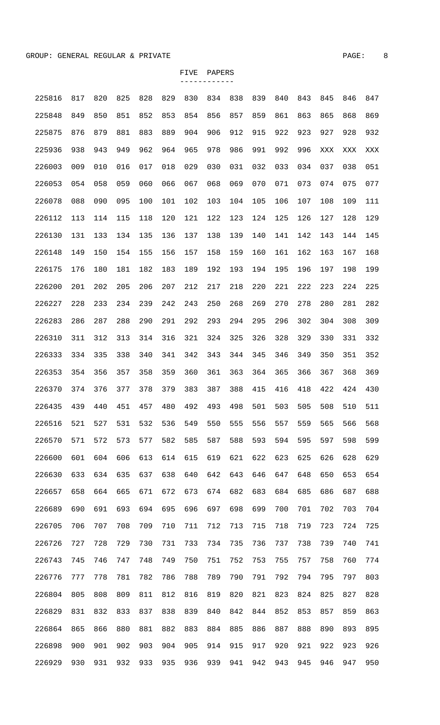| 225816 | 817 | 820 | 825 | 828 | 829 | 830 | 834 | 838 | 839 | 840 | 843 | 845 | 846 | 847 |
|--------|-----|-----|-----|-----|-----|-----|-----|-----|-----|-----|-----|-----|-----|-----|
| 225848 | 849 | 850 | 851 | 852 | 853 | 854 | 856 | 857 | 859 | 861 | 863 | 865 | 868 | 869 |
| 225875 | 876 | 879 | 881 | 883 | 889 | 904 | 906 | 912 | 915 | 922 | 923 | 927 | 928 | 932 |
| 225936 | 938 | 943 | 949 | 962 | 964 | 965 | 978 | 986 | 991 | 992 | 996 | XXX | XXX | XXX |
| 226003 | 009 | 010 | 016 | 017 | 018 | 029 | 030 | 031 | 032 | 033 | 034 | 037 | 038 | 051 |
| 226053 | 054 | 058 | 059 | 060 | 066 | 067 | 068 | 069 | 070 | 071 | 073 | 074 | 075 | 077 |
| 226078 | 088 | 090 | 095 | 100 | 101 | 102 | 103 | 104 | 105 | 106 | 107 | 108 | 109 | 111 |
| 226112 | 113 | 114 | 115 | 118 | 120 | 121 | 122 | 123 | 124 | 125 | 126 | 127 | 128 | 129 |
| 226130 | 131 | 133 | 134 | 135 | 136 | 137 | 138 | 139 | 140 | 141 | 142 | 143 | 144 | 145 |
| 226148 | 149 | 150 | 154 | 155 | 156 | 157 | 158 | 159 | 160 | 161 | 162 | 163 | 167 | 168 |
| 226175 | 176 | 180 | 181 | 182 | 183 | 189 | 192 | 193 | 194 | 195 | 196 | 197 | 198 | 199 |
| 226200 | 201 | 202 | 205 | 206 | 207 | 212 | 217 | 218 | 220 | 221 | 222 | 223 | 224 | 225 |
| 226227 | 228 | 233 | 234 | 239 | 242 | 243 | 250 | 268 | 269 | 270 | 278 | 280 | 281 | 282 |
| 226283 | 286 | 287 | 288 | 290 | 291 | 292 | 293 | 294 | 295 | 296 | 302 | 304 | 308 | 309 |
| 226310 | 311 | 312 | 313 | 314 | 316 | 321 | 324 | 325 | 326 | 328 | 329 | 330 | 331 | 332 |
| 226333 | 334 | 335 | 338 | 340 | 341 | 342 | 343 | 344 | 345 | 346 | 349 | 350 | 351 | 352 |
| 226353 | 354 | 356 | 357 | 358 | 359 | 360 | 361 | 363 | 364 | 365 | 366 | 367 | 368 | 369 |
| 226370 | 374 | 376 | 377 | 378 | 379 | 383 | 387 | 388 | 415 | 416 | 418 | 422 | 424 | 430 |
| 226435 | 439 | 440 | 451 | 457 | 480 | 492 | 493 | 498 | 501 | 503 | 505 | 508 | 510 | 511 |
| 226516 | 521 | 527 | 531 | 532 | 536 | 549 | 550 | 555 | 556 | 557 | 559 | 565 | 566 | 568 |
| 226570 | 571 | 572 | 573 | 577 | 582 | 585 | 587 | 588 | 593 | 594 | 595 | 597 | 598 | 599 |
| 226600 | 601 | 604 | 606 | 613 | 614 | 615 | 619 | 621 | 622 | 623 | 625 | 626 | 628 | 629 |
| 226630 | 633 | 634 | 635 | 637 | 638 | 640 | 642 | 643 | 646 | 647 | 648 | 650 | 653 | 654 |
| 226657 | 658 | 664 | 665 | 671 | 672 | 673 | 674 | 682 | 683 | 684 | 685 | 686 | 687 | 688 |
| 226689 | 690 | 691 | 693 | 694 | 695 | 696 | 697 | 698 | 699 | 700 | 701 | 702 | 703 | 704 |
| 226705 | 706 | 707 | 708 | 709 | 710 | 711 | 712 | 713 | 715 | 718 | 719 | 723 | 724 | 725 |
| 226726 | 727 | 728 | 729 | 730 | 731 | 733 | 734 | 735 | 736 | 737 | 738 | 739 | 740 | 741 |
| 226743 | 745 | 746 | 747 | 748 | 749 | 750 | 751 | 752 | 753 | 755 | 757 | 758 | 760 | 774 |
| 226776 | 777 | 778 | 781 | 782 | 786 | 788 | 789 | 790 | 791 | 792 | 794 | 795 | 797 | 803 |
| 226804 | 805 | 808 | 809 | 811 | 812 | 816 | 819 | 820 | 821 | 823 | 824 | 825 | 827 | 828 |
| 226829 | 831 | 832 | 833 | 837 | 838 | 839 | 840 | 842 | 844 | 852 | 853 | 857 | 859 | 863 |
| 226864 | 865 | 866 | 880 | 881 | 882 | 883 | 884 | 885 | 886 | 887 | 888 | 890 | 893 | 895 |
| 226898 | 900 | 901 | 902 | 903 | 904 | 905 | 914 | 915 | 917 | 920 | 921 | 922 | 923 | 926 |
| 226929 | 930 | 931 | 932 | 933 | 935 | 936 | 939 | 941 | 942 | 943 | 945 | 946 | 947 | 950 |
|        |     |     |     |     |     |     |     |     |     |     |     |     |     |     |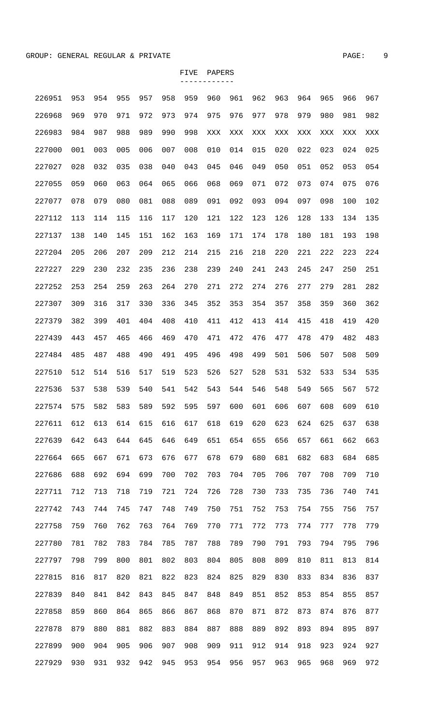| 226951 | 953 | 954 | 955 | 957 | 958 | 959 | 960 | 961 | 962 | 963 | 964 | 965 | 966 | 967 |
|--------|-----|-----|-----|-----|-----|-----|-----|-----|-----|-----|-----|-----|-----|-----|
| 226968 | 969 | 970 | 971 | 972 | 973 | 974 | 975 | 976 | 977 | 978 | 979 | 980 | 981 | 982 |
| 226983 | 984 | 987 | 988 | 989 | 990 | 998 | XXX | XXX | XXX | XXX | XXX | XXX | XXX | XXX |
| 227000 | 001 | 003 | 005 | 006 | 007 | 008 | 010 | 014 | 015 | 020 | 022 | 023 | 024 | 025 |
| 227027 | 028 | 032 | 035 | 038 | 040 | 043 | 045 | 046 | 049 | 050 | 051 | 052 | 053 | 054 |
| 227055 | 059 | 060 | 063 | 064 | 065 | 066 | 068 | 069 | 071 | 072 | 073 | 074 | 075 | 076 |
| 227077 | 078 | 079 | 080 | 081 | 088 | 089 | 091 | 092 | 093 | 094 | 097 | 098 | 100 | 102 |
| 227112 | 113 | 114 | 115 | 116 | 117 | 120 | 121 | 122 | 123 | 126 | 128 | 133 | 134 | 135 |
| 227137 | 138 | 140 | 145 | 151 | 162 | 163 | 169 | 171 | 174 | 178 | 180 | 181 | 193 | 198 |
| 227204 | 205 | 206 | 207 | 209 | 212 | 214 | 215 | 216 | 218 | 220 | 221 | 222 | 223 | 224 |
| 227227 | 229 | 230 | 232 | 235 | 236 | 238 | 239 | 240 | 241 | 243 | 245 | 247 | 250 | 251 |
| 227252 | 253 | 254 | 259 | 263 | 264 | 270 | 271 | 272 | 274 | 276 | 277 | 279 | 281 | 282 |
| 227307 | 309 | 316 | 317 | 330 | 336 | 345 | 352 | 353 | 354 | 357 | 358 | 359 | 360 | 362 |
| 227379 | 382 | 399 | 401 | 404 | 408 | 410 | 411 | 412 | 413 | 414 | 415 | 418 | 419 | 420 |
| 227439 | 443 | 457 | 465 | 466 | 469 | 470 | 471 | 472 | 476 | 477 | 478 | 479 | 482 | 483 |
| 227484 | 485 | 487 | 488 | 490 | 491 | 495 | 496 | 498 | 499 | 501 | 506 | 507 | 508 | 509 |
| 227510 | 512 | 514 | 516 | 517 | 519 | 523 | 526 | 527 | 528 | 531 | 532 | 533 | 534 | 535 |
| 227536 | 537 | 538 | 539 | 540 | 541 | 542 | 543 | 544 | 546 | 548 | 549 | 565 | 567 | 572 |
| 227574 | 575 | 582 | 583 | 589 | 592 | 595 | 597 | 600 | 601 | 606 | 607 | 608 | 609 | 610 |
| 227611 | 612 | 613 | 614 | 615 | 616 | 617 | 618 | 619 | 620 | 623 | 624 | 625 | 637 | 638 |
| 227639 | 642 | 643 | 644 | 645 | 646 | 649 | 651 | 654 | 655 | 656 | 657 | 661 | 662 | 663 |
| 227664 | 665 | 667 | 671 | 673 | 676 | 677 | 678 | 679 | 680 | 681 | 682 | 683 | 684 | 685 |
| 227686 | 688 | 692 | 694 | 699 | 700 | 702 | 703 | 704 | 705 | 706 | 707 | 708 | 709 | 710 |
| 227711 | 712 | 713 | 718 | 719 | 721 | 724 | 726 | 728 | 730 | 733 | 735 | 736 | 740 | 741 |
| 227742 | 743 | 744 | 745 | 747 | 748 | 749 | 750 | 751 | 752 | 753 | 754 | 755 | 756 | 757 |
| 227758 | 759 | 760 | 762 | 763 | 764 | 769 | 770 | 771 | 772 | 773 | 774 | 777 | 778 | 779 |
| 227780 | 781 | 782 | 783 | 784 | 785 | 787 | 788 | 789 | 790 | 791 | 793 | 794 | 795 | 796 |
| 227797 | 798 | 799 | 800 | 801 | 802 | 803 | 804 | 805 | 808 | 809 | 810 | 811 | 813 | 814 |
| 227815 | 816 | 817 | 820 | 821 | 822 | 823 | 824 | 825 | 829 | 830 | 833 | 834 | 836 | 837 |
| 227839 | 840 | 841 | 842 | 843 | 845 | 847 | 848 | 849 | 851 | 852 | 853 | 854 | 855 | 857 |
| 227858 | 859 | 860 | 864 | 865 | 866 | 867 | 868 | 870 | 871 | 872 | 873 | 874 | 876 | 877 |
| 227878 | 879 | 880 | 881 | 882 | 883 | 884 | 887 | 888 | 889 | 892 | 893 | 894 | 895 | 897 |
| 227899 | 900 | 904 | 905 | 906 | 907 | 908 | 909 | 911 | 912 | 914 | 918 | 923 | 924 | 927 |
| 227929 | 930 | 931 | 932 | 942 | 945 | 953 | 954 | 956 | 957 | 963 | 965 | 968 | 969 | 972 |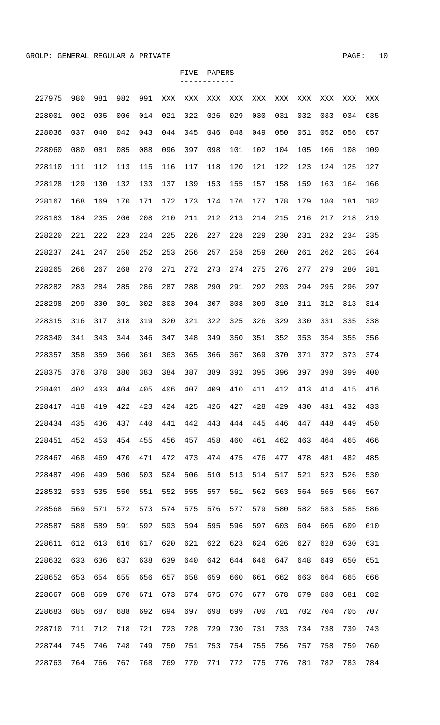| 227975 | 980 | 981 | 982 | 991 | XXX | XXX | XXX | XXX | XXX | XXX | XXX | XXX | XXX | XXX |
|--------|-----|-----|-----|-----|-----|-----|-----|-----|-----|-----|-----|-----|-----|-----|
| 228001 | 002 | 005 | 006 | 014 | 021 | 022 | 026 | 029 | 030 | 031 | 032 | 033 | 034 | 035 |
| 228036 | 037 | 040 | 042 | 043 | 044 | 045 | 046 | 048 | 049 | 050 | 051 | 052 | 056 | 057 |
| 228060 | 080 | 081 | 085 | 088 | 096 | 097 | 098 | 101 | 102 | 104 | 105 | 106 | 108 | 109 |
| 228110 | 111 | 112 | 113 | 115 | 116 | 117 | 118 | 120 | 121 | 122 | 123 | 124 | 125 | 127 |
| 228128 | 129 | 130 | 132 | 133 | 137 | 139 | 153 | 155 | 157 | 158 | 159 | 163 | 164 | 166 |
| 228167 | 168 | 169 | 170 | 171 | 172 | 173 | 174 | 176 | 177 | 178 | 179 | 180 | 181 | 182 |
| 228183 | 184 | 205 | 206 | 208 | 210 | 211 | 212 | 213 | 214 | 215 | 216 | 217 | 218 | 219 |
| 228220 | 221 | 222 | 223 | 224 | 225 | 226 | 227 | 228 | 229 | 230 | 231 | 232 | 234 | 235 |
| 228237 | 241 | 247 | 250 | 252 | 253 | 256 | 257 | 258 | 259 | 260 | 261 | 262 | 263 | 264 |
| 228265 | 266 | 267 | 268 | 270 | 271 | 272 | 273 | 274 | 275 | 276 | 277 | 279 | 280 | 281 |
| 228282 | 283 | 284 | 285 | 286 | 287 | 288 | 290 | 291 | 292 | 293 | 294 | 295 | 296 | 297 |
| 228298 | 299 | 300 | 301 | 302 | 303 | 304 | 307 | 308 | 309 | 310 | 311 | 312 | 313 | 314 |
| 228315 | 316 | 317 | 318 | 319 | 320 | 321 | 322 | 325 | 326 | 329 | 330 | 331 | 335 | 338 |
| 228340 | 341 | 343 | 344 | 346 | 347 | 348 | 349 | 350 | 351 | 352 | 353 | 354 | 355 | 356 |
| 228357 | 358 | 359 | 360 | 361 | 363 | 365 | 366 | 367 | 369 | 370 | 371 | 372 | 373 | 374 |
| 228375 | 376 | 378 | 380 | 383 | 384 | 387 | 389 | 392 | 395 | 396 | 397 | 398 | 399 | 400 |
| 228401 | 402 | 403 | 404 | 405 | 406 | 407 | 409 | 410 | 411 | 412 | 413 | 414 | 415 | 416 |
| 228417 | 418 | 419 | 422 | 423 | 424 | 425 | 426 | 427 | 428 | 429 | 430 | 431 | 432 | 433 |
| 228434 | 435 | 436 | 437 | 440 | 441 | 442 | 443 | 444 | 445 | 446 | 447 | 448 | 449 | 450 |
| 228451 | 452 | 453 | 454 | 455 | 456 | 457 | 458 | 460 | 461 | 462 | 463 | 464 | 465 | 466 |
| 228467 | 468 | 469 | 470 | 471 | 472 | 473 | 474 | 475 | 476 | 477 | 478 | 481 | 482 | 485 |
| 228487 | 496 | 499 | 500 | 503 | 504 | 506 | 510 | 513 | 514 | 517 | 521 | 523 | 526 | 530 |
| 228532 | 533 | 535 | 550 | 551 | 552 | 555 | 557 | 561 | 562 | 563 | 564 | 565 | 566 | 567 |
| 228568 | 569 | 571 | 572 | 573 | 574 | 575 | 576 | 577 | 579 | 580 | 582 | 583 | 585 | 586 |
| 228587 | 588 | 589 | 591 | 592 | 593 | 594 | 595 | 596 | 597 | 603 | 604 | 605 | 609 | 610 |
| 228611 | 612 | 613 | 616 | 617 | 620 | 621 | 622 | 623 | 624 | 626 | 627 | 628 | 630 | 631 |
| 228632 | 633 | 636 | 637 | 638 | 639 | 640 | 642 | 644 | 646 | 647 | 648 | 649 | 650 | 651 |
| 228652 | 653 | 654 | 655 | 656 | 657 | 658 | 659 | 660 | 661 | 662 | 663 | 664 | 665 | 666 |
| 228667 | 668 | 669 | 670 | 671 | 673 | 674 | 675 | 676 | 677 | 678 | 679 | 680 | 681 | 682 |
| 228683 | 685 | 687 | 688 | 692 | 694 | 697 | 698 | 699 | 700 | 701 | 702 | 704 | 705 | 707 |
| 228710 | 711 | 712 | 718 | 721 | 723 | 728 | 729 | 730 | 731 | 733 | 734 | 738 | 739 | 743 |
| 228744 | 745 | 746 | 748 | 749 | 750 | 751 | 753 | 754 | 755 | 756 | 757 | 758 | 759 | 760 |
| 228763 | 764 | 766 | 767 | 768 | 769 | 770 | 771 | 772 | 775 | 776 | 781 | 782 | 783 | 784 |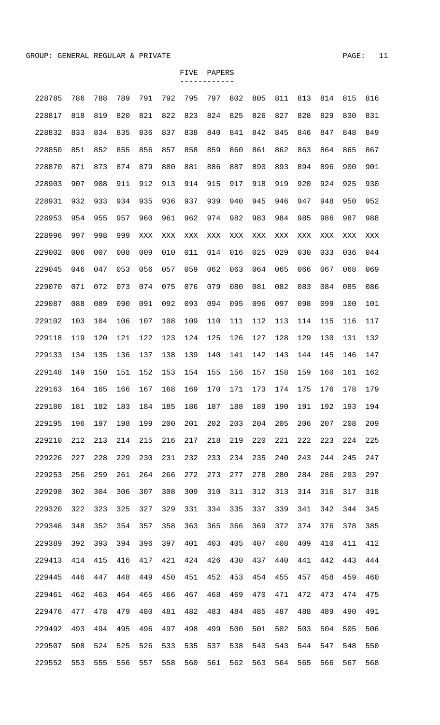| 228785 | 786 | 788 | 789 | 791            | 792            | 795            | 797 | 802 | 805 | 811 | 813 | 814 | 815 | 816 |
|--------|-----|-----|-----|----------------|----------------|----------------|-----|-----|-----|-----|-----|-----|-----|-----|
| 228817 | 818 | 819 | 820 | 821            | 822            | 823            | 824 | 825 | 826 | 827 | 828 | 829 | 830 | 831 |
| 228832 | 833 | 834 | 835 | 836            | 837            | 838            | 840 | 841 | 842 | 845 | 846 | 847 | 848 | 849 |
| 228850 | 851 | 852 | 855 | 856            | 857            | 858            | 859 | 860 | 861 | 862 | 863 | 864 | 865 | 867 |
| 228870 | 871 | 873 | 874 | 879            | 880            | 881            | 886 | 887 | 890 | 893 | 894 | 896 | 900 | 901 |
| 228903 | 907 | 908 | 911 | 912            | 913            | 914            | 915 | 917 | 918 | 919 | 920 | 924 | 925 | 930 |
| 228931 | 932 | 933 | 934 | 935            | 936            | 937            | 939 | 940 | 945 | 946 | 947 | 948 | 950 | 952 |
| 228953 | 954 | 955 | 957 | 960            | 961            | 962            | 974 | 982 | 983 | 984 | 985 | 986 | 987 | 988 |
| 228996 | 997 | 998 | 999 | $\mathbf{XXX}$ | $\mathbf{XXX}$ | $\mathbf{XXX}$ | XXX | XXX | XXX | XXX | XXX | XXX | XXX | XXX |
| 229002 | 006 | 007 | 008 | 009            | 010            | 011            | 014 | 016 | 025 | 029 | 030 | 033 | 036 | 044 |
| 229045 | 046 | 047 | 053 | 056            | 057            | 059            | 062 | 063 | 064 | 065 | 066 | 067 | 068 | 069 |
| 229070 | 071 | 072 | 073 | 074            | 075            | 076            | 079 | 080 | 081 | 082 | 083 | 084 | 085 | 086 |
| 229087 | 088 | 089 | 090 | 091            | 092            | 093            | 094 | 095 | 096 | 097 | 098 | 099 | 100 | 101 |
| 229102 | 103 | 104 | 106 | 107            | 108            | 109            | 110 | 111 | 112 | 113 | 114 | 115 | 116 | 117 |
| 229118 | 119 | 120 | 121 | 122            | 123            | 124            | 125 | 126 | 127 | 128 | 129 | 130 | 131 | 132 |
| 229133 | 134 | 135 | 136 | 137            | 138            | 139            | 140 | 141 | 142 | 143 | 144 | 145 | 146 | 147 |
| 229148 | 149 | 150 | 151 | 152            | 153            | 154            | 155 | 156 | 157 | 158 | 159 | 160 | 161 | 162 |
| 229163 | 164 | 165 | 166 | 167            | 168            | 169            | 170 | 171 | 173 | 174 | 175 | 176 | 178 | 179 |
| 229180 | 181 | 182 | 183 | 184            | 185            | 186            | 187 | 188 | 189 | 190 | 191 | 192 | 193 | 194 |
| 229195 | 196 | 197 | 198 | 199            | 200            | 201            | 202 | 203 | 204 | 205 | 206 | 207 | 208 | 209 |
| 229210 | 212 | 213 | 214 | 215            | 216            | 217            | 218 | 219 | 220 | 221 | 222 | 223 | 224 | 225 |
| 229226 | 227 | 228 | 229 | 230            | 231            | 232            | 233 | 234 | 235 | 240 | 243 | 244 | 245 | 247 |
| 229253 | 256 | 259 | 261 | 264            | 266            | 272            | 273 | 277 | 278 | 280 | 284 | 286 | 293 | 297 |
| 229298 | 302 | 304 | 306 | 307            | 308            | 309            | 310 | 311 | 312 | 313 | 314 | 316 | 317 | 318 |
| 229320 | 322 | 323 | 325 | 327            | 329            | 331            | 334 | 335 | 337 | 339 | 341 | 342 | 344 | 345 |
| 229346 | 348 | 352 | 354 | 357            | 358            | 363            | 365 | 366 | 369 | 372 | 374 | 376 | 378 | 385 |
| 229389 | 392 | 393 | 394 | 396            | 397            | 401            | 403 | 405 | 407 | 408 | 409 | 410 | 411 | 412 |
| 229413 | 414 | 415 | 416 | 417            | 421            | 424            | 426 | 430 | 437 | 440 | 441 | 442 | 443 | 444 |
| 229445 | 446 | 447 | 448 | 449            | 450            | 451            | 452 | 453 | 454 | 455 | 457 | 458 | 459 | 460 |
| 229461 | 462 | 463 | 464 | 465            | 466            | 467            | 468 | 469 | 470 | 471 | 472 | 473 | 474 | 475 |
| 229476 | 477 | 478 | 479 | 480            | 481            | 482            | 483 | 484 | 485 | 487 | 488 | 489 | 490 | 491 |
| 229492 | 493 | 494 | 495 | 496            | 497            | 498            | 499 | 500 | 501 | 502 | 503 | 504 | 505 | 506 |
| 229507 | 508 | 524 | 525 | 526            | 533            | 535            | 537 | 538 | 540 | 543 | 544 | 547 | 548 | 550 |
| 229552 | 553 | 555 | 556 | 557            | 558            | 560            | 561 | 562 | 563 | 564 | 565 | 566 | 567 | 568 |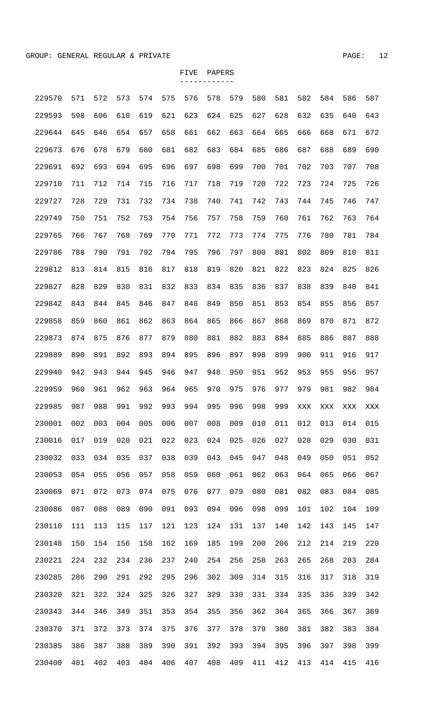| 229570 | 571 | 572 | 573 | 574 | 575 | 576 | 578 | 579 | 580 | 581 | 582 | 584 | 586 | 587 |
|--------|-----|-----|-----|-----|-----|-----|-----|-----|-----|-----|-----|-----|-----|-----|
| 229593 | 598 | 606 | 610 | 619 | 621 | 623 | 624 | 625 | 627 | 628 | 632 | 635 | 640 | 643 |
| 229644 | 645 | 646 | 654 | 657 | 658 | 661 | 662 | 663 | 664 | 665 | 666 | 668 | 671 | 672 |
| 229673 | 676 | 678 | 679 | 680 | 681 | 682 | 683 | 684 | 685 | 686 | 687 | 688 | 689 | 690 |
| 229691 | 692 | 693 | 694 | 695 | 696 | 697 | 698 | 699 | 700 | 701 | 702 | 703 | 707 | 708 |
| 229710 | 711 | 712 | 714 | 715 | 716 | 717 | 718 | 719 | 720 | 722 | 723 | 724 | 725 | 726 |
| 229727 | 728 | 729 | 731 | 732 | 734 | 738 | 740 | 741 | 742 | 743 | 744 | 745 | 746 | 747 |
| 229749 | 750 | 751 | 752 | 753 | 754 | 756 | 757 | 758 | 759 | 760 | 761 | 762 | 763 | 764 |
| 229765 | 766 | 767 | 768 | 769 | 770 | 771 | 772 | 773 | 774 | 775 | 776 | 780 | 781 | 784 |
| 229786 | 788 | 790 | 791 | 792 | 794 | 795 | 796 | 797 | 800 | 801 | 802 | 809 | 810 | 811 |
| 229812 | 813 | 814 | 815 | 816 | 817 | 818 | 819 | 820 | 821 | 822 | 823 | 824 | 825 | 826 |
| 229827 | 828 | 829 | 830 | 831 | 832 | 833 | 834 | 835 | 836 | 837 | 838 | 839 | 840 | 841 |
| 229842 | 843 | 844 | 845 | 846 | 847 | 848 | 849 | 850 | 851 | 853 | 854 | 855 | 856 | 857 |
| 229858 | 859 | 860 | 861 | 862 | 863 | 864 | 865 | 866 | 867 | 868 | 869 | 870 | 871 | 872 |
| 229873 | 874 | 875 | 876 | 877 | 879 | 880 | 881 | 882 | 883 | 884 | 885 | 886 | 887 | 888 |
| 229889 | 890 | 891 | 892 | 893 | 894 | 895 | 896 | 897 | 898 | 899 | 900 | 911 | 916 | 917 |
| 229940 | 942 | 943 | 944 | 945 | 946 | 947 | 948 | 950 | 951 | 952 | 953 | 955 | 956 | 957 |
| 229959 | 960 | 961 | 962 | 963 | 964 | 965 | 970 | 975 | 976 | 977 | 979 | 981 | 982 | 984 |
| 229985 | 987 | 988 | 991 | 992 | 993 | 994 | 995 | 996 | 998 | 999 | XXX | XXX | XXX | XXX |
| 230001 | 002 | 003 | 004 | 005 | 006 | 007 | 008 | 009 | 010 | 011 | 012 | 013 | 014 | 015 |
| 230016 | 017 | 019 | 020 | 021 | 022 | 023 | 024 | 025 | 026 | 027 | 028 | 029 | 030 | 031 |
| 230032 | 033 | 034 | 035 | 037 | 038 | 039 | 043 | 045 | 047 | 048 | 049 | 050 | 051 | 052 |
| 230053 | 054 | 055 | 056 | 057 | 058 | 059 | 060 | 061 | 062 | 063 | 064 | 065 | 066 | 067 |
| 230069 | 071 | 072 | 073 | 074 | 075 | 076 | 077 | 079 | 080 | 081 | 082 | 083 | 084 | 085 |
| 230086 | 087 | 088 | 089 | 090 | 091 | 093 | 094 | 096 | 098 | 099 | 101 | 102 | 104 | 109 |
| 230110 | 111 | 113 | 115 | 117 | 121 | 123 | 124 | 131 | 137 | 140 | 142 | 143 | 145 | 147 |
| 230148 | 150 | 154 | 156 | 158 | 162 | 169 | 185 | 199 | 200 | 206 | 212 | 214 | 219 | 220 |
| 230221 | 224 | 232 | 234 | 236 | 237 | 240 | 254 | 256 | 258 | 263 | 265 | 268 | 283 | 284 |
| 230285 | 286 | 290 | 291 | 292 | 295 | 296 | 302 | 309 | 314 | 315 | 316 | 317 | 318 | 319 |
| 230320 | 321 | 322 | 324 | 325 | 326 | 327 | 329 | 330 | 331 | 334 | 335 | 336 | 339 | 342 |
| 230343 | 344 | 346 | 349 | 351 | 353 | 354 | 355 | 356 | 362 | 364 | 365 | 366 | 367 | 369 |
| 230370 | 371 | 372 | 373 | 374 | 375 | 376 | 377 | 378 | 379 | 380 | 381 | 382 | 383 | 384 |
| 230385 | 386 | 387 | 388 | 389 | 390 | 391 | 392 | 393 | 394 | 395 | 396 | 397 | 398 | 399 |
| 230400 | 401 | 402 | 403 | 404 | 406 | 407 | 408 | 409 | 411 | 412 | 413 | 414 | 415 | 416 |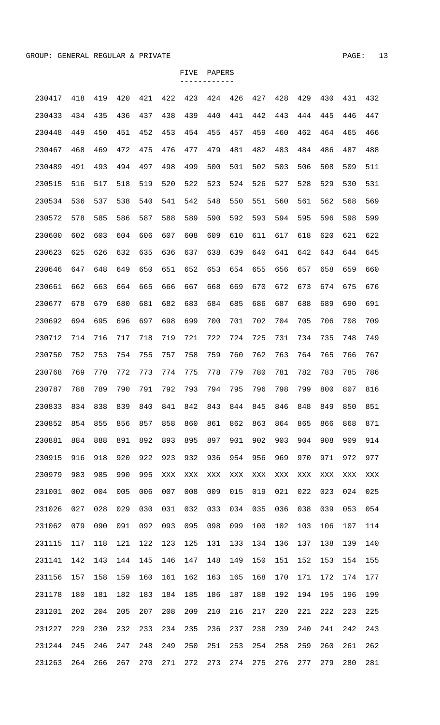| 230417 | 418 | 419 | 420 | 421 | 422            | 423            | 424 | 426 | 427 | 428 | 429 | 430 | 431 | 432 |
|--------|-----|-----|-----|-----|----------------|----------------|-----|-----|-----|-----|-----|-----|-----|-----|
| 230433 | 434 | 435 | 436 | 437 | 438            | 439            | 440 | 441 | 442 | 443 | 444 | 445 | 446 | 447 |
| 230448 | 449 | 450 | 451 | 452 | 453            | 454            | 455 | 457 | 459 | 460 | 462 | 464 | 465 | 466 |
| 230467 | 468 | 469 | 472 | 475 | 476            | 477            | 479 | 481 | 482 | 483 | 484 | 486 | 487 | 488 |
| 230489 | 491 | 493 | 494 | 497 | 498            | 499            | 500 | 501 | 502 | 503 | 506 | 508 | 509 | 511 |
| 230515 | 516 | 517 | 518 | 519 | 520            | 522            | 523 | 524 | 526 | 527 | 528 | 529 | 530 | 531 |
| 230534 | 536 | 537 | 538 | 540 | 541            | 542            | 548 | 550 | 551 | 560 | 561 | 562 | 568 | 569 |
| 230572 | 578 | 585 | 586 | 587 | 588            | 589            | 590 | 592 | 593 | 594 | 595 | 596 | 598 | 599 |
| 230600 | 602 | 603 | 604 | 606 | 607            | 608            | 609 | 610 | 611 | 617 | 618 | 620 | 621 | 622 |
| 230623 | 625 | 626 | 632 | 635 | 636            | 637            | 638 | 639 | 640 | 641 | 642 | 643 | 644 | 645 |
| 230646 | 647 | 648 | 649 | 650 | 651            | 652            | 653 | 654 | 655 | 656 | 657 | 658 | 659 | 660 |
| 230661 | 662 | 663 | 664 | 665 | 666            | 667            | 668 | 669 | 670 | 672 | 673 | 674 | 675 | 676 |
| 230677 | 678 | 679 | 680 | 681 | 682            | 683            | 684 | 685 | 686 | 687 | 688 | 689 | 690 | 691 |
| 230692 | 694 | 695 | 696 | 697 | 698            | 699            | 700 | 701 | 702 | 704 | 705 | 706 | 708 | 709 |
| 230712 | 714 | 716 | 717 | 718 | 719            | 721            | 722 | 724 | 725 | 731 | 734 | 735 | 748 | 749 |
| 230750 | 752 | 753 | 754 | 755 | 757            | 758            | 759 | 760 | 762 | 763 | 764 | 765 | 766 | 767 |
| 230768 | 769 | 770 | 772 | 773 | 774            | 775            | 778 | 779 | 780 | 781 | 782 | 783 | 785 | 786 |
| 230787 | 788 | 789 | 790 | 791 | 792            | 793            | 794 | 795 | 796 | 798 | 799 | 800 | 807 | 816 |
| 230833 | 834 | 838 | 839 | 840 | 841            | 842            | 843 | 844 | 845 | 846 | 848 | 849 | 850 | 851 |
| 230852 | 854 | 855 | 856 | 857 | 858            | 860            | 861 | 862 | 863 | 864 | 865 | 866 | 868 | 871 |
| 230881 | 884 | 888 | 891 | 892 | 893            | 895            | 897 | 901 | 902 | 903 | 904 | 908 | 909 | 914 |
| 230915 | 916 | 918 | 920 | 922 | 923            | 932            | 936 | 954 | 956 | 969 | 970 | 971 | 972 | 977 |
| 230979 | 983 | 985 | 990 | 995 | $\mathbf{XXX}$ | $\mathbf{XXX}$ | XXX | XXX | XXX | XXX | XXX | XXX | XXX | XXX |
| 231001 | 002 | 004 | 005 | 006 | 007            | 008            | 009 | 015 | 019 | 021 | 022 | 023 | 024 | 025 |
| 231026 | 027 | 028 | 029 | 030 | 031            | 032            | 033 | 034 | 035 | 036 | 038 | 039 | 053 | 054 |
| 231062 | 079 | 090 | 091 | 092 | 093            | 095            | 098 | 099 | 100 | 102 | 103 | 106 | 107 | 114 |
| 231115 | 117 | 118 | 121 | 122 | 123            | 125            | 131 | 133 | 134 | 136 | 137 | 138 | 139 | 140 |
| 231141 | 142 | 143 | 144 | 145 | 146            | 147            | 148 | 149 | 150 | 151 | 152 | 153 | 154 | 155 |
| 231156 | 157 | 158 | 159 | 160 | 161            | 162            | 163 | 165 | 168 | 170 | 171 | 172 | 174 | 177 |
| 231178 | 180 | 181 | 182 | 183 | 184            | 185            | 186 | 187 | 188 | 192 | 194 | 195 | 196 | 199 |
| 231201 | 202 | 204 | 205 | 207 | 208            | 209            | 210 | 216 | 217 | 220 | 221 | 222 | 223 | 225 |
| 231227 | 229 | 230 | 232 | 233 | 234            | 235            | 236 | 237 | 238 | 239 | 240 | 241 | 242 | 243 |
| 231244 | 245 | 246 | 247 | 248 | 249            | 250            | 251 | 253 | 254 | 258 | 259 | 260 | 261 | 262 |
| 231263 | 264 | 266 | 267 | 270 | 271            | 272            | 273 | 274 | 275 | 276 | 277 | 279 | 280 | 281 |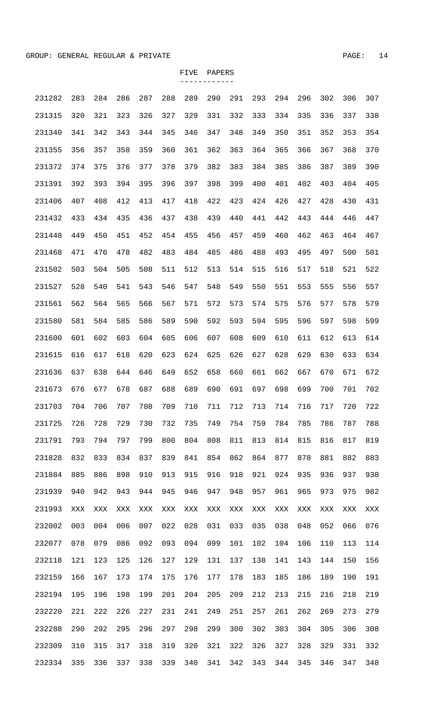| 231282 | 283            | 284            | 286            | 287            | 288            | 289 | 290 | 291 | 293 | 294 | 296 | 302 | 306 | 307 |
|--------|----------------|----------------|----------------|----------------|----------------|-----|-----|-----|-----|-----|-----|-----|-----|-----|
| 231315 | 320            | 321            | 323            | 326            | 327            | 329 | 331 | 332 | 333 | 334 | 335 | 336 | 337 | 338 |
| 231340 | 341            | 342            | 343            | 344            | 345            | 346 | 347 | 348 | 349 | 350 | 351 | 352 | 353 | 354 |
| 231355 | 356            | 357            | 358            | 359            | 360            | 361 | 362 | 363 | 364 | 365 | 366 | 367 | 368 | 370 |
| 231372 | 374            | 375            | 376            | 377            | 378            | 379 | 382 | 383 | 384 | 385 | 386 | 387 | 389 | 390 |
| 231391 | 392            | 393            | 394            | 395            | 396            | 397 | 398 | 399 | 400 | 401 | 402 | 403 | 404 | 405 |
| 231406 | 407            | 408            | 412            | 413            | 417            | 418 | 422 | 423 | 424 | 426 | 427 | 428 | 430 | 431 |
| 231432 | 433            | 434            | 435            | 436            | 437            | 438 | 439 | 440 | 441 | 442 | 443 | 444 | 446 | 447 |
| 231448 | 449            | 450            | 451            | 452            | 454            | 455 | 456 | 457 | 459 | 460 | 462 | 463 | 464 | 467 |
| 231468 | 471            | 476            | 478            | 482            | 483            | 484 | 485 | 486 | 488 | 493 | 495 | 497 | 500 | 501 |
| 231502 | 503            | 504            | 505            | 508            | 511            | 512 | 513 | 514 | 515 | 516 | 517 | 518 | 521 | 522 |
| 231527 | 528            | 540            | 541            | 543            | 546            | 547 | 548 | 549 | 550 | 551 | 553 | 555 | 556 | 557 |
| 231561 | 562            | 564            | 565            | 566            | 567            | 571 | 572 | 573 | 574 | 575 | 576 | 577 | 578 | 579 |
| 231580 | 581            | 584            | 585            | 586            | 589            | 590 | 592 | 593 | 594 | 595 | 596 | 597 | 598 | 599 |
| 231600 | 601            | 602            | 603            | 604            | 605            | 606 | 607 | 608 | 609 | 610 | 611 | 612 | 613 | 614 |
| 231615 | 616            | 617            | 618            | 620            | 623            | 624 | 625 | 626 | 627 | 628 | 629 | 630 | 633 | 634 |
| 231636 | 637            | 638            | 644            | 646            | 649            | 652 | 658 | 660 | 661 | 662 | 667 | 670 | 671 | 672 |
| 231673 | 676            | 677            | 678            | 687            | 688            | 689 | 690 | 691 | 697 | 698 | 699 | 700 | 701 | 702 |
| 231703 | 704            | 706            | 707            | 708            | 709            | 710 | 711 | 712 | 713 | 714 | 716 | 717 | 720 | 722 |
| 231725 | 726            | 728            | 729            | 730            | 732            | 735 | 749 | 754 | 759 | 784 | 785 | 786 | 787 | 788 |
| 231791 | 793            | 794            | 797            | 799            | 800            | 804 | 808 | 811 | 813 | 814 | 815 | 816 | 817 | 819 |
| 231828 | 832            | 833            | 834            | 837            | 839            | 841 | 854 | 862 | 864 | 877 | 878 | 881 | 882 | 883 |
| 231884 | 885            | 886            | 898            | 910            | 913            | 915 | 916 | 918 | 921 | 924 | 935 | 936 | 937 | 938 |
| 231939 | 940            | 942            | 943            | 944            | 945            | 946 | 947 | 948 | 957 | 961 | 965 | 973 | 975 | 982 |
| 231993 | $\mathbf{XXX}$ | $\mathbf{XXX}$ | $\mathbf{XXX}$ | $\mathbf{XXX}$ | $\mathbf{XXX}$ | XXX | XXX | XXX | XXX | XXX | XXX | XXX | XXX | XXX |
| 232002 | 003            | 004            | 006            | 007            | 022            | 028 | 031 | 033 | 035 | 038 | 048 | 052 | 066 | 076 |
| 232077 | 078            | 079            | 086            | 092            | 093            | 094 | 099 | 101 | 102 | 104 | 106 | 110 | 113 | 114 |
| 232118 | 121            | 123            | 125            | 126            | 127            | 129 | 131 | 137 | 138 | 141 | 143 | 144 | 150 | 156 |
| 232159 | 166            | 167            | 173            | 174            | 175            | 176 | 177 | 178 | 183 | 185 | 186 | 189 | 190 | 191 |
| 232194 | 195            | 196            | 198            | 199            | 201            | 204 | 205 | 209 | 212 | 213 | 215 | 216 | 218 | 219 |
| 232220 | 221            | 222            | 226            | 227            | 231            | 241 | 249 | 251 | 257 | 261 | 262 | 269 | 273 | 279 |
| 232288 | 290            | 292            | 295            | 296            | 297            | 298 | 299 | 300 | 302 | 303 | 304 | 305 | 306 | 308 |
| 232309 | 310            | 315            | 317            | 318            | 319            | 320 | 321 | 322 | 326 | 327 | 328 | 329 | 331 | 332 |
| 232334 | 335            | 336            | 337            | 338            | 339            | 340 | 341 | 342 | 343 | 344 | 345 | 346 | 347 | 348 |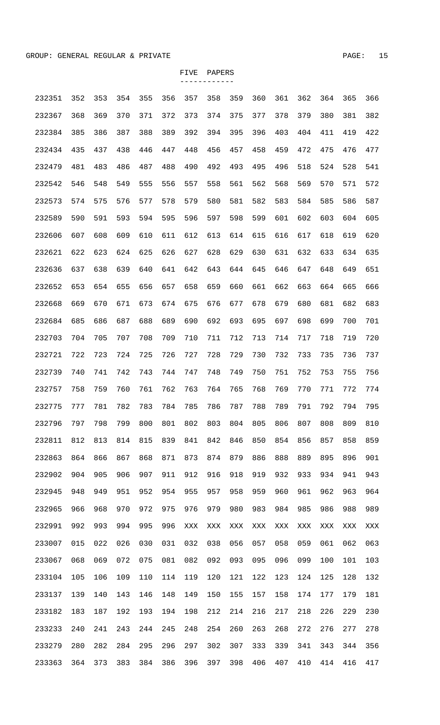| 232351 | 352 | 353 | 354 | 355 | 356 | 357            | 358 | 359 | 360 | 361 | 362 | 364 | 365 | 366 |
|--------|-----|-----|-----|-----|-----|----------------|-----|-----|-----|-----|-----|-----|-----|-----|
| 232367 | 368 | 369 | 370 | 371 | 372 | 373            | 374 | 375 | 377 | 378 | 379 | 380 | 381 | 382 |
| 232384 | 385 | 386 | 387 | 388 | 389 | 392            | 394 | 395 | 396 | 403 | 404 | 411 | 419 | 422 |
| 232434 | 435 | 437 | 438 | 446 | 447 | 448            | 456 | 457 | 458 | 459 | 472 | 475 | 476 | 477 |
| 232479 | 481 | 483 | 486 | 487 | 488 | 490            | 492 | 493 | 495 | 496 | 518 | 524 | 528 | 541 |
| 232542 | 546 | 548 | 549 | 555 | 556 | 557            | 558 | 561 | 562 | 568 | 569 | 570 | 571 | 572 |
| 232573 | 574 | 575 | 576 | 577 | 578 | 579            | 580 | 581 | 582 | 583 | 584 | 585 | 586 | 587 |
| 232589 | 590 | 591 | 593 | 594 | 595 | 596            | 597 | 598 | 599 | 601 | 602 | 603 | 604 | 605 |
| 232606 | 607 | 608 | 609 | 610 | 611 | 612            | 613 | 614 | 615 | 616 | 617 | 618 | 619 | 620 |
| 232621 | 622 | 623 | 624 | 625 | 626 | 627            | 628 | 629 | 630 | 631 | 632 | 633 | 634 | 635 |
| 232636 | 637 | 638 | 639 | 640 | 641 | 642            | 643 | 644 | 645 | 646 | 647 | 648 | 649 | 651 |
| 232652 | 653 | 654 | 655 | 656 | 657 | 658            | 659 | 660 | 661 | 662 | 663 | 664 | 665 | 666 |
| 232668 | 669 | 670 | 671 | 673 | 674 | 675            | 676 | 677 | 678 | 679 | 680 | 681 | 682 | 683 |
| 232684 | 685 | 686 | 687 | 688 | 689 | 690            | 692 | 693 | 695 | 697 | 698 | 699 | 700 | 701 |
| 232703 | 704 | 705 | 707 | 708 | 709 | 710            | 711 | 712 | 713 | 714 | 717 | 718 | 719 | 720 |
| 232721 | 722 | 723 | 724 | 725 | 726 | 727            | 728 | 729 | 730 | 732 | 733 | 735 | 736 | 737 |
| 232739 | 740 | 741 | 742 | 743 | 744 | 747            | 748 | 749 | 750 | 751 | 752 | 753 | 755 | 756 |
| 232757 | 758 | 759 | 760 | 761 | 762 | 763            | 764 | 765 | 768 | 769 | 770 | 771 | 772 | 774 |
| 232775 | 777 | 781 | 782 | 783 | 784 | 785            | 786 | 787 | 788 | 789 | 791 | 792 | 794 | 795 |
| 232796 | 797 | 798 | 799 | 800 | 801 | 802            | 803 | 804 | 805 | 806 | 807 | 808 | 809 | 810 |
| 232811 | 812 | 813 | 814 | 815 | 839 | 841            | 842 | 846 | 850 | 854 | 856 | 857 | 858 | 859 |
| 232863 | 864 | 866 | 867 | 868 | 871 | 873            | 874 | 879 | 886 | 888 | 889 | 895 | 896 | 901 |
| 232902 | 904 | 905 | 906 | 907 | 911 | 912            | 916 | 918 | 919 | 932 | 933 | 934 | 941 | 943 |
| 232945 | 948 | 949 | 951 | 952 | 954 | 955            | 957 | 958 | 959 | 960 | 961 | 962 | 963 | 964 |
| 232965 | 966 | 968 | 970 | 972 | 975 | 976            | 979 | 980 | 983 | 984 | 985 | 986 | 988 | 989 |
| 232991 | 992 | 993 | 994 | 995 | 996 | $\mathbf{XXX}$ | XXX | XXX | XXX | XXX | XXX | XXX | XXX | XXX |
| 233007 | 015 | 022 | 026 | 030 | 031 | 032            | 038 | 056 | 057 | 058 | 059 | 061 | 062 | 063 |
| 233067 | 068 | 069 | 072 | 075 | 081 | 082            | 092 | 093 | 095 | 096 | 099 | 100 | 101 | 103 |
| 233104 | 105 | 106 | 109 | 110 | 114 | 119            | 120 | 121 | 122 | 123 | 124 | 125 | 128 | 132 |
| 233137 | 139 | 140 | 143 | 146 | 148 | 149            | 150 | 155 | 157 | 158 | 174 | 177 | 179 | 181 |
| 233182 | 183 | 187 | 192 | 193 | 194 | 198            | 212 | 214 | 216 | 217 | 218 | 226 | 229 | 230 |
| 233233 | 240 | 241 | 243 | 244 | 245 | 248            | 254 | 260 | 263 | 268 | 272 | 276 | 277 | 278 |
| 233279 | 280 | 282 | 284 | 295 | 296 | 297            | 302 | 307 | 333 | 339 | 341 | 343 | 344 | 356 |
| 233363 | 364 | 373 | 383 | 384 | 386 | 396            | 397 | 398 | 406 | 407 | 410 | 414 | 416 | 417 |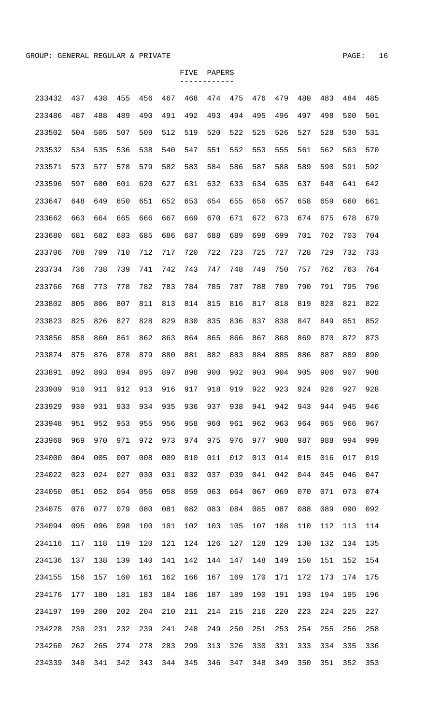| 233432 | 437 | 438 | 455 | 456 | 467 | 468 | 474 | 475 | 476 | 479 | 480 | 483 | 484 | 485 |
|--------|-----|-----|-----|-----|-----|-----|-----|-----|-----|-----|-----|-----|-----|-----|
| 233486 | 487 | 488 | 489 | 490 | 491 | 492 | 493 | 494 | 495 | 496 | 497 | 498 | 500 | 501 |
| 233502 | 504 | 505 | 507 | 509 | 512 | 519 | 520 | 522 | 525 | 526 | 527 | 528 | 530 | 531 |
| 233532 | 534 | 535 | 536 | 538 | 540 | 547 | 551 | 552 | 553 | 555 | 561 | 562 | 563 | 570 |
| 233571 | 573 | 577 | 578 | 579 | 582 | 583 | 584 | 586 | 587 | 588 | 589 | 590 | 591 | 592 |
| 233596 | 597 | 600 | 601 | 620 | 627 | 631 | 632 | 633 | 634 | 635 | 637 | 640 | 641 | 642 |
| 233647 | 648 | 649 | 650 | 651 | 652 | 653 | 654 | 655 | 656 | 657 | 658 | 659 | 660 | 661 |
| 233662 | 663 | 664 | 665 | 666 | 667 | 669 | 670 | 671 | 672 | 673 | 674 | 675 | 678 | 679 |
| 233680 | 681 | 682 | 683 | 685 | 686 | 687 | 688 | 689 | 698 | 699 | 701 | 702 | 703 | 704 |
| 233706 | 708 | 709 | 710 | 712 | 717 | 720 | 722 | 723 | 725 | 727 | 728 | 729 | 732 | 733 |
| 233734 | 736 | 738 | 739 | 741 | 742 | 743 | 747 | 748 | 749 | 750 | 757 | 762 | 763 | 764 |
| 233766 | 768 | 773 | 778 | 782 | 783 | 784 | 785 | 787 | 788 | 789 | 790 | 791 | 795 | 796 |
| 233802 | 805 | 806 | 807 | 811 | 813 | 814 | 815 | 816 | 817 | 818 | 819 | 820 | 821 | 822 |
| 233823 | 825 | 826 | 827 | 828 | 829 | 830 | 835 | 836 | 837 | 838 | 847 | 849 | 851 | 852 |
| 233856 | 858 | 860 | 861 | 862 | 863 | 864 | 865 | 866 | 867 | 868 | 869 | 870 | 872 | 873 |
| 233874 | 875 | 876 | 878 | 879 | 880 | 881 | 882 | 883 | 884 | 885 | 886 | 887 | 889 | 890 |
| 233891 | 892 | 893 | 894 | 895 | 897 | 898 | 900 | 902 | 903 | 904 | 905 | 906 | 907 | 908 |
| 233909 | 910 | 911 | 912 | 913 | 916 | 917 | 918 | 919 | 922 | 923 | 924 | 926 | 927 | 928 |
| 233929 | 930 | 931 | 933 | 934 | 935 | 936 | 937 | 938 | 941 | 942 | 943 | 944 | 945 | 946 |
| 233948 | 951 | 952 | 953 | 955 | 956 | 958 | 960 | 961 | 962 | 963 | 964 | 965 | 966 | 967 |
| 233968 | 969 | 970 | 971 | 972 | 973 | 974 | 975 | 976 | 977 | 980 | 987 | 988 | 994 | 999 |
| 234000 | 004 | 005 | 007 | 008 | 009 | 010 | 011 | 012 | 013 | 014 | 015 | 016 | 017 | 019 |
| 234022 | 023 | 024 | 027 | 030 | 031 | 032 | 037 | 039 | 041 | 042 | 044 | 045 | 046 | 047 |
| 234050 | 051 | 052 | 054 | 056 | 058 | 059 | 063 | 064 | 067 | 069 | 070 | 071 | 073 | 074 |
| 234075 | 076 | 077 | 079 | 080 | 081 | 082 | 083 | 084 | 085 | 087 | 088 | 089 | 090 | 092 |
| 234094 | 095 | 096 | 098 | 100 | 101 | 102 | 103 | 105 | 107 | 108 | 110 | 112 | 113 | 114 |
| 234116 | 117 | 118 | 119 | 120 | 121 | 124 | 126 | 127 | 128 | 129 | 130 | 132 | 134 | 135 |
| 234136 | 137 | 138 | 139 | 140 | 141 | 142 | 144 | 147 | 148 | 149 | 150 | 151 | 152 | 154 |
| 234155 | 156 | 157 | 160 | 161 | 162 | 166 | 167 | 169 | 170 | 171 | 172 | 173 | 174 | 175 |
| 234176 | 177 | 180 | 181 | 183 | 184 | 186 | 187 | 189 | 190 | 191 | 193 | 194 | 195 | 196 |
| 234197 | 199 | 200 | 202 | 204 | 210 | 211 | 214 | 215 | 216 | 220 | 223 | 224 | 225 | 227 |
| 234228 | 230 | 231 | 232 | 239 | 241 | 248 | 249 | 250 | 251 | 253 | 254 | 255 | 256 | 258 |
| 234260 | 262 | 265 | 274 | 278 | 283 | 299 | 313 | 326 | 330 | 331 | 333 | 334 | 335 | 336 |
| 234339 | 340 | 341 | 342 | 343 | 344 | 345 | 346 | 347 | 348 | 349 | 350 | 351 | 352 | 353 |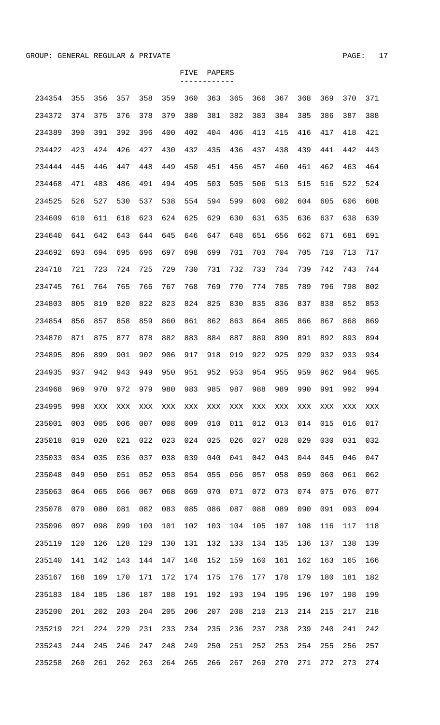| 234354 | 355 | 356 | 357 | 358 | 359 | 360 | 363 | 365 | 366 | 367 | 368 | 369 | 370 | 371 |
|--------|-----|-----|-----|-----|-----|-----|-----|-----|-----|-----|-----|-----|-----|-----|
| 234372 | 374 | 375 | 376 | 378 | 379 | 380 | 381 | 382 | 383 | 384 | 385 | 386 | 387 | 388 |
| 234389 | 390 | 391 | 392 | 396 | 400 | 402 | 404 | 406 | 413 | 415 | 416 | 417 | 418 | 421 |
| 234422 | 423 | 424 | 426 | 427 | 430 | 432 | 435 | 436 | 437 | 438 | 439 | 441 | 442 | 443 |
| 234444 | 445 | 446 | 447 | 448 | 449 | 450 | 451 | 456 | 457 | 460 | 461 | 462 | 463 | 464 |
| 234468 | 471 | 483 | 486 | 491 | 494 | 495 | 503 | 505 | 506 | 513 | 515 | 516 | 522 | 524 |
| 234525 | 526 | 527 | 530 | 537 | 538 | 554 | 594 | 599 | 600 | 602 | 604 | 605 | 606 | 608 |
| 234609 | 610 | 611 | 618 | 623 | 624 | 625 | 629 | 630 | 631 | 635 | 636 | 637 | 638 | 639 |
| 234640 | 641 | 642 | 643 | 644 | 645 | 646 | 647 | 648 | 651 | 656 | 662 | 671 | 681 | 691 |
| 234692 | 693 | 694 | 695 | 696 | 697 | 698 | 699 | 701 | 703 | 704 | 705 | 710 | 713 | 717 |
| 234718 | 721 | 723 | 724 | 725 | 729 | 730 | 731 | 732 | 733 | 734 | 739 | 742 | 743 | 744 |
| 234745 | 761 | 764 | 765 | 766 | 767 | 768 | 769 | 770 | 774 | 785 | 789 | 796 | 798 | 802 |
| 234803 | 805 | 819 | 820 | 822 | 823 | 824 | 825 | 830 | 835 | 836 | 837 | 838 | 852 | 853 |
| 234854 | 856 | 857 | 858 | 859 | 860 | 861 | 862 | 863 | 864 | 865 | 866 | 867 | 868 | 869 |
| 234870 | 871 | 875 | 877 | 878 | 882 | 883 | 884 | 887 | 889 | 890 | 891 | 892 | 893 | 894 |
| 234895 | 896 | 899 | 901 | 902 | 906 | 917 | 918 | 919 | 922 | 925 | 929 | 932 | 933 | 934 |
| 234935 | 937 | 942 | 943 | 949 | 950 | 951 | 952 | 953 | 954 | 955 | 959 | 962 | 964 | 965 |
| 234968 | 969 | 970 | 972 | 979 | 980 | 983 | 985 | 987 | 988 | 989 | 990 | 991 | 992 | 994 |
| 234995 | 998 | XXX | XXX | XXX | XXX | XXX | XXX | XXX | XXX | XXX | XXX | XXX | XXX | XXX |
| 235001 | 003 | 005 | 006 | 007 | 008 | 009 | 010 | 011 | 012 | 013 | 014 | 015 | 016 | 017 |
| 235018 | 019 | 020 | 021 | 022 | 023 | 024 | 025 | 026 | 027 | 028 | 029 | 030 | 031 | 032 |
| 235033 | 034 | 035 | 036 | 037 | 038 | 039 | 040 | 041 | 042 | 043 | 044 | 045 | 046 | 047 |
| 235048 | 049 | 050 | 051 | 052 | 053 | 054 | 055 | 056 | 057 | 058 | 059 | 060 | 061 | 062 |
| 235063 | 064 | 065 | 066 | 067 | 068 | 069 | 070 | 071 | 072 | 073 | 074 | 075 | 076 | 077 |
| 235078 | 079 | 080 | 081 | 082 | 083 | 085 | 086 | 087 | 088 | 089 | 090 | 091 | 093 | 094 |
| 235096 | 097 | 098 | 099 | 100 | 101 | 102 | 103 | 104 | 105 | 107 | 108 | 116 | 117 | 118 |
| 235119 | 120 | 126 | 128 | 129 | 130 | 131 | 132 | 133 | 134 | 135 | 136 | 137 | 138 | 139 |
| 235140 | 141 | 142 | 143 | 144 | 147 | 148 | 152 | 159 | 160 | 161 | 162 | 163 | 165 | 166 |
| 235167 | 168 | 169 | 170 | 171 | 172 | 174 | 175 | 176 | 177 | 178 | 179 | 180 | 181 | 182 |
| 235183 | 184 | 185 | 186 | 187 | 188 | 191 | 192 | 193 | 194 | 195 | 196 | 197 | 198 | 199 |
| 235200 | 201 | 202 | 203 | 204 | 205 | 206 | 207 | 208 | 210 | 213 | 214 | 215 | 217 | 218 |
| 235219 | 221 | 224 | 229 | 231 | 233 | 234 | 235 | 236 | 237 | 238 | 239 | 240 | 241 | 242 |
| 235243 | 244 | 245 | 246 | 247 | 248 | 249 | 250 | 251 | 252 | 253 | 254 | 255 | 256 | 257 |
| 235258 | 260 | 261 | 262 | 263 | 264 | 265 | 266 | 267 | 269 | 270 | 271 | 272 | 273 | 274 |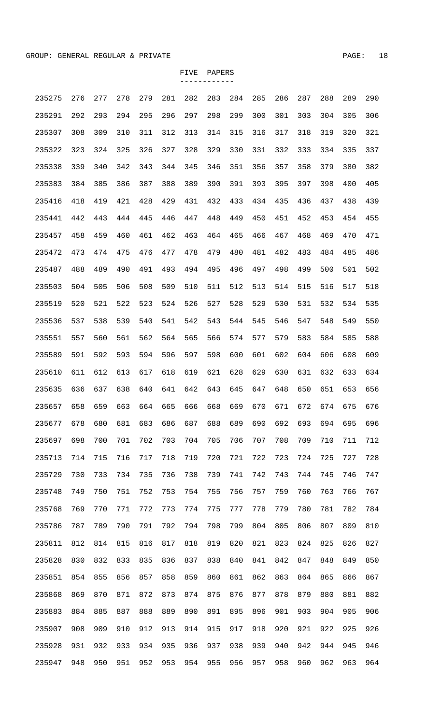| 235275 | 276 | 277 | 278 | 279 | 281 | 282 | 283 | 284 | 285 | 286 | 287 | 288 | 289 | 290 |
|--------|-----|-----|-----|-----|-----|-----|-----|-----|-----|-----|-----|-----|-----|-----|
| 235291 | 292 | 293 | 294 | 295 | 296 | 297 | 298 | 299 | 300 | 301 | 303 | 304 | 305 | 306 |
| 235307 | 308 | 309 | 310 | 311 | 312 | 313 | 314 | 315 | 316 | 317 | 318 | 319 | 320 | 321 |
| 235322 | 323 | 324 | 325 | 326 | 327 | 328 | 329 | 330 | 331 | 332 | 333 | 334 | 335 | 337 |
| 235338 | 339 | 340 | 342 | 343 | 344 | 345 | 346 | 351 | 356 | 357 | 358 | 379 | 380 | 382 |
| 235383 | 384 | 385 | 386 | 387 | 388 | 389 | 390 | 391 | 393 | 395 | 397 | 398 | 400 | 405 |
| 235416 | 418 | 419 | 421 | 428 | 429 | 431 | 432 | 433 | 434 | 435 | 436 | 437 | 438 | 439 |
| 235441 | 442 | 443 | 444 | 445 | 446 | 447 | 448 | 449 | 450 | 451 | 452 | 453 | 454 | 455 |
| 235457 | 458 | 459 | 460 | 461 | 462 | 463 | 464 | 465 | 466 | 467 | 468 | 469 | 470 | 471 |
| 235472 | 473 | 474 | 475 | 476 | 477 | 478 | 479 | 480 | 481 | 482 | 483 | 484 | 485 | 486 |
| 235487 | 488 | 489 | 490 | 491 | 493 | 494 | 495 | 496 | 497 | 498 | 499 | 500 | 501 | 502 |
| 235503 | 504 | 505 | 506 | 508 | 509 | 510 | 511 | 512 | 513 | 514 | 515 | 516 | 517 | 518 |
| 235519 | 520 | 521 | 522 | 523 | 524 | 526 | 527 | 528 | 529 | 530 | 531 | 532 | 534 | 535 |
| 235536 | 537 | 538 | 539 | 540 | 541 | 542 | 543 | 544 | 545 | 546 | 547 | 548 | 549 | 550 |
| 235551 | 557 | 560 | 561 | 562 | 564 | 565 | 566 | 574 | 577 | 579 | 583 | 584 | 585 | 588 |
| 235589 | 591 | 592 | 593 | 594 | 596 | 597 | 598 | 600 | 601 | 602 | 604 | 606 | 608 | 609 |
| 235610 | 611 | 612 | 613 | 617 | 618 | 619 | 621 | 628 | 629 | 630 | 631 | 632 | 633 | 634 |
| 235635 | 636 | 637 | 638 | 640 | 641 | 642 | 643 | 645 | 647 | 648 | 650 | 651 | 653 | 656 |
| 235657 | 658 | 659 | 663 | 664 | 665 | 666 | 668 | 669 | 670 | 671 | 672 | 674 | 675 | 676 |
| 235677 | 678 | 680 | 681 | 683 | 686 | 687 | 688 | 689 | 690 | 692 | 693 | 694 | 695 | 696 |
| 235697 | 698 | 700 | 701 | 702 | 703 | 704 | 705 | 706 | 707 | 708 | 709 | 710 | 711 | 712 |
| 235713 | 714 | 715 | 716 | 717 | 718 | 719 | 720 | 721 | 722 | 723 | 724 | 725 | 727 | 728 |
| 235729 | 730 | 733 | 734 | 735 | 736 | 738 | 739 | 741 | 742 | 743 | 744 | 745 | 746 | 747 |
| 235748 | 749 | 750 | 751 | 752 | 753 | 754 | 755 | 756 | 757 | 759 | 760 | 763 | 766 | 767 |
| 235768 | 769 | 770 | 771 | 772 | 773 | 774 | 775 | 777 | 778 | 779 | 780 | 781 | 782 | 784 |
| 235786 | 787 | 789 | 790 | 791 | 792 | 794 | 798 | 799 | 804 | 805 | 806 | 807 | 809 | 810 |
| 235811 | 812 | 814 | 815 | 816 | 817 | 818 | 819 | 820 | 821 | 823 | 824 | 825 | 826 | 827 |
| 235828 | 830 | 832 | 833 | 835 | 836 | 837 | 838 | 840 | 841 | 842 | 847 | 848 | 849 | 850 |
| 235851 | 854 | 855 | 856 | 857 | 858 | 859 | 860 | 861 | 862 | 863 | 864 | 865 | 866 | 867 |
| 235868 | 869 | 870 | 871 | 872 | 873 | 874 | 875 | 876 | 877 | 878 | 879 | 880 | 881 | 882 |
| 235883 | 884 | 885 | 887 | 888 | 889 | 890 | 891 | 895 | 896 | 901 | 903 | 904 | 905 | 906 |
| 235907 | 908 | 909 | 910 | 912 | 913 | 914 | 915 | 917 | 918 | 920 | 921 | 922 | 925 | 926 |
| 235928 | 931 | 932 | 933 | 934 | 935 | 936 | 937 | 938 | 939 | 940 | 942 | 944 | 945 | 946 |
| 235947 | 948 | 950 | 951 | 952 | 953 | 954 | 955 | 956 | 957 | 958 | 960 | 962 | 963 | 964 |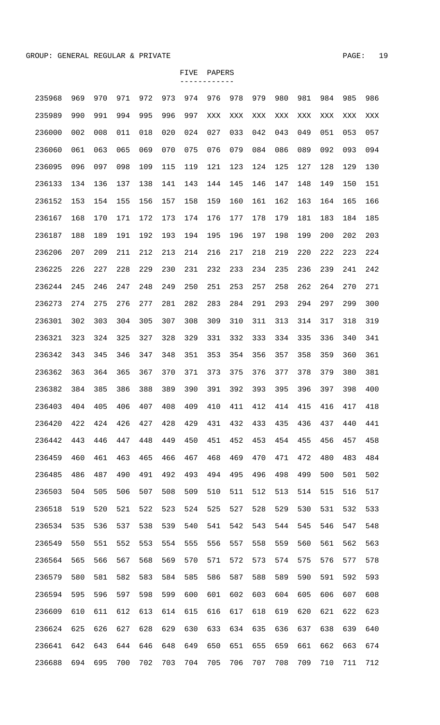| 235968 | 969 | 970 | 971 | 972 | 973 | 974 | 976 | 978 | 979 | 980 | 981 | 984 | 985 | 986 |
|--------|-----|-----|-----|-----|-----|-----|-----|-----|-----|-----|-----|-----|-----|-----|
| 235989 | 990 | 991 | 994 | 995 | 996 | 997 | XXX | XXX | XXX | XXX | XXX | XXX | XXX | XXX |
| 236000 | 002 | 008 | 011 | 018 | 020 | 024 | 027 | 033 | 042 | 043 | 049 | 051 | 053 | 057 |
| 236060 | 061 | 063 | 065 | 069 | 070 | 075 | 076 | 079 | 084 | 086 | 089 | 092 | 093 | 094 |
| 236095 | 096 | 097 | 098 | 109 | 115 | 119 | 121 | 123 | 124 | 125 | 127 | 128 | 129 | 130 |
| 236133 | 134 | 136 | 137 | 138 | 141 | 143 | 144 | 145 | 146 | 147 | 148 | 149 | 150 | 151 |
| 236152 | 153 | 154 | 155 | 156 | 157 | 158 | 159 | 160 | 161 | 162 | 163 | 164 | 165 | 166 |
| 236167 | 168 | 170 | 171 | 172 | 173 | 174 | 176 | 177 | 178 | 179 | 181 | 183 | 184 | 185 |
| 236187 | 188 | 189 | 191 | 192 | 193 | 194 | 195 | 196 | 197 | 198 | 199 | 200 | 202 | 203 |
| 236206 | 207 | 209 | 211 | 212 | 213 | 214 | 216 | 217 | 218 | 219 | 220 | 222 | 223 | 224 |
| 236225 | 226 | 227 | 228 | 229 | 230 | 231 | 232 | 233 | 234 | 235 | 236 | 239 | 241 | 242 |
| 236244 | 245 | 246 | 247 | 248 | 249 | 250 | 251 | 253 | 257 | 258 | 262 | 264 | 270 | 271 |
| 236273 | 274 | 275 | 276 | 277 | 281 | 282 | 283 | 284 | 291 | 293 | 294 | 297 | 299 | 300 |
| 236301 | 302 | 303 | 304 | 305 | 307 | 308 | 309 | 310 | 311 | 313 | 314 | 317 | 318 | 319 |
| 236321 | 323 | 324 | 325 | 327 | 328 | 329 | 331 | 332 | 333 | 334 | 335 | 336 | 340 | 341 |
| 236342 | 343 | 345 | 346 | 347 | 348 | 351 | 353 | 354 | 356 | 357 | 358 | 359 | 360 | 361 |
| 236362 | 363 | 364 | 365 | 367 | 370 | 371 | 373 | 375 | 376 | 377 | 378 | 379 | 380 | 381 |
| 236382 | 384 | 385 | 386 | 388 | 389 | 390 | 391 | 392 | 393 | 395 | 396 | 397 | 398 | 400 |
| 236403 | 404 | 405 | 406 | 407 | 408 | 409 | 410 | 411 | 412 | 414 | 415 | 416 | 417 | 418 |
| 236420 | 422 | 424 | 426 | 427 | 428 | 429 | 431 | 432 | 433 | 435 | 436 | 437 | 440 | 441 |
| 236442 | 443 | 446 | 447 | 448 | 449 | 450 | 451 | 452 | 453 | 454 | 455 | 456 | 457 | 458 |
| 236459 | 460 | 461 | 463 | 465 | 466 | 467 | 468 | 469 | 470 | 471 | 472 | 480 | 483 | 484 |
| 236485 | 486 | 487 | 490 | 491 | 492 | 493 | 494 | 495 | 496 | 498 | 499 | 500 | 501 | 502 |
| 236503 | 504 | 505 | 506 | 507 | 508 | 509 | 510 | 511 | 512 | 513 | 514 | 515 | 516 | 517 |
| 236518 | 519 | 520 | 521 | 522 | 523 | 524 | 525 | 527 | 528 | 529 | 530 | 531 | 532 | 533 |
| 236534 | 535 | 536 | 537 | 538 | 539 | 540 | 541 | 542 | 543 | 544 | 545 | 546 | 547 | 548 |
| 236549 | 550 | 551 | 552 | 553 | 554 | 555 | 556 | 557 | 558 | 559 | 560 | 561 | 562 | 563 |
| 236564 | 565 | 566 | 567 | 568 | 569 | 570 | 571 | 572 | 573 | 574 | 575 | 576 | 577 | 578 |
| 236579 | 580 | 581 | 582 | 583 | 584 | 585 | 586 | 587 | 588 | 589 | 590 | 591 | 592 | 593 |
| 236594 | 595 | 596 | 597 | 598 | 599 | 600 | 601 | 602 | 603 | 604 | 605 | 606 | 607 | 608 |
| 236609 | 610 | 611 | 612 | 613 | 614 | 615 | 616 | 617 | 618 | 619 | 620 | 621 | 622 | 623 |
| 236624 | 625 | 626 | 627 | 628 | 629 | 630 | 633 | 634 | 635 | 636 | 637 | 638 | 639 | 640 |
| 236641 | 642 | 643 | 644 | 646 | 648 | 649 | 650 | 651 | 655 | 659 | 661 | 662 | 663 | 674 |
| 236688 | 694 | 695 | 700 | 702 | 703 | 704 | 705 | 706 | 707 | 708 | 709 | 710 | 711 | 712 |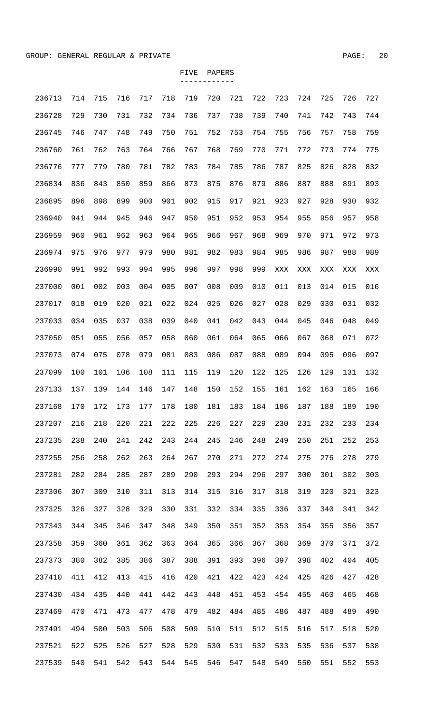| 236713 | 714 | 715 | 716 | 717 | 718 | 719 | 720 | 721 | 722 | 723 | 724 | 725 | 726 | 727 |
|--------|-----|-----|-----|-----|-----|-----|-----|-----|-----|-----|-----|-----|-----|-----|
| 236728 | 729 | 730 | 731 | 732 | 734 | 736 | 737 | 738 | 739 | 740 | 741 | 742 | 743 | 744 |
| 236745 | 746 | 747 | 748 | 749 | 750 | 751 | 752 | 753 | 754 | 755 | 756 | 757 | 758 | 759 |
| 236760 | 761 | 762 | 763 | 764 | 766 | 767 | 768 | 769 | 770 | 771 | 772 | 773 | 774 | 775 |
| 236776 | 777 | 779 | 780 | 781 | 782 | 783 | 784 | 785 | 786 | 787 | 825 | 826 | 828 | 832 |
| 236834 | 836 | 843 | 850 | 859 | 866 | 873 | 875 | 876 | 879 | 886 | 887 | 888 | 891 | 893 |
| 236895 | 896 | 898 | 899 | 900 | 901 | 902 | 915 | 917 | 921 | 923 | 927 | 928 | 930 | 932 |
| 236940 | 941 | 944 | 945 | 946 | 947 | 950 | 951 | 952 | 953 | 954 | 955 | 956 | 957 | 958 |
| 236959 | 960 | 961 | 962 | 963 | 964 | 965 | 966 | 967 | 968 | 969 | 970 | 971 | 972 | 973 |
| 236974 | 975 | 976 | 977 | 979 | 980 | 981 | 982 | 983 | 984 | 985 | 986 | 987 | 988 | 989 |
| 236990 | 991 | 992 | 993 | 994 | 995 | 996 | 997 | 998 | 999 | XXX | XXX | XXX | XXX | XXX |
| 237000 | 001 | 002 | 003 | 004 | 005 | 007 | 008 | 009 | 010 | 011 | 013 | 014 | 015 | 016 |
| 237017 | 018 | 019 | 020 | 021 | 022 | 024 | 025 | 026 | 027 | 028 | 029 | 030 | 031 | 032 |
| 237033 | 034 | 035 | 037 | 038 | 039 | 040 | 041 | 042 | 043 | 044 | 045 | 046 | 048 | 049 |
| 237050 | 051 | 055 | 056 | 057 | 058 | 060 | 061 | 064 | 065 | 066 | 067 | 068 | 071 | 072 |
| 237073 | 074 | 075 | 078 | 079 | 081 | 083 | 086 | 087 | 088 | 089 | 094 | 095 | 096 | 097 |
| 237099 | 100 | 101 | 106 | 108 | 111 | 115 | 119 | 120 | 122 | 125 | 126 | 129 | 131 | 132 |
| 237133 | 137 | 139 | 144 | 146 | 147 | 148 | 150 | 152 | 155 | 161 | 162 | 163 | 165 | 166 |
| 237168 | 170 | 172 | 173 | 177 | 178 | 180 | 181 | 183 | 184 | 186 | 187 | 188 | 189 | 190 |
| 237207 | 216 | 218 | 220 | 221 | 222 | 225 | 226 | 227 | 229 | 230 | 231 | 232 | 233 | 234 |
| 237235 | 238 | 240 | 241 | 242 | 243 | 244 | 245 | 246 | 248 | 249 | 250 | 251 | 252 | 253 |
| 237255 | 256 | 258 | 262 | 263 | 264 | 267 | 270 | 271 | 272 | 274 | 275 | 276 | 278 | 279 |
| 237281 | 282 | 284 | 285 | 287 | 289 | 290 | 293 | 294 | 296 | 297 | 300 | 301 | 302 | 303 |
| 237306 | 307 | 309 | 310 | 311 | 313 | 314 | 315 | 316 | 317 | 318 | 319 | 320 | 321 | 323 |
| 237325 | 326 | 327 | 328 | 329 | 330 | 331 | 332 | 334 | 335 | 336 | 337 | 340 | 341 | 342 |
| 237343 | 344 | 345 | 346 | 347 | 348 | 349 | 350 | 351 | 352 | 353 | 354 | 355 | 356 | 357 |
| 237358 | 359 | 360 | 361 | 362 | 363 | 364 | 365 | 366 | 367 | 368 | 369 | 370 | 371 | 372 |
| 237373 | 380 | 382 | 385 | 386 | 387 | 388 | 391 | 393 | 396 | 397 | 398 | 402 | 404 | 405 |
| 237410 | 411 | 412 | 413 | 415 | 416 | 420 | 421 | 422 | 423 | 424 | 425 | 426 | 427 | 428 |
| 237430 | 434 | 435 | 440 | 441 | 442 | 443 | 448 | 451 | 453 | 454 | 455 | 460 | 465 | 468 |
| 237469 | 470 | 471 | 473 | 477 | 478 | 479 | 482 | 484 | 485 | 486 | 487 | 488 | 489 | 490 |
| 237491 | 494 | 500 | 503 | 506 | 508 | 509 | 510 | 511 | 512 | 515 | 516 | 517 | 518 | 520 |
| 237521 | 522 | 525 | 526 | 527 | 528 | 529 | 530 | 531 | 532 | 533 | 535 | 536 | 537 | 538 |
| 237539 | 540 | 541 | 542 | 543 | 544 | 545 | 546 | 547 | 548 | 549 | 550 | 551 | 552 | 553 |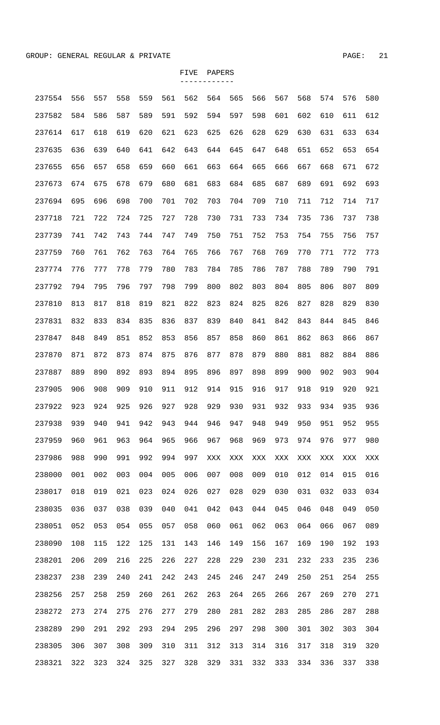| 237554 | 556 | 557 | 558 | 559 | 561 | 562 | 564 | 565 | 566 | 567 | 568 | 574 | 576 | 580 |
|--------|-----|-----|-----|-----|-----|-----|-----|-----|-----|-----|-----|-----|-----|-----|
| 237582 | 584 | 586 | 587 | 589 | 591 | 592 | 594 | 597 | 598 | 601 | 602 | 610 | 611 | 612 |
| 237614 | 617 | 618 | 619 | 620 | 621 | 623 | 625 | 626 | 628 | 629 | 630 | 631 | 633 | 634 |
| 237635 | 636 | 639 | 640 | 641 | 642 | 643 | 644 | 645 | 647 | 648 | 651 | 652 | 653 | 654 |
| 237655 | 656 | 657 | 658 | 659 | 660 | 661 | 663 | 664 | 665 | 666 | 667 | 668 | 671 | 672 |
| 237673 | 674 | 675 | 678 | 679 | 680 | 681 | 683 | 684 | 685 | 687 | 689 | 691 | 692 | 693 |
| 237694 | 695 | 696 | 698 | 700 | 701 | 702 | 703 | 704 | 709 | 710 | 711 | 712 | 714 | 717 |
| 237718 | 721 | 722 | 724 | 725 | 727 | 728 | 730 | 731 | 733 | 734 | 735 | 736 | 737 | 738 |
| 237739 | 741 | 742 | 743 | 744 | 747 | 749 | 750 | 751 | 752 | 753 | 754 | 755 | 756 | 757 |
| 237759 | 760 | 761 | 762 | 763 | 764 | 765 | 766 | 767 | 768 | 769 | 770 | 771 | 772 | 773 |
| 237774 | 776 | 777 | 778 | 779 | 780 | 783 | 784 | 785 | 786 | 787 | 788 | 789 | 790 | 791 |
| 237792 | 794 | 795 | 796 | 797 | 798 | 799 | 800 | 802 | 803 | 804 | 805 | 806 | 807 | 809 |
| 237810 | 813 | 817 | 818 | 819 | 821 | 822 | 823 | 824 | 825 | 826 | 827 | 828 | 829 | 830 |
| 237831 | 832 | 833 | 834 | 835 | 836 | 837 | 839 | 840 | 841 | 842 | 843 | 844 | 845 | 846 |
| 237847 | 848 | 849 | 851 | 852 | 853 | 856 | 857 | 858 | 860 | 861 | 862 | 863 | 866 | 867 |
| 237870 | 871 | 872 | 873 | 874 | 875 | 876 | 877 | 878 | 879 | 880 | 881 | 882 | 884 | 886 |
| 237887 | 889 | 890 | 892 | 893 | 894 | 895 | 896 | 897 | 898 | 899 | 900 | 902 | 903 | 904 |
| 237905 | 906 | 908 | 909 | 910 | 911 | 912 | 914 | 915 | 916 | 917 | 918 | 919 | 920 | 921 |
| 237922 | 923 | 924 | 925 | 926 | 927 | 928 | 929 | 930 | 931 | 932 | 933 | 934 | 935 | 936 |
| 237938 | 939 | 940 | 941 | 942 | 943 | 944 | 946 | 947 | 948 | 949 | 950 | 951 | 952 | 955 |
| 237959 | 960 | 961 | 963 | 964 | 965 | 966 | 967 | 968 | 969 | 973 | 974 | 976 | 977 | 980 |
| 237986 | 988 | 990 | 991 | 992 | 994 | 997 | XXX | XXX | XXX | XXX | XXX | XXX | XXX | XXX |
| 238000 | 001 | 002 | 003 | 004 | 005 | 006 | 007 | 008 | 009 | 010 | 012 | 014 | 015 | 016 |
| 238017 | 018 | 019 | 021 | 023 | 024 | 026 | 027 | 028 | 029 | 030 | 031 | 032 | 033 | 034 |
| 238035 | 036 | 037 | 038 | 039 | 040 | 041 | 042 | 043 | 044 | 045 | 046 | 048 | 049 | 050 |
| 238051 | 052 | 053 | 054 | 055 | 057 | 058 | 060 | 061 | 062 | 063 | 064 | 066 | 067 | 089 |
| 238090 | 108 | 115 | 122 | 125 | 131 | 143 | 146 | 149 | 156 | 167 | 169 | 190 | 192 | 193 |
| 238201 | 206 | 209 | 216 | 225 | 226 | 227 | 228 | 229 | 230 | 231 | 232 | 233 | 235 | 236 |
| 238237 | 238 | 239 | 240 | 241 | 242 | 243 | 245 | 246 | 247 | 249 | 250 | 251 | 254 | 255 |
| 238256 | 257 | 258 | 259 | 260 | 261 | 262 | 263 | 264 | 265 | 266 | 267 | 269 | 270 | 271 |
| 238272 | 273 | 274 | 275 | 276 | 277 | 279 | 280 | 281 | 282 | 283 | 285 | 286 | 287 | 288 |
| 238289 | 290 | 291 | 292 | 293 | 294 | 295 | 296 | 297 | 298 | 300 | 301 | 302 | 303 | 304 |
| 238305 | 306 | 307 | 308 | 309 | 310 | 311 | 312 | 313 | 314 | 316 | 317 | 318 | 319 | 320 |

238321 322 323 324 325 327 328 329 331 332 333 334 336 337 338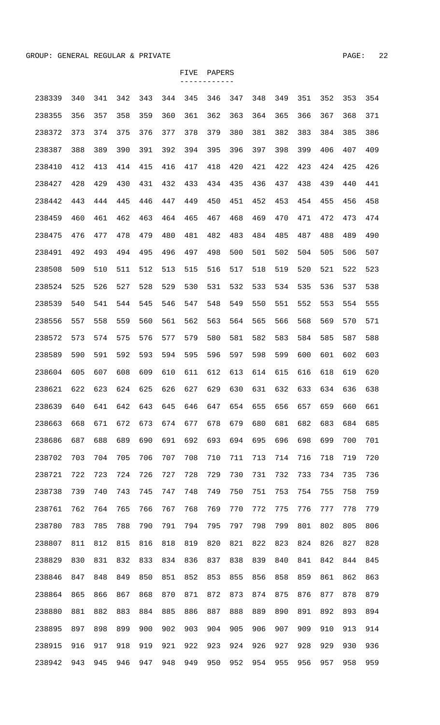| 238339 | 340 | 341 | 342 | 343 | 344 | 345 | 346 | 347 | 348 | 349 | 351 | 352 | 353 | 354 |
|--------|-----|-----|-----|-----|-----|-----|-----|-----|-----|-----|-----|-----|-----|-----|
| 238355 | 356 | 357 | 358 | 359 | 360 | 361 | 362 | 363 | 364 | 365 | 366 | 367 | 368 | 371 |
| 238372 | 373 | 374 | 375 | 376 | 377 | 378 | 379 | 380 | 381 | 382 | 383 | 384 | 385 | 386 |
| 238387 | 388 | 389 | 390 | 391 | 392 | 394 | 395 | 396 | 397 | 398 | 399 | 406 | 407 | 409 |
| 238410 | 412 | 413 | 414 | 415 | 416 | 417 | 418 | 420 | 421 | 422 | 423 | 424 | 425 | 426 |
| 238427 | 428 | 429 | 430 | 431 | 432 | 433 | 434 | 435 | 436 | 437 | 438 | 439 | 440 | 441 |
| 238442 | 443 | 444 | 445 | 446 | 447 | 449 | 450 | 451 | 452 | 453 | 454 | 455 | 456 | 458 |
| 238459 | 460 | 461 | 462 | 463 | 464 | 465 | 467 | 468 | 469 | 470 | 471 | 472 | 473 | 474 |
| 238475 | 476 | 477 | 478 | 479 | 480 | 481 | 482 | 483 | 484 | 485 | 487 | 488 | 489 | 490 |
| 238491 | 492 | 493 | 494 | 495 | 496 | 497 | 498 | 500 | 501 | 502 | 504 | 505 | 506 | 507 |
| 238508 | 509 | 510 | 511 | 512 | 513 | 515 | 516 | 517 | 518 | 519 | 520 | 521 | 522 | 523 |
| 238524 | 525 | 526 | 527 | 528 | 529 | 530 | 531 | 532 | 533 | 534 | 535 | 536 | 537 | 538 |
| 238539 | 540 | 541 | 544 | 545 | 546 | 547 | 548 | 549 | 550 | 551 | 552 | 553 | 554 | 555 |
| 238556 | 557 | 558 | 559 | 560 | 561 | 562 | 563 | 564 | 565 | 566 | 568 | 569 | 570 | 571 |
| 238572 | 573 | 574 | 575 | 576 | 577 | 579 | 580 | 581 | 582 | 583 | 584 | 585 | 587 | 588 |
| 238589 | 590 | 591 | 592 | 593 | 594 | 595 | 596 | 597 | 598 | 599 | 600 | 601 | 602 | 603 |
| 238604 | 605 | 607 | 608 | 609 | 610 | 611 | 612 | 613 | 614 | 615 | 616 | 618 | 619 | 620 |
| 238621 | 622 | 623 | 624 | 625 | 626 | 627 | 629 | 630 | 631 | 632 | 633 | 634 | 636 | 638 |
| 238639 | 640 | 641 | 642 | 643 | 645 | 646 | 647 | 654 | 655 | 656 | 657 | 659 | 660 | 661 |
| 238663 | 668 | 671 | 672 | 673 | 674 | 677 | 678 | 679 | 680 | 681 | 682 | 683 | 684 | 685 |
| 238686 | 687 | 688 | 689 | 690 | 691 | 692 | 693 | 694 | 695 | 696 | 698 | 699 | 700 | 701 |
| 238702 | 703 | 704 | 705 | 706 | 707 | 708 | 710 | 711 | 713 | 714 | 716 | 718 | 719 | 720 |
| 238721 | 722 | 723 | 724 | 726 | 727 | 728 | 729 | 730 | 731 | 732 | 733 | 734 | 735 | 736 |
| 238738 | 739 | 740 | 743 | 745 | 747 | 748 | 749 | 750 | 751 | 753 | 754 | 755 | 758 | 759 |
| 238761 | 762 | 764 | 765 | 766 | 767 | 768 | 769 | 770 | 772 | 775 | 776 | 777 | 778 | 779 |
| 238780 | 783 | 785 | 788 | 790 | 791 | 794 | 795 | 797 | 798 | 799 | 801 | 802 | 805 | 806 |
| 238807 | 811 | 812 | 815 | 816 | 818 | 819 | 820 | 821 | 822 | 823 | 824 | 826 | 827 | 828 |
| 238829 | 830 | 831 | 832 | 833 | 834 | 836 | 837 | 838 | 839 | 840 | 841 | 842 | 844 | 845 |
| 238846 | 847 | 848 | 849 | 850 | 851 | 852 | 853 | 855 | 856 | 858 | 859 | 861 | 862 | 863 |
| 238864 | 865 | 866 | 867 | 868 | 870 | 871 | 872 | 873 | 874 | 875 | 876 | 877 | 878 | 879 |
| 238880 | 881 | 882 | 883 | 884 | 885 | 886 | 887 | 888 | 889 | 890 | 891 | 892 | 893 | 894 |
| 238895 | 897 | 898 | 899 | 900 | 902 | 903 | 904 | 905 | 906 | 907 | 909 | 910 | 913 | 914 |
| 238915 | 916 | 917 | 918 | 919 | 921 | 922 | 923 | 924 | 926 | 927 | 928 | 929 | 930 | 936 |
| 238942 | 943 | 945 | 946 | 947 | 948 | 949 | 950 | 952 | 954 | 955 | 956 | 957 | 958 | 959 |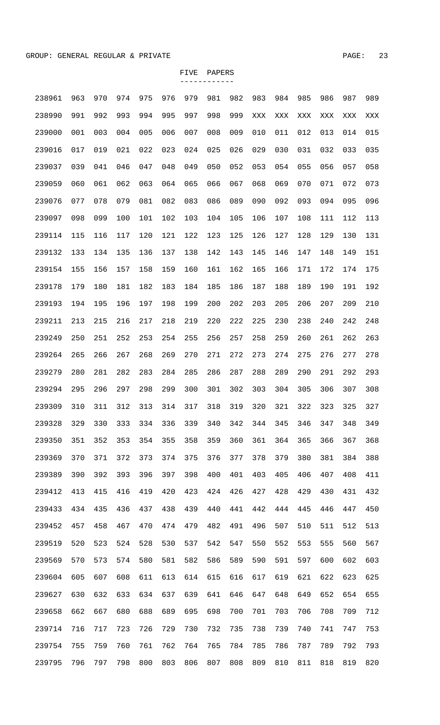| 238961 | 963 | 970 | 974 | 975 | 976 | 979 | 981 | 982 | 983 | 984 | 985 | 986 | 987 | 989 |
|--------|-----|-----|-----|-----|-----|-----|-----|-----|-----|-----|-----|-----|-----|-----|
| 238990 | 991 | 992 | 993 | 994 | 995 | 997 | 998 | 999 | XXX | XXX | XXX | XXX | XXX | XXX |
| 239000 | 001 | 003 | 004 | 005 | 006 | 007 | 008 | 009 | 010 | 011 | 012 | 013 | 014 | 015 |
| 239016 | 017 | 019 | 021 | 022 | 023 | 024 | 025 | 026 | 029 | 030 | 031 | 032 | 033 | 035 |
| 239037 | 039 | 041 | 046 | 047 | 048 | 049 | 050 | 052 | 053 | 054 | 055 | 056 | 057 | 058 |
| 239059 | 060 | 061 | 062 | 063 | 064 | 065 | 066 | 067 | 068 | 069 | 070 | 071 | 072 | 073 |
| 239076 | 077 | 078 | 079 | 081 | 082 | 083 | 086 | 089 | 090 | 092 | 093 | 094 | 095 | 096 |
| 239097 | 098 | 099 | 100 | 101 | 102 | 103 | 104 | 105 | 106 | 107 | 108 | 111 | 112 | 113 |
| 239114 | 115 | 116 | 117 | 120 | 121 | 122 | 123 | 125 | 126 | 127 | 128 | 129 | 130 | 131 |
| 239132 | 133 | 134 | 135 | 136 | 137 | 138 | 142 | 143 | 145 | 146 | 147 | 148 | 149 | 151 |
| 239154 | 155 | 156 | 157 | 158 | 159 | 160 | 161 | 162 | 165 | 166 | 171 | 172 | 174 | 175 |
| 239178 | 179 | 180 | 181 | 182 | 183 | 184 | 185 | 186 | 187 | 188 | 189 | 190 | 191 | 192 |
| 239193 | 194 | 195 | 196 | 197 | 198 | 199 | 200 | 202 | 203 | 205 | 206 | 207 | 209 | 210 |
| 239211 | 213 | 215 | 216 | 217 | 218 | 219 | 220 | 222 | 225 | 230 | 238 | 240 | 242 | 248 |
| 239249 | 250 | 251 | 252 | 253 | 254 | 255 | 256 | 257 | 258 | 259 | 260 | 261 | 262 | 263 |
| 239264 | 265 | 266 | 267 | 268 | 269 | 270 | 271 | 272 | 273 | 274 | 275 | 276 | 277 | 278 |
| 239279 | 280 | 281 | 282 | 283 | 284 | 285 | 286 | 287 | 288 | 289 | 290 | 291 | 292 | 293 |
| 239294 | 295 | 296 | 297 | 298 | 299 | 300 | 301 | 302 | 303 | 304 | 305 | 306 | 307 | 308 |
| 239309 | 310 | 311 | 312 | 313 | 314 | 317 | 318 | 319 | 320 | 321 | 322 | 323 | 325 | 327 |
| 239328 | 329 | 330 | 333 | 334 | 336 | 339 | 340 | 342 | 344 | 345 | 346 | 347 | 348 | 349 |
| 239350 | 351 | 352 | 353 | 354 | 355 | 358 | 359 | 360 | 361 | 364 | 365 | 366 | 367 | 368 |
| 239369 | 370 | 371 | 372 | 373 | 374 | 375 | 376 | 377 | 378 | 379 | 380 | 381 | 384 | 388 |
| 239389 | 390 | 392 | 393 | 396 | 397 | 398 | 400 | 401 | 403 | 405 | 406 | 407 | 408 | 411 |
| 239412 | 413 | 415 | 416 | 419 | 420 | 423 | 424 | 426 | 427 | 428 | 429 | 430 | 431 | 432 |
| 239433 | 434 | 435 | 436 | 437 | 438 | 439 | 440 | 441 | 442 | 444 | 445 | 446 | 447 | 450 |
| 239452 | 457 | 458 | 467 | 470 | 474 | 479 | 482 | 491 | 496 | 507 | 510 | 511 | 512 | 513 |
| 239519 | 520 | 523 | 524 | 528 | 530 | 537 | 542 | 547 | 550 | 552 | 553 | 555 | 560 | 567 |
| 239569 | 570 | 573 | 574 | 580 | 581 | 582 | 586 | 589 | 590 | 591 | 597 | 600 | 602 | 603 |
| 239604 | 605 | 607 | 608 | 611 | 613 | 614 | 615 | 616 | 617 | 619 | 621 | 622 | 623 | 625 |
| 239627 | 630 | 632 | 633 | 634 | 637 | 639 | 641 | 646 | 647 | 648 | 649 | 652 | 654 | 655 |
| 239658 | 662 | 667 | 680 | 688 | 689 | 695 | 698 | 700 | 701 | 703 | 706 | 708 | 709 | 712 |
| 239714 | 716 | 717 | 723 | 726 | 729 | 730 | 732 | 735 | 738 | 739 | 740 | 741 | 747 | 753 |
| 239754 | 755 | 759 | 760 | 761 | 762 | 764 | 765 | 784 | 785 | 786 | 787 | 789 | 792 | 793 |
| 239795 | 796 | 797 | 798 | 800 | 803 | 806 | 807 | 808 | 809 | 810 | 811 | 818 | 819 | 820 |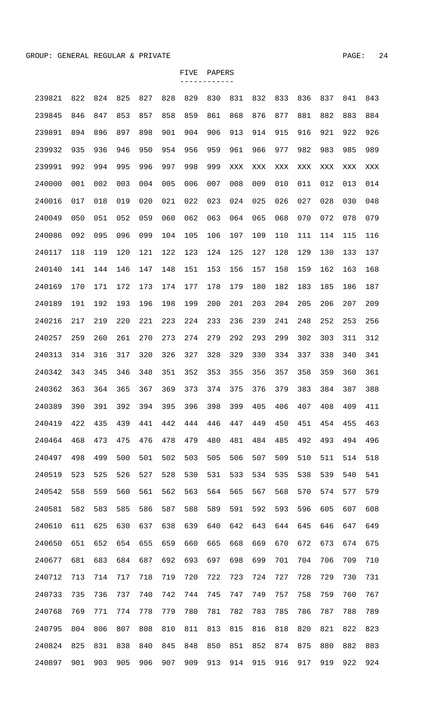| 239821 | 822 | 824 | 825 | 827 | 828 | 829 | 830 | 831 | 832 | 833 | 836 | 837 | 841 | 843 |
|--------|-----|-----|-----|-----|-----|-----|-----|-----|-----|-----|-----|-----|-----|-----|
| 239845 | 846 | 847 | 853 | 857 | 858 | 859 | 861 | 868 | 876 | 877 | 881 | 882 | 883 | 884 |
| 239891 | 894 | 896 | 897 | 898 | 901 | 904 | 906 | 913 | 914 | 915 | 916 | 921 | 922 | 926 |
| 239932 | 935 | 936 | 946 | 950 | 954 | 956 | 959 | 961 | 966 | 977 | 982 | 983 | 985 | 989 |
| 239991 | 992 | 994 | 995 | 996 | 997 | 998 | 999 | XXX | XXX | XXX | XXX | XXX | XXX | XXX |
| 240000 | 001 | 002 | 003 | 004 | 005 | 006 | 007 | 008 | 009 | 010 | 011 | 012 | 013 | 014 |
| 240016 | 017 | 018 | 019 | 020 | 021 | 022 | 023 | 024 | 025 | 026 | 027 | 028 | 030 | 048 |
| 240049 | 050 | 051 | 052 | 059 | 060 | 062 | 063 | 064 | 065 | 068 | 070 | 072 | 078 | 079 |
| 240086 | 092 | 095 | 096 | 099 | 104 | 105 | 106 | 107 | 109 | 110 | 111 | 114 | 115 | 116 |
| 240117 | 118 | 119 | 120 | 121 | 122 | 123 | 124 | 125 | 127 | 128 | 129 | 130 | 133 | 137 |
| 240140 | 141 | 144 | 146 | 147 | 148 | 151 | 153 | 156 | 157 | 158 | 159 | 162 | 163 | 168 |
| 240169 | 170 | 171 | 172 | 173 | 174 | 177 | 178 | 179 | 180 | 182 | 183 | 185 | 186 | 187 |
| 240189 | 191 | 192 | 193 | 196 | 198 | 199 | 200 | 201 | 203 | 204 | 205 | 206 | 207 | 209 |
| 240216 | 217 | 219 | 220 | 221 | 223 | 224 | 233 | 236 | 239 | 241 | 248 | 252 | 253 | 256 |
| 240257 | 259 | 260 | 261 | 270 | 273 | 274 | 279 | 292 | 293 | 299 | 302 | 303 | 311 | 312 |
| 240313 | 314 | 316 | 317 | 320 | 326 | 327 | 328 | 329 | 330 | 334 | 337 | 338 | 340 | 341 |
| 240342 | 343 | 345 | 346 | 348 | 351 | 352 | 353 | 355 | 356 | 357 | 358 | 359 | 360 | 361 |
| 240362 | 363 | 364 | 365 | 367 | 369 | 373 | 374 | 375 | 376 | 379 | 383 | 384 | 387 | 388 |
| 240389 | 390 | 391 | 392 | 394 | 395 | 396 | 398 | 399 | 405 | 406 | 407 | 408 | 409 | 411 |
| 240419 | 422 | 435 | 439 | 441 | 442 | 444 | 446 | 447 | 449 | 450 | 451 | 454 | 455 | 463 |
| 240464 | 468 | 473 | 475 | 476 | 478 | 479 | 480 | 481 | 484 | 485 | 492 | 493 | 494 | 496 |
| 240497 | 498 | 499 | 500 | 501 | 502 | 503 | 505 | 506 | 507 | 509 | 510 | 511 | 514 | 518 |
| 240519 | 523 | 525 | 526 | 527 | 528 | 530 | 531 | 533 | 534 | 535 | 538 | 539 | 540 | 541 |
| 240542 | 558 | 559 | 560 | 561 | 562 | 563 | 564 | 565 | 567 | 568 | 570 | 574 | 577 | 579 |
| 240581 | 582 | 583 | 585 | 586 | 587 | 588 | 589 | 591 | 592 | 593 | 596 | 605 | 607 | 608 |
| 240610 | 611 | 625 | 630 | 637 | 638 | 639 | 640 | 642 | 643 | 644 | 645 | 646 | 647 | 649 |
| 240650 | 651 | 652 | 654 | 655 | 659 | 660 | 665 | 668 | 669 | 670 | 672 | 673 | 674 | 675 |
| 240677 | 681 | 683 | 684 | 687 | 692 | 693 | 697 | 698 | 699 | 701 | 704 | 706 | 709 | 710 |
| 240712 | 713 | 714 | 717 | 718 | 719 | 720 | 722 | 723 | 724 | 727 | 728 | 729 | 730 | 731 |
| 240733 | 735 | 736 | 737 | 740 | 742 | 744 | 745 | 747 | 749 | 757 | 758 | 759 | 760 | 767 |
| 240768 | 769 | 771 | 774 | 778 | 779 | 780 | 781 | 782 | 783 | 785 | 786 | 787 | 788 | 789 |
| 240795 | 804 | 806 | 807 | 808 | 810 | 811 | 813 | 815 | 816 | 818 | 820 | 821 | 822 | 823 |
| 240824 | 825 | 831 | 838 | 840 | 845 | 848 | 850 | 851 | 852 | 874 | 875 | 880 | 882 | 883 |
| 240897 | 901 | 903 | 905 | 906 | 907 | 909 | 913 | 914 | 915 | 916 | 917 | 919 | 922 | 924 |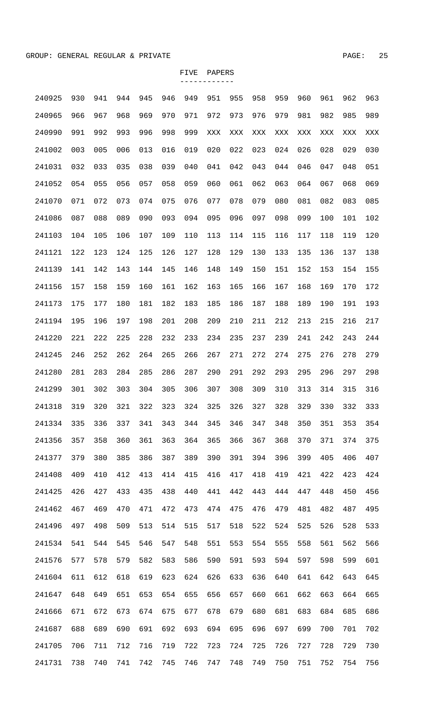| 240925 | 930 | 941 | 944 | 945 | 946 | 949 | 951 | 955 | 958 | 959 | 960 | 961 | 962 | 963 |
|--------|-----|-----|-----|-----|-----|-----|-----|-----|-----|-----|-----|-----|-----|-----|
| 240965 | 966 | 967 | 968 | 969 | 970 | 971 | 972 | 973 | 976 | 979 | 981 | 982 | 985 | 989 |
| 240990 | 991 | 992 | 993 | 996 | 998 | 999 | XXX | XXX | XXX | XXX | XXX | XXX | XXX | XXX |
| 241002 | 003 | 005 | 006 | 013 | 016 | 019 | 020 | 022 | 023 | 024 | 026 | 028 | 029 | 030 |
| 241031 | 032 | 033 | 035 | 038 | 039 | 040 | 041 | 042 | 043 | 044 | 046 | 047 | 048 | 051 |
| 241052 | 054 | 055 | 056 | 057 | 058 | 059 | 060 | 061 | 062 | 063 | 064 | 067 | 068 | 069 |
| 241070 | 071 | 072 | 073 | 074 | 075 | 076 | 077 | 078 | 079 | 080 | 081 | 082 | 083 | 085 |
| 241086 | 087 | 088 | 089 | 090 | 093 | 094 | 095 | 096 | 097 | 098 | 099 | 100 | 101 | 102 |
| 241103 | 104 | 105 | 106 | 107 | 109 | 110 | 113 | 114 | 115 | 116 | 117 | 118 | 119 | 120 |
| 241121 | 122 | 123 | 124 | 125 | 126 | 127 | 128 | 129 | 130 | 133 | 135 | 136 | 137 | 138 |
| 241139 | 141 | 142 | 143 | 144 | 145 | 146 | 148 | 149 | 150 | 151 | 152 | 153 | 154 | 155 |
| 241156 | 157 | 158 | 159 | 160 | 161 | 162 | 163 | 165 | 166 | 167 | 168 | 169 | 170 | 172 |
| 241173 | 175 | 177 | 180 | 181 | 182 | 183 | 185 | 186 | 187 | 188 | 189 | 190 | 191 | 193 |
| 241194 | 195 | 196 | 197 | 198 | 201 | 208 | 209 | 210 | 211 | 212 | 213 | 215 | 216 | 217 |
| 241220 | 221 | 222 | 225 | 228 | 232 | 233 | 234 | 235 | 237 | 239 | 241 | 242 | 243 | 244 |
| 241245 | 246 | 252 | 262 | 264 | 265 | 266 | 267 | 271 | 272 | 274 | 275 | 276 | 278 | 279 |
| 241280 | 281 | 283 | 284 | 285 | 286 | 287 | 290 | 291 | 292 | 293 | 295 | 296 | 297 | 298 |
| 241299 | 301 | 302 | 303 | 304 | 305 | 306 | 307 | 308 | 309 | 310 | 313 | 314 | 315 | 316 |
| 241318 | 319 | 320 | 321 | 322 | 323 | 324 | 325 | 326 | 327 | 328 | 329 | 330 | 332 | 333 |
| 241334 | 335 | 336 | 337 | 341 | 343 | 344 | 345 | 346 | 347 | 348 | 350 | 351 | 353 | 354 |
| 241356 | 357 | 358 | 360 | 361 | 363 | 364 | 365 | 366 | 367 | 368 | 370 | 371 | 374 | 375 |
| 241377 | 379 | 380 | 385 | 386 | 387 | 389 | 390 | 391 | 394 | 396 | 399 | 405 | 406 | 407 |
| 241408 | 409 | 410 | 412 | 413 | 414 | 415 | 416 | 417 | 418 | 419 | 421 | 422 | 423 | 424 |
| 241425 | 426 | 427 | 433 | 435 | 438 | 440 | 441 | 442 | 443 | 444 | 447 | 448 | 450 | 456 |
| 241462 | 467 | 469 | 470 | 471 | 472 | 473 | 474 | 475 | 476 | 479 | 481 | 482 | 487 | 495 |
| 241496 | 497 | 498 | 509 | 513 | 514 | 515 | 517 | 518 | 522 | 524 | 525 | 526 | 528 | 533 |
| 241534 | 541 | 544 | 545 | 546 | 547 | 548 | 551 | 553 | 554 | 555 | 558 | 561 | 562 | 566 |
| 241576 | 577 | 578 | 579 | 582 | 583 | 586 | 590 | 591 | 593 | 594 | 597 | 598 | 599 | 601 |
| 241604 | 611 | 612 | 618 | 619 | 623 | 624 | 626 | 633 | 636 | 640 | 641 | 642 | 643 | 645 |
| 241647 | 648 | 649 | 651 | 653 | 654 | 655 | 656 | 657 | 660 | 661 | 662 | 663 | 664 | 665 |
| 241666 | 671 | 672 | 673 | 674 | 675 | 677 | 678 | 679 | 680 | 681 | 683 | 684 | 685 | 686 |
| 241687 | 688 | 689 | 690 | 691 | 692 | 693 | 694 | 695 | 696 | 697 | 699 | 700 | 701 | 702 |
| 241705 | 706 | 711 | 712 | 716 | 719 | 722 | 723 | 724 | 725 | 726 | 727 | 728 | 729 | 730 |

241731 738 740 741 742 745 746 747 748 749 750 751 752 754 756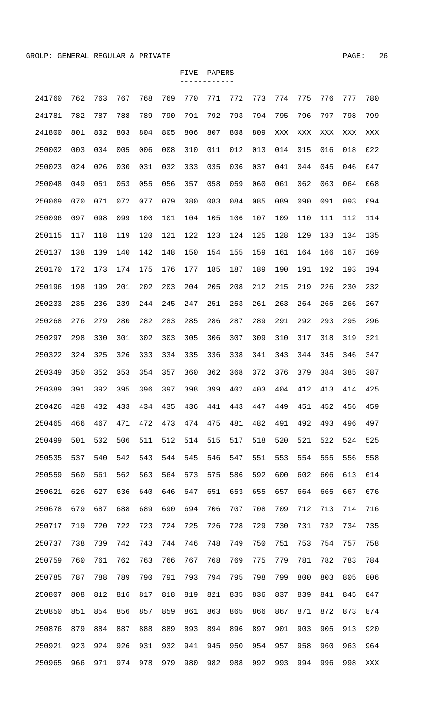| 241760 | 762 | 763 | 767 | 768 | 769 | 770 | 771 | 772 | 773 | 774 | 775 | 776 | 777 | 780 |
|--------|-----|-----|-----|-----|-----|-----|-----|-----|-----|-----|-----|-----|-----|-----|
| 241781 | 782 | 787 | 788 | 789 | 790 | 791 | 792 | 793 | 794 | 795 | 796 | 797 | 798 | 799 |
| 241800 | 801 | 802 | 803 | 804 | 805 | 806 | 807 | 808 | 809 | XXX | XXX | XXX | XXX | XXX |
| 250002 | 003 | 004 | 005 | 006 | 008 | 010 | 011 | 012 | 013 | 014 | 015 | 016 | 018 | 022 |
| 250023 | 024 | 026 | 030 | 031 | 032 | 033 | 035 | 036 | 037 | 041 | 044 | 045 | 046 | 047 |
| 250048 | 049 | 051 | 053 | 055 | 056 | 057 | 058 | 059 | 060 | 061 | 062 | 063 | 064 | 068 |
| 250069 | 070 | 071 | 072 | 077 | 079 | 080 | 083 | 084 | 085 | 089 | 090 | 091 | 093 | 094 |
| 250096 | 097 | 098 | 099 | 100 | 101 | 104 | 105 | 106 | 107 | 109 | 110 | 111 | 112 | 114 |
| 250115 | 117 | 118 | 119 | 120 | 121 | 122 | 123 | 124 | 125 | 128 | 129 | 133 | 134 | 135 |
| 250137 | 138 | 139 | 140 | 142 | 148 | 150 | 154 | 155 | 159 | 161 | 164 | 166 | 167 | 169 |
| 250170 | 172 | 173 | 174 | 175 | 176 | 177 | 185 | 187 | 189 | 190 | 191 | 192 | 193 | 194 |
| 250196 | 198 | 199 | 201 | 202 | 203 | 204 | 205 | 208 | 212 | 215 | 219 | 226 | 230 | 232 |
| 250233 | 235 | 236 | 239 | 244 | 245 | 247 | 251 | 253 | 261 | 263 | 264 | 265 | 266 | 267 |
| 250268 | 276 | 279 | 280 | 282 | 283 | 285 | 286 | 287 | 289 | 291 | 292 | 293 | 295 | 296 |
| 250297 | 298 | 300 | 301 | 302 | 303 | 305 | 306 | 307 | 309 | 310 | 317 | 318 | 319 | 321 |
| 250322 | 324 | 325 | 326 | 333 | 334 | 335 | 336 | 338 | 341 | 343 | 344 | 345 | 346 | 347 |
| 250349 | 350 | 352 | 353 | 354 | 357 | 360 | 362 | 368 | 372 | 376 | 379 | 384 | 385 | 387 |
| 250389 | 391 | 392 | 395 | 396 | 397 | 398 | 399 | 402 | 403 | 404 | 412 | 413 | 414 | 425 |
| 250426 | 428 | 432 | 433 | 434 | 435 | 436 | 441 | 443 | 447 | 449 | 451 | 452 | 456 | 459 |
| 250465 | 466 | 467 | 471 | 472 | 473 | 474 | 475 | 481 | 482 | 491 | 492 | 493 | 496 | 497 |
| 250499 | 501 | 502 | 506 | 511 | 512 | 514 | 515 | 517 | 518 | 520 | 521 | 522 | 524 | 525 |
| 250535 | 537 | 540 | 542 | 543 | 544 | 545 | 546 | 547 | 551 | 553 | 554 | 555 | 556 | 558 |
| 250559 | 560 | 561 | 562 | 563 | 564 | 573 | 575 | 586 | 592 | 600 | 602 | 606 | 613 | 614 |
| 250621 | 626 | 627 | 636 | 640 | 646 | 647 | 651 | 653 | 655 | 657 | 664 | 665 | 667 | 676 |
| 250678 | 679 | 687 | 688 | 689 | 690 | 694 | 706 | 707 | 708 | 709 | 712 | 713 | 714 | 716 |
| 250717 | 719 | 720 | 722 | 723 | 724 | 725 | 726 | 728 | 729 | 730 | 731 | 732 | 734 | 735 |
| 250737 | 738 | 739 | 742 | 743 | 744 | 746 | 748 | 749 | 750 | 751 | 753 | 754 | 757 | 758 |
| 250759 | 760 | 761 | 762 | 763 | 766 | 767 | 768 | 769 | 775 | 779 | 781 | 782 | 783 | 784 |
| 250785 | 787 | 788 | 789 | 790 | 791 | 793 | 794 | 795 | 798 | 799 | 800 | 803 | 805 | 806 |
| 250807 | 808 | 812 | 816 | 817 | 818 | 819 | 821 | 835 | 836 | 837 | 839 | 841 | 845 | 847 |
| 250850 | 851 | 854 | 856 | 857 | 859 | 861 | 863 | 865 | 866 | 867 | 871 | 872 | 873 | 874 |
| 250876 | 879 | 884 | 887 | 888 | 889 | 893 | 894 | 896 | 897 | 901 | 903 | 905 | 913 | 920 |
| 250921 | 923 | 924 | 926 | 931 | 932 | 941 | 945 | 950 | 954 | 957 | 958 | 960 | 963 | 964 |
| 250965 | 966 | 971 | 974 | 978 | 979 | 980 | 982 | 988 | 992 | 993 | 994 | 996 | 998 | XXX |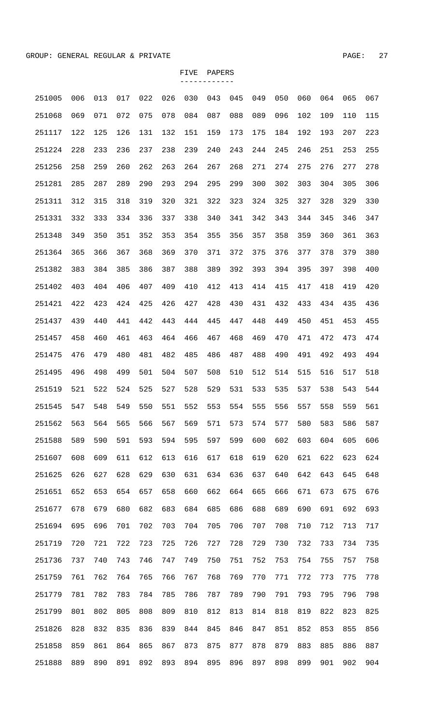| 251005 | 006 | 013 | 017 | 022 | 026 | 030 | 043 | 045 | 049 | 050 | 060 | 064 | 065 | 067 |
|--------|-----|-----|-----|-----|-----|-----|-----|-----|-----|-----|-----|-----|-----|-----|
| 251068 | 069 | 071 | 072 | 075 | 078 | 084 | 087 | 088 | 089 | 096 | 102 | 109 | 110 | 115 |
| 251117 | 122 | 125 | 126 | 131 | 132 | 151 | 159 | 173 | 175 | 184 | 192 | 193 | 207 | 223 |
| 251224 | 228 | 233 | 236 | 237 | 238 | 239 | 240 | 243 | 244 | 245 | 246 | 251 | 253 | 255 |
| 251256 | 258 | 259 | 260 | 262 | 263 | 264 | 267 | 268 | 271 | 274 | 275 | 276 | 277 | 278 |
| 251281 | 285 | 287 | 289 | 290 | 293 | 294 | 295 | 299 | 300 | 302 | 303 | 304 | 305 | 306 |
| 251311 | 312 | 315 | 318 | 319 | 320 | 321 | 322 | 323 | 324 | 325 | 327 | 328 | 329 | 330 |
| 251331 | 332 | 333 | 334 | 336 | 337 | 338 | 340 | 341 | 342 | 343 | 344 | 345 | 346 | 347 |
| 251348 | 349 | 350 | 351 | 352 | 353 | 354 | 355 | 356 | 357 | 358 | 359 | 360 | 361 | 363 |
| 251364 | 365 | 366 | 367 | 368 | 369 | 370 | 371 | 372 | 375 | 376 | 377 | 378 | 379 | 380 |
| 251382 | 383 | 384 | 385 | 386 | 387 | 388 | 389 | 392 | 393 | 394 | 395 | 397 | 398 | 400 |
| 251402 | 403 | 404 | 406 | 407 | 409 | 410 | 412 | 413 | 414 | 415 | 417 | 418 | 419 | 420 |
| 251421 | 422 | 423 | 424 | 425 | 426 | 427 | 428 | 430 | 431 | 432 | 433 | 434 | 435 | 436 |
| 251437 | 439 | 440 | 441 | 442 | 443 | 444 | 445 | 447 | 448 | 449 | 450 | 451 | 453 | 455 |
| 251457 | 458 | 460 | 461 | 463 | 464 | 466 | 467 | 468 | 469 | 470 | 471 | 472 | 473 | 474 |
| 251475 | 476 | 479 | 480 | 481 | 482 | 485 | 486 | 487 | 488 | 490 | 491 | 492 | 493 | 494 |
| 251495 | 496 | 498 | 499 | 501 | 504 | 507 | 508 | 510 | 512 | 514 | 515 | 516 | 517 | 518 |
| 251519 | 521 | 522 | 524 | 525 | 527 | 528 | 529 | 531 | 533 | 535 | 537 | 538 | 543 | 544 |
| 251545 | 547 | 548 | 549 | 550 | 551 | 552 | 553 | 554 | 555 | 556 | 557 | 558 | 559 | 561 |
| 251562 | 563 | 564 | 565 | 566 | 567 | 569 | 571 | 573 | 574 | 577 | 580 | 583 | 586 | 587 |
| 251588 | 589 | 590 | 591 | 593 | 594 | 595 | 597 | 599 | 600 | 602 | 603 | 604 | 605 | 606 |
| 251607 | 608 | 609 | 611 | 612 | 613 | 616 | 617 | 618 | 619 | 620 | 621 | 622 | 623 | 624 |
| 251625 | 626 | 627 | 628 | 629 | 630 | 631 | 634 | 636 | 637 | 640 | 642 | 643 | 645 | 648 |
| 251651 | 652 | 653 | 654 | 657 | 658 | 660 | 662 | 664 | 665 | 666 | 671 | 673 | 675 | 676 |
| 251677 | 678 | 679 | 680 | 682 | 683 | 684 | 685 | 686 | 688 | 689 | 690 | 691 | 692 | 693 |
| 251694 | 695 | 696 | 701 | 702 | 703 | 704 | 705 | 706 | 707 | 708 | 710 | 712 | 713 | 717 |
| 251719 | 720 | 721 | 722 | 723 | 725 | 726 | 727 | 728 | 729 | 730 | 732 | 733 | 734 | 735 |
| 251736 | 737 | 740 | 743 | 746 | 747 | 749 | 750 | 751 | 752 | 753 | 754 | 755 | 757 | 758 |
| 251759 | 761 | 762 | 764 | 765 | 766 | 767 | 768 | 769 | 770 | 771 | 772 | 773 | 775 | 778 |
| 251779 | 781 | 782 | 783 | 784 | 785 | 786 | 787 | 789 | 790 | 791 | 793 | 795 | 796 | 798 |
| 251799 | 801 | 802 | 805 | 808 | 809 | 810 | 812 | 813 | 814 | 818 | 819 | 822 | 823 | 825 |
| 251826 | 828 | 832 | 835 | 836 | 839 | 844 | 845 | 846 | 847 | 851 | 852 | 853 | 855 | 856 |
| 251858 | 859 | 861 | 864 | 865 | 867 | 873 | 875 | 877 | 878 | 879 | 883 | 885 | 886 | 887 |
| 251888 | 889 | 890 | 891 | 892 | 893 | 894 | 895 | 896 | 897 | 898 | 899 | 901 | 902 | 904 |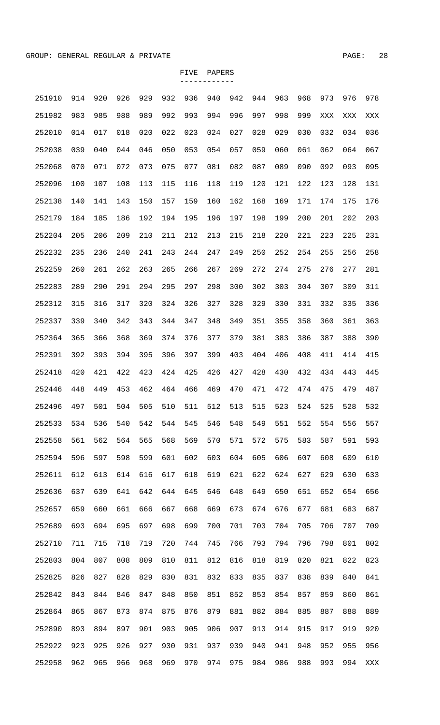| 251910 | 914 | 920 | 926 | 929 | 932 | 936 | 940 | 942 | 944 | 963 | 968 | 973 | 976 | 978 |
|--------|-----|-----|-----|-----|-----|-----|-----|-----|-----|-----|-----|-----|-----|-----|
| 251982 | 983 | 985 | 988 | 989 | 992 | 993 | 994 | 996 | 997 | 998 | 999 | XXX | XXX | XXX |
| 252010 | 014 | 017 | 018 | 020 | 022 | 023 | 024 | 027 | 028 | 029 | 030 | 032 | 034 | 036 |
| 252038 | 039 | 040 | 044 | 046 | 050 | 053 | 054 | 057 | 059 | 060 | 061 | 062 | 064 | 067 |
| 252068 | 070 | 071 | 072 | 073 | 075 | 077 | 081 | 082 | 087 | 089 | 090 | 092 | 093 | 095 |
| 252096 | 100 | 107 | 108 | 113 | 115 | 116 | 118 | 119 | 120 | 121 | 122 | 123 | 128 | 131 |
| 252138 | 140 | 141 | 143 | 150 | 157 | 159 | 160 | 162 | 168 | 169 | 171 | 174 | 175 | 176 |
| 252179 | 184 | 185 | 186 | 192 | 194 | 195 | 196 | 197 | 198 | 199 | 200 | 201 | 202 | 203 |
| 252204 | 205 | 206 | 209 | 210 | 211 | 212 | 213 | 215 | 218 | 220 | 221 | 223 | 225 | 231 |
| 252232 | 235 | 236 | 240 | 241 | 243 | 244 | 247 | 249 | 250 | 252 | 254 | 255 | 256 | 258 |
| 252259 | 260 | 261 | 262 | 263 | 265 | 266 | 267 | 269 | 272 | 274 | 275 | 276 | 277 | 281 |
| 252283 | 289 | 290 | 291 | 294 | 295 | 297 | 298 | 300 | 302 | 303 | 304 | 307 | 309 | 311 |
| 252312 | 315 | 316 | 317 | 320 | 324 | 326 | 327 | 328 | 329 | 330 | 331 | 332 | 335 | 336 |
| 252337 | 339 | 340 | 342 | 343 | 344 | 347 | 348 | 349 | 351 | 355 | 358 | 360 | 361 | 363 |
| 252364 | 365 | 366 | 368 | 369 | 374 | 376 | 377 | 379 | 381 | 383 | 386 | 387 | 388 | 390 |
| 252391 | 392 | 393 | 394 | 395 | 396 | 397 | 399 | 403 | 404 | 406 | 408 | 411 | 414 | 415 |
| 252418 | 420 | 421 | 422 | 423 | 424 | 425 | 426 | 427 | 428 | 430 | 432 | 434 | 443 | 445 |
| 252446 | 448 | 449 | 453 | 462 | 464 | 466 | 469 | 470 | 471 | 472 | 474 | 475 | 479 | 487 |
| 252496 | 497 | 501 | 504 | 505 | 510 | 511 | 512 | 513 | 515 | 523 | 524 | 525 | 528 | 532 |
| 252533 | 534 | 536 | 540 | 542 | 544 | 545 | 546 | 548 | 549 | 551 | 552 | 554 | 556 | 557 |
| 252558 | 561 | 562 | 564 | 565 | 568 | 569 | 570 | 571 | 572 | 575 | 583 | 587 | 591 | 593 |
| 252594 | 596 | 597 | 598 | 599 | 601 | 602 | 603 | 604 | 605 | 606 | 607 | 608 | 609 | 610 |
| 252611 | 612 | 613 | 614 | 616 | 617 | 618 | 619 | 621 | 622 | 624 | 627 | 629 | 630 | 633 |
| 252636 | 637 | 639 | 641 | 642 | 644 | 645 | 646 | 648 | 649 | 650 | 651 | 652 | 654 | 656 |
| 252657 | 659 | 660 | 661 | 666 | 667 | 668 | 669 | 673 | 674 | 676 | 677 | 681 | 683 | 687 |
| 252689 | 693 | 694 | 695 | 697 | 698 | 699 | 700 | 701 | 703 | 704 | 705 | 706 | 707 | 709 |
| 252710 | 711 | 715 | 718 | 719 | 720 | 744 | 745 | 766 | 793 | 794 | 796 | 798 | 801 | 802 |
| 252803 | 804 | 807 | 808 | 809 | 810 | 811 | 812 | 816 | 818 | 819 | 820 | 821 | 822 | 823 |
| 252825 | 826 | 827 | 828 | 829 | 830 | 831 | 832 | 833 | 835 | 837 | 838 | 839 | 840 | 841 |
| 252842 | 843 | 844 | 846 | 847 | 848 | 850 | 851 | 852 | 853 | 854 | 857 | 859 | 860 | 861 |
| 252864 | 865 | 867 | 873 | 874 | 875 | 876 | 879 | 881 | 882 | 884 | 885 | 887 | 888 | 889 |
| 252890 | 893 | 894 | 897 | 901 | 903 | 905 | 906 | 907 | 913 | 914 | 915 | 917 | 919 | 920 |
| 252922 | 923 | 925 | 926 | 927 | 930 | 931 | 937 | 939 | 940 | 941 | 948 | 952 | 955 | 956 |
| 252958 | 962 | 965 | 966 | 968 | 969 | 970 | 974 | 975 | 984 | 986 | 988 | 993 | 994 | XXX |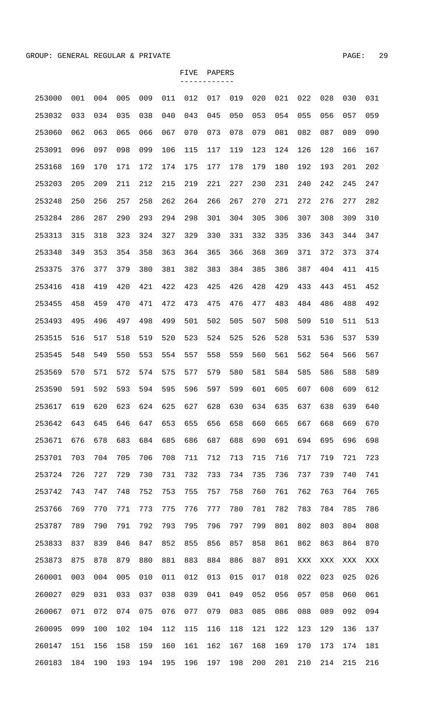| 253000 | 001 | 004 | 005 | 009 | 011 | 012 | 017 | 019 | 020 | 021 | 022 | 028 | 030 | 031 |
|--------|-----|-----|-----|-----|-----|-----|-----|-----|-----|-----|-----|-----|-----|-----|
| 253032 | 033 | 034 | 035 | 038 | 040 | 043 | 045 | 050 | 053 | 054 | 055 | 056 | 057 | 059 |
| 253060 | 062 | 063 | 065 | 066 | 067 | 070 | 073 | 078 | 079 | 081 | 082 | 087 | 089 | 090 |
| 253091 | 096 | 097 | 098 | 099 | 106 | 115 | 117 | 119 | 123 | 124 | 126 | 128 | 166 | 167 |
| 253168 | 169 | 170 | 171 | 172 | 174 | 175 | 177 | 178 | 179 | 180 | 192 | 193 | 201 | 202 |
| 253203 | 205 | 209 | 211 | 212 | 215 | 219 | 221 | 227 | 230 | 231 | 240 | 242 | 245 | 247 |
| 253248 | 250 | 256 | 257 | 258 | 262 | 264 | 266 | 267 | 270 | 271 | 272 | 276 | 277 | 282 |
| 253284 | 286 | 287 | 290 | 293 | 294 | 298 | 301 | 304 | 305 | 306 | 307 | 308 | 309 | 310 |
| 253313 | 315 | 318 | 323 | 324 | 327 | 329 | 330 | 331 | 332 | 335 | 336 | 343 | 344 | 347 |
| 253348 | 349 | 353 | 354 | 358 | 363 | 364 | 365 | 366 | 368 | 369 | 371 | 372 | 373 | 374 |
| 253375 | 376 | 377 | 379 | 380 | 381 | 382 | 383 | 384 | 385 | 386 | 387 | 404 | 411 | 415 |
| 253416 | 418 | 419 | 420 | 421 | 422 | 423 | 425 | 426 | 428 | 429 | 433 | 443 | 451 | 452 |
| 253455 | 458 | 459 | 470 | 471 | 472 | 473 | 475 | 476 | 477 | 483 | 484 | 486 | 488 | 492 |
| 253493 | 495 | 496 | 497 | 498 | 499 | 501 | 502 | 505 | 507 | 508 | 509 | 510 | 511 | 513 |
| 253515 | 516 | 517 | 518 | 519 | 520 | 523 | 524 | 525 | 526 | 528 | 531 | 536 | 537 | 539 |
| 253545 | 548 | 549 | 550 | 553 | 554 | 557 | 558 | 559 | 560 | 561 | 562 | 564 | 566 | 567 |
| 253569 | 570 | 571 | 572 | 574 | 575 | 577 | 579 | 580 | 581 | 584 | 585 | 586 | 588 | 589 |
| 253590 | 591 | 592 | 593 | 594 | 595 | 596 | 597 | 599 | 601 | 605 | 607 | 608 | 609 | 612 |
| 253617 | 619 | 620 | 623 | 624 | 625 | 627 | 628 | 630 | 634 | 635 | 637 | 638 | 639 | 640 |
| 253642 | 643 | 645 | 646 | 647 | 653 | 655 | 656 | 658 | 660 | 665 | 667 | 668 | 669 | 670 |
| 253671 | 676 | 678 | 683 | 684 | 685 | 686 | 687 | 688 | 690 | 691 | 694 | 695 | 696 | 698 |
| 253701 | 703 | 704 | 705 | 706 | 708 | 711 | 712 | 713 | 715 | 716 | 717 | 719 | 721 | 723 |
| 253724 | 726 | 727 | 729 | 730 | 731 | 732 | 733 | 734 | 735 | 736 | 737 | 739 | 740 | 741 |
| 253742 | 743 | 747 | 748 | 752 | 753 | 755 | 757 | 758 | 760 | 761 | 762 | 763 | 764 | 765 |
| 253766 | 769 | 770 | 771 | 773 | 775 | 776 | 777 | 780 | 781 | 782 | 783 | 784 | 785 | 786 |
| 253787 | 789 | 790 | 791 | 792 | 793 | 795 | 796 | 797 | 799 | 801 | 802 | 803 | 804 | 808 |
| 253833 | 837 | 839 | 846 | 847 | 852 | 855 | 856 | 857 | 858 | 861 | 862 | 863 | 864 | 870 |
| 253873 | 875 | 878 | 879 | 880 | 881 | 883 | 884 | 886 | 887 | 891 | XXX | XXX | XXX | XXX |
| 260001 | 003 | 004 | 005 | 010 | 011 | 012 | 013 | 015 | 017 | 018 | 022 | 023 | 025 | 026 |
| 260027 | 029 | 031 | 033 | 037 | 038 | 039 | 041 | 049 | 052 | 056 | 057 | 058 | 060 | 061 |
| 260067 | 071 | 072 | 074 | 075 | 076 | 077 | 079 | 083 | 085 | 086 | 088 | 089 | 092 | 094 |
| 260095 | 099 | 100 | 102 | 104 | 112 | 115 | 116 | 118 | 121 | 122 | 123 | 129 | 136 | 137 |
| 260147 | 151 | 156 | 158 | 159 | 160 | 161 | 162 | 167 | 168 | 169 | 170 | 173 | 174 | 181 |
| 260183 | 184 | 190 | 193 | 194 | 195 | 196 | 197 | 198 | 200 | 201 | 210 | 214 | 215 | 216 |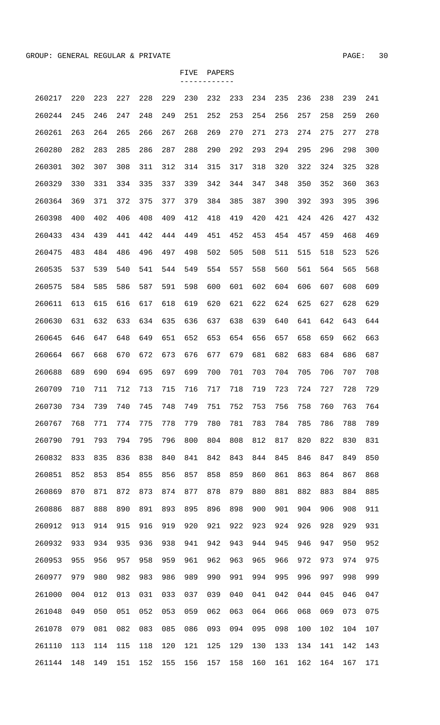| 260217 | 220 | 223 | 227 | 228 | 229 | 230 | 232 | 233 | 234 | 235 | 236 | 238 | 239 | 241 |
|--------|-----|-----|-----|-----|-----|-----|-----|-----|-----|-----|-----|-----|-----|-----|
| 260244 | 245 | 246 | 247 | 248 | 249 | 251 | 252 | 253 | 254 | 256 | 257 | 258 | 259 | 260 |
| 260261 | 263 | 264 | 265 | 266 | 267 | 268 | 269 | 270 | 271 | 273 | 274 | 275 | 277 | 278 |
| 260280 | 282 | 283 | 285 | 286 | 287 | 288 | 290 | 292 | 293 | 294 | 295 | 296 | 298 | 300 |
| 260301 | 302 | 307 | 308 | 311 | 312 | 314 | 315 | 317 | 318 | 320 | 322 | 324 | 325 | 328 |
| 260329 | 330 | 331 | 334 | 335 | 337 | 339 | 342 | 344 | 347 | 348 | 350 | 352 | 360 | 363 |
| 260364 | 369 | 371 | 372 | 375 | 377 | 379 | 384 | 385 | 387 | 390 | 392 | 393 | 395 | 396 |
| 260398 | 400 | 402 | 406 | 408 | 409 | 412 | 418 | 419 | 420 | 421 | 424 | 426 | 427 | 432 |
| 260433 | 434 | 439 | 441 | 442 | 444 | 449 | 451 | 452 | 453 | 454 | 457 | 459 | 468 | 469 |
| 260475 | 483 | 484 | 486 | 496 | 497 | 498 | 502 | 505 | 508 | 511 | 515 | 518 | 523 | 526 |
| 260535 | 537 | 539 | 540 | 541 | 544 | 549 | 554 | 557 | 558 | 560 | 561 | 564 | 565 | 568 |
| 260575 | 584 | 585 | 586 | 587 | 591 | 598 | 600 | 601 | 602 | 604 | 606 | 607 | 608 | 609 |
| 260611 | 613 | 615 | 616 | 617 | 618 | 619 | 620 | 621 | 622 | 624 | 625 | 627 | 628 | 629 |
| 260630 | 631 | 632 | 633 | 634 | 635 | 636 | 637 | 638 | 639 | 640 | 641 | 642 | 643 | 644 |
| 260645 | 646 | 647 | 648 | 649 | 651 | 652 | 653 | 654 | 656 | 657 | 658 | 659 | 662 | 663 |
| 260664 | 667 | 668 | 670 | 672 | 673 | 676 | 677 | 679 | 681 | 682 | 683 | 684 | 686 | 687 |
| 260688 | 689 | 690 | 694 | 695 | 697 | 699 | 700 | 701 | 703 | 704 | 705 | 706 | 707 | 708 |
| 260709 | 710 | 711 | 712 | 713 | 715 | 716 | 717 | 718 | 719 | 723 | 724 | 727 | 728 | 729 |
| 260730 | 734 | 739 | 740 | 745 | 748 | 749 | 751 | 752 | 753 | 756 | 758 | 760 | 763 | 764 |
| 260767 | 768 | 771 | 774 | 775 | 778 | 779 | 780 | 781 | 783 | 784 | 785 | 786 | 788 | 789 |
| 260790 | 791 | 793 | 794 | 795 | 796 | 800 | 804 | 808 | 812 | 817 | 820 | 822 | 830 | 831 |
| 260832 | 833 | 835 | 836 | 838 | 840 | 841 | 842 | 843 | 844 | 845 | 846 | 847 | 849 | 850 |
| 260851 | 852 | 853 | 854 | 855 | 856 | 857 | 858 | 859 | 860 | 861 | 863 | 864 | 867 | 868 |
| 260869 | 870 | 871 | 872 | 873 | 874 | 877 | 878 | 879 | 880 | 881 | 882 | 883 | 884 | 885 |
| 260886 | 887 | 888 | 890 | 891 | 893 | 895 | 896 | 898 | 900 | 901 | 904 | 906 | 908 | 911 |
| 260912 | 913 | 914 | 915 | 916 | 919 | 920 | 921 | 922 | 923 | 924 | 926 | 928 | 929 | 931 |
| 260932 | 933 | 934 | 935 | 936 | 938 | 941 | 942 | 943 | 944 | 945 | 946 | 947 | 950 | 952 |
| 260953 | 955 | 956 | 957 | 958 | 959 | 961 | 962 | 963 | 965 | 966 | 972 | 973 | 974 | 975 |
| 260977 | 979 | 980 | 982 | 983 | 986 | 989 | 990 | 991 | 994 | 995 | 996 | 997 | 998 | 999 |
| 261000 | 004 | 012 | 013 | 031 | 033 | 037 | 039 | 040 | 041 | 042 | 044 | 045 | 046 | 047 |
| 261048 | 049 | 050 | 051 | 052 | 053 | 059 | 062 | 063 | 064 | 066 | 068 | 069 | 073 | 075 |
| 261078 | 079 | 081 | 082 | 083 | 085 | 086 | 093 | 094 | 095 | 098 | 100 | 102 | 104 | 107 |
| 261110 | 113 | 114 | 115 | 118 | 120 | 121 | 125 | 129 | 130 | 133 | 134 | 141 | 142 | 143 |
| 261144 | 148 | 149 | 151 | 152 | 155 | 156 | 157 | 158 | 160 | 161 | 162 | 164 | 167 | 171 |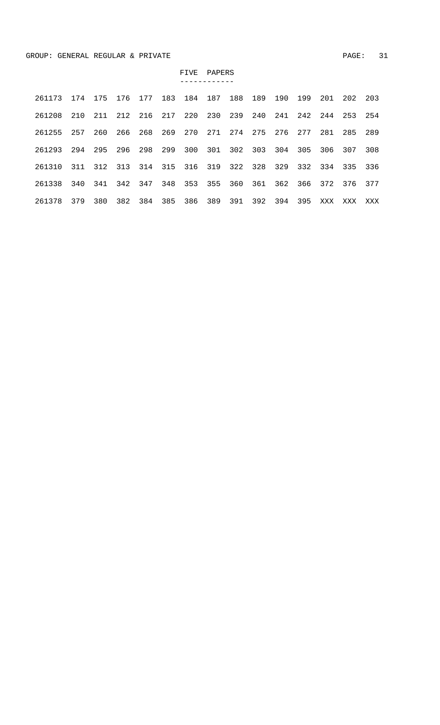| 261173 | 174 | 175 | 176 | 177 | 183 | 184 | 187 | 188 | 189 | 190 | 199 | 201 | 202 | 203 |
|--------|-----|-----|-----|-----|-----|-----|-----|-----|-----|-----|-----|-----|-----|-----|
| 261208 | 210 | 211 | 212 | 216 | 217 | 220 | 230 | 239 | 240 | 241 | 242 | 244 | 253 | 254 |
| 261255 | 257 | 260 | 266 | 268 | 269 | 270 | 271 | 274 | 275 | 276 | 277 | 281 | 285 | 289 |
| 261293 | 294 | 295 | 296 | 298 | 299 | 300 | 301 | 302 | 303 | 304 | 305 | 306 | 307 | 308 |
| 261310 | 311 | 312 | 313 | 314 | 315 | 316 | 319 | 322 | 328 | 329 | 332 | 334 | 335 | 336 |
| 261338 | 340 | 341 | 342 | 347 | 348 | 353 | 355 | 360 | 361 | 362 | 366 | 372 | 376 | 377 |
| 261378 | 379 | 380 | 382 | 384 | 385 | 386 | 389 | 391 | 392 | 394 | 395 | XXX | XXX | XXX |

FIVE PAPERS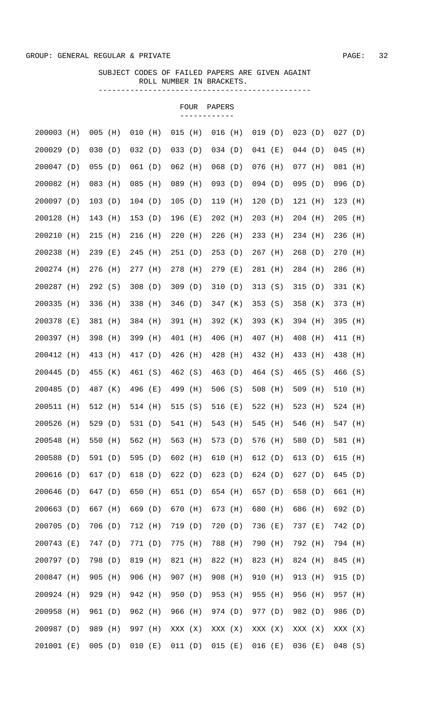|            |       |           |     |         |     |           | FOUR | PAPERS    |     |           |       |           |     |         |     |
|------------|-------|-----------|-----|---------|-----|-----------|------|-----------|-----|-----------|-------|-----------|-----|---------|-----|
| 200003     | (H)   | $005$ (H) |     | 010     | (H) | $015$ (H) |      | $016$ (H) |     | 019(D)    |       | 023(D)    |     | 027(D)  |     |
| 200029     | (D)   | 030       | (D) | 032(D)  |     | 033(D)    |      | 034(D)    |     | $041$ (E) |       | 044(D)    |     | 045     | (H) |
| 200047     | (D)   | 055       | (D) | 061(D)  |     | $062$ (H) |      | $068$ (D) |     | $076$ (H) |       | $077$ (H) |     | 081     | (H) |
| 200082     | (H)   | 083       | (H) | 085     | (H) | 089       | (H)  | $093$ (D) |     | $094$ (D) |       | $095$ (D) |     | 096     | (D) |
| 200097 (D) |       | 103(D)    |     | 104(D)  |     | 105(D)    |      | $119$ (H) |     | 120(D)    |       | 121(H)    |     | 123     | (H) |
| 200128     | (H)   | 143       | (H) | 153(D)  |     | 196 (E)   |      | $202$ (H) |     | 203 (H)   |       | $204$ (H) |     | 205     | (H) |
| 200210     | (H)   | 215       | (H) | 216     | (H) | $220$ (H) |      | 226       | (H) | 233 (H)   |       | 234 (H)   |     | 236     | (H) |
| 200238     | (H)   | 239 (E)   |     | 245     | (H) | 251(D)    |      | 253(D)    |     | $267$ (H) |       | 268(D)    |     | 270     | (H) |
| 200274     | (H)   | 276 (H)   |     | 277 (H) |     | 278 (H)   |      | 279 (E)   |     | 281 (H)   |       | 284 (H)   |     | 286     | (H) |
| 200287     | (H)   | 292(S)    |     | 308     | (D) | 309(D)    |      | 310(D)    |     | 313(S)    |       | 315(D)    |     | 331 (K) |     |
| 200335     | (H)   | 336 (H)   |     | 338 (H) |     | 346(D)    |      | 347 (K)   |     | 353(S)    |       | 358 (K)   |     | 373 (H) |     |
| 200378     | ( E ) | 381 (H)   |     | 384 (H) |     | 391 (H)   |      | 392 (K)   |     | 393 (K)   |       | 394 (H)   |     | 395 (H) |     |
| 200397 (H) |       | 398 (H)   |     | 399 (H) |     | 401 (H)   |      | 406 (H)   |     | 407 (H)   |       | 408 (H)   |     | 411 (H) |     |
| 200412     | (H)   | 413 (H)   |     | 417 (D) |     | 426 (H)   |      | 428 (H)   |     | 432 (H)   |       | 433 (H)   |     | 438 (H) |     |
| 200445     | (D)   | 455 (K)   |     | 461 (S) |     | 462 (S)   |      | 463 (D)   |     | 464 (S)   |       | 465 (S)   |     | 466 (S) |     |
| 200485 (D) |       | 487 (K)   |     | 496 (E) |     | 499 (H)   |      | 506(S)    |     | $508$ (H) |       | 509 (H)   |     | 510 (H) |     |
| 200511 (H) |       | 512 (H)   |     | 514 (H) |     | 515(S)    |      | 516 (E)   |     | 522 (H)   |       | 523 (H)   |     | 524 (H) |     |
| 200526     | (H)   | 529(D)    |     | 531 (D) |     | 541 (H)   |      | 543       | (H) | 545       | (H)   | 546 (H)   |     | 547 (H) |     |
| 200548     | (H)   | 550       | (H) | 562 (H) |     | 563 (H)   |      | 573 (D)   |     | 576       | (H)   | 580       | (D) | 581     | (H) |
| 200588     | (D)   | 591 (D)   |     | 595     | (D) | 602 (H)   |      | 610       | (H) | 612(D)    |       | 613 (D)   |     | 615     | (H) |
| 200616     | (D)   | 617 (D)   |     | 618     | (D) | 622(D)    |      | 623       | (D) | 624 (D)   |       | 627 (D)   |     | 645     | (D) |
| 200646     | (D)   | 647 (D)   |     | 650     | (H) | 651 (D)   |      | 654 (H)   |     | 657 (D)   |       | 658       | (D) | 661 (H) |     |
| 200663     | (D)   | 667 (H)   |     | 669     | (D) | 670       | (H)  | 673 (H)   |     | 680       | (H)   | 686       | (H) | 692 (D) |     |
| 200705     | (D)   | 706 (D)   |     | 712 (H) |     | 719 (D)   |      | 720       | (D) | 736       | ( E ) | 737 (E)   |     | 742 (D) |     |
| 200743     | ( E ) | 747 (D)   |     | 771 (D) |     | 775       | (H)  | 788       | (H) | 790       | (H)   | 792 (H)   |     | 794 (H) |     |
| 200797 (D) |       |           |     |         |     |           |      | 822 (H)   |     |           |       | 824 (H)   |     |         |     |
| 200847     | (H)   | 798       | (D) | 819     | (H) | 821 (H)   |      | 908       |     | 823       | (H)   | 913 (H)   |     | 845     | (H) |
|            |       | 905       | (H) | 906     | (H) | 907 (H)   |      |           | (H) | 910       | (H)   |           |     | 915     | (D) |
| 200924     | (H)   | 929       | (H) | 942     | (H) | 950       | (D)  | 953 (H)   |     | 955       | (H)   | 956       | (H) | 957     | (H) |
| 200958     | (H)   | 961       | (D) | 962     | (H) | 966 (H)   |      | 974 (D)   |     | 977 (D)   |       | 982       | (D) | 986     | (D) |
| 200987     | (D)   | 989       | (H) | 997     | (H) | XXX (X)   |      | XXX (X)   |     | XXX (X)   |       | XXX (X)   |     | XXX (X) |     |
| 201001 (E) |       | $005$ (D) |     | 010     | (E) | 011 (D)   |      | 015       | (E) | $016$ (E) |       | $036$ (E) |     | 048(S)  |     |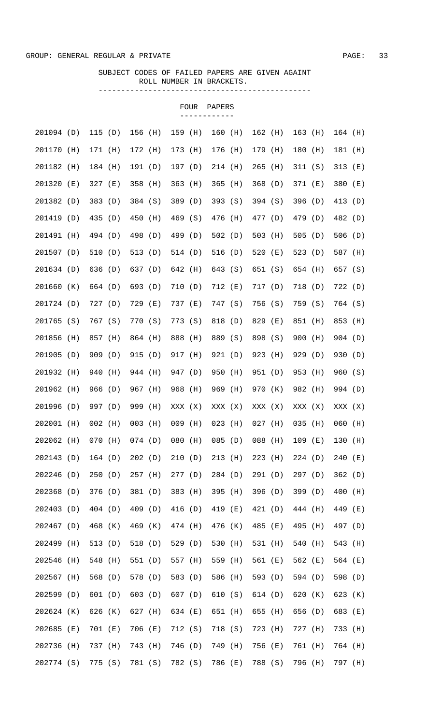|            |       |           |       |           |     |           | <b>FOUR</b> | PAPERS    |     |           |       |           |     |           |       |
|------------|-------|-----------|-------|-----------|-----|-----------|-------------|-----------|-----|-----------|-------|-----------|-----|-----------|-------|
| 201094 (D) |       | 115(D)    |       | 156 (H)   |     | 159 (H)   |             | 160 (H)   |     | 162 (H)   |       | 163 (H)   |     | $164$ (H) |       |
| 201170 (H) |       | 171 (H)   |       | 172 (H)   |     | 173 (H)   |             | 176 (H)   |     | 179 (H)   |       | 180       | (H) | 181 (H)   |       |
| 201182     | (H)   | 184 (H)   |       | 191 (D)   |     | 197 (D)   |             | 214 (H)   |     | $265$ (H) |       | 311 (S)   |     | 313 $(E)$ |       |
| 201320     | ( E ) | $327$ (E) |       | 358       | (H) | $363$ (H) |             | $365$ (H) |     | 368(D)    |       | 371 (E)   |     | 380       | ( E ) |
| 201382     | (D)   | 383 (D)   |       | 384 (S)   |     | 389 (D)   |             | 393(S)    |     | $394$ (S) |       | 396 (D)   |     | 413 (D)   |       |
| 201419 (D) |       | 435 (D)   |       | 450       | (H) | 469 (S)   |             | 476       | (H) | 477 (D)   |       | 479 (D)   |     | 482 (D)   |       |
| 201491     | (H)   | 494 (D)   |       | 498 (D)   |     | 499 (D)   |             | 502 $(D)$ |     | $503$ (H) |       | 505 (D)   |     | 506 (D)   |       |
| 201507 (D) |       | 510 (D)   |       | 513 (D)   |     | 514 (D)   |             | 516(D)    |     | 520 $(E)$ |       | 523 $(D)$ |     | 587 (H)   |       |
| 201634 (D) |       | 636 (D)   |       | 637 (D)   |     | 642 (H)   |             | 643 (S)   |     | 651 (S)   |       | 654 (H)   |     | 657 (S)   |       |
| 201660 (K) |       | 664 (D)   |       | 693 (D)   |     | 710 (D)   |             | 712 (E)   |     | 717 (D)   |       | 718 (D)   |     | 722 (D)   |       |
| 201724 (D) |       | 727(D)    |       | 729 (E)   |     | 737 (E)   |             | 747 (S)   |     | 756 (S)   |       | 759 (S)   |     | 764 (S)   |       |
| 201765 (S) |       | 767 (S)   |       | 770 (S)   |     | 773 (S)   |             | 818 (D)   |     | 829 (E)   |       | 851 (H)   |     | 853 (H)   |       |
| 201856     | (H)   | 857 (H)   |       | 864 (H)   |     | 888 (H)   |             | 889 (S)   |     | 898 (S)   |       | 900 (H)   |     | 904(D)    |       |
| 201905     | (D)   | 909 (D)   |       | 915 (D)   |     | 917 (H)   |             | 921 (D)   |     | 923 (H)   |       | 929 (D)   |     | 930 (D)   |       |
| 201932     | (H)   | 940 (H)   |       | 944 (H)   |     | 947 (D)   |             | 950 (H)   |     | 951 (D)   |       | 953 (H)   |     | 960(S)    |       |
| 201962 (H) |       | 966 (D)   |       | 967 (H)   |     | 968 (H)   |             | 969 (H)   |     | 970 (K)   |       | 982 (H)   |     | 994 (D)   |       |
| 201996 (D) |       | 997 (D)   |       | 999       | (H) | XXX (X)   |             | XXX (X)   |     | XXX (X)   |       | XXX (X)   |     | XXX (X)   |       |
| 202001 (H) |       | $002$ (H) |       | $003$ (H) |     | $009$ (H) |             | $023$ (H) |     | $027$ (H) |       | $035$ (H) |     | $060$ (H) |       |
| 202062     | (H)   | 070       | (H)   | $074$ (D) |     | 080       | (H)         | 085       | (D) | 088       | (H)   | 109       | (E) | 130       | (H)   |
| 202143     | (D)   | 164(D)    |       | 202(D)    |     | 210       | (D)         | 213       | (H) | 223       | (H)   | 224(D)    |     | 240       | ( E ) |
| 202246     | (D)   | 250       | (D)   | 257       | (H) | 277(D)    |             | 284 (D)   |     | 291(D)    |       | 297(D)    |     | 362       | (D)   |
| 202368     | (D)   | 376 (D)   |       | 381 (D)   |     | 383 (H)   |             | 395       | (H) | 396       | (D)   | 399       | (D) | 400       | (H)   |
| 202403     | (D)   | 404 (D)   |       | 409       | (D) | 416 (D)   |             | 419       | (E) | 421 (D)   |       | 444 (H)   |     | 449       | (E)   |
| 202467     | (D)   | 468 (K)   |       | 469       | (K) | 474 (H)   |             | 476       | (K) | 485       | (E)   | 495       | (H) | 497 (D)   |       |
| 202499     | (H)   | 513       | (D)   | 518       | (D) | 529 (D)   |             | 530       | (H) | 531 (H)   |       | 540       | (H) | 543       | (H)   |
| 202546     | (H)   | 548       | (H)   | 551 (D)   |     | 557 (H)   |             | 559       | (H) | 561 (E)   |       | 562       | (E) | 564 (E)   |       |
| 202567     | (H)   | 568       | (D)   | 578       | (D) | 583 (D)   |             | 586       | (H) | 593 (D)   |       | 594 (D)   |     | 598       | (D)   |
| 202599     | (D)   | 601 (D)   |       | 603       | (D) | 607 (D)   |             | 610       | (S) | 614 (D)   |       | 620       | (K) | 623       | (K)   |
| 202624     | (K)   | 626       | (K)   | 627       | (H) | 634 (E)   |             | 651       | (H) | 655       | (H)   | 656       | (D) | 683       | ( E ) |
| 202685     | (E)   | 701       | ( E ) | 706       | (E) | 712 (S)   |             | 718       | (S) | 723       | (H)   | 727       | (H) | 733       | (H)   |
| 202736     | (H)   | 737       | (H)   | 743       | (H) | 746 (D)   |             | 749       | (H) | 756       | ( E ) | 761 (H)   |     | 764 (H)   |       |
| 202774 (S) |       | 775 (S)   |       | 781 (S)   |     | 782 (S)   |             | 786       | (E) | 788 (S)   |       | 796       | (H) | 797 (H)   |       |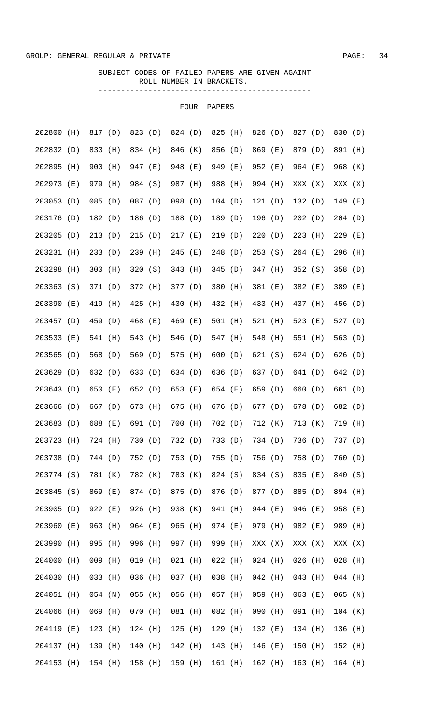|            |     |           |     |           |         |           | FOUR | PAPERS    |         |           |     |           |       |           |       |
|------------|-----|-----------|-----|-----------|---------|-----------|------|-----------|---------|-----------|-----|-----------|-------|-----------|-------|
| 202800     | (H) | 817 (D)   |     | 823 (D)   |         | 824 (D)   |      | 825       | (H)     | 826 (D)   |     | 827 (D)   |       | 830 (D)   |       |
| 202832 (D) |     | 833 (H)   |     | 834 (H)   |         | 846 (K)   |      | 856 (D)   |         | 869 (E)   |     | 879 (D)   |       | 891 (H)   |       |
| 202895     | (H) | 900 (H)   |     | 947 (E)   |         | 948 (E)   |      | 949 (E)   |         | 952 (E)   |     | 964 (E)   |       | 968 (K)   |       |
| 202973     | (E) | 979 (H)   |     | 984 (S)   |         | 987 (H)   |      | 988 (H)   |         | 994 (H)   |     | XXX (X)   |       | XXX (X)   |       |
| 203053 (D) |     | $085$ (D) |     | $087$ (D) |         | $098$ (D) |      | 104(D)    |         | 121(D)    |     | 132(D)    |       | 149 (E)   |       |
| 203176 (D) |     | 182 (D)   |     | 186 (D)   |         | 188 (D)   |      | 189 (D)   |         | 196 (D)   |     | 202(D)    |       | 204(D)    |       |
| 203205     | (D) | 213(D)    |     | 215       | (D)     | $217$ (E) |      | 219(D)    |         | 220(D)    |     | $223$ (H) |       | 229       | ( E ) |
| 203231     | (H) | 233(D)    |     | 239       | (H)     | $245$ (E) |      | 248 (D)   |         | 253(S)    |     | $264$ (E) |       | 296       | (H)   |
| 203298     | (H) | 300       | (H) | 320       | (S)     | 343 (H)   |      | 345(D)    |         | 347 (H)   |     | 352(S)    |       | 358       | (D)   |
| 203363     | (S) | 371 (D)   |     | 372 (H)   |         | 377 (D)   |      | 380       | (H)     | 381 (E)   |     | 382       | ( E ) | 389       | ( E ) |
| 203390     | (E) | 419       | (H) | 425       | (H)     | 430       | (H)  | 432       | (H)     | 433       | (H) | 437 (H)   |       | 456       | (D)   |
| 203457     | (D) | 459 (D)   |     | 468       | (E)     | 469 (E)   |      | 501 (H)   |         | 521 (H)   |     | 523 $(E)$ |       | 527 (D)   |       |
| 203533     | (E) | 541 (H)   |     | 543       | (H)     | 546 (D)   |      | 547 (H)   |         | 548 (H)   |     | 551 (H)   |       | 563 (D)   |       |
| 203565     | (D) | 568 (D)   |     | 569 (D)   |         | 575 (H)   |      | 600(D)    |         | 621 (S)   |     | 624(D)    |       | 626 (D)   |       |
| 203629     | (D) | 632 (D)   |     | 633       | (D)     | 634 (D)   |      | 636 (D)   |         | 637 (D)   |     | 641 (D)   |       | 642 (D)   |       |
| 203643     | (D) | 650 (E)   |     | 652 (D)   |         | 653 (E)   |      | 654 (E)   |         | 659 (D)   |     | 660 (D)   |       | 661 (D)   |       |
| 203666     | (D) | 667 (D)   |     | 673       | (H)     | 675 (H)   |      | 676 (D)   |         | 677 (D)   |     | 678 (D)   |       | 682 (D)   |       |
| 203683 (D) |     | 688 (E)   |     |           | 691 (D) | 700 (H)   |      |           | 702 (D) | 712 (K)   |     | 713 (K)   |       | 719 (H)   |       |
| 203723 (H) |     | 724 (H)   |     | 730 (D)   |         | 732 (D)   |      | 733 (D)   |         | 734 (D)   |     | 736 (D)   |       | 737 (D)   |       |
| 203738 (D) |     | 744 (D)   |     | 752 (D)   |         | 753 (D)   |      | 755 (D)   |         | 756 (D)   |     | 758 (D)   |       | 760 (D)   |       |
| 203774 (S) |     | 781 (K)   |     | 782 (K)   |         | 783 (K)   |      | 824 (S)   |         | 834 (S)   |     | 835 (E)   |       | 840 (S)   |       |
| 203845 (S) |     | 869 (E)   |     | 874 (D)   |         | 875 (D)   |      | 876 (D)   |         | 877 (D)   |     | 885 (D)   |       | 894 (H)   |       |
| 203905 (D) |     | 922 (E)   |     | 926 (H)   |         | 938 (K)   |      | 941 (H)   |         | 944 (E)   |     | 946 (E)   |       | 958 (E)   |       |
| 203960 (E) |     | 963 (H)   |     | 964 (E)   |         | 965 (H)   |      | 974 (E)   |         | 979 (H)   |     | 982 (E)   |       | 989 (H)   |       |
| 203990     | (H) | 995 (H)   |     | 996 (H)   |         | 997 (H)   |      | 999 (H)   |         | XXX (X)   |     | XXX (X)   |       | XXX (X)   |       |
| 204000     | (H) | $009$ (H) |     | $019$ (H) |         | $021$ (H) |      | $022$ (H) |         | $024$ (H) |     | $026$ (H) |       | $028$ (H) |       |
| 204030 (H) |     | 033 (H)   |     | 036 (H)   |         | 037 (H)   |      | 038 (H)   |         | $042$ (H) |     | 043 (H)   |       | 044 (H)   |       |
| 204051 (H) |     | $054$ (N) |     | $055$ (K) |         | 056 (H)   |      | $057$ (H) |         | 059 (H)   |     | $063$ (E) |       | $065$ (N) |       |
| 204066 (H) |     | 069 (H)   |     | 070 (H)   |         | 081 (H)   |      | 082 (H)   |         | 090 (H)   |     | 091 (H)   |       | $104$ (K) |       |
| 204119 (E) |     | $123$ (H) |     | 124 (H)   |         | $125$ (H) |      | 129 (H)   |         | 132 (E)   |     | 134 (H)   |       | 136 (H)   |       |
| 204137 (H) |     | 139 (H)   |     | 140 (H)   |         | 142 (H)   |      | 143 (H)   |         | 146 (E)   |     | 150 (H)   |       | 152 (H)   |       |
| 204153 (H) |     | 154 (H)   |     | 158 (H)   |         | 159 (H)   |      | 161 (H)   |         | $162$ (H) |     | 163 (H)   |       | $164$ (H) |       |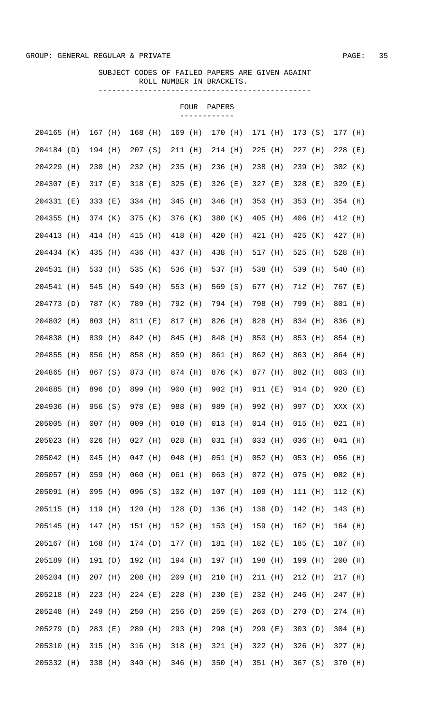|            |     |           |                                                         |           |           | FOUR | PAPERS    |           |           |           |  |
|------------|-----|-----------|---------------------------------------------------------|-----------|-----------|------|-----------|-----------|-----------|-----------|--|
| 204165 (H) |     | 167 (H)   |                                                         | 168 (H)   | 169 (H)   |      | 170 (H)   | 171 (H)   | 173 (S)   | 177 (H)   |  |
| 204184 (D) |     | 194 (H)   |                                                         | 207(S)    | 211 (H)   |      | 214 (H)   | $225$ (H) | 227 (H)   | $228$ (E) |  |
| 204229 (H) |     | 230 (H)   |                                                         | 232 (H)   | 235 (H)   |      | 236 (H)   | 238 (H)   | 239 (H)   | 302 (K)   |  |
| 204307 (E) |     | 317 (E)   |                                                         | 318 (E)   | $325$ (E) |      | 326 (E)   | 327 (E)   | 328 (E)   | 329 (E)   |  |
| 204331 (E) |     | 333 (E)   |                                                         | 334 (H)   | 345 (H)   |      | 346 (H)   | 350 (H)   | 353 (H)   | 354 (H)   |  |
| 204355 (H) |     | 374 (K)   |                                                         | 375 (K)   | 376 (K)   |      | 380 (K)   | 405 (H)   | 406 (H)   | 412 (H)   |  |
| 204413 (H) |     | 414 (H)   |                                                         | 415 (H)   | 418 (H)   |      | 420 (H)   | 421 (H)   | 425 (K)   | 427 (H)   |  |
| 204434 (K) |     | 435 (H)   |                                                         | 436 (H)   | 437 (H)   |      | 438 (H)   | 517 (H)   | 525 (H)   | 528 (H)   |  |
| 204531 (H) |     | 533 (H)   |                                                         | 535 (K)   | 536 (H)   |      | 537 (H)   | 538 (H)   | 539 (H)   | 540 (H)   |  |
| 204541 (H) |     | 545 (H)   |                                                         | 549 (H)   | 553 (H)   |      | 569 (S)   | 677 (H)   | 712 (H)   | 767 (E)   |  |
| 204773 (D) |     | 787 (K)   |                                                         | 789 (H)   | 792 (H)   |      | 794 (H)   | 798 (H)   | 799 (H)   | 801 (H)   |  |
| 204802 (H) |     | 803 (H)   |                                                         | 811 (E)   | 817 (H)   |      | 826 (H)   | 828 (H)   | 834 (H)   | 836 (H)   |  |
| 204838 (H) |     | 839 (H)   |                                                         | 842 (H)   | 845 (H)   |      | 848 (H)   | 850 (H)   | 853 (H)   | 854 (H)   |  |
| 204855     | (H) | 856 (H)   |                                                         | 858 (H)   | 859 (H)   |      | 861 (H)   | 862 (H)   | 863 (H)   | 864 (H)   |  |
| 204865     | (H) | 867 (S)   |                                                         | 873 (H)   | 874 (H)   |      | 876 (K)   | 877 (H)   | 882 (H)   | 883 (H)   |  |
| 204885 (H) |     | 896 (D)   |                                                         | 899 (H)   | 900 (H)   |      | 902 (H)   | 911 (E)   | 914 (D)   | 920 (E)   |  |
| 204936 (H) |     | 956 (S)   |                                                         | 978 (E)   | 988 (H)   |      | 989 (H)   | 992 (H)   | 997 (D)   | XXX (X)   |  |
| 205005 (H) |     |           | 007 (H) 009 (H) 010 (H) 013 (H) 014 (H) 015 (H) 021 (H) |           |           |      |           |           |           |           |  |
| 205023 (H) |     | $026$ (H) |                                                         | 027 (H)   | $028$ (H) |      | 031 (H)   | 033 (H)   | 036 (H)   | 041 (H)   |  |
| 205042 (H) |     | $045$ (H) |                                                         | $047$ (H) | $048$ (H) |      | $051$ (H) | 052 (H)   | $053$ (H) | 056 (H)   |  |
| 205057 (H) |     | 059 (H)   |                                                         | $060$ (H) | 061 (H)   |      | $063$ (H) | 072 (H)   | $075$ (H) | 082 (H)   |  |
| 205091 (H) |     | 095 (H)   |                                                         | 096 (S)   | $102$ (H) |      | $107$ (H) | 109 (H)   | 111 (H)   | 112 (K)   |  |
| 205115 (H) |     | 119 (H)   |                                                         | 120(H)    | 128(D)    |      | 136 (H)   | 138(D)    | 142 (H)   | 143 (H)   |  |
| 205145     | (H) | 147 (H)   |                                                         | 151 (H)   | 152 (H)   |      | 153 (H)   | 159 (H)   | 162 (H)   | 164 (H)   |  |
| 205167 (H) |     | 168 (H)   |                                                         | 174 (D)   | 177 (H)   |      | 181 (H)   | 182 (E)   | 185 (E)   | 187 (H)   |  |
| 205189 (H) |     | 191 (D)   |                                                         | 192 (H)   | 194 (H)   |      | 197 (H)   | 198 (H)   | 199 (H)   | $200$ (H) |  |
| 205204 (H) |     | 207 (H)   |                                                         | $208$ (H) | $209$ (H) |      | 210 (H)   | 211 (H)   | 212 (H)   | 217 (H)   |  |
| 205218 (H) |     | $223$ (H) |                                                         | 224 (E)   | 228 (H)   |      | 230 (E)   | 232 (H)   | 246 (H)   | 247 (H)   |  |
| 205248 (H) |     | 249 (H)   |                                                         | 250 (H)   | 256 (D)   |      | 259 (E)   | 260(D)    | 270(D)    | 274 (H)   |  |
| 205279 (D) |     | $283$ (E) |                                                         | 289 (H)   | 293 (H)   |      | 298 (H)   | 299 (E)   | 303(D)    | $304$ (H) |  |
| 205310 (H) |     | 315 (H)   |                                                         | $316$ (H) | 318 (H)   |      | 321 (H)   | 322 (H)   | $326$ (H) | 327 (H)   |  |
| 205332 (H) |     | 338 (H)   |                                                         | 340 (H)   | 346 (H)   |      | 350 (H)   | 351 (H)   | 367(S)    | 370 (H)   |  |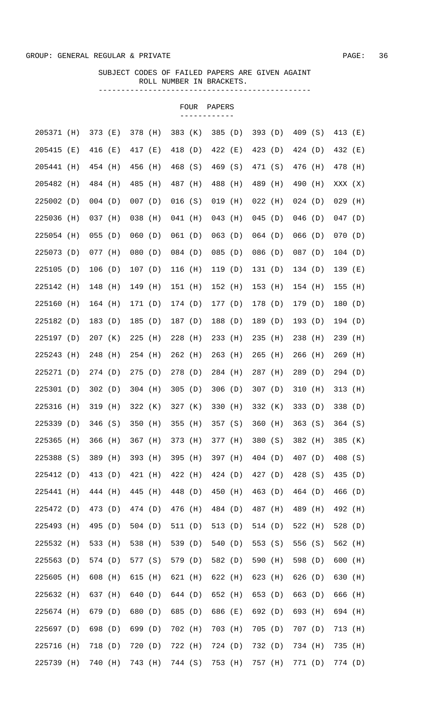| 409 (S)<br>205371 (H)<br>373 (E)<br>378 (H)<br>383 (K)<br>385<br>(D)<br>393 $(D)$<br>413 (E)<br>422 (E)<br>205415<br>(E)<br>416 (E)<br>417 (E)<br>418 (D)<br>423 (D)<br>424 (D)<br>432 (E)<br>205441<br>(H)<br>454 (H)<br>456<br>(H)<br>468 (S)<br>469 (S)<br>471 (S)<br>476<br>(H)<br>478 (H)<br>205482<br>(H)<br>484 (H)<br>485<br>(H)<br>487 (H)<br>488 (H)<br>489 (H)<br>490<br>(H)<br>XXX (X)<br>225002 (D)<br>$004$ (D)<br>$007$ (D)<br>016(S)<br>$019$ (H)<br>$022$ (H)<br>024(D)<br>$029$ (H)<br>038<br>225036<br>037 (H)<br>041 (H)<br>$043$ (H)<br>$045$ (D)<br>$046$ (D)<br>$047$ (D)<br>(H)<br>(H)<br>060<br>$063$ (D)<br>225054 (H)<br>$055$ (D)<br>061(D)<br>$064$ (D)<br>066(D)<br>070<br>(D)<br>225073 (D)<br>077 (H)<br>080<br>(D)<br>084 (D)<br>085<br>(D)<br>086 (D)<br>$087$ (D)<br>104(D)<br>225105<br>(D)<br>106(D)<br>107(D)<br>116 (H)<br>119 (D)<br>131(D)<br>134(D)<br>139<br>225142<br>(H)<br>148<br>(H)<br>149<br>151 (H)<br>152 (H)<br>$153$ (H)<br>154 (H)<br>155<br>(H)<br>225160<br>$164$ (H)<br>171 (D)<br>174 (D)<br>177 (D)<br>178 (D)<br>179 (D)<br>180<br>(H)<br>225182<br>183(D)<br>185<br>188 (D)<br>189 (D)<br>193(D)<br>(D)<br>(D)<br>187 (D)<br>194 (D)<br>225197<br>238 (H)<br>207 (K)<br>225<br>$228$ (H)<br>$233$ (H)<br>$235$ (H)<br>239<br>(D)<br>(H)<br>225243<br>$262$ (H)<br>$263$ (H)<br>248<br>$254$ (H)<br>$265$ (H)<br>$266$ (H)<br>269<br>(H)<br>(H)<br>225271<br>(D)<br>274(D)<br>275(D)<br>278 (D)<br>284 (H)<br>287 (H)<br>289 (D)<br>294 (D)<br>225301<br>(D)<br>302(D)<br>$304$ (H)<br>305(D)<br>306(D)<br>307(D)<br>310<br>313<br>(H)<br>225316<br>319 (H)<br>322(K)<br>327 (K)<br>330 (H)<br>332 (K)<br>333(D)<br>338 (D)<br>(H)<br>225339 (D)<br>350 (H)<br>355 (H)<br>357 (S)<br>346 (S)<br>360 (H)<br>363 (S)<br>364 (S)<br>225365 (H)<br>366 (H)<br>367 (H)<br>373 (H)<br>377 (H)<br>380 (S)<br>382 (H)<br>385 (K)<br>225388 (S)<br>389 (H)<br>393 (H)<br>395 (H)<br>397 (H)<br>407 (D)<br>404 (D)<br>408 (S)<br>225412 (D)<br>421 (H)<br>424 (D)<br>428 (S)<br>413 (D)<br>422 (H)<br>427 (D)<br>435 (D)<br>225441 (H)<br>445 (H)<br>448 (D)<br>450 (H)<br>464 (D)<br>444 (H)<br>463(D)<br>466 (D)<br>225472 (D)<br>473 (D)<br>474 (D)<br>476 (H)<br>484 (D)<br>489 (H)<br>487 (H)<br>492 (H)<br>225493 (H)<br>495 (D)<br>504(D)<br>513 (D)<br>522 (H)<br>511 (D)<br>514 (D)<br>528 (D)<br>538 (H)<br>540 (D)<br>556 (S)<br>225532 (H)<br>533 (H)<br>539 (D)<br>553 (S)<br>562 (H)<br>225563 (D)<br>574 (D)<br>577 (S)<br>579 (D)<br>582 (D)<br>598 (D)<br>590 (H)<br>$600$ (H)<br>225605<br>615 (H)<br>621 (H)<br>622 (H)<br>626 (D)<br>(H)<br>608 (H)<br>623 (H)<br>630 (H)<br>225632 (H)<br>637 (H)<br>640 (D)<br>652 (H)<br>663 (D)<br>644 (D)<br>653 (D)<br>666 (H)<br>225674 (H)<br>680 (D)<br>686 (E)<br>693 (H)<br>679 (D)<br>685 (D)<br>692 (D)<br>694 (H)<br>225697 (D)<br>698 (D)<br>699 (D)<br>702 (H)<br>703 (H)<br>707(D)<br>705 (D)<br>713 (H)<br>225716 (H)<br>718 (D)<br>722 (H)<br>724 (D)<br>734 (H)<br>720 (D)<br>732 (D)<br>735 (H) |  |  |  |  | FOUR | PAPERS |  |  |  |       |
|----------------------------------------------------------------------------------------------------------------------------------------------------------------------------------------------------------------------------------------------------------------------------------------------------------------------------------------------------------------------------------------------------------------------------------------------------------------------------------------------------------------------------------------------------------------------------------------------------------------------------------------------------------------------------------------------------------------------------------------------------------------------------------------------------------------------------------------------------------------------------------------------------------------------------------------------------------------------------------------------------------------------------------------------------------------------------------------------------------------------------------------------------------------------------------------------------------------------------------------------------------------------------------------------------------------------------------------------------------------------------------------------------------------------------------------------------------------------------------------------------------------------------------------------------------------------------------------------------------------------------------------------------------------------------------------------------------------------------------------------------------------------------------------------------------------------------------------------------------------------------------------------------------------------------------------------------------------------------------------------------------------------------------------------------------------------------------------------------------------------------------------------------------------------------------------------------------------------------------------------------------------------------------------------------------------------------------------------------------------------------------------------------------------------------------------------------------------------------------------------------------------------------------------------------------------------------------------------------------------------------------------------------------------------------------------------------------------------------------------------------------------------------------------------------------------------------------------------------------------------------------------------------------------------------------------------------------------------------------------------------------------------------|--|--|--|--|------|--------|--|--|--|-------|
|                                                                                                                                                                                                                                                                                                                                                                                                                                                                                                                                                                                                                                                                                                                                                                                                                                                                                                                                                                                                                                                                                                                                                                                                                                                                                                                                                                                                                                                                                                                                                                                                                                                                                                                                                                                                                                                                                                                                                                                                                                                                                                                                                                                                                                                                                                                                                                                                                                                                                                                                                                                                                                                                                                                                                                                                                                                                                                                                                                                                                            |  |  |  |  |      |        |  |  |  |       |
|                                                                                                                                                                                                                                                                                                                                                                                                                                                                                                                                                                                                                                                                                                                                                                                                                                                                                                                                                                                                                                                                                                                                                                                                                                                                                                                                                                                                                                                                                                                                                                                                                                                                                                                                                                                                                                                                                                                                                                                                                                                                                                                                                                                                                                                                                                                                                                                                                                                                                                                                                                                                                                                                                                                                                                                                                                                                                                                                                                                                                            |  |  |  |  |      |        |  |  |  |       |
|                                                                                                                                                                                                                                                                                                                                                                                                                                                                                                                                                                                                                                                                                                                                                                                                                                                                                                                                                                                                                                                                                                                                                                                                                                                                                                                                                                                                                                                                                                                                                                                                                                                                                                                                                                                                                                                                                                                                                                                                                                                                                                                                                                                                                                                                                                                                                                                                                                                                                                                                                                                                                                                                                                                                                                                                                                                                                                                                                                                                                            |  |  |  |  |      |        |  |  |  |       |
|                                                                                                                                                                                                                                                                                                                                                                                                                                                                                                                                                                                                                                                                                                                                                                                                                                                                                                                                                                                                                                                                                                                                                                                                                                                                                                                                                                                                                                                                                                                                                                                                                                                                                                                                                                                                                                                                                                                                                                                                                                                                                                                                                                                                                                                                                                                                                                                                                                                                                                                                                                                                                                                                                                                                                                                                                                                                                                                                                                                                                            |  |  |  |  |      |        |  |  |  |       |
|                                                                                                                                                                                                                                                                                                                                                                                                                                                                                                                                                                                                                                                                                                                                                                                                                                                                                                                                                                                                                                                                                                                                                                                                                                                                                                                                                                                                                                                                                                                                                                                                                                                                                                                                                                                                                                                                                                                                                                                                                                                                                                                                                                                                                                                                                                                                                                                                                                                                                                                                                                                                                                                                                                                                                                                                                                                                                                                                                                                                                            |  |  |  |  |      |        |  |  |  |       |
|                                                                                                                                                                                                                                                                                                                                                                                                                                                                                                                                                                                                                                                                                                                                                                                                                                                                                                                                                                                                                                                                                                                                                                                                                                                                                                                                                                                                                                                                                                                                                                                                                                                                                                                                                                                                                                                                                                                                                                                                                                                                                                                                                                                                                                                                                                                                                                                                                                                                                                                                                                                                                                                                                                                                                                                                                                                                                                                                                                                                                            |  |  |  |  |      |        |  |  |  |       |
|                                                                                                                                                                                                                                                                                                                                                                                                                                                                                                                                                                                                                                                                                                                                                                                                                                                                                                                                                                                                                                                                                                                                                                                                                                                                                                                                                                                                                                                                                                                                                                                                                                                                                                                                                                                                                                                                                                                                                                                                                                                                                                                                                                                                                                                                                                                                                                                                                                                                                                                                                                                                                                                                                                                                                                                                                                                                                                                                                                                                                            |  |  |  |  |      |        |  |  |  | (D)   |
|                                                                                                                                                                                                                                                                                                                                                                                                                                                                                                                                                                                                                                                                                                                                                                                                                                                                                                                                                                                                                                                                                                                                                                                                                                                                                                                                                                                                                                                                                                                                                                                                                                                                                                                                                                                                                                                                                                                                                                                                                                                                                                                                                                                                                                                                                                                                                                                                                                                                                                                                                                                                                                                                                                                                                                                                                                                                                                                                                                                                                            |  |  |  |  |      |        |  |  |  |       |
|                                                                                                                                                                                                                                                                                                                                                                                                                                                                                                                                                                                                                                                                                                                                                                                                                                                                                                                                                                                                                                                                                                                                                                                                                                                                                                                                                                                                                                                                                                                                                                                                                                                                                                                                                                                                                                                                                                                                                                                                                                                                                                                                                                                                                                                                                                                                                                                                                                                                                                                                                                                                                                                                                                                                                                                                                                                                                                                                                                                                                            |  |  |  |  |      |        |  |  |  | ( E ) |
|                                                                                                                                                                                                                                                                                                                                                                                                                                                                                                                                                                                                                                                                                                                                                                                                                                                                                                                                                                                                                                                                                                                                                                                                                                                                                                                                                                                                                                                                                                                                                                                                                                                                                                                                                                                                                                                                                                                                                                                                                                                                                                                                                                                                                                                                                                                                                                                                                                                                                                                                                                                                                                                                                                                                                                                                                                                                                                                                                                                                                            |  |  |  |  |      |        |  |  |  | (H)   |
|                                                                                                                                                                                                                                                                                                                                                                                                                                                                                                                                                                                                                                                                                                                                                                                                                                                                                                                                                                                                                                                                                                                                                                                                                                                                                                                                                                                                                                                                                                                                                                                                                                                                                                                                                                                                                                                                                                                                                                                                                                                                                                                                                                                                                                                                                                                                                                                                                                                                                                                                                                                                                                                                                                                                                                                                                                                                                                                                                                                                                            |  |  |  |  |      |        |  |  |  | (D)   |
|                                                                                                                                                                                                                                                                                                                                                                                                                                                                                                                                                                                                                                                                                                                                                                                                                                                                                                                                                                                                                                                                                                                                                                                                                                                                                                                                                                                                                                                                                                                                                                                                                                                                                                                                                                                                                                                                                                                                                                                                                                                                                                                                                                                                                                                                                                                                                                                                                                                                                                                                                                                                                                                                                                                                                                                                                                                                                                                                                                                                                            |  |  |  |  |      |        |  |  |  |       |
|                                                                                                                                                                                                                                                                                                                                                                                                                                                                                                                                                                                                                                                                                                                                                                                                                                                                                                                                                                                                                                                                                                                                                                                                                                                                                                                                                                                                                                                                                                                                                                                                                                                                                                                                                                                                                                                                                                                                                                                                                                                                                                                                                                                                                                                                                                                                                                                                                                                                                                                                                                                                                                                                                                                                                                                                                                                                                                                                                                                                                            |  |  |  |  |      |        |  |  |  | (H)   |
|                                                                                                                                                                                                                                                                                                                                                                                                                                                                                                                                                                                                                                                                                                                                                                                                                                                                                                                                                                                                                                                                                                                                                                                                                                                                                                                                                                                                                                                                                                                                                                                                                                                                                                                                                                                                                                                                                                                                                                                                                                                                                                                                                                                                                                                                                                                                                                                                                                                                                                                                                                                                                                                                                                                                                                                                                                                                                                                                                                                                                            |  |  |  |  |      |        |  |  |  | (H)   |
|                                                                                                                                                                                                                                                                                                                                                                                                                                                                                                                                                                                                                                                                                                                                                                                                                                                                                                                                                                                                                                                                                                                                                                                                                                                                                                                                                                                                                                                                                                                                                                                                                                                                                                                                                                                                                                                                                                                                                                                                                                                                                                                                                                                                                                                                                                                                                                                                                                                                                                                                                                                                                                                                                                                                                                                                                                                                                                                                                                                                                            |  |  |  |  |      |        |  |  |  |       |
|                                                                                                                                                                                                                                                                                                                                                                                                                                                                                                                                                                                                                                                                                                                                                                                                                                                                                                                                                                                                                                                                                                                                                                                                                                                                                                                                                                                                                                                                                                                                                                                                                                                                                                                                                                                                                                                                                                                                                                                                                                                                                                                                                                                                                                                                                                                                                                                                                                                                                                                                                                                                                                                                                                                                                                                                                                                                                                                                                                                                                            |  |  |  |  |      |        |  |  |  | (H)   |
|                                                                                                                                                                                                                                                                                                                                                                                                                                                                                                                                                                                                                                                                                                                                                                                                                                                                                                                                                                                                                                                                                                                                                                                                                                                                                                                                                                                                                                                                                                                                                                                                                                                                                                                                                                                                                                                                                                                                                                                                                                                                                                                                                                                                                                                                                                                                                                                                                                                                                                                                                                                                                                                                                                                                                                                                                                                                                                                                                                                                                            |  |  |  |  |      |        |  |  |  |       |
|                                                                                                                                                                                                                                                                                                                                                                                                                                                                                                                                                                                                                                                                                                                                                                                                                                                                                                                                                                                                                                                                                                                                                                                                                                                                                                                                                                                                                                                                                                                                                                                                                                                                                                                                                                                                                                                                                                                                                                                                                                                                                                                                                                                                                                                                                                                                                                                                                                                                                                                                                                                                                                                                                                                                                                                                                                                                                                                                                                                                                            |  |  |  |  |      |        |  |  |  |       |
|                                                                                                                                                                                                                                                                                                                                                                                                                                                                                                                                                                                                                                                                                                                                                                                                                                                                                                                                                                                                                                                                                                                                                                                                                                                                                                                                                                                                                                                                                                                                                                                                                                                                                                                                                                                                                                                                                                                                                                                                                                                                                                                                                                                                                                                                                                                                                                                                                                                                                                                                                                                                                                                                                                                                                                                                                                                                                                                                                                                                                            |  |  |  |  |      |        |  |  |  |       |
|                                                                                                                                                                                                                                                                                                                                                                                                                                                                                                                                                                                                                                                                                                                                                                                                                                                                                                                                                                                                                                                                                                                                                                                                                                                                                                                                                                                                                                                                                                                                                                                                                                                                                                                                                                                                                                                                                                                                                                                                                                                                                                                                                                                                                                                                                                                                                                                                                                                                                                                                                                                                                                                                                                                                                                                                                                                                                                                                                                                                                            |  |  |  |  |      |        |  |  |  |       |
|                                                                                                                                                                                                                                                                                                                                                                                                                                                                                                                                                                                                                                                                                                                                                                                                                                                                                                                                                                                                                                                                                                                                                                                                                                                                                                                                                                                                                                                                                                                                                                                                                                                                                                                                                                                                                                                                                                                                                                                                                                                                                                                                                                                                                                                                                                                                                                                                                                                                                                                                                                                                                                                                                                                                                                                                                                                                                                                                                                                                                            |  |  |  |  |      |        |  |  |  |       |
|                                                                                                                                                                                                                                                                                                                                                                                                                                                                                                                                                                                                                                                                                                                                                                                                                                                                                                                                                                                                                                                                                                                                                                                                                                                                                                                                                                                                                                                                                                                                                                                                                                                                                                                                                                                                                                                                                                                                                                                                                                                                                                                                                                                                                                                                                                                                                                                                                                                                                                                                                                                                                                                                                                                                                                                                                                                                                                                                                                                                                            |  |  |  |  |      |        |  |  |  |       |
|                                                                                                                                                                                                                                                                                                                                                                                                                                                                                                                                                                                                                                                                                                                                                                                                                                                                                                                                                                                                                                                                                                                                                                                                                                                                                                                                                                                                                                                                                                                                                                                                                                                                                                                                                                                                                                                                                                                                                                                                                                                                                                                                                                                                                                                                                                                                                                                                                                                                                                                                                                                                                                                                                                                                                                                                                                                                                                                                                                                                                            |  |  |  |  |      |        |  |  |  |       |
|                                                                                                                                                                                                                                                                                                                                                                                                                                                                                                                                                                                                                                                                                                                                                                                                                                                                                                                                                                                                                                                                                                                                                                                                                                                                                                                                                                                                                                                                                                                                                                                                                                                                                                                                                                                                                                                                                                                                                                                                                                                                                                                                                                                                                                                                                                                                                                                                                                                                                                                                                                                                                                                                                                                                                                                                                                                                                                                                                                                                                            |  |  |  |  |      |        |  |  |  |       |
|                                                                                                                                                                                                                                                                                                                                                                                                                                                                                                                                                                                                                                                                                                                                                                                                                                                                                                                                                                                                                                                                                                                                                                                                                                                                                                                                                                                                                                                                                                                                                                                                                                                                                                                                                                                                                                                                                                                                                                                                                                                                                                                                                                                                                                                                                                                                                                                                                                                                                                                                                                                                                                                                                                                                                                                                                                                                                                                                                                                                                            |  |  |  |  |      |        |  |  |  |       |
|                                                                                                                                                                                                                                                                                                                                                                                                                                                                                                                                                                                                                                                                                                                                                                                                                                                                                                                                                                                                                                                                                                                                                                                                                                                                                                                                                                                                                                                                                                                                                                                                                                                                                                                                                                                                                                                                                                                                                                                                                                                                                                                                                                                                                                                                                                                                                                                                                                                                                                                                                                                                                                                                                                                                                                                                                                                                                                                                                                                                                            |  |  |  |  |      |        |  |  |  |       |
|                                                                                                                                                                                                                                                                                                                                                                                                                                                                                                                                                                                                                                                                                                                                                                                                                                                                                                                                                                                                                                                                                                                                                                                                                                                                                                                                                                                                                                                                                                                                                                                                                                                                                                                                                                                                                                                                                                                                                                                                                                                                                                                                                                                                                                                                                                                                                                                                                                                                                                                                                                                                                                                                                                                                                                                                                                                                                                                                                                                                                            |  |  |  |  |      |        |  |  |  |       |
|                                                                                                                                                                                                                                                                                                                                                                                                                                                                                                                                                                                                                                                                                                                                                                                                                                                                                                                                                                                                                                                                                                                                                                                                                                                                                                                                                                                                                                                                                                                                                                                                                                                                                                                                                                                                                                                                                                                                                                                                                                                                                                                                                                                                                                                                                                                                                                                                                                                                                                                                                                                                                                                                                                                                                                                                                                                                                                                                                                                                                            |  |  |  |  |      |        |  |  |  |       |
|                                                                                                                                                                                                                                                                                                                                                                                                                                                                                                                                                                                                                                                                                                                                                                                                                                                                                                                                                                                                                                                                                                                                                                                                                                                                                                                                                                                                                                                                                                                                                                                                                                                                                                                                                                                                                                                                                                                                                                                                                                                                                                                                                                                                                                                                                                                                                                                                                                                                                                                                                                                                                                                                                                                                                                                                                                                                                                                                                                                                                            |  |  |  |  |      |        |  |  |  |       |
|                                                                                                                                                                                                                                                                                                                                                                                                                                                                                                                                                                                                                                                                                                                                                                                                                                                                                                                                                                                                                                                                                                                                                                                                                                                                                                                                                                                                                                                                                                                                                                                                                                                                                                                                                                                                                                                                                                                                                                                                                                                                                                                                                                                                                                                                                                                                                                                                                                                                                                                                                                                                                                                                                                                                                                                                                                                                                                                                                                                                                            |  |  |  |  |      |        |  |  |  |       |
|                                                                                                                                                                                                                                                                                                                                                                                                                                                                                                                                                                                                                                                                                                                                                                                                                                                                                                                                                                                                                                                                                                                                                                                                                                                                                                                                                                                                                                                                                                                                                                                                                                                                                                                                                                                                                                                                                                                                                                                                                                                                                                                                                                                                                                                                                                                                                                                                                                                                                                                                                                                                                                                                                                                                                                                                                                                                                                                                                                                                                            |  |  |  |  |      |        |  |  |  |       |
| 740 (H)<br>744 (S)<br>225739 (H)<br>743 (H)<br>753 (H)<br>757 (H)<br>771 (D)<br>774 (D)                                                                                                                                                                                                                                                                                                                                                                                                                                                                                                                                                                                                                                                                                                                                                                                                                                                                                                                                                                                                                                                                                                                                                                                                                                                                                                                                                                                                                                                                                                                                                                                                                                                                                                                                                                                                                                                                                                                                                                                                                                                                                                                                                                                                                                                                                                                                                                                                                                                                                                                                                                                                                                                                                                                                                                                                                                                                                                                                    |  |  |  |  |      |        |  |  |  |       |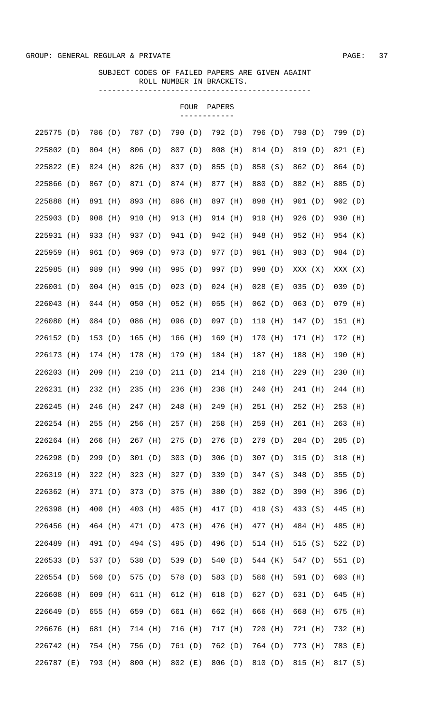|            |            |           |     |         |     |           | <b>FOUR</b> | PAPERS    |         |           |         |                  |           |     |
|------------|------------|-----------|-----|---------|-----|-----------|-------------|-----------|---------|-----------|---------|------------------|-----------|-----|
| 225775     | (D)        | 786 (D)   |     | 787 (D) |     | 790 (D)   |             | 792 (D)   |         | 796 (D)   |         | 798 (D)          | 799 (D)   |     |
| 225802 (D) |            | 804 (H)   |     | 806 (D) |     | 807 (D)   |             | 808 (H)   |         | 814 (D)   |         | 819 (D)          | 821 (E)   |     |
| 225822     | ( E )      | 824 (H)   |     | 826     | (H) | 837 (D)   |             | 855 (D)   |         | 858 (S)   |         | 862 (D)          | 864 (D)   |     |
| 225866     | (D)        | 867 (D)   |     | 871 (D) |     | 874 (H)   |             | 877 (H)   |         | 880 (D)   |         | 882 (H)          | 885 (D)   |     |
| 225888     | (H)        | 891 (H)   |     | 893 (H) |     | 896 (H)   |             | 897 (H)   |         | 898 (H)   |         | 901 (D)          | 902(D)    |     |
| 225903 (D) |            | 908 (H)   |     | 910     | (H) | 913 (H)   |             | 914 (H)   |         | 919 (H)   |         | 926(D)           | 930       | (H) |
| 225931     | (H)        | 933 (H)   |     | 937 (D) |     | 941 (D)   |             | 942 (H)   |         | 948       | (H)     | 952 (H)          | 954 (K)   |     |
| 225959     | (H)        | 961       | (D) | 969     | (D) | 973 (D)   |             | 977 (D)   |         | 981 (H)   |         | 983 (D)          | 984 (D)   |     |
| 225985     |            |           |     |         |     |           |             | 997 (D)   |         |           |         |                  |           |     |
| 226001     | (H)<br>(D) | 989       | (H) | 990     | (H) | 995       | (D)         |           |         | 998 (D)   |         | XXX (X)          | XXX (X)   |     |
|            |            | $004$ (H) |     | 015     | (D) | $023$ (D) |             | $024$ (H) |         | 028       | ( E )   | 035(D)<br>063(D) | 039(D)    |     |
| 226043     | (H)        | $044$ (H) |     | 050     | (H) | $052$ (H) |             | 055       | (H)     | 062(D)    |         |                  | $079$ (H) |     |
| 226080     | (H)        | 084 (D)   |     | 086     | (H) | $096$ (D) |             | 097 (D)   |         | 119       | (H)     | 147(D)           | 151 (H)   |     |
| 226152     | (D)        | 153(D)    |     | 165     | (H) | 166       | (H)         | 169 (H)   |         | 170 (H)   |         | 171 (H)          | 172 (H)   |     |
| 226173     | (H)        | 174 (H)   |     | 178 (H) |     | 179 (H)   |             | 184 (H)   |         | 187 (H)   |         | 188 (H)          | 190       | (H) |
| 226203     | (H)        | $209$ (H) |     | 210     | (D) | 211(D)    |             | 214 (H)   |         | $216$ (H) |         | $229$ (H)        | 230       | (H) |
| 226231     | (H)        | 232 (H)   |     | 235     | (H) | 236 (H)   |             | 238       | (H)     | $240$ (H) |         | 241 (H)          | 244 (H)   |     |
| 226245     | (H)        | 246       | (H) | 247     | (H) | 248 (H)   |             | 249 (H)   |         | $251$ (H) |         | 252 (H)          | 253       | (H) |
| 226254 (H) |            | $255$ (H) |     | 256 (H) |     | 257 (H)   |             | 258 (H)   |         | 259 (H)   |         | 261 (H)          | $263$ (H) |     |
| 226264 (H) |            | 266 (H)   |     | 267 (H) |     | 275(D)    |             | 276 (D)   |         | 279 (D)   |         | 284 (D)          | 285(D)    |     |
| 226298 (D) |            | 299 (D)   |     | 301(D)  |     | 303(D)    |             | 306(D)    |         | 307(D)    |         | 315(D)           | 318 (H)   |     |
| 226319 (H) |            | 322 (H)   |     | 323 (H) |     | 327 (D)   |             | 339 (D)   |         | 347 (S)   |         | 348 (D)          | 355(D)    |     |
| 226362 (H) |            | 371 (D)   |     | 373 (D) |     | 375 (H)   |             | 380 (D)   |         | 382 (D)   |         | 390 (H)          | 396 (D)   |     |
| 226398 (H) |            | 400 (H)   |     | 403 (H) |     | 405 (H)   |             | 417 (D)   |         | 419 (S)   |         | 433 (S)          | 445 (H)   |     |
| 226456     | (H)        | 464 (H)   |     | 471 (D) |     | 473 (H)   |             | 476 (H)   |         | 477 (H)   |         | 484 (H)          | 485 (H)   |     |
| 226489 (H) |            | 491 (D)   |     | 494 (S) |     | 495 (D)   |             | 496 (D)   |         | 514 (H)   |         | 515(S)           | 522 $(D)$ |     |
| 226533 (D) |            | 537 (D)   |     | 538 (D) |     | 539 (D)   |             | 540 (D)   |         | 544 (K)   |         | 547 (D)          | 551 (D)   |     |
| 226554 (D) |            | 560 (D)   |     | 575 (D) |     | 578 (D)   |             | 583 (D)   |         | 586 (H)   |         | 591 (D)          | 603 (H)   |     |
| 226608 (H) |            | 609 (H)   |     | 611 (H) |     | 612 (H)   |             | 618 (D)   |         | 627 (D)   |         | 631 (D)          | 645 (H)   |     |
| 226649 (D) |            | 655 (H)   |     | 659 (D) |     | 661 (H)   |             | 662 (H)   |         | 666 (H)   |         | 668 (H)          | 675 (H)   |     |
| 226676     | (H)        | 681 (H)   |     | 714 (H) |     | 716 (H)   |             | 717 (H)   |         | 720 (H)   |         | 721 (H)          | 732 (H)   |     |
| 226742 (H) |            | 754 (H)   |     | 756 (D) |     | 761 (D)   |             | 762 (D)   |         | 764 (D)   |         | 773 (H)          | 783 (E)   |     |
| 226787 (E) |            | 793 (H)   |     | 800 (H) |     |           | 802 (E)     |           | 806 (D) |           | 810 (D) | 815 (H)          | 817 (S)   |     |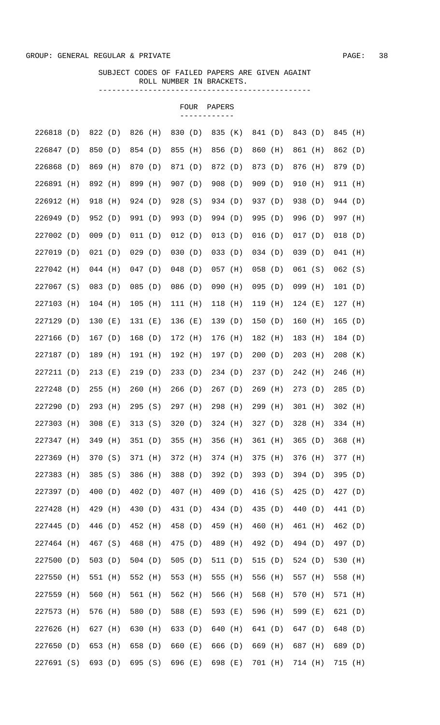|            |     |           |     |         |         |           | FOUR  | PAPERS    |     |           |     |           |     |           |     |
|------------|-----|-----------|-----|---------|---------|-----------|-------|-----------|-----|-----------|-----|-----------|-----|-----------|-----|
| 226818 (D) |     | 822 (D)   |     | 826     | (H)     | 830 (D)   |       | 835 (K)   |     | 841 (D)   |     | 843 (D)   |     | 845 (H)   |     |
| 226847 (D) |     | 850 (D)   |     | 854 (D) |         | 855 (H)   |       | 856 (D)   |     | 860 (H)   |     | 861 (H)   |     | 862 (D)   |     |
| 226868     | (D) | 869 (H)   |     | 870 (D) |         | 871 (D)   |       | 872 (D)   |     | 873 (D)   |     | 876 (H)   |     | 879 (D)   |     |
| 226891     | (H) | 892 (H)   |     | 899 (H) |         | 907 (D)   |       | 908 (D)   |     | 909 (D)   |     | 910       | (H) | 911 (H)   |     |
| 226912     | (H) | 918 (H)   |     | 924 (D) |         | 928 (S)   |       | 934 (D)   |     | 937 (D)   |     | 938 (D)   |     | 944 (D)   |     |
| 226949     | (D) | 952 (D)   |     | 991 (D) |         | 993 (D)   |       | 994 (D)   |     | 995 (D)   |     | 996 (D)   |     | 997 (H)   |     |
| 227002     | (D) | $009$ (D) |     | 011 (D) |         | 012 (D)   |       | 013(D)    |     | 016(D)    |     | 017(D)    |     | $018$ (D) |     |
| 227019     | (D) | 021(D)    |     | 029     | (D)     | 030(D)    |       | 033(D)    |     | 034(D)    |     | 039(D)    |     | $041$ (H) |     |
| 227042     | (H) | $044$ (H) |     | 047(D)  |         | $048$ (D) |       | $057$ (H) |     | $058$ (D) |     | 061(S)    |     | $062$ (S) |     |
| 227067 (S) |     | $083$ (D) |     | 085     | (D)     | 086 (D)   |       | 090 (H)   |     | $095$ (D) |     | 099 (H)   |     | 101(D)    |     |
| 227103     | (H) | 104 (H)   |     | 105     | (H)     | 111 (H)   |       | 118       | (H) | 119 (H)   |     | $124$ (E) |     | 127 (H)   |     |
| 227129     | (D) | 130(E)    |     | 131(E)  |         | 136 (E)   |       | 139(D)    |     | 150(D)    |     | $160$ (H) |     | 165       | (D) |
| 227166     | (D) | 167(D)    |     | 168 (D) |         | 172 (H)   |       | 176 (H)   |     | 182 (H)   |     | 183 (H)   |     | 184 (D)   |     |
| 227187 (D) |     | 189 (H)   |     | 191 (H) |         | 192 (H)   |       | 197 (D)   |     | 200(D)    |     | $203$ (H) |     | $208$ (K) |     |
| 227211 (D) |     | $213$ (E) |     | 219 (D) |         | 233(D)    |       | 234 (D)   |     | 237(D)    |     | 242 (H)   |     | 246       | (H) |
| 227248     | (D) | 255       | (H) | 260     | (H)     | 266(D)    |       | 267(D)    |     | $269$ (H) |     | 273(D)    |     | 285       | (D) |
| 227290 (D) |     | 293 (H)   |     | 295(S)  |         | 297 (H)   |       | 298 (H)   |     | $299$ (H) |     | $301$ (H) |     | 302 (H)   |     |
| 227303 (H) |     | 308 (E)   |     |         | 313 (S) | 320(D)    |       | 324 (H)   |     | 327 (D)   |     | 328 (H)   |     | 334 (H)   |     |
| 227347     | (H) | 349       | (H) | 351     | (D)     | 355       | (H)   | 356       | (H) | 361 (H)   |     | 365       | (D) | 368       | (H) |
| 227369     | (H) | 370       | (S) | 371     | (H)     | 372       | (H)   | 374 (H)   |     | 375       | (H) | 376       | (H) | 377 (H)   |     |
| 227383     | (H) | 385       | (S) | 386     | (H)     | 388 (D)   |       | 392       | (D) | 393(D)    |     | 394       | (D) | 395       | (D) |
| 227397     | (D) | 400       | (D) | 402 (D) |         | 407 (H)   |       | 409       | (D) | 416       | (S) | 425       | (D) | 427       | (D) |
| 227428     | (H) | 429       | (H) | 430     | (D)     | 431 (D)   |       | 434 (D)   |     | 435       | (D) | 440       | (D) | 441 (D)   |     |
| 227445     | (D) | 446 (D)   |     | 452 (H) |         | 458 (D)   |       | 459       | (H) | 460       | (H) | 461 (H)   |     | 462 (D)   |     |
| 227464     | (H) | 467 (S)   |     | 468     | (H)     | 475       | (D)   | 489       | (H) | 492 (D)   |     | 494 (D)   |     | 497 (D)   |     |
| 227500     | (D) | 503(D)    |     | 504(D)  |         | 505       | (D)   | 511       | (D) | 515       | (D) | 524 (D)   |     | 530       | (H) |
| 227550     | (H) | 551 (H)   |     | 552 (H) |         | 553       | (H)   | 555       | (H) | 556       | (H) | 557 (H)   |     | 558       | (H) |
| 227559     | (H) | 560       | (H) | 561 (H) |         | 562 (H)   |       | 566       | (H) | 568       | (H) | 570       | (H) | 571 (H)   |     |
| 227573     | (H) | 576       | (H) | 580     | (D)     | 588       | ( E ) | 593       | (E) | 596       | (H) | 599       | (E) | 621(D)    |     |
| 227626     | (H) | 627       | (H) | 630     | (H)     | 633 (D)   |       | 640       | (H) | 641 (D)   |     | 647       | (D) | 648       | (D) |
| 227650     | (D) | 653       | (H) | 658     | (D)     | 660       | ( E ) | 666       | (D) | 669       | (H) | 687 (H)   |     | 689       | (D) |
| 227691     | (S) | 693 (D)   |     | 695 (S) |         | 696 (E)   |       | 698 (E)   |     | 701 (H)   |     | 714 (H)   |     | 715 (H)   |     |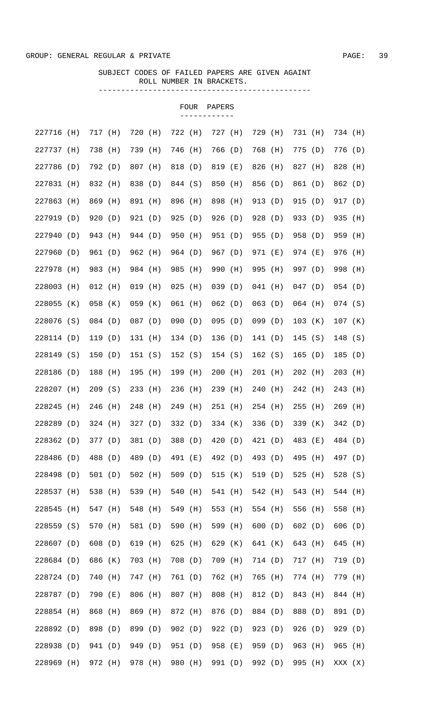|            |     |           |       |           |     |           | FOUR | PAPERS    |     |           |     |           |     |           |     |
|------------|-----|-----------|-------|-----------|-----|-----------|------|-----------|-----|-----------|-----|-----------|-----|-----------|-----|
| 227716 (H) |     | 717 (H)   |       | 720       | (H) | 722 (H)   |      | 727 (H)   |     | 729 (H)   |     | 731 (H)   |     | 734 (H)   |     |
| 227737     | (H) | 738 (H)   |       | 739       | (H) | 746 (H)   |      | 766 (D)   |     | 768 (H)   |     | 775 (D)   |     | 776 (D)   |     |
| 227786     | (D) | 792 (D)   |       | 807       | (H) | 818 (D)   |      | 819 (E)   |     | 826 (H)   |     | 827 (H)   |     | 828       | (H) |
| 227831     | (H) | 832 (H)   |       | 838 (D)   |     | 844 (S)   |      | 850       | (H) | 856 (D)   |     | 861 (D)   |     | 862 (D)   |     |
| 227863     | (H) | 869       | (H)   | 891 (H)   |     | 896 (H)   |      | 898       | (H) | 913 (D)   |     | 915 (D)   |     | 917 (D)   |     |
| 227919     | (D) | 920(D)    |       | 921 (D)   |     | 925(D)    |      | 926 (D)   |     | 928 (D)   |     | 933 (D)   |     | 935       | (H) |
| 227940     | (D) | 943 (H)   |       | 944 (D)   |     | 950 (H)   |      | 951 (D)   |     | 955 (D)   |     | 958 (D)   |     | 959       | (H) |
| 227960     | (D) | 961 (D)   |       | 962 (H)   |     | 964 (D)   |      | 967 (D)   |     | 971 (E)   |     | 974 (E)   |     | 976       | (H) |
| 227978     | (H) | 983 (H)   |       | 984 (H)   |     | 985 (H)   |      | 990 (H)   |     | 995 (H)   |     | 997 (D)   |     | 998 (H)   |     |
| 228003     | (H) | $012$ (H) |       | 019       | (H) | $025$ (H) |      | 039(D)    |     | $041$ (H) |     | $047$ (D) |     | $054$ (D) |     |
| 228055     | (K) | 058 (K)   |       | $059$ (K) |     | $061$ (H) |      | 062(D)    |     | $063$ (D) |     | $064$ (H) |     | $074$ (S) |     |
| 228076 (S) |     | $084$ (D) |       | $087$ (D) |     | 090(D)    |      | 095(D)    |     | 099(D)    |     | 103 (K)   |     | $107$ (K) |     |
| 228114 (D) |     | 119 (D)   |       | 131 (H)   |     | 134(D)    |      | 136 (D)   |     | 141(D)    |     | 145(S)    |     | 148(S)    |     |
| 228149 (S) |     | 150(D)    |       | 151 (S)   |     | 152(S)    |      | 154 (S)   |     | 162(S)    |     | 165(D)    |     | 185 (D)   |     |
| 228186 (D) |     | 188 (H)   |       | 195 (H)   |     | 199 (H)   |      | $200$ (H) |     | $201$ (H) |     | $202$ (H) |     | $203$ (H) |     |
| 228207 (H) |     | 209(S)    |       | 233 (H)   |     | 236 (H)   |      | 239 (H)   |     | 240 (H)   |     | 242 (H)   |     | 243 (H)   |     |
| 228245     | (H) | 246 (H)   |       | 248 (H)   |     | 249 (H)   |      | 251 (H)   |     | $254$ (H) |     | $255$ (H) |     | $269$ (H) |     |
| 228289 (D) |     | $324$ (H) |       | 327(D)    |     | 332 (D)   |      | 334 (K)   |     | 336 (D)   |     | 339 (K)   |     | 342(D)    |     |
| 228362     | (D) | 377 (D)   |       | 381 (D)   |     | 388 (D)   |      | 420 (D)   |     | 421 (D)   |     | 483       | (E) | 484 (D)   |     |
| 228486     | (D) | 488       | (D)   | 489       | (D) | 491 (E)   |      | 492 (D)   |     | 493       | (D) | 495       | (H) | 497 (D)   |     |
| 228498     | (D) | 501(D)    |       | 502 (H)   |     | 509 (D)   |      | 515       | (K) | 519       | (D) | 525       | (H) | 528(S)    |     |
| 228537     | (H) | 538       | (H)   | 539       | (H) | 540       | (H)  | 541       | (H) | 542 (H)   |     | 543       | (H) | 544 (H)   |     |
| 228545     | (H) | 547       | (H)   | 548       | (H) | 549       | (H)  | 553       | (H) | 554 (H)   |     | 556       | (H) | 558       | (H) |
| 228559     | (S) | 570       | (H)   | 581 (D)   |     | 590       | (H)  | 599       | (H) | 600(D)    |     | 602       | (D) | 606       | (D) |
| 228607 (D) |     | 608       | (D)   | 619       | (H) | 625       | (H)  | 629       | (K) | 641 (K)   |     | 643 (H)   |     | 645       | (H) |
| 228684 (D) |     | 686       | (K)   | 703       | (H) | 708 (D)   |      | 709       | (H) | 714 (D)   |     | 717 (H)   |     | 719       | (D) |
| 228724 (D) |     | 740       | (H)   | 747       | (H) | 761 (D)   |      | 762 (H)   |     | 765       | (H) | 774 (H)   |     | 779       | (H) |
| 228787     | (D) | 790       | ( E ) | 806       | (H) | 807 (H)   |      | 808       | (H) | 812 (D)   |     | 843       | (H) | 844 (H)   |     |
| 228854     | (H) | 868       | (H)   | 869       | (H) | 872 (H)   |      | 876       | (D) | 884 (D)   |     | 888       | (D) | 891       | (D) |
| 228892     | (D) | 898       | (D)   | 899       | (D) | 902(D)    |      | 922       | (D) | 923 (D)   |     | 926       | (D) | 929       | (D) |
| 228938     | (D) | 941 (D)   |       | 949       | (D) | 951 (D)   |      | 958 (E)   |     | 959       | (D) | 963       | (H) | 965       | (H) |
| 228969     | (H) | 972 (H)   |       | 978       | (H) | 980 (H)   |      | 991 (D)   |     | 992 (D)   |     | 995       | (H) | XXX (X)   |     |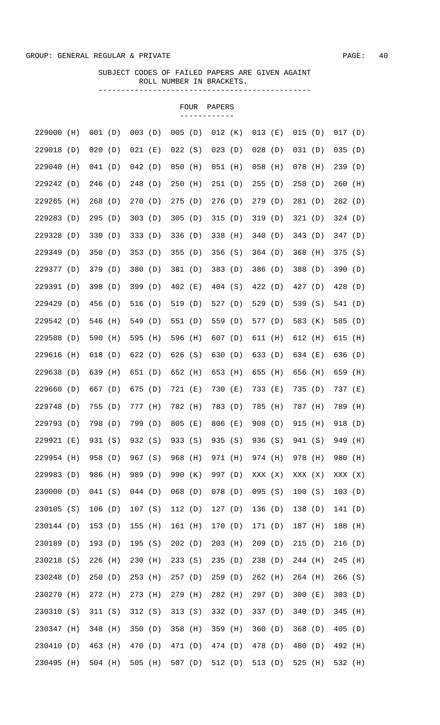|                  |     |            |         |           |         |           | FOUR    | PAPERS    |                 |           |         |           |         |           |     |
|------------------|-----|------------|---------|-----------|---------|-----------|---------|-----------|-----------------|-----------|---------|-----------|---------|-----------|-----|
| 229000           | (H) | 001 (D)    |         | $003$ (D) |         | $005$ (D) |         | $012$ (K) |                 | $013$ (E) |         | 015(D)    |         | 017(D)    |     |
| 229018           | (D) | 020(D)     |         | $021$ (E) |         | 022(S)    |         | 023(D)    |                 | $028$ (D) |         | 031(D)    |         | 035(D)    |     |
| 229040           | (H) | 041(D)     |         | 042(D)    |         | $050$ (H) |         | 051 (H)   |                 | $058$ (H) |         | $078$ (H) |         | 239(D)    |     |
| 229242           | (D) | 246 (D)    |         | 248 (D)   |         | $250$ (H) |         | 251(D)    |                 | 255(D)    |         | 258(D)    |         | 260       | (H) |
| 229265           | (H) | 268        | (D)     | 270(D)    |         | 275(D)    |         | 276(D)    |                 | 279(D)    |         | 281 (D)   |         | 282(D)    |     |
| 229283           | (D) | 295        | (D)     | 303(D)    |         | 305(D)    |         | 315(D)    |                 | 319(D)    |         | 321(D)    |         | 324(D)    |     |
| 229328           | (D) | 330(D)     |         | 333(D)    |         | 336 (D)   |         | 338 (H)   |                 | 340 (D)   |         | 343(D)    |         | 347(D)    |     |
| 229349           | (D) | 350(D)     |         | 353(D)    |         | 355(D)    |         | 356 (S)   |                 | 364(D)    |         | 368       | (H)     | 375       | (S) |
| 229377           | (D) | 379 (D)    |         | 380       | (D)     | 381 (D)   |         | 383 (D)   |                 | 386 (D)   |         | 388 (D)   |         | 390       | (D) |
| 229391           | (D) | 398        | (D)     | 399       | (D)     | 402 (E)   |         | 404 (S)   |                 | 422 (D)   |         | 427 (D)   |         | 428       | (D) |
| 229429           | (D) | 456        | (D)     | 516       | (D)     | 519 (D)   |         | 527 $(D)$ |                 | 529 (D)   |         | 539 (S)   |         | 541       | (D) |
| 229542           | (D) | 546        | (H)     | 549       | (D)     | 551 (D)   |         | 559 (D)   |                 | 577 (D)   |         | 583 (K)   |         | 585       | (D) |
| 229588           | (D) | 590        | (H)     | 595       | (H)     | 596 (H)   |         | 607(D)    |                 | 611 (H)   |         | 612 (H)   |         | 615       | (H) |
|                  |     |            |         |           |         |           |         |           |                 |           |         |           |         |           |     |
| 229616<br>229638 | (H) | 618<br>639 | (D)     | 622 (D)   |         | 626 (S)   |         | 630 (D)   |                 | 633 (D)   |         | 634 (E)   |         | 636       | (D) |
|                  | (D) |            | (H)     | 651 (D)   |         | 652 (H)   |         | 653 (H)   |                 | 655       | (H)     | 656 (H)   |         | 659       | (H) |
| 229660           | (D) | 667 (D)    |         | 675 (D)   |         | 721 (E)   |         | 730 (E)   |                 | 733 (E)   |         | 735 (D)   |         | 737 (E)   |     |
| 229748           | (D) | 755        | (D)     | 777 (H)   |         | 782 (H)   |         | 783 (D)   |                 | 785 (H)   |         | 787 (H)   |         | 789       | (H) |
| 229793 (D)       |     |            | 798 (D) |           | 799 (D) |           | 805 (E) |           | 806 (E)         |           | 908 (D) | 915 (H)   |         | 918 (D)   |     |
| 229921 (E)       |     | 931 (S)    |         |           | 932 (S) |           | 933 (S) |           | 935 (S) 936 (S) |           |         |           | 941 (S) | 949 (H)   |     |
| 229954 (H)       |     | 958 (D)    |         | 967 (S)   |         | 968 (H)   |         |           | 971 (H)         | 974 (H)   |         | 978 (H)   |         | 980 (H)   |     |
| 229983 (D)       |     | 986 (H)    |         | 989 (D)   |         | 990 (K)   |         | 997 (D)   |                 | XXX (X)   |         | XXX (X)   |         | XXX (X)   |     |
| 230000 (D)       |     | 041(S)     |         | 044(D)    |         | $068$ (D) |         | 078 (D)   |                 | 095(S)    |         | 100(S)    |         | 103(D)    |     |
| 230105 (S)       |     | 106(D)     |         | 107 (S)   |         | 112(D)    |         | 127(D)    |                 | 136 (D)   |         | 138 (D)   |         | 141 (D)   |     |
| 230144 (D)       |     | 153(D)     |         | $155$ (H) |         | 161 (H)   |         | 170 (D)   |                 | 171 (D)   |         | 187 (H)   |         | 188 (H)   |     |
| 230189 (D)       |     | 193 (D)    |         | 195(S)    |         | 202(D)    |         | $203$ (H) |                 | 209(D)    |         | 215(D)    |         | 216(D)    |     |
| 230218 (S)       |     | 226 (H)    |         | 230 (H)   |         | 233(S)    |         | 235(D)    |                 | 238 (D)   |         | 244 (H)   |         | $245$ (H) |     |
| 230248 (D)       |     | 250(D)     |         | 253 (H)   |         | 257 (D)   |         | 259 (D)   |                 | 262 (H)   |         | 264 (H)   |         | 266(S)    |     |
| 230270 (H)       |     | 272 (H)    |         | 273 (H)   |         | 279 (H)   |         | 282 (H)   |                 | 297 (D)   |         | 300(E)    |         | 303(D)    |     |
| 230310 (S)       |     | 311 (S)    |         | 312 (S)   |         | 313(S)    |         | 332 (D)   |                 | 337 (D)   |         | 340(D)    |         | 345 (H)   |     |
| 230347 (H)       |     | 348 (H)    |         | 350 (D)   |         | 358 (H)   |         | 359 (H)   |                 | 360(D)    |         | 368 (D)   |         | 405(D)    |     |
| 230410 (D)       |     | 463 (H)    |         | 470 (D)   |         | 471 (D)   |         | 474 (D)   |                 | 478 (D)   |         | 480 (D)   |         | 492 (H)   |     |
| 230495 (H)       |     | 504 (H)    |         |           | 505 (H) |           |         |           | 507 (D) 512 (D) |           | 513 (D) | 525 (H)   |         | 532 (H)   |     |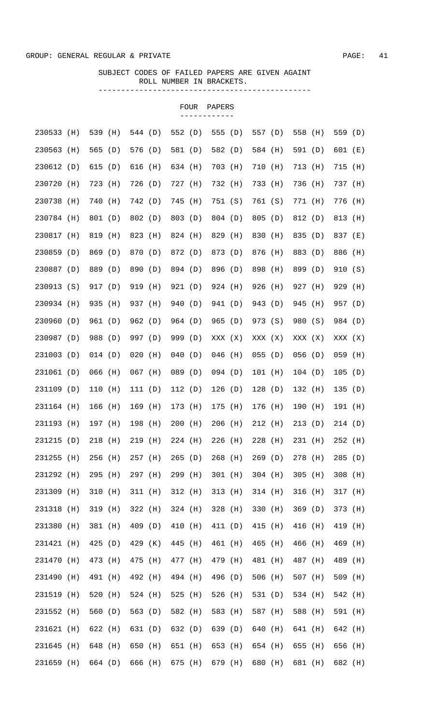|            |     |           |     |           |     |         | FOUR | PAPERS    |     |           |     |         |     |           |     |
|------------|-----|-----------|-----|-----------|-----|---------|------|-----------|-----|-----------|-----|---------|-----|-----------|-----|
| 230533     | (H) | 539 (H)   |     | 544 (D)   |     | 552 (D) |      | 555 (D)   |     | 557 (D)   |     | 558 (H) |     | 559 (D)   |     |
| 230563     | (H) | 565 (D)   |     | 576 (D)   |     | 581 (D) |      | 582 (D)   |     | 584 (H)   |     | 591 (D) |     | 601 (E)   |     |
| 230612     | (D) | 615 $(D)$ |     | 616 (H)   |     | 634 (H) |      | 703 (H)   |     | 710 (H)   |     | 713 (H) |     | 715 (H)   |     |
| 230720     | (H) | 723       | (H) | 726 (D)   |     | 727 (H) |      | 732 (H)   |     | 733 (H)   |     | 736 (H) |     | 737 (H)   |     |
| 230738     | (H) | 740       | (H) | 742 (D)   |     | 745 (H) |      | 751 (S)   |     | 761 (S)   |     | 771 (H) |     | 776 (H)   |     |
| 230784 (H) |     | 801 (D)   |     | 802 (D)   |     | 803 (D) |      | 804 (D)   |     | 805 (D)   |     | 812 (D) |     | 813       | (H) |
| 230817     | (H) | 819 (H)   |     | 823       | (H) | 824 (H) |      | 829 (H)   |     | 830 (H)   |     | 835 (D) |     | 837 (E)   |     |
| 230859     | (D) | 869 (D)   |     | 870 (D)   |     | 872 (D) |      | 873 (D)   |     | 876 (H)   |     | 883 (D) |     | 886 (H)   |     |
| 230887 (D) |     | 889 (D)   |     | 890       | (D) | 894 (D) |      | 896 (D)   |     | 898 (H)   |     | 899 (D) |     | 910(S)    |     |
| 230913 (S) |     | 917 (D)   |     | 919       | (H) | 921 (D) |      | 924 (H)   |     | 926 (H)   |     | 927 (H) |     | 929 (H)   |     |
| 230934 (H) |     | 935 (H)   |     | 937 (H)   |     | 940 (D) |      | 941 (D)   |     | 943 (D)   |     | 945 (H) |     | 957 (D)   |     |
| 230960     | (D) | 961 (D)   |     | 962 (D)   |     | 964 (D) |      | 965(D)    |     | 973 (S)   |     | 980 (S) |     | 984 (D)   |     |
| 230987 (D) |     | 988 (D)   |     | 997 (D)   |     | 999 (D) |      | XXX (X)   |     | XXX (X)   |     | XXX (X) |     | XXX (X)   |     |
| 231003 (D) |     | $014$ (D) |     | $020$ (H) |     | 040(D)  |      | $046$ (H) |     | $055$ (D) |     | 056(D)  |     | $059$ (H) |     |
| 231061 (D) |     | $066$ (H) |     | $067$ (H) |     | 089 (D) |      | $094$ (D) |     | $101$ (H) |     | 104(D)  |     | 105(D)    |     |
| 231109 (D) |     | 110 (H)   |     | 111(D)    |     | 112(D)  |      | 126(D)    |     | 128(D)    |     | 132 (H) |     | 135(D)    |     |
| 231164 (H) |     | 166 (H)   |     | 169 (H)   |     | 173 (H) |      | 175 (H)   |     | 176 (H)   |     | 190 (H) |     | 191 (H)   |     |
| 231193 (H) |     | 197 (H)   |     | 198 (H)   |     | 200 (H) |      | $206$ (H) |     | 212 (H)   |     | 213 (D) |     | 214 (D)   |     |
| 231215     | (D) | 218       | (H) | 219       | (H) | 224 (H) |      | 226       | (H) | 228       | (H) | 231 (H) |     | 252       | (H) |
| 231255     | (H) | 256       | (H) | 257       | (H) | 265(D)  |      | 268       | (H) | 269(D)    |     | 278     | (H) | 285       | (D) |
| 231292     | (H) | 295       | (H) | 297       | (H) | 299 (H) |      | $301$ (H) |     | $304$ (H) |     | 305     | (H) | 308       | (H) |
| 231309     | (H) | 310       | (H) | 311 (H)   |     | 312 (H) |      | 313       | (H) | $314$ (H) |     | 316     | (H) | 317 (H)   |     |
| 231318     | (H) | 319       | (H) | 322       | (H) | 324 (H) |      | 328       | (H) | 330 (H)   |     | 369     | (D) | 373       | (H) |
| 231380     | (H) | 381 (H)   |     | 409       | (D) | 410     | (H)  | 411 (D)   |     | 415       | (H) | 416     | (H) | 419       | (H) |
| 231421     | (H) | 425 (D)   |     | 429       | (K) | 445 (H) |      | 461       | (H) | 465       | (H) | 466     | (H) | 469       | (H) |
| 231470     | (H) | 473       | (H) | 475       | (H) | 477 (H) |      | 479 (H)   |     | 481 (H)   |     | 487 (H) |     | 489       | (H) |
| 231490     | (H) | 491 (H)   |     | 492 (H)   |     | 494 (H) |      | 496 (D)   |     | 506 (H)   |     | 507 (H) |     | 509       | (H) |
| 231519     | (H) | 520       | (H) | 524 (H)   |     | 525     | (H)  | 526       | (H) | 531 (D)   |     | 534 (H) |     | 542       | (H) |
| 231552     | (H) | 560       | (D) | 563       | (D) | 582 (H) |      | 583       | (H) | 587 (H)   |     | 588     | (H) | 591       | (H) |
| 231621     | (H) | 622       | (H) | 631       | (D) | 632 (D) |      | 639       | (D) | 640       | (H) | 641     | (H) | 642       | (H) |
| 231645     | (H) | 648       | (H) | 650       | (H) | 651 (H) |      | 653       | (H) | 654 (H)   |     | 655     | (H) | 656       | (H) |
| 231659     | (H) | 664 (D)   |     | 666       | (H) | 675 (H) |      | 679 (H)   |     | 680 (H)   |     | 681 (H) |     | 682 (H)   |     |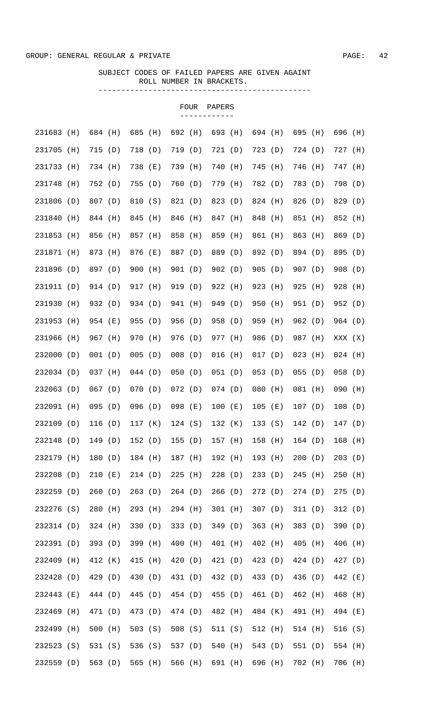|            |     |           |     |           |       |           | <b>FOUR</b><br>---------- | PAPERS    |     |           |     |           |     |           |       |
|------------|-----|-----------|-----|-----------|-------|-----------|---------------------------|-----------|-----|-----------|-----|-----------|-----|-----------|-------|
| 231683 (H) |     | 684 (H)   |     | 685       | (H)   | 692 (H)   |                           | 693 (H)   |     | 694 (H)   |     | 695 (H)   |     | 696 (H)   |       |
| 231705     | (H) | 715 (D)   |     | 718 (D)   |       | 719 (D)   |                           | 721(D)    |     | 723 (D)   |     | 724 (D)   |     | 727 (H)   |       |
| 231733     | (H) | 734 (H)   |     | 738       | ( E ) | 739 (H)   |                           | 740       | (H) | 745 (H)   |     | 746 (H)   |     | 747 (H)   |       |
| 231748     | (H) | 752 (D)   |     | 755       | (D)   | 760 (D)   |                           | 779 (H)   |     | 782 (D)   |     | 783 (D)   |     | 798 (D)   |       |
| 231806     | (D) | 807 (D)   |     | 810       | (S)   | 821 (D)   |                           | 823 (D)   |     | 824 (H)   |     | 826 (D)   |     | 829       | (D)   |
| 231840     | (H) | 844 (H)   |     | 845       | (H)   | 846 (H)   |                           | 847 (H)   |     | 848 (H)   |     | 851 (H)   |     | 852       | (H)   |
| 231853     | (H) | 856       | (H) | 857       | (H)   | 858 (H)   |                           | 859 (H)   |     | 861 (H)   |     | 863 (H)   |     | 869       | (D)   |
| 231871     | (H) | 873 (H)   |     | 876       | ( E ) | 887 (D)   |                           | 889 (D)   |     | 892 (D)   |     | 894 (D)   |     | 895       | (D)   |
| 231896     | (D) | 897 (D)   |     | 900       | (H)   | 901 (D)   |                           | 902(D)    |     | 905(D)    |     | 907(D)    |     | 908(D)    |       |
| 231911 (D) |     | 914 (D)   |     | 917 (H)   |       | 919 (D)   |                           | 922 (H)   |     | 923 (H)   |     | $925$ (H) |     | 928 (H)   |       |
| 231930     | (H) | 932 (D)   |     | 934 (D)   |       | 941 (H)   |                           | 949 (D)   |     | 950 (H)   |     | 951 (D)   |     | 952 (D)   |       |
| 231953     | (H) | 954 (E)   |     | 955 (D)   |       | 956 (D)   |                           | 958 (D)   |     | 959 (H)   |     | 962 (D)   |     | 964 (D)   |       |
| 231966     | (H) | 967 (H)   |     | 970 (H)   |       | 976 (D)   |                           | 977 (H)   |     | 986 (D)   |     | 987 (H)   |     | XXX (X)   |       |
| 232000 (D) |     | 001 (D)   |     | $005$ (D) |       | $008$ (D) |                           | $016$ (H) |     | 017(D)    |     | $023$ (H) |     | $024$ (H) |       |
| 232034 (D) |     | $037$ (H) |     | 044(D)    |       | 050(D)    |                           | $051$ (D) |     | $053$ (D) |     | $055$ (D) |     | $058$ (D) |       |
| 232063 (D) |     | $067$ (D) |     | 070(D)    |       | $072$ (D) |                           | 074(D)    |     | $080$ (H) |     | $081$ (H) |     | 090       | (H)   |
| 232091 (H) |     | $095$ (D) |     | 096(D)    |       | 098 (E)   |                           | $100$ (E) |     | $105$ (E) |     | 107(D)    |     | 108(D)    |       |
| 232109 (D) |     | 116 (D)   |     | 117 (K)   |       | 124(S)    |                           | 132 (K)   |     | 133(S)    |     | 142 (D)   |     | 147(D)    |       |
| 232148     | (D) | 149       | (D) | 152       | (D)   | 155       | (D)                       | 157 (H)   |     | 158       | (H) | 164       | (D) | 168       | (H)   |
| 232179     | (H) | 180       | (D) | 184 (H)   |       | 187 (H)   |                           | 192       | (H) | 193       | (H) | 200       | (D) | 203       | (D)   |
| 232208     | (D) | 210       | (E) | 214(D)    |       | 225       | (H)                       | 228       | (D) | 233(D)    |     | 245       | (H) | 250       | (H)   |
| 232259     | (D) | 260       | (D) | 263       | (D)   | 264(D)    |                           | 266       | (D) | 272(D)    |     | 274(D)    |     | 275       | (D)   |
| 232276     | (S) | 280       | (H) | 293       | (H)   | 294 (H)   |                           | 301 (H)   |     | 307(D)    |     | 311(D)    |     | 312(D)    |       |
| 232314 (D) |     | 324 (H)   |     | 330       | (D)   | 333 (D)   |                           | 349       | (D) | 363 (H)   |     | 383       | (D) | 390       | (D)   |
| 232391     | (D) | 393       | (D) | 399       | (H)   | 400       | (H)                       | 401       | (H) | 402 (H)   |     | 405       | (H) | 406       | (H)   |
| 232409     | (H) | 412 (K)   |     | 415       | (H)   | 420       | (D)                       | 421 (D)   |     | 423 (D)   |     | 424 (D)   |     | 427 (D)   |       |
| 232428     | (D) | 429 (D)   |     | 430       | (D)   | 431 (D)   |                           | 432 (D)   |     | 433 (D)   |     | 436       | (D) | 442       | ( E ) |
| 232443     | (E) | 444 (D)   |     | 445       | (D)   | 454 (D)   |                           | 455       | (D) | 461 (D)   |     | 462 (H)   |     | 468       | (H)   |
| 232469     | (H) | 471 (D)   |     | 473       | (D)   | 474 (D)   |                           | 482       | (H) | 484 (K)   |     | 491 (H)   |     | 494 (E)   |       |
| 232499     | (H) | 500       | (H) | 503       | (S)   | 508(S)    |                           | 511 (S)   |     | 512 (H)   |     | 514 (H)   |     | 516 (S)   |       |
| 232523     | (S) | 531       | (S) | 536 (S)   |       | 537 (D)   |                           | 540       | (H) | 543 (D)   |     | 551 (D)   |     | 554 (H)   |       |
| 232559     | (D) | 563 (D)   |     | 565       | (H)   | 566       | (H)                       | 691 (H)   |     | 696 (H)   |     | 702 (H)   |     | 706 (H)   |       |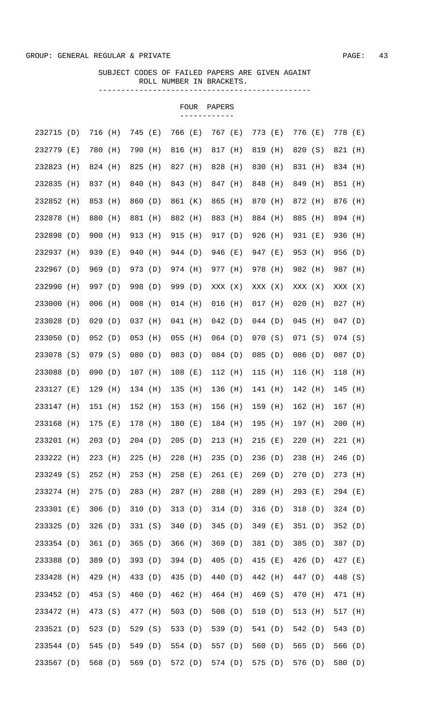|            |     |           |       |           |       |           | <b>FOUR</b> | PAPERS    |       |           |       |           |       |           |     |
|------------|-----|-----------|-------|-----------|-------|-----------|-------------|-----------|-------|-----------|-------|-----------|-------|-----------|-----|
| 232715 (D) |     | 716 (H)   |       | 745       | ( E ) | 766 (E)   |             | 767 (E)   |       | 773 (E)   |       | 776       | ( E ) | 778 (E)   |     |
| 232779 (E) |     | 780 (H)   |       | 790       | (H)   | 816 (H)   |             | 817 (H)   |       | 819 (H)   |       | 820       | (S)   | 821 (H)   |     |
| 232823     | (H) | 824 (H)   |       | 825       | (H)   | 827 (H)   |             | 828 (H)   |       | 830 (H)   |       | 831 (H)   |       | 834 (H)   |     |
| 232835     | (H) | 837 (H)   |       | 840       | (H)   | 843 (H)   |             | 847 (H)   |       | 848       | (H)   | 849       | (H)   | 851 (H)   |     |
| 232852     | (H) | 853       | (H)   | 860       | (D)   | 861 (K)   |             | 865       | (H)   | 870 (H)   |       | 872 (H)   |       | 876       | (H) |
| 232878     | (H) | 880       | (H)   | 881       | (H)   | 882 (H)   |             | 883       | (H)   | 884 (H)   |       | 885       | (H)   | 894 (H)   |     |
| 232898     | (D) | 900       | (H)   | 913       | (H)   | 915 (H)   |             | 917 (D)   |       | 926 (H)   |       | 931 (E)   |       | 936       | (H) |
| 232937     | (H) | 939       | ( E ) | 940       | (H)   | 944 (D)   |             | 946       | ( E ) | 947 (E)   |       | 953 (H)   |       | 956 (D)   |     |
| 232967     | (D) | 969 (D)   |       | 973 (D)   |       | 974 (H)   |             | 977 (H)   |       | 978 (H)   |       | 982 (H)   |       | 987 (H)   |     |
| 232990     | (H) | 997 (D)   |       | 998       | (D)   | 999 (D)   |             | XXX (X)   |       | XXX (X)   |       | XXX (X)   |       | XXX (X)   |     |
| 233000     | (H) | $006$ (H) |       | 008       | (H)   | $014$ (H) |             | 016       | (H)   | $017$ (H) |       | $020$ (H) |       | $027$ (H) |     |
| 233028     | (D) | 029(D)    |       | 037 (H)   |       | $041$ (H) |             | 042(D)    |       | 044(D)    |       | $045$ (H) |       | $047$ (D) |     |
| 233050     | (D) | 052(D)    |       | 053       | (H)   | $055$ (H) |             | $064$ (D) |       | 070(S)    |       | 071(S)    |       | $074$ (S) |     |
| 233078 (S) |     | 079(S)    |       | 080(D)    |       | $083$ (D) |             | 084 (D)   |       | 085(D)    |       | 086 (D)   |       | $087$ (D) |     |
| 233088     | (D) | 090(D)    |       | $107$ (H) |       | $108$ (E) |             | 112 (H)   |       | $115$ (H) |       | 116 (H)   |       | $118$ (H) |     |
| 233127 (E) |     | $129$ (H) |       | 134 (H)   |       | $135$ (H) |             | 136 (H)   |       | $141$ (H) |       | 142 (H)   |       | $145$ (H) |     |
| 233147     | (H) | 151 (H)   |       | 152 (H)   |       | 153 (H)   |             | 156 (H)   |       | $159$ (H) |       | 162 (H)   |       | 167 (H)   |     |
| 233168 (H) |     | 175 (E)   |       | 178 (H)   |       | 180 (E)   |             | 184 (H)   |       | $195$ (H) |       | 197 (H)   |       | $200$ (H) |     |
| 233201     | (H) | 203       | (D)   | 204(D)    |       | 205       | (D)         | 213       | (H)   | 215       | ( E ) | 220       | (H)   | 221       | (H) |
| 233222     | (H) | 223       | (H)   | 225       | (H)   | $228$ (H) |             | 235       | (D)   | 236       | (D)   | 238       | (H)   | 246       | (D) |
| 233249     | (S) | 252       | (H)   | 253       | (H)   | $258$ (E) |             | 261       | ( E ) | 269       | (D)   | 270       | (D)   | 273       | (H) |
| 233274 (H) |     | 275       | (D)   | 283       | (H)   | 287 (H)   |             | 288       | (H)   | 289       | (H)   | 293       | (E)   | 294 (E)   |     |
| 233301     | (E) | 306(D)    |       | 310       | (D)   | 313(D)    |             | 314(D)    |       | 316       | (D)   | 318       | (D)   | 324(D)    |     |
| 233325     | (D) | 326(D)    |       | 331 (S)   |       | 340       | (D)         | 345       | (D)   | 349 (E)   |       | 351 (D)   |       | 352(D)    |     |
| 233354     | (D) | 361 (D)   |       | 365       | (D)   | 366       | (H)         | 369       | (D)   | 381 (D)   |       | 385       | (D)   | 387 (D)   |     |
| 233388     | (D) | 389       | (D)   | 393       | (D)   | 394 (D)   |             | 405       | (D)   | 415       | (E)   | 426       | (D)   | 427 (E)   |     |
| 233428     | (H) | 429       | (H)   | 433       | (D)   | 435 (D)   |             | 440       | (D)   | 442 (H)   |       | 447       | (D)   | 448 (S)   |     |
| 233452     | (D) | 453       | (S)   | 460       | (D)   | 462 (H)   |             | 464 (H)   |       | 469 (S)   |       | 470       | (H)   | 471 (H)   |     |
| 233472     | (H) | 473       | (S)   | 477       | (H)   | 503 $(D)$ |             | 508(D)    |       | 510(D)    |       | 513       | (H)   | 517 (H)   |     |
| 233521     | (D) | 523       | (D)   | 529       | (S)   | 533 (D)   |             | 539       | (D)   | 541 (D)   |       | 542       | (D)   | 543       | (D) |
| 233544     | (D) | 545       | (D)   | 549       | (D)   | 554 (D)   |             | 557 (D)   |       | 560       | (D)   | 565       | (D)   | 566       | (D) |
| 233567     | (D) | 568       | (D)   | 569       | (D)   | 572 (D)   |             | 574 (D)   |       | 575       | (D)   | 576       | (D)   | 580       | (D) |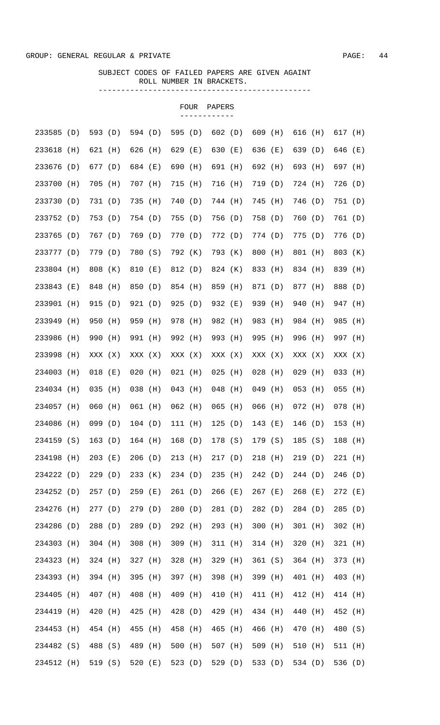|            |     |           |     |           |     |           | FOUR | PAPERS    |     |           |     |           |       |           |     |
|------------|-----|-----------|-----|-----------|-----|-----------|------|-----------|-----|-----------|-----|-----------|-------|-----------|-----|
| 233585     | (D) | 593 (D)   |     | 594 (D)   |     | 595 (D)   |      | 602(D)    |     | $609$ (H) |     | 616 (H)   |       | 617 (H)   |     |
| 233618     | (H) | 621 (H)   |     | 626 (H)   |     | 629 (E)   |      | 630 (E)   |     | 636 (E)   |     | 639 (D)   |       | 646 (E)   |     |
| 233676     | (D) | 677 (D)   |     | 684 (E)   |     | 690 (H)   |      | 691 (H)   |     | 692 (H)   |     | 693 (H)   |       | 697 (H)   |     |
| 233700     | (H) | 705 (H)   |     | 707 (H)   |     | 715 (H)   |      | 716 (H)   |     | 719 (D)   |     | 724 (H)   |       | 726 (D)   |     |
| 233730 (D) |     | 731 (D)   |     | 735       | (H) | 740 (D)   |      | 744 (H)   |     | 745 (H)   |     | 746 (D)   |       | 751 (D)   |     |
| 233752 (D) |     | 753 (D)   |     | 754 (D)   |     | 755 (D)   |      | 756 (D)   |     | 758 (D)   |     | 760 (D)   |       | 761 (D)   |     |
| 233765 (D) |     | 767 (D)   |     | 769 (D)   |     | 770 (D)   |      | 772 (D)   |     | 774 (D)   |     | 775(D)    |       | 776 (D)   |     |
| 233777 (D) |     | 779 (D)   |     | 780 (S)   |     | 792 (K)   |      | 793 (K)   |     | 800 (H)   |     | 801 (H)   |       | 803 (K)   |     |
| 233804 (H) |     | 808 (K)   |     | 810 (E)   |     | 812 (D)   |      | 824 (K)   |     | 833 (H)   |     | 834 (H)   |       | 839 (H)   |     |
| 233843 (E) |     | 848 (H)   |     | 850 (D)   |     | 854 (H)   |      | 859 (H)   |     | 871 (D)   |     | 877 (H)   |       | 888 (D)   |     |
| 233901 (H) |     | 915 (D)   |     | 921 (D)   |     | 925(D)    |      | 932 (E)   |     | 939 (H)   |     | 940 (H)   |       | 947 (H)   |     |
| 233949 (H) |     | 950 (H)   |     | 959 (H)   |     | 978 (H)   |      | 982 (H)   |     | 983 (H)   |     | 984 (H)   |       | 985 (H)   |     |
| 233986     | (H) | 990 (H)   |     | 991 (H)   |     | 992 (H)   |      | 993 (H)   |     | 995 (H)   |     | 996 (H)   |       | 997 (H)   |     |
| 233998 (H) |     | XXX (X)   |     | XXX (X)   |     | XXX (X)   |      | XXX (X)   |     | XXX (X)   |     | XXX (X)   |       | XXX (X)   |     |
| 234003 (H) |     | $018$ (E) |     | $020$ (H) |     | $021$ (H) |      | $025$ (H) |     | $028$ (H) |     | $029$ (H) |       | $033$ (H) |     |
| 234034 (H) |     | $035$ (H) |     | $038$ (H) |     | $043$ (H) |      | 048 (H)   |     | $049$ (H) |     | $053$ (H) |       | $055$ (H) |     |
| 234057 (H) |     | 060 (H)   |     | 061 (H)   |     | $062$ (H) |      | $065$ (H) |     | $066$ (H) |     | 072 (H)   |       | $078$ (H) |     |
| 234086 (H) |     | 099(D)    |     | 104(D)    |     | 111(H)    |      | 125(D)    |     | 143 (E)   |     | 146 (D)   |       | $153$ (H) |     |
| 234159 (S) |     | 163(D)    |     | 164 (H)   |     | 168(D)    |      | 178 (S)   |     | 179 (S)   |     | 185       | (S)   | 188       | (H) |
| 234198     | (H) | $203$ (E) |     | 206(D)    |     | 213 (H)   |      | 217(D)    |     | 218       | (H) | 219(D)    |       | $221$ (H) |     |
| 234222     | (D) | 229       | (D) | 233       | (K) | 234 (D)   |      | 235       | (H) | 242 (D)   |     | 244(D)    |       | 246       | (D) |
| 234252     | (D) | 257(D)    |     | 259       | (E) | 261 (D)   |      | $266$ (E) |     | $267$ (E) |     | 268       | ( E ) | 272 (E)   |     |
| 234276     | (H) | 277(D)    |     | 279       | (D) | 280       | (D)  | 281 (D)   |     | 282 (D)   |     | 284 (D)   |       | 285       | (D) |
| 234286     | (D) | 288       | (D) | 289       | (D) | 292 (H)   |      | 293 (H)   |     | 300 (H)   |     | $301$ (H) |       | 302       | (H) |
| 234303     | (H) | $304$ (H) |     | 308       | (H) | 309 (H)   |      | 311 (H)   |     | $314$ (H) |     | 320       | (H)   | 321       | (H) |
| 234323     | (H) | 324 (H)   |     | 327       | (H) | $328$ (H) |      | 329       | (H) | 361(S)    |     | 364 (H)   |       | 373       | (H) |
| 234393     | (H) | 394 (H)   |     | 395       | (H) | 397 (H)   |      | 398       | (H) | 399 (H)   |     | 401 (H)   |       | 403       | (H) |
| 234405     | (H) | 407       | (H) | 408       | (H) | 409 (H)   |      | 410       | (H) | 411 (H)   |     | 412 (H)   |       | 414 (H)   |     |
| 234419     | (H) | 420       | (H) | 425       | (H) | 428 (D)   |      | 429       | (H) | 434 (H)   |     | 440       | (H)   | 452       | (H) |
| 234453     | (H) | 454 (H)   |     | 455       | (H) | 458       | (H)  | 465       | (H) | 466       | (H) | 470       | (H)   | 480       | (S) |
| 234482     | (S) | 488 (S)   |     | 489       | (H) | $500$ (H) |      | 507 (H)   |     | 509 (H)   |     | 510       | (H)   | 511 (H)   |     |
| 234512 (H) |     | 519(S)    |     | 520       | (E) | 523 $(D)$ |      | 529 (D)   |     | 533 (D)   |     | 534 (D)   |       | 536 (D)   |     |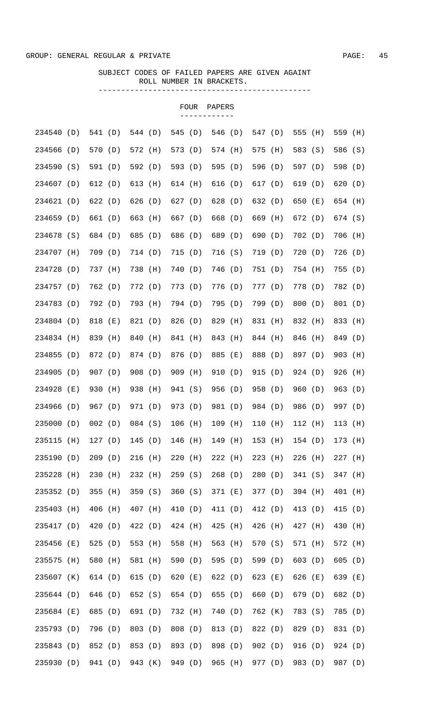|            |       |         |     |         |     |           | FOUR  | PAPERS  |     |         |       |         |     |           |       |
|------------|-------|---------|-----|---------|-----|-----------|-------|---------|-----|---------|-------|---------|-----|-----------|-------|
| 234540     | (D)   | 541 (D) |     | 544 (D) |     | 545 (D)   |       | 546 (D) |     | 547 (D) |       | 555 (H) |     | 559 (H)   |       |
| 234566     | (D)   | 570 (D) |     | 572 (H) |     | 573 (D)   |       | 574 (H) |     | 575 (H) |       | 583 (S) |     | 586 (S)   |       |
| 234590     | (S)   | 591 (D) |     | 592 (D) |     | 593 (D)   |       | 595 (D) |     | 596 (D) |       | 597 (D) |     | 598 (D)   |       |
| 234607 (D) |       | 612(D)  |     | 613     | (H) | 614 (H)   |       | 616 (D) |     | 617 (D) |       | 619 (D) |     | 620       | (D)   |
| 234621     | (D)   | 622(D)  |     | 626(D)  |     | 627 (D)   |       | 628 (D) |     | 632 (D) |       | 650 (E) |     | 654 (H)   |       |
| 234659 (D) |       | 661 (D) |     | 663     | (H) | 667 (D)   |       | 668 (D) |     | 669 (H) |       | 672 (D) |     | 674 (S)   |       |
| 234678 (S) |       | 684 (D) |     | 685     | (D) | 686 (D)   |       | 689 (D) |     | 690 (D) |       | 702 (D) |     | 706 (H)   |       |
| 234707 (H) |       | 709 (D) |     | 714 (D) |     | 715 (D)   |       | 716(S)  |     | 719 (D) |       | 720(D)  |     | 726 (D)   |       |
| 234728     | (D)   | 737 (H) |     | 738 (H) |     | 740 (D)   |       | 746 (D) |     | 751 (D) |       | 754 (H) |     | 755 (D)   |       |
| 234757 (D) |       | 762 (D) |     | 772 (D) |     | 773 (D)   |       | 776 (D) |     | 777 (D) |       | 778 (D) |     | 782 (D)   |       |
| 234783 (D) |       | 792 (D) |     | 793 (H) |     | 794 (D)   |       | 795 (D) |     | 799 (D) |       | 800 (D) |     | 801 (D)   |       |
| 234804 (D) |       | 818 (E) |     | 821 (D) |     | 826 (D)   |       | 829 (H) |     | 831 (H) |       | 832 (H) |     | 833 (H)   |       |
| 234834 (H) |       | 839 (H) |     | 840 (H) |     | 841 (H)   |       | 843 (H) |     | 844 (H) |       | 846 (H) |     | 849 (D)   |       |
| 234855 (D) |       | 872 (D) |     | 874 (D) |     | 876 (D)   |       | 885 (E) |     | 888 (D) |       | 897 (D) |     | 903 (H)   |       |
| 234905 (D) |       | 907 (D) |     | 908 (D) |     | 909 (H)   |       | 910 (D) |     | 915 (D) |       | 924 (D) |     | 926 (H)   |       |
| 234928     | ( E ) | 930 (H) |     | 938 (H) |     | 941 (S)   |       | 956 (D) |     | 958 (D) |       | 960(D)  |     | 963 (D)   |       |
| 234966     | (D)   | 967 (D) |     | 971 (D) |     | 973 (D)   |       | 981 (D) |     | 984 (D) |       | 986 (D) |     | 997 (D)   |       |
| 235000 (D) |       | 002(D)  |     | 084 (S) |     | $106$ (H) |       | 109 (H) |     | 110 (H) |       | 112 (H) |     | 113 (H)   |       |
| 235115     | (H)   | 127(D)  |     | 145     | (D) | 146 (H)   |       | 149     | (H) | 153     | (H)   | 154(D)  |     | 173       | (H)   |
| 235190     | (D)   | 209(D)  |     | 216     | (H) | 220       | (H)   | 222     | (H) | 223     | (H)   | 226     | (H) | $227$ (H) |       |
| 235228     | (H)   | 230     | (H) | 232 (H) |     | 259(S)    |       | 268     | (D) | 280     | (D)   | 341 (S) |     | 347 (H)   |       |
| 235352     | (D)   | 355     | (H) | 359     | (S) | 360(S)    |       | 371 (E) |     | 377 (D) |       | 394 (H) |     | 401 (H)   |       |
| 235403     | (H)   | 406     | (H) | 407 (H) |     | 410 (D)   |       | 411 (D) |     | 412 (D) |       | 413 (D) |     | 415       | (D)   |
| 235417     | (D)   | 420 (D) |     | 422     | (D) | 424 (H)   |       | 425     | (H) | 426     | (H)   | 427 (H) |     | 430       | (H)   |
| 235456     | (E)   | 525     | (D) | 553     | (H) | 558 (H)   |       | 563 (H) |     | 570 (S) |       | 571 (H) |     | 572       | (H)   |
| 235575     | (H)   | 580     | (H) | 581 (H) |     | 590       | (D)   | 595 (D) |     | 599 (D) |       | 603(D)  |     | 605       | (D)   |
| 235607     | (K)   | 614 (D) |     | 615     | (D) | 620       | ( E ) | 622 (D) |     | 623     | ( E ) | 626     | (E) | 639       | ( E ) |
| 235644     | (D)   | 646     | (D) | 652 (S) |     | 654 (D)   |       | 655 (D) |     | 660     | (D)   | 679     | (D) | 682       | (D)   |
| 235684     | (E)   | 685     | (D) | 691     | (D) | 732 (H)   |       | 740     | (D) | 762 (K) |       | 783 (S) |     | 785       | (D)   |
| 235793     | (D)   | 796     | (D) | 803     | (D) | 808 (D)   |       | 813     | (D) | 822 (D) |       | 829     | (D) | 831 (D)   |       |
| 235843     | (D)   | 852 (D) |     | 853     | (D) | 893 (D)   |       | 898 (D) |     | 902(D)  |       | 916 (D) |     | 924(D)    |       |
| 235930     | (D)   | 941 (D) |     | 943     | (K) | 949 (D)   |       | 965     | (H) | 977 (D) |       | 983 (D) |     | 987 (D)   |       |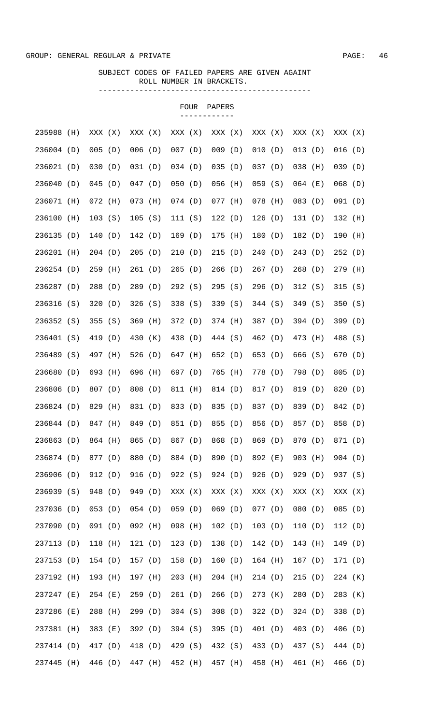|            |     |           |       |           |     |           | FOUR | PAPERS    |     |           |           |     |           |     |
|------------|-----|-----------|-------|-----------|-----|-----------|------|-----------|-----|-----------|-----------|-----|-----------|-----|
| 235988     | (H) | XXX (X)   |       | XXX (X)   |     | XXX (X)   |      | XXX (X)   |     | XXX (X)   | XXX (X)   |     | XXX (X)   |     |
| 236004 (D) |     | $005$ (D) |       | 006(D)    |     | $007$ (D) |      | 009(D)    |     | 010 (D)   | $013$ (D) |     | 016(D)    |     |
| 236021 (D) |     | 030(D)    |       | 031(D)    |     | 034(D)    |      | 035(D)    |     | 037(D)    | $038$ (H) |     | 039(D)    |     |
| 236040     | (D) | $045$ (D) |       | 047(D)    |     | 050(D)    |      | $056$ (H) |     | 059(S)    | $064$ (E) |     | $068$ (D) |     |
| 236071     | (H) | $072$ (H) |       | $073$ (H) |     | $074$ (D) |      | $077$ (H) |     | $078$ (H) | $083$ (D) |     | 091(D)    |     |
| 236100     | (H) | 103(S)    |       | 105(S)    |     | 111 (S)   |      | 122(D)    |     | 126(D)    | 131(D)    |     | 132 (H)   |     |
| 236135     | (D) | 140(D)    |       | 142 (D)   |     | 169(D)    |      | 175 (H)   |     | 180(D)    | 182 (D)   |     | 190 (H)   |     |
| 236201 (H) |     | 204(D)    |       | 205(D)    |     | 210(D)    |      | 215(D)    |     | 240(D)    | 243 (D)   |     | 252(D)    |     |
| 236254 (D) |     | 259 (H)   |       | 261 (D)   |     | 265(D)    |      | 266(D)    |     | 267(D)    | 268(D)    |     | 279 (H)   |     |
| 236287 (D) |     | 288 (D)   |       | 289 (D)   |     | 292 (S)   |      | 295(S)    |     | 296(D)    | 312(S)    |     | 315(S)    |     |
| 236316 (S) |     | 320(D)    |       | 326(S)    |     | 338 (S)   |      | 339 (S)   |     | 344 (S)   | 349(S)    |     | 350(S)    |     |
| 236352 (S) |     | 355(S)    |       | 369 (H)   |     | 372 (D)   |      | 374 (H)   |     | 387 (D)   | 394 (D)   |     | 399 (D)   |     |
| 236401 (S) |     | 419 (D)   |       | 430 (K)   |     | 438 (D)   |      | 444 (S)   |     | 462 (D)   | 473 (H)   |     | 488 (S)   |     |
| 236489 (S) |     | 497 (H)   |       | 526 $(D)$ |     | 647 (H)   |      | 652 (D)   |     | 653 (D)   | 666 (S)   |     | 670 (D)   |     |
| 236680 (D) |     | 693 (H)   |       | 696 (H)   |     | 697 (D)   |      | 765 (H)   |     | 778 (D)   | 798 (D)   |     | 805(D)    |     |
| 236806 (D) |     | 807 (D)   |       | 808 (D)   |     | 811 (H)   |      | 814 (D)   |     | 817 (D)   | 819 (D)   |     | 820 (D)   |     |
| 236824 (D) |     | 829 (H)   |       | 831 (D)   |     | 833 (D)   |      | 835 (D)   |     | 837 (D)   | 839 (D)   |     | 842 (D)   |     |
| 236844 (D) |     | 847 (H)   |       | 849 (D)   |     | 851 (D)   |      | 855 (D)   |     | 856 (D)   | 857 (D)   |     | 858 (D)   |     |
| 236863     | (D) | 864 (H)   |       | 865       | (D) | 867 (D)   |      | 868 (D)   |     | 869 (D)   | 870 (D)   |     | 871 (D)   |     |
| 236874 (D) |     | 877 (D)   |       | 880       | (D) | 884 (D)   |      | 890 (D)   |     | 892 (E)   | 903       | (H) | 904(D)    |     |
| 236906     | (D) | 912 (D)   |       | 916       | (D) | 922(S)    |      | 924 (D)   |     | 926(D)    | 929 (D)   |     | 937 (S)   |     |
| 236939     | (S) | 948       | (D)   | 949       | (D) | XXX (X)   |      | XXX (X)   |     | XXX (X)   | XXX (X)   |     | XXX (X)   |     |
| 237036     | (D) | $053$ (D) |       | 054(D)    |     | 059(D)    |      | 069(D)    |     | 077(D)    | 080       | (D) | 085(D)    |     |
| 237090     | (D) | 091 (D)   |       | $092$ (H) |     | 098 (H)   |      | 102(D)    |     | 103(D)    | 110       | (D) | 112(D)    |     |
| 237113 (D) |     | 118 (H)   |       | 121(D)    |     | 123(D)    |      | 138 (D)   |     | 142 (D)   | 143       | (H) | 149       | (D) |
| 237153     | (D) | 154(D)    |       | 157(D)    |     | 158 (D)   |      | 160       | (D) | $164$ (H) | 167(D)    |     | 171 (D)   |     |
| 237192     | (H) | 193       | (H)   | 197       | (H) | 203       | (H)  | $204$ (H) |     | 214(D)    | 215(D)    |     | $224$ (K) |     |
| 237247     | (E) | 254       | ( E ) | 259       | (D) | 261(D)    |      | 266(D)    |     | 273 (K)   | 280       | (D) | 283       | (K) |
| 237286     | (E) | 288       | (H)   | 299       | (D) | $304$ (S) |      | 308(D)    |     | 322 (D)   | 324(D)    |     | 338       | (D) |
| 237381     | (H) | 383       | (E)   | 392 (D)   |     | $394$ (S) |      | 395       | (D) | 401 (D)   | 403 (D)   |     | 406 (D)   |     |
| 237414 (D) |     | 417 (D)   |       | 418 (D)   |     | 429 (S)   |      | 432 (S)   |     | 433 (D)   | 437 (S)   |     | 444 (D)   |     |
| 237445     | (H) | 446       | (D)   | 447       | (H) | 452 (H)   |      | 457 (H)   |     | 458 (H)   | 461 (H)   |     | 466 (D)   |     |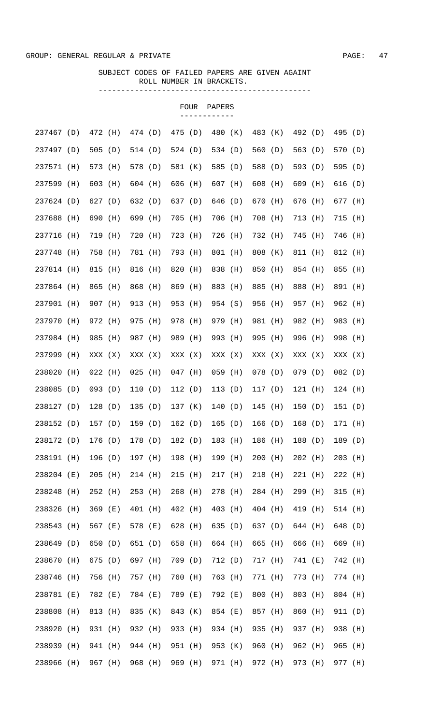|            |       |           |       |           |         |           | FOUR | PAPERS    |         |           |     |           |     |           |     |
|------------|-------|-----------|-------|-----------|---------|-----------|------|-----------|---------|-----------|-----|-----------|-----|-----------|-----|
| 237467 (D) |       | 472 (H)   |       | 474 (D)   |         | 475 (D)   |      | 480 (K)   |         | 483 (K)   |     | 492 (D)   |     | 495 (D)   |     |
| 237497 (D) |       | 505(D)    |       | 514 (D)   |         | 524 (D)   |      | 534 (D)   |         | 560 (D)   |     | 563 (D)   |     | 570 (D)   |     |
| 237571 (H) |       | 573 (H)   |       | 578 (D)   |         | 581 (K)   |      | 585 (D)   |         | 588 (D)   |     | 593 (D)   |     | 595 (D)   |     |
| 237599 (H) |       | 603 (H)   |       | 604 (H)   |         | 606 (H)   |      | 607 (H)   |         | 608 (H)   |     | 609 (H)   |     | 616 (D)   |     |
| 237624 (D) |       | 627 (D)   |       | 632 (D)   |         | 637 (D)   |      | 646 (D)   |         | 670 (H)   |     | 676 (H)   |     | 677 (H)   |     |
| 237688     | (H)   | 690       | (H)   | 699       | (H)     | 705 (H)   |      | 706 (H)   |         | 708 (H)   |     | 713 (H)   |     | 715 (H)   |     |
| 237716     | (H)   | 719       | (H)   | 720       | (H)     | 723 (H)   |      | 726 (H)   |         | 732 (H)   |     | 745 (H)   |     | 746       | (H) |
| 237748     | (H)   | 758       | (H)   | 781 (H)   |         | 793 (H)   |      | 801 (H)   |         | 808 (K)   |     | 811 (H)   |     | 812 (H)   |     |
| 237814 (H) |       | 815       | (H)   | 816       | (H)     | 820       | (H)  | 838 (H)   |         | 850 (H)   |     | 854 (H)   |     | 855       | (H) |
| 237864 (H) |       | 865       | (H)   | 868       | (H)     | 869       | (H)  | 883 (H)   |         | 885       | (H) | 888 (H)   |     | 891       | (H) |
| 237901     | (H)   | 907 (H)   |       | 913       | (H)     | 953 (H)   |      | 954 (S)   |         | 956 (H)   |     | 957 (H)   |     | 962 (H)   |     |
| 237970     | (H)   | 972 (H)   |       | 975 (H)   |         | 978 (H)   |      | 979 (H)   |         | 981 (H)   |     | 982 (H)   |     | 983       | (H) |
| 237984     | (H)   | 985 (H)   |       | 987 (H)   |         | 989 (H)   |      | 993 (H)   |         | 995 (H)   |     | 996 (H)   |     | 998 (H)   |     |
| 237999     | (H)   | XXX (X)   |       | XXX (X)   |         | XXX (X)   |      | XXX (X)   |         | XXX (X)   |     | XXX (X)   |     | XXX (X)   |     |
| 238020     | (H)   | $022$ (H) |       | $025$ (H) |         | $047$ (H) |      | $059$ (H) |         | $078$ (D) |     | 079(D)    |     | 082(D)    |     |
| 238085     | (D)   | $093$ (D) |       | 110(D)    |         | 112(D)    |      | 113(D)    |         | 117(D)    |     | $121$ (H) |     | $124$ (H) |     |
| 238127 (D) |       | 128(D)    |       | 135(D)    |         | 137 (K)   |      | 140(D)    |         | $145$ (H) |     | 150(D)    |     | 151(D)    |     |
| 238152 (D) |       | 157 (D)   |       |           | 159 (D) | 162 (D)   |      |           | 165 (D) | 166 (D)   |     | 168 (D)   |     | 171 (H)   |     |
| 238172     | (D)   | 176       | (D)   | 178       | (D)     | 182 (D)   |      | 183       | (H)     | 186       | (H) | 188       | (D) | 189       | (D) |
| 238191     | (H)   | 196 (D)   |       | 197       | (H)     | 198 (H)   |      | 199       | (H)     | 200       | (H) | 202       | (H) | 203       | (H) |
| 238204     | ( E ) | 205       | (H)   | 214 (H)   |         | 215       | (H)  | 217       | (H)     | 218       | (H) | 221       | (H) | 222       | (H) |
| 238248     | (H)   | 252 (H)   |       | 253       | (H)     | $268$ (H) |      | 278       | (H)     | 284 (H)   |     | 299       | (H) | 315       | (H) |
| 238326     | (H)   | 369       | ( E ) | 401 (H)   |         | 402 (H)   |      | 403       | (H)     | 404 (H)   |     | 419       | (H) | 514 (H)   |     |
| 238543     | (H)   | 567       | (E)   | 578       | ( E )   | 628 (H)   |      | 635       | (D)     | 637 (D)   |     | 644 (H)   |     | 648       | (D) |
| 238649     | (D)   | 650       | (D)   | 651 (D)   |         | 658       | (H)  | 664 (H)   |         | 665       | (H) | 666       | (H) | 669       | (H) |
| 238670     | (H)   | 675       | (D)   | 697       | (H)     | 709 (D)   |      | 712       | (D)     | 717 (H)   |     | 741 (E)   |     | 742       | (H) |
| 238746     | (H)   | 756       | (H)   | 757       | (H)     | 760       | (H)  | 763       | (H)     | 771       | (H) | 773       | (H) | 774 (H)   |     |
| 238781     | (E)   | 782 (E)   |       | 784       | ( E )   | 789 (E)   |      | 792       | ( E )   | 800       | (H) | 803       | (H) | 804 (H)   |     |
| 238808     | (H)   | 813       | (H)   | 835       | (K)     | 843       | (K)  | 854 (E)   |         | 857       | (H) | 860       | (H) | 911 (D)   |     |
| 238920     | (H)   | 931 (H)   |       | 932       | (H)     | 933 (H)   |      | 934 (H)   |         | 935       | (H) | 937       | (H) | 938       | (H) |
| 238939     | (H)   | 941 (H)   |       | 944 (H)   |         | 951 (H)   |      | 953 (K)   |         | 960       | (H) | 962 (H)   |     | 965       | (H) |
| 238966     | (H)   | 967       | (H)   | 968       | (H)     | 969       | (H)  | 971       | (H)     | 972       | (H) | 973       | (H) | 977       | (H) |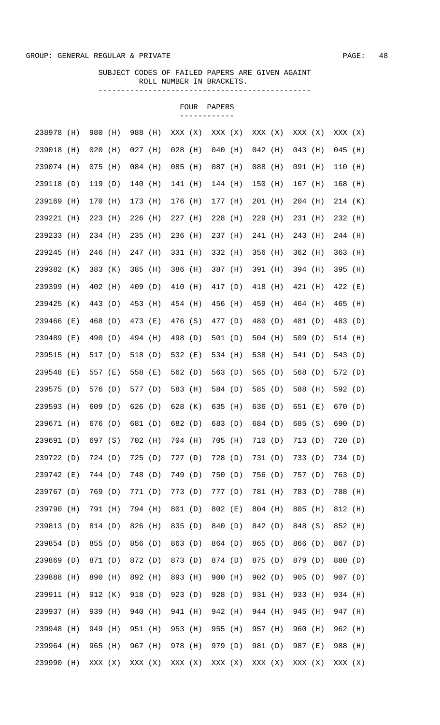|            |       |           |       |           |     |           | FOUR | PAPERS    |     |           |     |           |     |           |       |
|------------|-------|-----------|-------|-----------|-----|-----------|------|-----------|-----|-----------|-----|-----------|-----|-----------|-------|
| 238978 (H) |       | 980 (H)   |       | 988 (H)   |     | XXX (X)   |      | XXX (X)   |     | XXX (X)   |     | XXX (X)   |     | XXX (X)   |       |
| 239018 (H) |       | $020$ (H) |       | $027$ (H) |     | $028$ (H) |      | $040$ (H) |     | $042$ (H) |     | $043$ (H) |     | $045$ (H) |       |
| 239074 (H) |       | $075$ (H) |       | 084 (H)   |     | $085$ (H) |      | $087$ (H) |     | $088$ (H) |     | 091 (H)   |     | 110       | (H)   |
| 239118     | (D)   | 119 (D)   |       | 140       | (H) | 141 (H)   |      | 144 (H)   |     | 150 (H)   |     | 167 (H)   |     | 168       | (H)   |
| 239169     | (H)   | 170       | (H)   | 173       | (H) | 176 (H)   |      | 177 (H)   |     | $201$ (H) |     | $204$ (H) |     | 214 (K)   |       |
| 239221     | (H)   | 223       | (H)   | 226       | (H) | $227$ (H) |      | 228       | (H) | $229$ (H) |     | 231 (H)   |     | 232 (H)   |       |
| 239233     | (H)   | 234 (H)   |       | 235       | (H) | 236 (H)   |      | 237 (H)   |     | 241 (H)   |     | 243 (H)   |     | 244 (H)   |       |
| 239245     | (H)   | 246 (H)   |       | 247       | (H) | 331 (H)   |      | 332 (H)   |     | 356 (H)   |     | 362 (H)   |     | 363       | (H)   |
| 239382     | (K)   | 383 (K)   |       | 385       | (H) | 386 (H)   |      | 387 (H)   |     | 391 (H)   |     | 394 (H)   |     | 395       | (H)   |
| 239399     | (H)   | 402 (H)   |       | 409       | (D) | 410 (H)   |      | 417 (D)   |     | 418       | (H) | 421 (H)   |     | 422       | ( E ) |
| 239425     | (K)   | 443 (D)   |       | 453       | (H) | 454 (H)   |      | 456       | (H) | 459 (H)   |     | 464 (H)   |     | 465       | (H)   |
| 239466     | (E)   | 468 (D)   |       | 473 (E)   |     | 476 (S)   |      | 477 (D)   |     | 480 (D)   |     | 481 (D)   |     | 483 (D)   |       |
| 239489     | (E)   | 490 (D)   |       | 494 (H)   |     | 498 (D)   |      | 501 (D)   |     | $504$ (H) |     | 509 (D)   |     | 514 (H)   |       |
| 239515     | (H)   | 517 (D)   |       | 518 (D)   |     | 532 (E)   |      | 534 (H)   |     | 538 (H)   |     | 541 (D)   |     | 543 (D)   |       |
| 239548     | ( E ) | 557 (E)   |       | 558 (E)   |     | 562 (D)   |      | 563 (D)   |     | 565 (D)   |     | 568 (D)   |     | 572 (D)   |       |
| 239575     | (D)   | 576 (D)   |       | 577 (D)   |     | 583 (H)   |      | 584 (D)   |     | 585 (D)   |     | 588 (H)   |     | 592 (D)   |       |
| 239593     | (H)   | 609(D)    |       | 626 (D)   |     | 628 (K)   |      | 635 (H)   |     | 636 (D)   |     | 651 (E)   |     | 670 (D)   |       |
| 239671     | (H)   | 676 (D)   |       | 681 (D)   |     | 682 (D)   |      | 683 (D)   |     | 684 (D)   |     | 685 (S)   |     | 690 (D)   |       |
| 239691     | (D)   | 697 (S)   |       | 702       | (H) | 704 (H)   |      | 705       | (H) | 710       | (D) | 713       | (D) | 720       | (D)   |
| 239722     | (D)   | 724 (D)   |       | 725       | (D) | 727 (D)   |      | 728       | (D) | 731 (D)   |     | 733       | (D) | 734 (D)   |       |
| 239742     | (E)   | 744 (D)   |       | 748       | (D) | 749 (D)   |      | 750       | (D) | 756       | (D) | 757       | (D) | 763       | (D)   |
| 239767     | (D)   | 769       | (D)   | 771 (D)   |     | 773 (D)   |      | 777 (D)   |     | 781 (H)   |     | 783       | (D) | 788       | (H)   |
| 239790     | (H)   | 791 (H)   |       | 794 (H)   |     | 801 (D)   |      | 802 (E)   |     | 804 (H)   |     | 805       | (H) | 812       | (H)   |
| 239813     | (D)   | 814 (D)   |       | 826       | (H) | 835       | (D)  | 840       | (D) | 842 (D)   |     | 848       | (S) | 852       | (H)   |
| 239854     | (D)   | 855       | (D)   | 856       | (D) | 863       | (D)  | 864 (D)   |     | 865       | (D) | 866       | (D) | 867       | (D)   |
| 239869     | (D)   | 871 (D)   |       | 872 (D)   |     | 873       | (D)  | 874 (D)   |     | 875       | (D) | 879       | (D) | 880       | (D)   |
| 239888     | (H)   | 890       | (H)   | 892       | (H) | 893       | (H)  | 900       | (H) | 902(D)    |     | 905       | (D) | 907 (D)   |       |
| 239911     | (H)   | 912 (K)   |       | 918       | (D) | 923 (D)   |      | 928 (D)   |     | 931 (H)   |     | 933       | (H) | 934 (H)   |       |
| 239937     | (H)   | 939       | (H)   | 940       | (H) | 941 (H)   |      | 942       | (H) | 944 (H)   |     | 945       | (H) | 947       | (H)   |
| 239948     | (H)   | 949       | (H)   | 951       | (H) | 953       | (H)  | 955       | (H) | 957       | (H) | 960       | (H) | 962       | (H)   |
| 239964     | (H)   | 965       | (H)   | 967       | (H) | 978 (H)   |      | 979       | (D) | 981 (D)   |     | 987       | (E) | 988       | (H)   |
| 239990     | (H)   | XXX       | ( X ) | XXX       | (X) | XXX (X)   |      | XXX (X)   |     | XXX (X)   |     | XXX       | (X) | XXX (X)   |       |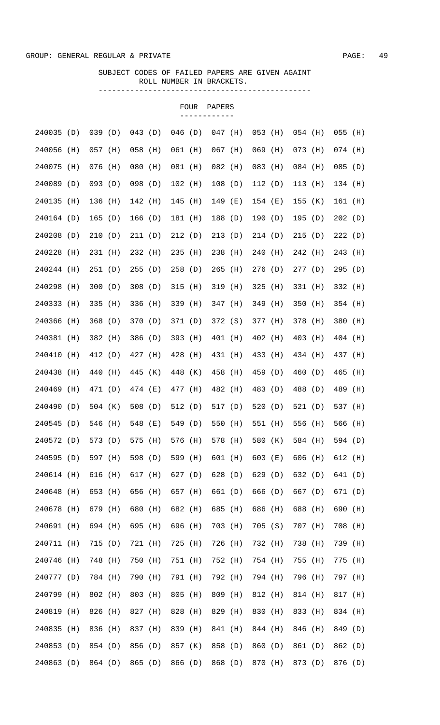|            |     |           |     |         |     |           | FOUR | PAPERS    |     |           |     |           |     |           |     |
|------------|-----|-----------|-----|---------|-----|-----------|------|-----------|-----|-----------|-----|-----------|-----|-----------|-----|
| 240035 (D) |     | 039(D)    |     | 043(D)  |     | $046$ (D) |      | $047$ (H) |     | 053 (H)   |     | $054$ (H) |     | $055$ (H) |     |
| 240056     | (H) | $057$ (H) |     | 058     | (H) | 061 (H)   |      | $067$ (H) |     | $069$ (H) |     | $073$ (H) |     | $074$ (H) |     |
| 240075     | (H) | 076 (H)   |     | 080     | (H) | 081 (H)   |      | $082$ (H) |     | 083 (H)   |     | 084 (H)   |     | 085       | (D) |
| 240089     | (D) | $093$ (D) |     | 098     | (D) | $102$ (H) |      | 108 (D)   |     | 112(D)    |     | 113 (H)   |     | 134 (H)   |     |
| 240135     | (H) | 136       | (H) | 142     | (H) | $145$ (H) |      | 149 (E)   |     | 154 (E)   |     | 155       | (K) | 161       | (H) |
| 240164 (D) |     | 165(D)    |     | 166 (D) |     | 181 (H)   |      | 188 (D)   |     | 190(D)    |     | 195(D)    |     | 202(D)    |     |
| 240208     | (D) | 210       | (D) | 211 (D) |     | 212(D)    |      | 213       | (D) | 214(D)    |     | 215(D)    |     | 222(D)    |     |
| 240228     | (H) | 231 (H)   |     | 232 (H) |     | $235$ (H) |      | 238       | (H) | 240 (H)   |     | 242 (H)   |     | 243       | (H) |
| 240244     | (H) | 251(D)    |     | 255     | (D) | 258(D)    |      | 265       | (H) | 276(D)    |     | 277(D)    |     | 295       | (D) |
| 240298     | (H) | 300(D)    |     | 308     | (D) | 315       | (H)  | 319 (H)   |     | 325       | (H) | 331 (H)   |     | 332       | (H) |
| 240333     | (H) | 335       | (H) | 336     | (H) | 339 (H)   |      | 347 (H)   |     | 349 (H)   |     | 350 (H)   |     | 354 (H)   |     |
| 240366     | (H) | 368(D)    |     | 370 (D) |     | 371 (D)   |      | 372 (S)   |     | 377 (H)   |     | 378 (H)   |     | 380       | (H) |
| 240381     | (H) | 382 (H)   |     | 386 (D) |     | 393 (H)   |      | 401 (H)   |     | 402 (H)   |     | 403 (H)   |     | 404 (H)   |     |
| 240410     | (H) | 412 (D)   |     | 427 (H) |     | 428 (H)   |      | 431 (H)   |     | 433 (H)   |     | 434 (H)   |     | 437 (H)   |     |
| 240438     | (H) | 440 (H)   |     | 445 (K) |     | 448 (K)   |      | 458 (H)   |     | 459 (D)   |     | 460 (D)   |     | 465       | (H) |
| 240469     | (H) | 471 (D)   |     | 474 (E) |     | 477 (H)   |      | 482 (H)   |     | 483 (D)   |     | 488 (D)   |     | 489       | (H) |
| 240490     | (D) | 504 (K)   |     | 508 (D) |     | 512 (D)   |      | 517 (D)   |     | 520 $(D)$ |     | 521 $(D)$ |     | 537 (H)   |     |
| 240545 (D) |     | 546 (H)   |     | 548 (E) |     | 549 (D)   |      | 550 (H)   |     | 551 (H)   |     | 556 (H)   |     | 566 (H)   |     |
| 240572     | (D) | 573       | (D) | 575     | (H) | 576       | (H)  | 578       | (H) | 580       | (K) | 584       | (H) | 594 (D)   |     |
| 240595     | (D) | 597       | (H) | 598     | (D) | 599       | (H)  | 601       | (H) | 603       | (E) | 606       | (H) | 612       | (H) |
| 240614     | (H) | 616       | (H) | 617     | (H) | 627 (D)   |      | 628       | (D) | 629       | (D) | 632       | (D) | 641 (D)   |     |
| 240648     | (H) | 653       | (H) | 656     | (H) | 657 (H)   |      | 661 (D)   |     | 666       | (D) | 667 (D)   |     | 671 (D)   |     |
| 240678     | (H) | 679       | (H) | 680     | (H) | 682 (H)   |      | 685       | (H) | 686       | (H) | 688       | (H) | 690       | (H) |
| 240691     | (H) | 694 (H)   |     | 695     | (H) | 696       | (H)  | 703       | (H) | 705       | (S) | 707       | (H) | 708       | (H) |
| 240711     | (H) | 715       | (D) | 721     | (H) | 725       | (H)  | 726       | (H) | 732 (H)   |     | 738       | (H) | 739       | (H) |
| 240746     | (H) | 748       | (H) | 750     | (H) | 751 (H)   |      | 752       | (H) | 754 (H)   |     | 755       | (H) | 775       | (H) |
| 240777     | (D) | 784 (H)   |     | 790     | (H) | 791 (H)   |      | 792       | (H) | 794 (H)   |     | 796       | (H) | 797       | (H) |
| 240799     | (H) | 802 (H)   |     | 803     | (H) | 805       | (H)  | 809       | (H) | 812 (H)   |     | 814       | (H) | 817 (H)   |     |
| 240819     | (H) | 826       | (H) | 827     | (H) | 828       | (H)  | 829       | (H) | 830       | (H) | 833       | (H) | 834 (H)   |     |
| 240835     | (H) | 836       | (H) | 837     | (H) | 839       | (H)  | 841       | (H) | 844 (H)   |     | 846       | (H) | 849       | (D) |
| 240853     | (D) | 854 (D)   |     | 856     | (D) | 857 (K)   |      | 858       | (D) | 860       | (D) | 861 (D)   |     | 862       | (D) |
| 240863     | (D) | 864 (D)   |     | 865     | (D) | 866       | (D)  | 868       | (D) | 870       | (H) | 873       | (D) | 876       | (D) |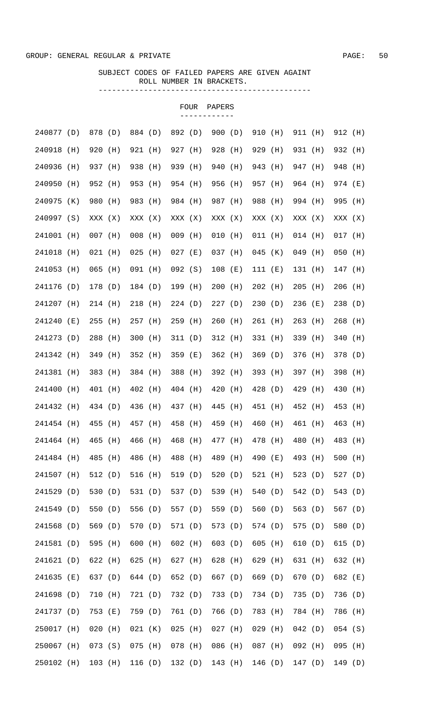|            |     |           |     |           |     |           | FOUR | PAPERS    |     |           |       |           |     |           |       |
|------------|-----|-----------|-----|-----------|-----|-----------|------|-----------|-----|-----------|-------|-----------|-----|-----------|-------|
| 240877 (D) |     | 878 (D)   |     | 884 (D)   |     | 892 (D)   |      | 900(D)    |     | 910 (H)   |       | 911 (H)   |     | 912 (H)   |       |
| 240918     | (H) | 920       | (H) | 921 (H)   |     | 927 (H)   |      | 928 (H)   |     | 929 (H)   |       | 931 (H)   |     | 932 (H)   |       |
| 240936     | (H) | 937 (H)   |     | 938       | (H) | 939 (H)   |      | 940 (H)   |     | 943 (H)   |       | 947 (H)   |     | 948 (H)   |       |
| 240950     | (H) | 952 (H)   |     | 953       | (H) | 954 (H)   |      | 956 (H)   |     | 957 (H)   |       | 964 (H)   |     | 974 (E)   |       |
| 240975     | (K) | 980 (H)   |     | 983 (H)   |     | 984 (H)   |      | 987 (H)   |     | 988 (H)   |       | 994 (H)   |     | 995 (H)   |       |
| 240997 (S) |     | XXX (X)   |     | XXX (X)   |     | XXX (X)   |      | XXX (X)   |     | XXX (X)   |       | XXX (X)   |     | XXX (X)   |       |
| 241001 (H) |     | $007$ (H) |     | $008$ (H) |     | $009$ (H) |      | $010$ (H) |     | $011$ (H) |       | $014$ (H) |     | $017$ (H) |       |
| 241018 (H) |     | $021$ (H) |     | $025$ (H) |     | $027$ (E) |      | 037 (H)   |     | $045$ (K) |       | 049 (H)   |     | $050$ (H) |       |
| 241053 (H) |     | $065$ (H) |     | 091 (H)   |     | $092$ (S) |      | $108$ (E) |     | 111(E)    |       | 131 (H)   |     | 147 (H)   |       |
| 241176 (D) |     | 178 (D)   |     | 184 (D)   |     | 199 (H)   |      | $200$ (H) |     | $202$ (H) |       | $205$ (H) |     | 206 (H)   |       |
| 241207 (H) |     | $214$ (H) |     | 218 (H)   |     | 224(D)    |      | 227(D)    |     | 230(D)    |       | 236 (E)   |     | 238 (D)   |       |
| 241240 (E) |     | $255$ (H) |     | 257 (H)   |     | $259$ (H) |      | $260$ (H) |     | 261 (H)   |       | $263$ (H) |     | $268$ (H) |       |
| 241273 (D) |     | 288 (H)   |     | $300$ (H) |     | 311(D)    |      | 312 (H)   |     | 331 (H)   |       | 339 (H)   |     | 340 (H)   |       |
| 241342 (H) |     | 349 (H)   |     | 352 (H)   |     | 359 (E)   |      | 362 (H)   |     | 369(D)    |       | 376 (H)   |     | 378 (D)   |       |
| 241381 (H) |     | 383 (H)   |     | 384 (H)   |     | 388 (H)   |      | 392 (H)   |     | 393 (H)   |       | 397 (H)   |     | 398 (H)   |       |
| 241400 (H) |     | 401 (H)   |     | 402 (H)   |     | 404 (H)   |      | 420 (H)   |     | 428 (D)   |       | 429 (H)   |     | 430       | (H)   |
| 241432 (H) |     | 434 (D)   |     | 436 (H)   |     | 437 (H)   |      | 445 (H)   |     | 451 (H)   |       | 452 (H)   |     | 453 (H)   |       |
| 241454 (H) |     | 455 (H)   |     | 457 (H)   |     | 458 (H)   |      | 459 (H)   |     | 460 (H)   |       | 461 (H)   |     | 463 (H)   |       |
| 241464     | (H) | 465       | (H) | 466       | (H) | 468 (H)   |      | 477 (H)   |     | 478       | (H)   | 480       | (H) | 483 (H)   |       |
| 241484     | (H) | 485       | (H) | 486       | (H) | 488       | (H)  | 489       | (H) | 490       | ( E ) | 493       | (H) | 500       | (H)   |
| 241507     | (H) | 512 (D)   |     | 516       | (H) | 519 (D)   |      | 520       | (D) | 521 (H)   |       | 523 $(D)$ |     | 527 (D)   |       |
| 241529     | (D) | 530       | (D) | 531 (D)   |     | 537 (D)   |      | 539 (H)   |     | 540       | (D)   | 542 (D)   |     | 543 (D)   |       |
| 241549     | (D) | 550       | (D) | 556       | (D) | 557 (D)   |      | 559 (D)   |     | 560 (D)   |       | 563 (D)   |     | 567 (D)   |       |
| 241568     | (D) | 569       | (D) | 570       | (D) | 571 (D)   |      | 573 (D)   |     | 574 (D)   |       | 575       | (D) | 580       | (D)   |
| 241581     | (D) | 595       | (H) | 600       | (H) | 602 (H)   |      | 603 (D)   |     | 605       | (H)   | 610       | (D) | 615       | (D)   |
| 241621     | (D) | 622       | (H) | 625       | (H) | 627 (H)   |      | 628       | (H) | 629       | (H)   | 631 (H)   |     | 632       | (H)   |
| 241635     | (E) | 637 (D)   |     | 644 (D)   |     | 652 (D)   |      | 667 (D)   |     | 669       | (D)   | 670       | (D) | 682       | ( E ) |
| 241698     | (D) | 710       | (H) | 721 (D)   |     | 732 (D)   |      | 733 (D)   |     | 734 (D)   |       | 735       | (D) | 736       | (D)   |
| 241737     | (D) | 753       | (E) | 759       | (D) | 761 (D)   |      | 766       | (D) | 783 (H)   |       | 784 (H)   |     | 786       | (H)   |
| 250017     | (H) | 020       | (H) | 021       | (K) | 025       | (H)  | $027$ (H) |     | 029       | (H)   | 042(D)    |     | $054$ (S) |       |
| 250067     | (H) | 073(S)    |     | 075       | (H) | $078$ (H) |      | 086       | (H) | 087 (H)   |       | 092 (H)   |     | 095       | (H)   |
| 250102 (H) |     | $103$ (H) |     | 116       | (D) | 132(D)    |      | 143       | (H) | 146 (D)   |       | 147(D)    |     | 149 (D)   |       |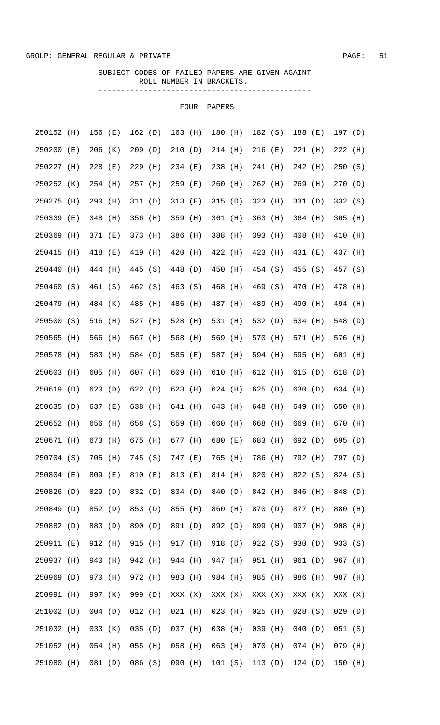|            |     |           |       |         |     |           | <b>FOUR</b> | PAPERS  |       |           |     |           |     |         |     |
|------------|-----|-----------|-------|---------|-----|-----------|-------------|---------|-------|-----------|-----|-----------|-----|---------|-----|
| 250152 (H) |     | 156 (E)   |       | 162(D)  |     | 163 (H)   |             | 180 (H) |       | 182 (S)   |     | 188 (E)   |     | 197(D)  |     |
| 250200     | (E) | $206$ (K) |       | 209(D)  |     | 210(D)    |             | 214 (H) |       | 216 (E)   |     | $221$ (H) |     | 222 (H) |     |
| 250227     | (H) | $228$ (E) |       | 229     | (H) | 234 (E)   |             | 238 (H) |       | 241 (H)   |     | 242 (H)   |     | 250     | (S) |
| 250252     | (K) | 254 (H)   |       | 257 (H) |     | $259$ (E) |             | 260     | (H)   | $262$ (H) |     | $269$ (H) |     | 270     | (D) |
| 250275     | (H) | 290       | (H)   | 311     | (D) | 313 (E)   |             | 315     | (D)   | 323 (H)   |     | 331(D)    |     | 332 (S) |     |
| 250339     | (E) | 348       | (H)   | 356     | (H) | 359 (H)   |             | 361 (H) |       | $363$ (H) |     | 364 (H)   |     | 365     | (H) |
| 250369     | (H) | 371 (E)   |       | 373     | (H) | 386 (H)   |             | 388     | (H)   | 393 (H)   |     | 408 (H)   |     | 410     | (H) |
| 250415     | (H) | 418       | ( E ) | 419     | (H) | 420       | (H)         | 422 (H) |       | 423 (H)   |     | 431 (E)   |     | 437 (H) |     |
| 250440     | (H) | 444 (H)   |       | 445 (S) |     | 448 (D)   |             | 450 (H) |       | 454 (S)   |     | 455 (S)   |     | 457 (S) |     |
| 250460     | (S) | 461 (S)   |       | 462 (S) |     | 463 (S)   |             | 468     | (H)   | 469 (S)   |     | 470 (H)   |     | 478 (H) |     |
| 250479     | (H) | 484 (K)   |       | 485     | (H) | 486 (H)   |             | 487 (H) |       | 489 (H)   |     | 490 (H)   |     | 494 (H) |     |
| 250500 (S) |     | 516 (H)   |       | 527 (H) |     | 528 (H)   |             | 531 (H) |       | 532 (D)   |     | 534 (H)   |     | 548 (D) |     |
| 250565     | (H) | 566 (H)   |       | 567 (H) |     | 568 (H)   |             | 569 (H) |       | 570 (H)   |     | 571 (H)   |     | 576 (H) |     |
| 250578     | (H) | 583 (H)   |       | 584 (D) |     | 585 (E)   |             | 587 (H) |       | 594 (H)   |     | 595 (H)   |     | 601 (H) |     |
| 250603     | (H) | 605 (H)   |       | 607 (H) |     | $609$ (H) |             | 610 (H) |       | 612 (H)   |     | 615 (D)   |     | 618 (D) |     |
| 250619 (D) |     | 620 (D)   |       | 622(D)  |     | 623 (H)   |             | 624 (H) |       | 625 $(D)$ |     | 630 (D)   |     | 634 (H) |     |
| 250635 (D) |     | 637 (E)   |       | 638 (H) |     | 641 (H)   |             | 643 (H) |       | 648 (H)   |     | 649 (H)   |     | 650     | (H) |
| 250652 (H) |     | 656 (H)   |       | 658 (S) |     | 659 (H)   |             | 660 (H) |       | 668       | (H) | 669 (H)   |     | 670 (H) |     |
| 250671     | (H) | 673       | (H)   | 675     | (H) | 677       | (H)         | 680     | ( E ) | 683       | (H) | 692       | (D) | 695     | (D) |
| 250704 (S) |     | 705       | (H)   | 745     | (S) | 747 (E)   |             | 765     | (H)   | 786       | (H) | 792       | (H) | 797 (D) |     |
| 250804     | (E) | 809       | (E)   | 810     | (E) | 813 (E)   |             | 814     | (H)   | 820       | (H) | 822       | (S) | 824 (S) |     |
| 250826     | (D) | 829       | (D)   | 832 (D) |     | 834 (D)   |             | 840     | (D)   | 842 (H)   |     | 846       | (H) | 848     | (D) |
| 250849     | (D) | 852 (D)   |       | 853 (D) |     | 855       | (H)         | 860     | (H)   | 870       | (D) | 877       | (H) | 880     | (H) |
| 250882     | (D) | 883 (D)   |       | 890     | (D) | 891 (D)   |             | 892 (D) |       | 899       | (H) | 907       | (H) | 908     | (H) |
| 250911     | (E) | 912 (H)   |       | 915     | (H) | 917 (H)   |             | 918     | (D)   | 922 (S)   |     | 930       | (D) | 933     | (S) |
| 250937     | (H) | 940       | (H)   | 942     | (H) | 944 (H)   |             | 947     | (H)   | 951 (H)   |     | 961 (D)   |     | 967     | (H) |
| 250969     | (D) | 970       | (H)   | 972     | (H) | 983 (H)   |             | 984 (H) |       | 985       | (H) | 986       | (H) | 987 (H) |     |
| 250991     | (H) | 997 (K)   |       | 999     | (D) | XXX (X)   |             | XXX (X) |       | XXX (X)   |     | XXX (X)   |     | XXX (X) |     |
| 251002     | (D) | $004$ (D) |       | 012     | (H) | $021$ (H) |             | 023     | (H)   | 025       | (H) | 028       | (S) | 029     | (D) |
| 251032     | (H) | 033       | (K)   | 035     | (D) | 037 (H)   |             | 038     | (H)   | 039       | (H) | 040       | (D) | 051 (S) |     |
| 251052     | (H) | $054$ (H) |       | 055     | (H) | 058       | (H)         | 063     | (H)   | 070       | (H) | $074$ (H) |     | 079     | (H) |
| 251080     | (H) | 081       | (D)   | 086(S)  |     | 090       | (H)         | 101 (S) |       | 113(D)    |     | 124 (D)   |     | 150     | (H) |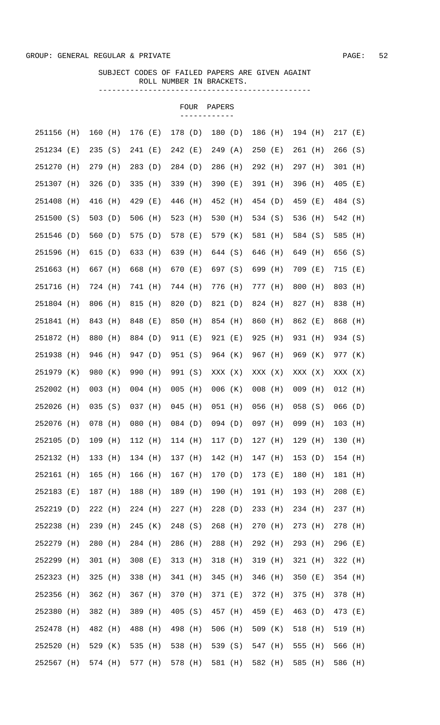|            |     |           |     |           |         |           | FOUR    | PAPERS    |         |           |         |           |     |           |       |
|------------|-----|-----------|-----|-----------|---------|-----------|---------|-----------|---------|-----------|---------|-----------|-----|-----------|-------|
| 251156     | (H) | $160$ (H) |     | 176 (E)   |         | 178 (D)   |         | 180 (D)   |         | 186 (H)   |         | 194 (H)   |     | $217$ (E) |       |
| 251234 (E) |     | 235(S)    |     | 241 (E)   |         | 242 (E)   |         | 249(A)    |         | 250 (E)   |         | 261 (H)   |     | 266(S)    |       |
| 251270     | (H) | 279 (H)   |     | 283(D)    |         | 284 (D)   |         | 286 (H)   |         | 292 (H)   |         | 297 (H)   |     | $301$ (H) |       |
|            |     |           |     |           |         |           |         |           |         |           |         |           |     |           |       |
| 251307 (H) |     | 326(D)    |     | 335       | (H)     | 339 (H)   |         | 390 (E)   |         | 391 (H)   |         | 396 (H)   |     | $405$ (E) |       |
| 251408     | (H) | 416       | (H) | 429       | (E)     | 446 (H)   |         | 452 (H)   |         | 454 (D)   |         | 459 (E)   |     | 484 (S)   |       |
| 251500 (S) |     | 503 $(D)$ |     | 506       | (H)     | 523 (H)   |         | 530 (H)   |         | 534 (S)   |         | 536       | (H) | 542 (H)   |       |
| 251546     | (D) | 560 (D)   |     | 575 (D)   |         | 578 (E)   |         | 579 (K)   |         | 581 (H)   |         | 584 (S)   |     | 585       | (H)   |
| 251596     | (H) | 615 (D)   |     | 633       | (H)     | 639 (H)   |         | 644 (S)   |         | 646       | (H)     | 649 (H)   |     | 656       | (S)   |
| 251663     | (H) | 667 (H)   |     | 668       | (H)     | 670 (E)   |         | 697 (S)   |         | 699 (H)   |         | 709 (E)   |     | 715       | ( E ) |
| 251716     | (H) | 724 (H)   |     | 741       | (H)     | 744 (H)   |         | 776 (H)   |         | 777 (H)   |         | 800       | (H) | 803       | (H)   |
| 251804     | (H) | 806       | (H) | 815       | (H)     | 820       | (D)     | 821 (D)   |         | 824 (H)   |         | 827 (H)   |     | 838       | (H)   |
| 251841     | (H) | 843       | (H) | 848       | (E)     | 850       | (H)     | 854 (H)   |         | 860       | (H)     | 862 (E)   |     | 868       | (H)   |
| 251872     | (H) | 880       | (H) | 884 (D)   |         | 911 (E)   |         | 921 (E)   |         | 925       | (H)     | 931 (H)   |     | 934 (S)   |       |
| 251938     | (H) | 946       | (H) | 947 (D)   |         | 951 (S)   |         | 964 (K)   |         | 967 (H)   |         | 969 (K)   |     | 977 (K)   |       |
| 251979     | (K) | 980       | (K) | 990       | (H)     | 991 (S)   |         | XXX (X)   |         | XXX (X)   |         | XXX (X)   |     | XXX (X)   |       |
| 252002     | (H) | $003$ (H) |     | $004$ (H) |         | 005       | (H)     | $006$ (K) |         | $008$ (H) |         | $009$ (H) |     | $012$ (H) |       |
| 252026     | (H) | 035(S)    |     | 037 (H)   |         | 045       | (H)     | $051$ (H) |         | 056 (H)   |         | $058$ (S) |     | 066(D)    |       |
| 252076 (H) |     | 078 (H)   |     | $080$ (H) |         |           | 084 (D) |           | 094 (D) | 097 (H)   |         | 099 (H)   |     | $103$ (H) |       |
| 252105 (D) |     | 109 (H)   |     | 112 (H)   |         |           | 114 (H) | 117 (D)   |         |           | 127 (H) | 129 (H)   |     | 130 (H)   |       |
| 252132 (H) |     | 133 (H)   |     | 134 (H)   |         | 137 (H)   |         |           | 142 (H) | 147 (H)   |         | 153 (D)   |     | 154 (H)   |       |
| 252161 (H) |     | $165$ (H) |     | 166 (H)   |         | $167$ (H) |         | 170 (D)   |         | 173 (E)   |         | 180 (H)   |     | 181 (H)   |       |
| 252183 (E) |     | 187 (H)   |     | 188 (H)   |         | 189 (H)   |         | 190 (H)   |         | 191 (H)   |         | 193 (H)   |     | 208 (E)   |       |
| 252219 (D) |     | 222 (H)   |     | 224 (H)   |         | $227$ (H) |         | 228 (D)   |         | 233 (H)   |         | 234 (H)   |     | 237 (H)   |       |
| 252238 (H) |     | 239 (H)   |     | 245 (K)   |         | 248 (S)   |         | $268$ (H) |         | 270 (H)   |         | 273 (H)   |     | 278 (H)   |       |
| 252279 (H) |     | $280$ (H) |     | 284 (H)   |         | 286 (H)   |         | 288 (H)   |         | 292 (H)   |         | 293 (H)   |     | $296$ (E) |       |
| 252299 (H) |     | 301 (H)   |     | 308 (E)   |         | $313$ (H) |         | 318 (H)   |         | 319 (H)   |         | 321 (H)   |     | 322 (H)   |       |
| 252323 (H) |     | 325 (H)   |     | 338 (H)   |         | 341 (H)   |         | 345 (H)   |         | 346 (H)   |         | 350 (E)   |     | 354 (H)   |       |
| 252356 (H) |     | 362 (H)   |     | 367 (H)   |         | 370 (H)   |         | 371 (E)   |         | 372 (H)   |         | 375 (H)   |     | 378 (H)   |       |
| 252380 (H) |     | 382 (H)   |     | 389 (H)   |         | 405 (S)   |         | 457 (H)   |         | 459 (E)   |         | 463 (D)   |     | 473 (E)   |       |
| 252478 (H) |     | 482 (H)   |     | 488 (H)   |         | 498 (H)   |         | 506 (H)   |         | 509 (K)   |         | 518 (H)   |     | 519 (H)   |       |
| 252520 (H) |     | 529 (K)   |     | 535 (H)   |         | 538 (H)   |         | 539 (S)   |         | 547 (H)   |         | 555 (H)   |     | 566 (H)   |       |
| 252567 (H) |     | 574 (H)   |     |           | 577 (H) |           | 578 (H) |           | 581 (H) |           | 582 (H) | 585 (H)   |     | 586 (H)   |       |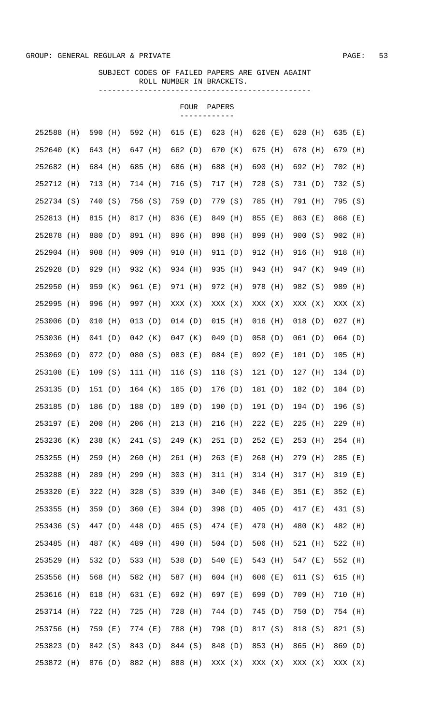|            |     |           |     |           |     |           | FOUR | PAPERS    |       |           |       |           |     |           |       |
|------------|-----|-----------|-----|-----------|-----|-----------|------|-----------|-------|-----------|-------|-----------|-----|-----------|-------|
| 252588     | (H) | 590 (H)   |     | 592 (H)   |     | 615 (E)   |      | 623 (H)   |       | 626 (E)   |       | 628       | (H) | 635 (E)   |       |
| 252640     | (K) | 643 (H)   |     | 647 (H)   |     | 662 (D)   |      | 670 (K)   |       | 675 (H)   |       | 678 (H)   |     | 679 (H)   |       |
| 252682     | (H) | 684 (H)   |     | 685       | (H) | 686 (H)   |      | 688 (H)   |       | 690 (H)   |       | 692 (H)   |     | 702 (H)   |       |
| 252712     | (H) | 713 (H)   |     | 714 (H)   |     | 716 (S)   |      | 717 (H)   |       | 728 (S)   |       | 731 (D)   |     | 732 (S)   |       |
| 252734 (S) |     | 740 (S)   |     | 756 (S)   |     | 759 (D)   |      | 779 (S)   |       | 785 (H)   |       | 791 (H)   |     | 795 (S)   |       |
| 252813     | (H) | 815       | (H) | 817 (H)   |     | 836 (E)   |      | 849       | (H)   | 855 (E)   |       | 863 (E)   |     | 868       | ( E ) |
| 252878     | (H) | 880 (D)   |     | 891 (H)   |     | 896 (H)   |      | 898 (H)   |       | 899 (H)   |       | 900(S)    |     | $902$ (H) |       |
| 252904     | (H) | 908 (H)   |     | 909       | (H) | 910 (H)   |      | 911 (D)   |       | 912 (H)   |       | 916 (H)   |     | 918 (H)   |       |
| 252928     | (D) | 929 (H)   |     | 932 (K)   |     | 934 (H)   |      | 935 (H)   |       | 943 (H)   |       | 947 (K)   |     | 949 (H)   |       |
| 252950     | (H) | 959 (K)   |     | 961 (E)   |     | 971 (H)   |      | 972 (H)   |       | 978 (H)   |       | 982 (S)   |     | 989 (H)   |       |
| 252995     | (H) | 996 (H)   |     | 997 (H)   |     | XXX (X)   |      | XXX (X)   |       | XXX (X)   |       | XXX (X)   |     | XXX (X)   |       |
| 253006 (D) |     | $010$ (H) |     | $013$ (D) |     | $014$ (D) |      | $015$ (H) |       | $016$ (H) |       | $018$ (D) |     | $027$ (H) |       |
| 253036     | (H) | 041(D)    |     | $042$ (K) |     | $047$ (K) |      | 049(D)    |       | 058(D)    |       | 061(D)    |     | $064$ (D) |       |
| 253069 (D) |     | 072(D)    |     | 080(S)    |     | $083$ (E) |      | 084 (E)   |       | 092 (E)   |       | 101 (D)   |     | $105$ (H) |       |
| 253108 (E) |     | 109(S)    |     | 111(H)    |     | 116 (S)   |      | 118 (S)   |       | 121(D)    |       | $127$ (H) |     | 134(D)    |       |
| 253135 (D) |     | 151(D)    |     | 164 (K)   |     | 165(D)    |      | 176 (D)   |       | 181 (D)   |       | 182 (D)   |     | 184 (D)   |       |
| 253185 (D) |     | 186 (D)   |     | 188 (D)   |     | 189 (D)   |      | 190 (D)   |       | 191 (D)   |       | 194 (D)   |     | 196(S)    |       |
| 253197 (E) |     | $200$ (H) |     | $206$ (H) |     | 213 (H)   |      | 216 (H)   |       | 222 (E)   |       | $225$ (H) |     | $229$ (H) |       |
| 253236     | (K) | 238       | (K) | 241 (S)   |     | 249 (K)   |      | 251(D)    |       | $252$ (E) |       | 253       | (H) | 254 (H)   |       |
| 253255     | (H) | 259       | (H) | 260       | (H) | 261 (H)   |      | 263       | ( E ) | 268       | (H)   | 279       | (H) | 285       | ( E ) |
| 253288     | (H) | 289       | (H) | 299       | (H) | $303$ (H) |      | 311 (H)   |       | 314 (H)   |       | 317 (H)   |     | 319       | ( E ) |
| 253320     | (E) | 322(H)    |     | 328       | (S) | 339 (H)   |      | 340       | ( E ) | 346       | ( E ) | 351 (E)   |     | 352 (E)   |       |
| 253355     | (H) | 359(D)    |     | 360       | (E) | 394(D)    |      | 398 (D)   |       | 405       | (D)   | 417 (E)   |     | 431 (S)   |       |
| 253436     | (S) | 447 (D)   |     | 448       | (D) | 465 (S)   |      | 474 (E)   |       | 479       | (H)   | 480       | (K) | 482       | (H)   |
| 253485     | (H) | 487 (K)   |     | 489       | (H) | 490 (H)   |      | 504(D)    |       | 506       | (H)   | 521 (H)   |     | 522       | (H)   |
| 253529     | (H) | 532 (D)   |     | 533       | (H) | 538 (D)   |      | 540       | ( E ) | 543 (H)   |       | 547 (E)   |     | 552 (H)   |       |
| 253556     | (H) | 568       | (H) | 582       | (H) | 587 (H)   |      | 604 (H)   |       | 606       | ( E ) | 611 (S)   |     | 615       | (H)   |
| 253616     | (H) | 618       | (H) | 631 (E)   |     | 692 (H)   |      | 697 (E)   |       | 699 (D)   |       | 709       | (H) | 710       | (H)   |
| 253714     | (H) | 722       | (H) | 725       | (H) | 728       | (H)  | 744 (D)   |       | 745 (D)   |       | 750       | (D) | 754 (H)   |       |
| 253756     | (H) | 759       | (E) | 774 (E)   |     | 788       | (H)  | 798 (D)   |       | 817 (S)   |       | 818 (S)   |     | 821       | (S)   |
| 253823     | (D) | 842 (S)   |     | 843       | (D) | 844 (S)   |      | 848 (D)   |       | 853 (H)   |       | 865       | (H) | 869 (D)   |       |
| 253872     | (H) | 876 (D)   |     | 882       | (H) | 888 (H)   |      | XXX (X)   |       | XXX (X)   |       | XXX (X)   |     | XXX (X)   |       |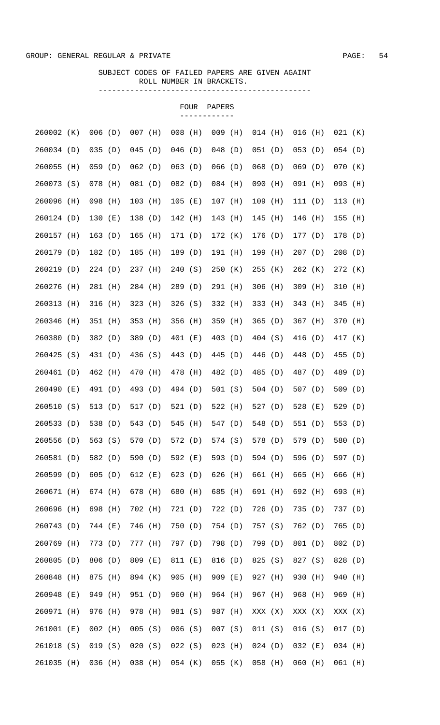|            |     |           |     |           |         |           | FOUR    | PAPERS    |         |           |         |           |       |           |     |
|------------|-----|-----------|-----|-----------|---------|-----------|---------|-----------|---------|-----------|---------|-----------|-------|-----------|-----|
| 260002 (K) |     | $006$ (D) |     | $007$ (H) |         | $008$ (H) |         | $009$ (H) |         | $014$ (H) |         | $016$ (H) |       | $021$ (K) |     |
| 260034 (D) |     | 035(D)    |     | 045(D)    |         | $046$ (D) |         | $048$ (D) |         | $051$ (D) |         | $053$ (D) |       | $054$ (D) |     |
| 260055     | (H) | 059(D)    |     | 062(D)    |         | $063$ (D) |         | $066$ (D) |         | $068$ (D) |         | $069$ (D) |       | 070 (K)   |     |
| 260073 (S) |     | $078$ (H) |     | 081 (D)   |         | $082$ (D) |         | 084 (H)   |         | $090$ (H) |         | 091 (H)   |       | $093$ (H) |     |
| 260096     | (H) | 098 (H)   |     | $103$ (H) |         | $105$ (E) |         | $107$ (H) |         | 109 (H)   |         | 111(D)    |       | $113$ (H) |     |
| 260124 (D) |     | 130(E)    |     | 138 (D)   |         | 142 (H)   |         | 143 (H)   |         | 145       | (H)     | 146       | (H)   | 155       | (H) |
| 260157 (H) |     | 163(D)    |     | 165       | (H)     | 171 (D)   |         | 172 (K)   |         | 176 (D)   |         | 177(D)    |       | 178 (D)   |     |
| 260179 (D) |     | 182 (D)   |     | 185       | (H)     | 189 (D)   |         | 191 (H)   |         | 199 (H)   |         | 207(D)    |       | 208(D)    |     |
| 260219 (D) |     | 224(D)    |     | 237 (H)   |         | 240       | (S)     | $250$ (K) |         | 255(K)    |         | $262$ (K) |       | 272 (K)   |     |
| 260276     | (H) | 281 (H)   |     | 284 (H)   |         | 289(D)    |         | 291 (H)   |         | 306 (H)   |         | $309$ (H) |       | 310       | (H) |
| 260313     | (H) | 316       | (H) | 323       | (H)     | 326(S)    |         | 332 (H)   |         | 333 (H)   |         | 343 (H)   |       | 345       | (H) |
| 260346     | (H) | 351 (H)   |     | 353       | (H)     | 356 (H)   |         | 359 (H)   |         | 365(D)    |         | 367 (H)   |       | 370       | (H) |
| 260380     | (D) | 382 (D)   |     | 389       | (D)     | 401 (E)   |         | 403 (D)   |         | 404 (S)   |         | 416 (D)   |       | 417       | (K) |
| 260425     | (S) | 431 (D)   |     | 436 (S)   |         | 443 (D)   |         | 445       | (D)     | 446 (D)   |         | 448 (D)   |       | 455       | (D) |
| 260461     | (D) | 462 (H)   |     | 470       | (H)     | 478 (H)   |         | 482 (D)   |         | 485 (D)   |         | 487 (D)   |       | 489       | (D) |
| 260490     | (E) | 491 (D)   |     | 493       | (D)     | 494 (D)   |         | 501 (S)   |         | 504 (D)   |         | 507 $(D)$ |       | 509       | (D) |
| 260510 (S) |     | 513       | (D) | 517 (D)   |         | 521 (D)   |         | 522 (H)   |         | 527 (D)   |         | 528       | ( E ) | 529       | (D) |
| 260533 (D) |     | 538 (D)   |     |           | 543 (D) |           | 545 (H) |           | 547 (D) |           | 548 (D) | 551 (D)   |       | 553 (D)   |     |
| 260556 (D) |     | 563(S)    |     | 570 (D)   |         |           | 572 (D) |           | 574 (S) | 578 (D)   |         | 579 (D)   |       | 580 (D)   |     |
| 260581 (D) |     | 582 (D)   |     | 590 (D)   |         | 592 (E)   |         |           | 593 (D) | 594 (D)   |         | 596 (D)   |       | 597 (D)   |     |
| 260599 (D) |     | 605(D)    |     | 612 (E)   |         | 623(D)    |         | 626 (H)   |         | 661 (H)   |         | 665 (H)   |       | 666 (H)   |     |
| 260671 (H) |     | 674 (H)   |     | 678 (H)   |         | 680 (H)   |         | 685 (H)   |         | 691 (H)   |         | 692 (H)   |       | 693 (H)   |     |
| 260696 (H) |     | 698 (H)   |     | 702 (H)   |         | 721 (D)   |         | 722 (D)   |         | 726 (D)   |         | 735 (D)   |       | 737 (D)   |     |
| 260743 (D) |     | 744 (E)   |     | 746 (H)   |         | 750 (D)   |         | 754 (D)   |         | 757 (S)   |         | 762 (D)   |       | 765 (D)   |     |
| 260769 (H) |     | 773 (D)   |     | 777 (H)   |         | 797 (D)   |         | 798 (D)   |         | 799 (D)   |         | 801 (D)   |       | 802 (D)   |     |
| 260805 (D) |     | 806 (D)   |     | 809 (E)   |         | 811 (E)   |         | 816 (D)   |         | 825 (S)   |         | 827 (S)   |       | 828 (D)   |     |
| 260848 (H) |     | 875 (H)   |     | 894 (K)   |         | 905 (H)   |         | 909 (E)   |         | 927 (H)   |         | 930 (H)   |       | 940       | (H) |
| 260948 (E) |     | 949 (H)   |     | 951 (D)   |         | $960$ (H) |         | 964 (H)   |         | 967 (H)   |         | 968 (H)   |       | 969 (H)   |     |
| 260971 (H) |     | 976 (H)   |     | 978 (H)   |         | 981 (S)   |         | 987 (H)   |         | XXX (X)   |         | XXX (X)   |       | XXX (X)   |     |
| 261001 (E) |     | $002$ (H) |     | 005(S)    |         | 006(S)    |         | 007(S)    |         | 011 (S)   |         | 016(S)    |       | $017$ (D) |     |
| 261018 (S) |     | 019(S)    |     | 020(S)    |         | 022(S)    |         | $023$ (H) |         | 024(D)    |         | $032$ (E) |       | 034 (H)   |     |
| 261035 (H) |     | 036 (H)   |     | 038 (H)   |         |           | 054 (K) | 055 (K)   |         | 058 (H)   |         | 060 (H)   |       | 061 (H)   |     |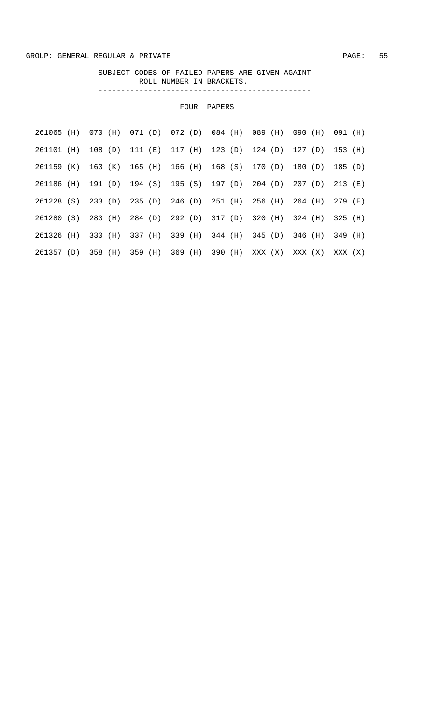|               |                       | FOUR            | PAPERS          |            |            |           |
|---------------|-----------------------|-----------------|-----------------|------------|------------|-----------|
| 261065<br>(H) | 070<br>071 (D)<br>(H) | 072 (D)         | 084 (H)         | 089<br>(H) | 090<br>(H) | 091 (H)   |
| (H)<br>261101 | 108 (D)<br>111 (E)    | 117 (H)         | 123 (D)         | 124 (D)    | 127 (D)    | 153 (H)   |
| 261159 (K)    | 163 (K)               | 165 (H) 166 (H) | 168 (S)         | 170 (D)    | 180 (D)    | 185 (D)   |
| 261186 (H)    | 191 (D)               | 194 (S) 195 (S) | 197 (D) 204 (D) |            | 207(D)     | $213$ (E) |
| 261228 (S)    | 233 (D)               | 235 (D) 246 (D) | 251 (H)         | 256 (H)    | 264 (H)    | 279 (E)   |
| (S)<br>261280 | 283 (H)               | 284 (D) 292 (D) | 317 (D)         | 320 (H)    | 324 (H)    | 325 (H)   |
| 261326<br>(H) | 330 (H)<br>337 (H)    | 339 (H)         | 344 (H)         | 345 (D)    | 346 (H)    | 349 (H)   |
| 261357 (D)    | 358 (H)<br>359 (H)    | 369 (H)         | 390 (H)         | XXX (X)    | XXX (X)    | XXX (X)   |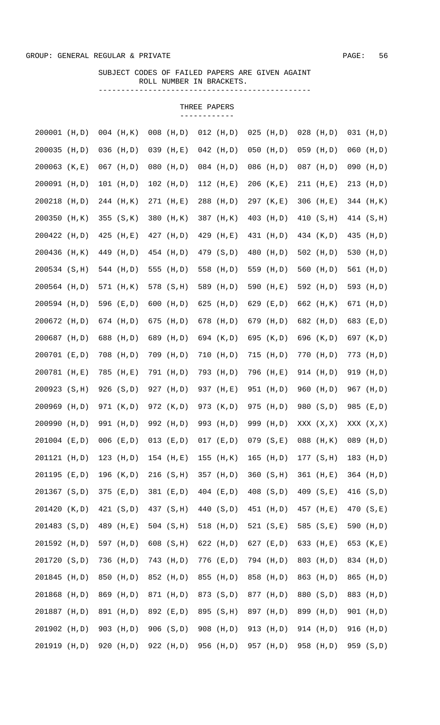## SUBJECT CODES OF FAILED PAPERS ARE GIVEN AGAINT ROLL NUMBER IN BRACKETS. -----------------------------------------------

| 200001 (H,D)  |        | $004$ (H, K) | 008 | (H, D)        |     | $012$ (H,D) |     | $025$ (H,D)   | $028$ (H,D)  | $031$ (H,D) |
|---------------|--------|--------------|-----|---------------|-----|-------------|-----|---------------|--------------|-------------|
| 200035        | (H, D) | $036$ (H,D)  | 039 | (H, E)        |     | $042$ (H,D) | 050 | (H,D)         | $059$ (H,D)  | $060$ (H,D) |
| 200063 (K,E)  |        | $067$ (H,D)  | 080 | (H, D)        |     | $084$ (H,D) |     | 086 (H,D)     | 087 (H,D)    | 090 (H,D)   |
| 200091 (H,D)  |        | 101 (H,D)    |     | $102$ (H,D)   |     | $112$ (H,E) |     | $206$ (K,E)   | $211$ (H,E)  | 213 (H,D)   |
| 200218        | (H, D) | 244 (H, K)   |     | 271 (H,E)     | 288 | (H,D)       |     | 297 (K,E)     | 306 (H,E)    | 344 (H, K)  |
| 200350        | (H, K) | 355 (S,K)    | 380 | (H, K)        |     | 387 (H, K)  |     | 403 (H,D)     | 410 (S,H)    | 414 (S, H)  |
| 200422 (H,D)  |        | $425$ (H,E)  |     | 427 (H,D)     | 429 | (H,E)       |     | 431 (H,D)     | 434 (K,D)    | 435 (H,D)   |
| 200436 (H, K) |        | 449 (H,D)    |     | 454 (H,D)     |     | 479 (S,D)   | 480 | (H, D)        | 502 $(H, D)$ | 530 (H,D)   |
| 200534 (S, H) |        | 544 (H,D)    |     | 555 (H,D)     |     | 558 (H,D)   |     | 559 (H,D)     | 560 (H,D)    | 561 (H,D)   |
| 200564 (H,D)  |        | 571 (H, K)   |     | 578 (S, H)    | 589 | (H,D)       |     | 590 (H,E)     | 592 (H,D)    | 593 (H,D)   |
| 200594 (H,D)  |        | 596 (E,D)    | 600 | (H, D)        | 625 | (H,D)       |     | 629 (E,D)     | 662 (H, K)   | 671 (H,D)   |
| 200672 (H,D)  |        | 674 (H,D)    | 675 | (H, D)        | 678 | (H, D)      |     | 679 (H,D)     | 682 (H,D)    | 683 (E,D)   |
| 200687 (H,D)  |        | 688 (H,D)    | 689 | (H, D)        |     | 694 (K,D)   |     | 695 (K,D)     | 696 (K,D)    | 697 (K,D)   |
| 200701 (E,D)  |        | 708 (H,D)    |     | 709 (H,D)     | 710 | (H,D)       |     | 715 (H,D)     | 770 (H,D)    | 773 (H,D)   |
| 200781        | (H, E) | 785 (H,E)    | 791 | (H, D)        | 793 | (H,D)       |     | 796 (H,E)     | 914 (H,D)    | 919 (H,D)   |
| 200923        | (S,H)  | 926 (S,D)    | 927 | (H, D)        | 937 | (H,E)       |     | 951 (H,D)     | 960 (H,D)    | 967 (H,D)   |
| 200969        | (H, D) | 971 (K,D)    |     | 972 (K,D)     |     | 973 (K,D)   |     | 975 (H,D)     | 980 (S,D)    | 985 (E,D)   |
| 200990        | (H, D) | 991 (H,D)    |     | 992 (H,D)     | 993 | (H,D)       |     | 999 (H,D)     | XXX (X, X)   | XXX (X, X)  |
| 201004 (E,D)  |        | $006$ (E,D)  |     | $013$ $(E,D)$ |     | $017$ (E,D) |     | $079$ $(S,E)$ | 088 (H, K)   | 089 (H,D)   |
| 201121 (H,D)  |        | $123$ (H,D)  |     | $154$ (H,E)   |     | $155$ (H,K) |     | $165$ (H,D)   | 177 (S,H)    | 183 (H,D)   |
| 201195 (E,D)  |        | 196 (K,D)    |     | 216 (S,H)     |     | 357 (H,D)   |     | 360 (S,H)     | 361 (H,E)    | 364 (H,D)   |
| 201367 (S,D)  |        | 375 (E,D)    |     | 381 (E,D)     |     | $404$ (E,D) |     | 408 (S,D)     | 409 (S,E)    | 416 (S, D)  |
| 201420 (K,D)  |        | 421 (S,D)    |     | 437 (S, H)    |     | 440 (S,D)   |     | 451 (H,D)     | 457 (H,E)    | 470 (S,E)   |
| 201483 (S,D)  |        | 489 (H,E)    |     | 504 (S, H)    |     | 518 (H,D)   |     | 521 $(S,E)$   | 585 (S,E)    | 590 (H,D)   |
| 201592 (H,D)  |        | 597 (H,D)    |     | 608 (S, H)    |     | 622 (H,D)   |     | 627 $(E, D)$  | 633 (H,E)    | 653 (K,E)   |
| 201720 (S,D)  |        | 736 (H,D)    |     | 743 (H,D)     |     | 776 (E,D)   |     | 794 (H,D)     | 803 (H,D)    | 834 (H,D)   |
| 201845 (H,D)  |        | 850 (H,D)    |     | 852 (H,D)     |     | 855 (H,D)   |     | 858 (H,D)     | 863 (H,D)    | 865 (H,D)   |
| 201868 (H,D)  |        | 869 (H,D)    |     | 871 (H,D)     |     | 873 (S,D)   |     | 877 (H,D)     | 880 (S,D)    | 883 (H,D)   |
| 201887 (H,D)  |        | 891 (H,D)    |     | 892 (E,D)     |     | 895 (S,H)   |     | 897 (H,D)     | 899 (H,D)    | 901 (H,D)   |
| 201902 (H,D)  |        | 903 (H,D)    |     | 906 (S,D)     |     | 908 (H,D)   |     | 913 (H,D)     | 914 (H,D)    | 916 (H,D)   |
| 201919 (H,D)  |        | 920 (H,D)    |     | 922 (H,D)     |     | 956 (H,D)   |     | 957 (H,D)     | 958 (H,D)    | 959 (S,D)   |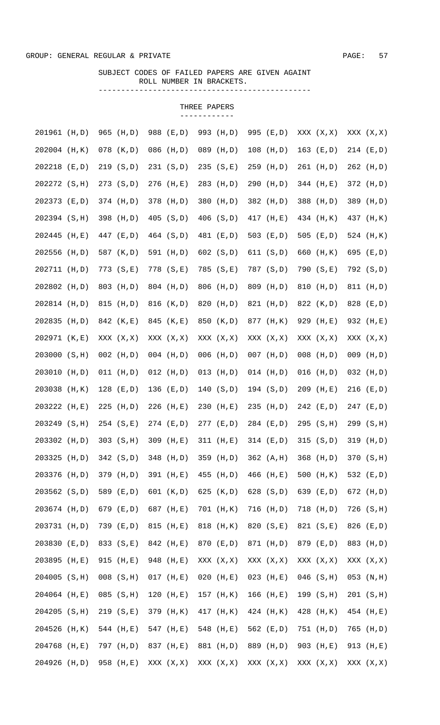## SUBJECT CODES OF FAILED PAPERS ARE GIVEN AGAINT ROLL NUMBER IN BRACKETS. -----------------------------------------------

| 201961 (H,D)  |        | 965 (H,D)     | 988 (E,D)     | 993 | (H, D)        |     | 995 (E,D)   | XXX (X, X)   | XXX (X, X)   |
|---------------|--------|---------------|---------------|-----|---------------|-----|-------------|--------------|--------------|
| 202004 (H, K) |        | 078 (K,D)     | 086 (H,D)     |     | 089 (H,D)     |     | $108$ (H,D) | $163$ (E,D)  | 214 (E,D)    |
| 202218 (E,D)  |        | 219 (S,D)     | 231 (S,D)     |     | 235 (S,E)     | 259 | (H,D)       | 261 (H,D)    | 262 (H,D)    |
| 202272 (S, H) |        | 273 (S,D)     | 276 (H,E)     | 283 | (H, D)        | 290 | (H, D)      | 344 (H,E)    | 372 (H,D)    |
| 202373 (E,D)  |        | 374 (H,D)     | 378 (H,D)     | 380 | (H, D)        |     | 382 (H,D)   | 388 (H,D)    | 389 (H,D)    |
| 202394 (S, H) |        | 398 (H,D)     | $405$ $(S,D)$ |     | 406 (S,D)     |     | 417 (H,E)   | 434 (H, K)   | 437 (H, K)   |
| 202445        | (H, E) | 447 (E,D)     | 464 (S,D)     |     | 481 (E,D)     |     | 503 $(E,D)$ | 505 $(E,D)$  | 524 (H, K)   |
| 202556 (H,D)  |        | 587 (K,D)     | 591 (H,D)     |     | $602$ $(S,D)$ |     | 611 (S,D)   | 660 (H, K)   | 695 (E,D)    |
| 202711 (H,D)  |        | 773 (S, E)    | 778 (S,E)     |     | 785 (S,E)     |     | 787 (S,D)   | 790 (S,E)    | 792 (S,D)    |
| 202802 (H,D)  |        | 803 (H,D)     | 804 (H,D)     | 806 | (H, D)        |     | 809 (H,D)   | 810 (H,D)    | 811 (H,D)    |
| 202814 (H,D)  |        | 815 (H,D)     | 816 (K,D)     | 820 | (H,D)         |     | 821 (H,D)   | 822 (K,D)    | 828 (E,D)    |
| 202835 (H,D)  |        | 842 (K,E)     | 845 (K,E)     |     | 850 (K,D)     |     | 877 (H, K)  | 929 (H,E)    | 932 (H,E)    |
| 202971 (K,E)  |        | XXX (X, X)    | XXX (X, X)    |     | XXX (X, X)    |     | XXX (X, X)  | XXX (X, X)   | XXX (X, X)   |
| 203000        | (S,H)  | $002$ (H,D)   | $004$ (H,D)   |     | $006$ (H,D)   |     | $007$ (H,D) | $008$ (H,D)  | $009$ (H,D)  |
| 203010        | (H,D)  | $011$ (H,D)   | $012$ (H,D)   |     | $013$ (H,D)   |     | $014$ (H,D) | $016$ (H,D)  | $032$ (H,D)  |
| 203038        | (H, K) | $128$ (E,D)   | 136 (E,D)     |     | 140 $(S, D)$  |     | 194 (S,D)   | 209 (H,E)    | $216$ (E,D)  |
| 203222        | (H, E) | 225 (H,D)     | 226 (H,E)     | 230 | (H, E)        |     | $235$ (H,D) | $242$ (E,D)  | 247 (E,D)    |
| 203249        | (S,H)  | 254 (S,E)     | 274 (E,D)     |     | 277 (E,D)     |     | 284 (E,D)   | $295$ (S, H) | 299 (S, H)   |
| 203302 (H,D)  |        | 303 (S, H)    | 309 (H,E)     |     | $311$ (H,E)   |     | $314$ (E,D) | 315 (S, D)   | $319$ (H,D)  |
| 203325        | (H, D) | 342 (S, D)    | 348 (H,D)     |     | 359 (H,D)     |     | 362 (A,H)   | $368$ (H,D)  | 370 (S, H)   |
| 203376 (H,D)  |        | 379 (H,D)     | 391 (H,E)     |     | 455 (H,D)     |     | 466 (H,E)   | 500 $(H, K)$ | 532 (E,D)    |
| 203562 (S,D)  |        | 589 (E,D)     | 601 (K,D)     |     | 625 $(K, D)$  |     | 628 (S,D)   | 639 (E,D)    | 672 (H,D)    |
| 203674 (H,D)  |        | 679 (E,D)     | 687 (H,E)     |     | 701 (H, K)    |     | 716 (H,D)   | 718 (H,D)    | 726 (S, H)   |
| 203731 (H,D)  |        | 739 (E,D)     | 815 (H,E)     |     | 818 (H, K)    |     | 820 (S,E)   | 821 (S,E)    | 826 (E,D)    |
| 203830 (E,D)  |        | 833 (S,E)     | 842 (H,E)     |     | 870 (E,D)     |     | 871 (H,D)   | 879 (E,D)    | 883 (H,D)    |
| 203895 (H,E)  |        | 915 (H,E)     | 948 (H,E)     |     | XXX (X, X)    |     | XXX (X, X)  | XXX (X, X)   | XXX (X, X)   |
| 204005 (S, H) |        | $008$ $(S,H)$ | $017$ (H,E)   |     | $020$ (H,E)   |     | $023$ (H,E) | $046$ (S, H) | $053$ (N, H) |
| 204064 (H,E)  |        | $085$ (S, H)  | $120$ (H,E)   |     | 157 (H, K)    |     | $166$ (H,E) | 199 (S, H)   | 201 (S,H)    |
| 204205 (S, H) |        | 219 (S,E)     | 379 (H, K)    |     | 417 (H, K)    |     | 424 (H, K)  | 428 (H, K)   | 454 (H,E)    |
| 204526 (H, K) |        | 544 (H,E)     | 547 (H,E)     |     | 548 (H,E)     |     | 562 (E,D)   | 751 (H,D)    | 765 (H,D)    |
| 204768 (H,E)  |        | 797 (H,D)     | 837 (H,E)     |     | 881 (H,D)     |     | 889 (H,D)   | 903 (H,E)    | 913 (H,E)    |
| 204926 (H,D)  |        | 958 (H,E)     | XXX (X, X)    |     | XXX (X,X)     |     | XXX (X, X)  | XXX (X, X)   | XXX (X, X)   |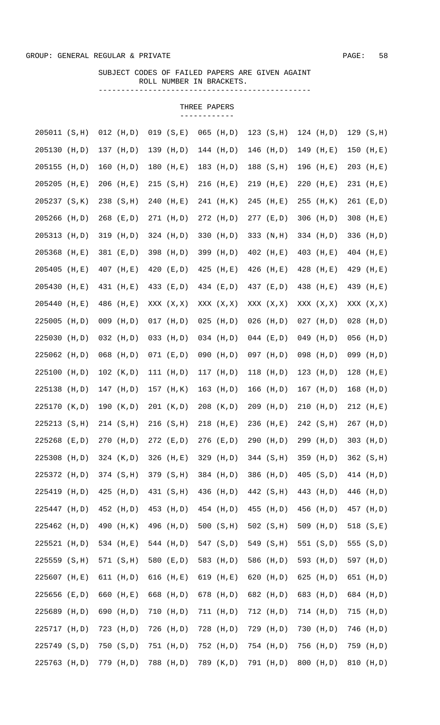## SUBJECT CODES OF FAILED PAPERS ARE GIVEN AGAINT ROLL NUMBER IN BRACKETS. -----------------------------------------------

| 205011 (S, H) |        | $012$ (H,D)  |     | 019 (S,E)    | 065 | (H, D)      | 123 (S,H)    | 124 (H,D)    | 129(S,H)     |
|---------------|--------|--------------|-----|--------------|-----|-------------|--------------|--------------|--------------|
| 205130 (H,D)  |        | 137 (H,D)    |     | 139 (H,D)    |     | $144$ (H,D) | $146$ (H,D)  | $149$ (H,E)  | 150 (H,E)    |
| 205155        | (H, D) | $160$ (H,D)  | 180 | (H,E)        |     | $183$ (H,D) | $188$ (S, H) | 196 (H,E)    | 203 (H,E)    |
| 205205        | (H, E) | $206$ (H,E)  |     | 215 (S,H)    |     | $216$ (H,E) | $219$ (H,E)  | $220$ (H,E)  | 231 (H,E)    |
| 205237 (S, K) |        | 238 (S, H)   |     | 240 (H,E)    |     | 241 (H, K)  | 245 (H,E)    | $255$ (H, K) | 261 (E,D)    |
| 205266 (H,D)  |        | $268$ (E,D)  |     | 271 (H,D)    |     | 272 (H,D)   | $277$ (E,D)  | $306$ (H,D)  | 308 (H,E)    |
| 205313 (H,D)  |        | 319 (H,D)    |     | 324 (H,D)    |     | 330 (H,D)   | 333 (N, H)   | 334 (H,D)    | 336 (H,D)    |
| 205368 (H,E)  |        | 381 (E,D)    |     | 398 (H,D)    |     | 399 (H,D)   | 402 (H,E)    | 403 (H,E)    | 404 (H,E)    |
| 205405 (H,E)  |        | 407 (H,E)    |     | 420 (E,D)    |     | $425$ (H,E) | 426 (H,E)    | $428$ (H,E)  | 429 (H,E)    |
| 205430        | (H, E) | 431 (H,E)    |     | 433 (E,D)    |     | 434 (E,D)   | 437 (E,D)    | 438 (H,E)    | 439 (H,E)    |
| 205440        | (H, E) | 486 (H,E)    |     | XXX (X, X)   |     | XXX (X, X)  | XXX (X, X)   | XXX (X, X)   | XXX (X, X)   |
| 225005        | (H, D) | 009 (H,D)    |     | $017$ (H,D)  |     | $025$ (H,D) | $026$ (H,D)  | $027$ (H,D)  | $028$ (H,D)  |
| 225030        | (H, D) | $032$ (H,D)  | 033 | (H, D)       |     | $034$ (H,D) | $044$ (E,D)  | $049$ (H,D)  | $056$ (H,D)  |
| 225062        | (H, D) | $068$ (H,D)  |     | $071$ (E,D)  | 090 | (H,D)       | 097 (H,D)    | 098 (H,D)    | 099 (H,D)    |
| 225100        | (H, D) | 102 (K, D)   |     | 111 $(H, D)$ |     | $117$ (H,D) | $118$ (H,D)  | $123$ (H,D)  | $128$ (H,E)  |
| 225138        | (H, D) | 147 (H,D)    |     | 157 (H, K)   |     | $163$ (H,D) | $166$ (H,D)  | $167$ (H,D)  | 168 (H,D)    |
| 225170 (K,D)  |        | 190 $(K, D)$ |     | 201 (K,D)    |     | $208$ (K,D) | $209$ (H,D)  | $210$ (H,D)  | 212 (H,E)    |
| 225213 (S, H) |        | 214 (S, H)   |     | $216$ (S, H) |     | 218 (H,E)   | 236 (H,E)    | 242 (S, H)   | 267 (H,D)    |
| 225268 (E,D)  |        | $270$ (H,D)  |     | $272$ (E,D)  |     | $276$ (E,D) | 290 (H,D)    | 299 (H,D)    | 303 $(H, D)$ |
| 225308 (H,D)  |        | 324 (K,D)    |     | 326 (H,E)    |     | 329 (H,D)   | 344 (S, H)   | 359 (H,D)    | 362 (S, H)   |
| 225372 (H,D)  |        | 374 (S, H)   |     | 379 (S, H)   |     | 384 (H,D)   | 386 (H,D)    | $405$ (S,D)  | 414 (H,D)    |
| 225419 (H,D)  |        | $425$ (H,D)  |     | 431 (S, H)   |     | 436 (H,D)   | 442 (S, H)   | 443 (H,D)    | 446 (H,D)    |
| 225447 (H,D)  |        | 452 (H,D)    |     | 453 (H,D)    |     | 454 (H,D)   | 455 (H,D)    | 456 (H,D)    | 457 (H,D)    |
| 225462 (H,D)  |        | 490 (H, K)   |     | 496 (H,D)    |     | 500 (S,H)   | 502 $(S,H)$  | 509 (H,D)    | 518 (S,E)    |
| 225521 (H,D)  |        | 534 (H,E)    |     | 544 (H,D)    |     | 547 (S,D)   | 549 (S, H)   | 551 (S,D)    | 555 (S,D)    |
| 225559 (S, H) |        | 571 (S, H)   |     | 580 (E,D)    |     | 583 (H,D)   | 586 (H,D)    | 593 (H,D)    | 597 (H,D)    |
| 225607 (H,E)  |        | $611$ (H,D)  |     | 616 $(H,E)$  |     | 619 $(H,E)$ | 620 (H,D)    | 625 (H,D)    | 651 (H,D)    |
| 225656 (E,D)  |        | 660 (H,E)    |     | 668 (H,D)    |     | 678 (H,D)   | 682 (H,D)    | 683 (H,D)    | 684 (H,D)    |
| 225689 (H,D)  |        | 690 (H,D)    |     | $710$ (H,D)  |     | 711 (H,D)   | 712 (H,D)    | 714 (H,D)    | $715$ (H,D)  |
| 225717 (H,D)  |        | 723 (H,D)    |     | 726 (H,D)    |     | 728 (H,D)   | 729 (H,D)    | 730 (H,D)    | 746 (H,D)    |
| 225749 (S,D)  |        | 750 (S,D)    |     | 751 (H,D)    |     | 752 (H,D)   | 754 (H,D)    | 756 (H,D)    | 759 (H,D)    |
| 225763 (H,D)  |        | 779 (H,D)    |     | 788 (H,D)    |     | 789 (K,D)   | 791 (H,D)    | 800 (H,D)    | 810 (H,D)    |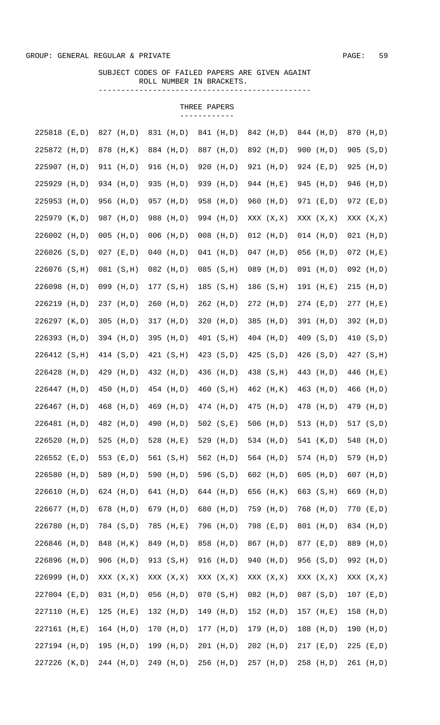## SUBJECT CODES OF FAILED PAPERS ARE GIVEN AGAINT ROLL NUMBER IN BRACKETS. -----------------------------------------------

| 225818        | (E,D)  | 827 (H,D)    |     | 831 (H,D)   | 841 | (H,D)        | 842 (H,D)     |     | 844 (H,D)   |     | 870 (H,D)   |
|---------------|--------|--------------|-----|-------------|-----|--------------|---------------|-----|-------------|-----|-------------|
| 225872 (H,D)  |        | 878 (H, K)   |     | 884 (H,D)   |     | 887 (H,D)    | 892 (H,D)     |     | 900 (H,D)   |     | 905 (S,D)   |
| 225907 (H,D)  |        | 911 (H,D)    |     | 916 (H,D)   | 920 | (H, D)       | 921 (H,D)     |     | 924 (E,D)   |     | 925 (H,D)   |
| 225929        | (H,D)  | 934 (H,D)    |     | 935 (H,D)   | 939 | (H,D)        | 944 (H,E)     |     | 945 (H,D)   |     | 946 (H,D)   |
| 225953        | (H, D) | 956 (H,D)    |     | 957 (H,D)   | 958 | (H,D)        | 960 (H,D)     |     | 971 (E,D)   |     | 972 (E,D)   |
| 225979 (K,D)  |        | 987 (H,D)    | 988 | (H, D)      |     | 994 (H,D)    | XXX (X, X)    |     | XXX (X, X)  |     | XXX (X, X)  |
| 226002 (H,D)  |        | $005$ (H,D)  |     | $006$ (H,D) |     | $008$ (H,D)  | $012$ (H,D)   |     | $014$ (H,D) |     | $021$ (H,D) |
| 226026 (S,D)  |        | $027$ (E,D)  | 040 | (H, D)      |     | $041$ (H,D)  | $047$ (H,D)   |     | $056$ (H,D) |     | $072$ (H,E) |
| 226076 (S, H) |        | 081 (S,H)    |     | 082 (H,D)   | 085 | (S,H)        | 089 (H,D)     |     | 091 (H,D)   |     | 092 (H,D)   |
| 226098 (H,D)  |        | 099 (H,D)    |     | 177 (S, H)  |     | $185$ (S, H) | 186 (S, H)    |     | 191 (H,E)   |     | $215$ (H,D) |
| 226219 (H,D)  |        | 237 (H,D)    |     | $260$ (H,D) |     | 262 (H,D)    | 272 (H,D)     |     | $274$ (E,D) |     | 277 (H,E)   |
| 226297 (K,D)  |        | $305$ (H,D)  |     | 317 (H, D)  | 320 | (H,D)        | 385 (H,D)     |     | 391 (H,D)   |     | 392 (H,D)   |
| 226393 (H,D)  |        | 394 (H,D)    |     | 395 (H,D)   |     | 401 (S, H)   | 404 (H,D)     |     | 409 (S,D)   |     | 410 (S,D)   |
| 226412 (S, H) |        | 414 (S,D)    |     | 421 (S, H)  |     | 423 (S,D)    | $425$ $(S,D)$ |     | 426(S,D)    |     | 427 (S, H)  |
| 226428        | (H, D) | 429 (H,D)    |     | 432 (H,D)   | 436 | (H,D)        | 438 (S, H)    |     | 443 (H,D)   |     | 446 (H,E)   |
| 226447 (H,D)  |        | 450 (H,D)    |     | 454 (H,D)   |     | 460 (S, H)   | 462 (H, K)    |     | 463 (H,D)   | 466 | (H, D)      |
| 226467 (H,D)  |        | 468 (H,D)    | 469 | (H, D)      |     | 474 (H,D)    | 475 (H,D)     |     | 478 (H,D)   |     | 479 (H,D)   |
| 226481        | (H, D) | 482 (H,D)    | 490 | (H, D)      |     | 502 $(S,E)$  | $506$ (H,D)   | 513 | (H, D)      |     | 517 (S,D)   |
| 226520        | (H, D) | 525 $(H, D)$ |     | 528 (H,E)   |     | 529 (H,D)    | 534 (H,D)     |     | 541 (K,D)   |     | 548 (H,D)   |
| 226552 (E,D)  |        | 553 (E,D)    |     | 561 (S, H)  |     | 562 (H,D)    | 564 (H,D)     |     | 574 (H,D)   |     | 579 (H,D)   |
| 226580 (H,D)  |        | 589 (H,D)    |     | 590 (H,D)   |     | 596 (S,D)    | 602 (H,D)     |     | 605 (H,D)   |     | 607 (H,D)   |
| 226610 (H,D)  |        | 624 (H,D)    |     | 641 (H,D)   |     | 644 (H,D)    | 656 (H, K)    |     | 663 (S, H)  |     | 669 (H,D)   |
| 226677 (H,D)  |        | 678 (H,D)    |     | 679 (H,D)   |     | 680 (H,D)    | 759 (H,D)     |     | 768 (H,D)   |     | $770$ (E,D) |
| 226780 (H,D)  |        | 784 (S,D)    |     | 785 (H,E)   |     | 796 (H,D)    | 798 (E,D)     |     | 801 (H,D)   |     | 834 (H,D)   |
| 226846 (H,D)  |        | 848 (H, K)   |     | 849 (H,D)   |     | 858 (H,D)    | 867 (H,D)     |     | 877 (E,D)   |     | 889 (H,D)   |
| 226896 (H,D)  |        | 906 (H,D)    |     | 913 (S, H)  |     | 916 (H,D)    | 940 (H,D)     |     | 956 (S,D)   |     | 992 (H,D)   |
| 226999 (H,D)  |        | XXX (X,X)    |     | XXX (X, X)  |     | XXX (X, X)   | XXX (X, X)    |     | XXX (X,X)   |     | XXX (X, X)  |
| 227004 (E,D)  |        | $031$ (H,D)  |     | $056$ (H,D) |     | 070 (S,H)    | 082 (H,D)     |     | 087 (S,D)   |     | $107$ (E,D) |
| 227110 (H,E)  |        | $125$ (H,E)  |     | 132 (H, D)  |     | 149 (H,D)    | $152$ (H,D)   |     | $157$ (H,E) |     | 158 (H,D)   |
| 227161 (H,E)  |        | 164 (H,D)    |     | $170$ (H,D) |     | 177 (H,D)    | 179 (H,D)     |     | 188 (H,D)   |     | 190 (H,D)   |
| 227194 (H,D)  |        | 195 (H,D)    |     | 199 (H,D)   |     | 201 (H,D)    | 202 (H,D)     |     | $217$ (E,D) |     | $225$ (E,D) |
| 227226 (K,D)  |        | 244 (H,D)    |     | 249 (H,D)   |     | 256 (H,D)    | 257 (H,D)     |     | 258 (H,D)   |     | 261 (H,D)   |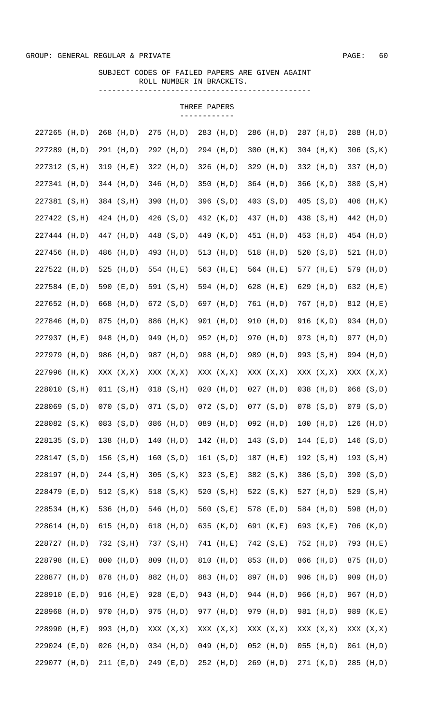## SUBJECT CODES OF FAILED PAPERS ARE GIVEN AGAINT ROLL NUMBER IN BRACKETS. -----------------------------------------------

| 227265        | (H,D)  | 268 (H,D)     |     | 275 (H,D)     |     | 283 (H,D)     | 286 (H,D)     | 287 (H,D)     | 288 (H,D)     |
|---------------|--------|---------------|-----|---------------|-----|---------------|---------------|---------------|---------------|
| 227289 (H,D)  |        | 291 (H,D)     |     | 292 (H,D)     |     | 294 (H,D)     | 300 (H, K)    | 304 (H, K)    | $306$ $(S,K)$ |
| 227312 (S, H) |        | 319 (H,E)     |     | 322 (H,D)     | 326 | (H,D)         | 329 (H,D)     | 332 (H,D)     | 337 (H,D)     |
| 227341 (H,D)  |        | 344 (H,D)     |     | 346 (H,D)     |     | 350 (H,D)     | 364 (H,D)     | 366 (K,D)     | 380 (S, H)    |
| 227381 (S, H) |        | 384 (S, H)    |     | 390 (H,D)     |     | 396 (S,D)     | 403 (S,D)     | $405$ $(S,D)$ | 406 (H, K)    |
| 227422 (S, H) |        | 424 (H,D)     |     | 426 (S,D)     |     | 432 (K,D)     | 437 (H,D)     | 438 (S, H)    | 442 (H,D)     |
| 227444 (H,D)  |        | 447 (H,D)     |     | 448 (S,D)     |     | 449 (K,D)     | 451 (H,D)     | 453 (H,D)     | 454 (H,D)     |
| 227456 (H,D)  |        | 486 (H,D)     |     | 493 (H,D)     |     | 513 (H,D)     | 518 (H,D)     | 520 $(S, D)$  | 521 (H,D)     |
| 227522 (H,D)  |        | 525 (H,D)     |     | 554 (H,E)     |     | 563 (H,E)     | 564 (H,E)     | 577 (H,E)     | 579 (H,D)     |
| 227584 (E,D)  |        | 590 (E,D)     |     | 591 (S, H)    |     | 594 (H,D)     | 628 (H,E)     | 629 (H,D)     | 632 (H,E)     |
| 227652 (H,D)  |        | 668 (H,D)     |     | 672 (S,D)     |     | 697 (H,D)     | 761 (H,D)     | 767 (H,D)     | 812 (H,E)     |
| 227846 (H,D)  |        | 875 (H,D)     |     | 886 (H, K)    | 901 | (H,D)         | 910 (H,D)     | 916 (K,D)     | 934 (H,D)     |
| 227937 (H,E)  |        | 948 (H,D)     | 949 | (H, D)        |     | 952 (H,D)     | 970 (H,D)     | 973 (H,D)     | 977 (H,D)     |
| 227979        | (H, D) | 986 (H,D)     | 987 | (H, D)        |     | 988 (H,D)     | 989 (H,D)     | 993 (S, H)    | 994 (H,D)     |
| 227996        | (H, K) | XXX (X,X)     |     | XXX (X, X)    |     | XXX (X, X)    | XXX (X, X)    | XXX (X, X)    | XXX (X, X)    |
| 228010 (S, H) |        | 011 (S,H)     |     | $018$ $(S,H)$ |     | $020$ (H,D)   | $027$ (H,D)   | $038$ (H,D)   | $066$ $(S,D)$ |
| 228069 (S,D)  |        | $070$ $(S,D)$ |     | 071 (S,D)     |     | $072$ $(S,D)$ | $077$ $(S,D)$ | $078$ $(S,D)$ | $079$ (S,D)   |
| 228082 (S, K) |        | 083 (S,D)     |     | 086 (H,D)     |     | 089 (H,D)     | $092$ (H,D)   | $100$ (H,D)   | $126$ (H,D)   |
| 228135 (S,D)  |        | 138 $(H, D)$  |     | $140$ (H,D)   |     | $142$ (H,D)   | 143 $(S,D)$   | $144$ (E,D)   | 146 $(S, D)$  |
| 228147 (S,D)  |        | 156(S,H)      |     | 160 (S, D)    |     | 161 $(S,D)$   | 187 (H,E)     | 192 (S, H)    | 193 (S,H)     |
| 228197 (H,D)  |        | 244 (S, H)    |     | 305 (S,K)     |     | 323 (S,E)     | 382 (S,K)     | 386 (S,D)     | 390 (S,D)     |
| 228479 (E,D)  |        | 512 (S, K)    |     | 518 (S, K)    |     | 520 (S,H)     | 522 (S, K)    | 527 (H,D)     | 529 (S, H)    |
| 228534 (H, K) |        | 536 (H,D)     |     | 546 (H,D)     |     | 560 $(S,E)$   | 578 (E,D)     | 584 (H,D)     | 598 (H,D)     |
| 228614 (H,D)  |        | 615 $(H, D)$  |     | 618 $(H, D)$  |     | 635 (K,D)     | 691 (K,E)     | 693 (K,E)     | 706 (K,D)     |
| 228727 (H,D)  |        | 732 (S, H)    |     | 737 (S, H)    |     | 741 (H,E)     | 742 (S,E)     | 752 (H,D)     | 793 (H,E)     |
| 228798 (H,E)  |        | 800 (H,D)     |     | 809 (H,D)     |     | 810 (H,D)     | 853 (H,D)     | 866 (H,D)     | 875 (H,D)     |
| 228877 (H,D)  |        | 878 (H,D)     |     | 882 (H,D)     |     | 883 (H,D)     | 897 (H,D)     | 906 (H,D)     | 909 (H,D)     |
| 228910 (E,D)  |        | 916 (H,E)     |     | 928 (E,D)     |     | 943 (H,D)     | 944 (H,D)     | 966 (H,D)     | 967 (H,D)     |
| 228968 (H,D)  |        | 970 (H,D)     |     | 975 (H,D)     |     | 977 (H,D)     | 979 (H,D)     | 981 (H,D)     | 989 (K,E)     |
| 228990 (H,E)  |        | 993 (H,D)     |     | XXX (X, X)    |     | XXX (X, X)    | XXX (X, X)    | XXX (X, X)    | XXX (X, X)    |
| 229024 (E,D)  |        | $026$ (H,D)   |     | $034$ (H,D)   |     | $049$ (H,D)   | $052$ (H,D)   | $055$ (H,D)   | $061$ (H,D)   |
| 229077 (H,D)  |        | 211 (E, D)    |     | 249 (E,D)     |     | 252 (H,D)     | 269 (H,D)     | 271 (K,D)     | 285 (H,D)     |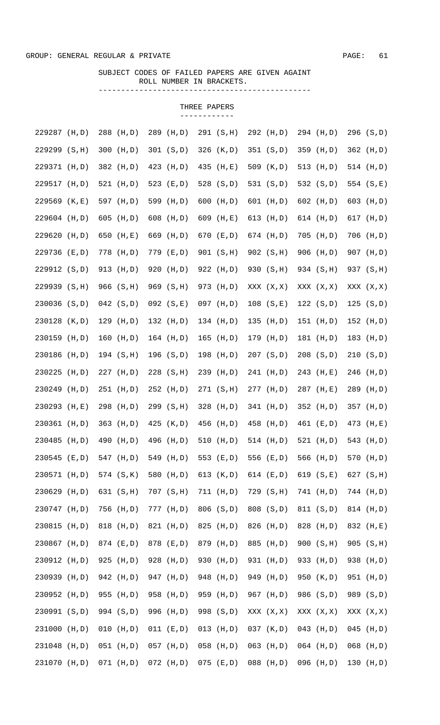## SUBJECT CODES OF FAILED PAPERS ARE GIVEN AGAINT ROLL NUMBER IN BRACKETS. -----------------------------------------------

| 229287 (H,D)     | 288 (H,D)    | 289<br>(H, D) | 291 (S,H)     | 292 (H,D)    | 294 (H,D)     | 296 (S,D)     |
|------------------|--------------|---------------|---------------|--------------|---------------|---------------|
| 229299 (S, H)    | 300 (H,D)    | 301 (S, D)    | 326 (K,D)     | 351 (S,D)    | 359 (H,D)     | 362 (H,D)     |
| 229371 (H,D)     | 382 (H,D)    | 423 (H,D)     | 435 (H,E)     | 509 (K,D)    | 513 (H,D)     | 514 (H,D)     |
| 229517 (H,D)     | 521 (H,D)    | 523 (E,D)     | 528 (S,D)     | 531 (S,D)    | 532 (S,D)     | 554 (S,E)     |
| 229569 (K,E)     | 597 (H,D)    | 599<br>(H, D) | 600<br>(H,D)  | 601 $(H, D)$ | 602 (H,D)     | 603 (H,D)     |
| 229604 (H,D)     | 605 $(H, D)$ | 608<br>(H, D) | 609<br>(H,E)  | 613 $(H, D)$ | 614 (H,D)     | 617 (H,D)     |
| 229620 (H,D)     | 650 (H,E)    | 669 (H,D)     | 670 (E,D)     | 674 (H,D)    | $705$ (H,D)   | 706 (H,D)     |
| 229736 (E,D)     | 778 (H,D)    | 779 (E,D)     | 901 (S, H)    | 902 (S, H)   | 906 (H,D)     | 907 (H,D)     |
| 229912 (S,D)     | 913 (H,D)    | 920<br>(H, D) | 922 (H,D)     | 930 (S, H)   | 934 (S, H)    | 937 (S, H)    |
| 229939 (S, H)    | 966 (S, H)   | 969 (S, H)    | 973 (H,D)     | XXX (X, X)   | XXX (X, X)    | XXX (X, X)    |
| 230036 (S,D)     | $042$ (S,D)  | $092$ $(S,E)$ | $097$ (H,D)   | 108 (S,E)    | 122 (S,D)     | 125 (S, D)    |
| 230128 (K,D)     | 129 (H, D)   | 132 (H, D)    | $134$ (H,D)   | 135 $(H, D)$ | 151 (H,D)     | 152 (H,D)     |
| 230159 (H,D)     | 160 (H,D)    | $164$ (H,D)   | 165<br>(H, D) | 179 (H,D)    | 181 (H,D)     | 183 (H,D)     |
| 230186<br>(H, D) | 194 (S, H)   | 196 (S,D)     | 198<br>(H,D)  | 207 (S,D)    | $208$ $(S,D)$ | 210 (S,D)     |
| 230225<br>(H, D) | 227 (H,D)    | $228$ (S, H)  | 239<br>(H,D)  | 241 (H,D)    | 243 (H,E)     | 246<br>(H, D) |
| 230249<br>(H, D) | 251 (H,D)    | 252 (H,D)     | 271 (S,H)     | 277 (H,D)    | 287 (H,E)     | 289<br>(H, D) |
| 230293<br>(H,E)  | 298 (H,D)    | 299 (S, H)    | 328<br>(H, D) | 341 (H,D)    | 352 (H,D)     | 357 (H,D)     |
| 230361<br>(H, D) | $363$ (H,D)  | 425 (K,D)     | 456<br>(H,D)  | 458 (H,D)    | 461 (E,D)     | 473 (H,E)     |
| 230485<br>(H, D) | 490 (H,D)    | 496 (H,D)     | 510 $(H, D)$  | 514 $(H, D)$ | $521$ (H,D)   | 543 (H,D)     |
| 230545<br>(E,D)  | 547 (H,D)    | 549 (H,D)     | 553 $(E,D)$   | 556 (E,D)    | 566 (H,D)     | 570 (H,D)     |
| 230571 (H,D)     | 574 (S, K)   | 580 (H,D)     | 613 $(K, D)$  | 614 $(E, D)$ | 619 $(S,E)$   | 627 (S, H)    |
| 230629 (H,D)     | 631 (S, H)   | 707 (S, H)    | 711 (H,D)     | 729 (S, H)   | 741 (H,D)     | 744 (H,D)     |
| 230747 (H,D)     | 756 (H,D)    | 777 (H,D)     | 806 (S,D)     | 808 (S,D)    | 811 (S,D)     | 814 (H,D)     |
| 230815 (H,D)     | 818 (H,D)    | 821 (H,D)     | 825 (H,D)     | 826 (H,D)    | 828 (H,D)     | 832 (H,E)     |
| 230867 (H,D)     | 874 (E,D)    | 878 (E,D)     | 879 (H,D)     | 885 (H,D)    | 900 (S,H)     | 905 (S, H)    |
| 230912 (H,D)     | 925 (H,D)    | 928 (H,D)     | 930 (H,D)     | 931 (H,D)    | 933 (H,D)     | 938 (H,D)     |
| 230939 (H,D)     | 942 (H,D)    | 947 (H,D)     | 948 (H,D)     | 949 (H,D)    | 950 (K,D)     | 951 (H,D)     |
| 230952 (H,D)     | 955 (H,D)    | 958 (H,D)     | 959 (H,D)     | 967 (H,D)    | 986 (S,D)     | 989 (S,D)     |
| 230991 (S,D)     | 994 (S,D)    | 996 (H,D)     | 998 (S,D)     | XXX (X, X)   | XXX (X, X)    | XXX (X,X)     |
| 231000 (H,D)     | $010$ (H,D)  | 011 (E, D)    | $013$ (H,D)   | 037 (K,D)    | $043$ (H,D)   | $045$ (H,D)   |
| 231048 (H,D)     | $051$ (H,D)  | $057$ (H,D)   | $058$ (H,D)   | $063$ (H,D)  | $064$ (H,D)   | $068$ (H,D)   |
| 231070 (H,D)     | $071$ (H,D)  | $072$ (H,D)   | $075$ (E,D)   | 088 (H,D)    | 096 (H,D)     | 130 (H,D)     |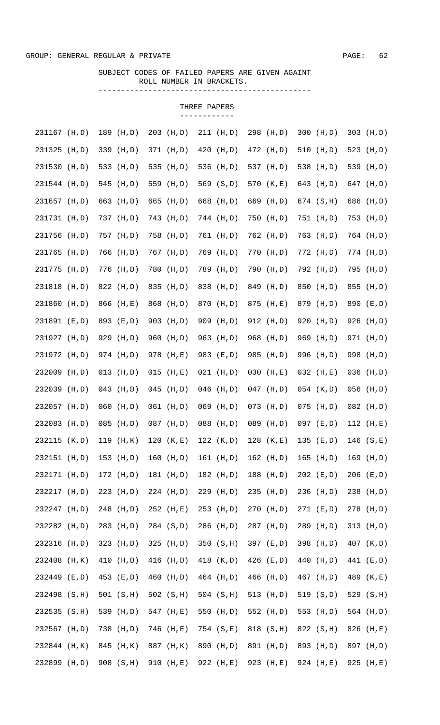## SUBJECT CODES OF FAILED PAPERS ARE GIVEN AGAINT ROLL NUMBER IN BRACKETS. -----------------------------------------------

| 231167 (H,D)  |        | 189 (H,D)    |     | $203$ (H,D) | $211$ (H,D)   | 298 (H,D)   | $300$ (H,D)  | $303$ (H,D) |
|---------------|--------|--------------|-----|-------------|---------------|-------------|--------------|-------------|
| 231325 (H,D)  |        | 339 (H,D)    |     | 371 (H,D)   | $420$ (H,D)   | 472 (H,D)   | 510 $(H, D)$ | 523 (H,D)   |
| 231530 (H,D)  |        | 533 (H,D)    |     | 535 (H,D)   | 536 (H,D)     | 537 (H,D)   | 538 (H,D)    | 539 (H,D)   |
| 231544 (H,D)  |        | 545 (H,D)    |     | 559 (H,D)   | 569 (S,D)     | 570 (K,E)   | 643 (H,D)    | 647 (H,D)   |
| 231657 (H,D)  |        | 663 (H,D)    |     | 665 (H,D)   | 668 (H,D)     | 669 (H,D)   | 674 (S, H)   | 686 (H,D)   |
| 231731 (H,D)  |        | 737 (H,D)    |     | 743 (H,D)   | 744 (H,D)     | 750 (H,D)   | 751 (H,D)    | 753 (H,D)   |
| 231756 (H,D)  |        | 757 (H,D)    |     | 758 (H,D)   | 761 (H,D)     | 762 (H,D)   | 763 (H,D)    | 764 (H,D)   |
| 231765        | (H, D) | 766 (H,D)    |     | 767 (H,D)   | 769 (H,D)     | 770 (H,D)   | $772$ (H,D)  | 774 (H,D)   |
| 231775 (H,D)  |        | 776 (H,D)    | 780 | (H, D)      | 789 (H,D)     | 790 (H,D)   | 792 (H,D)    | 795 (H,D)   |
| 231818        | (H, D) | 822 (H,D)    | 835 | (H, D)      | 838 (H,D)     | 849 (H,D)   | 850 (H,D)    | 855 (H,D)   |
| 231860        | (H, D) | 866 (H,E)    |     | 868 (H,D)   | 870 (H,D)     | 875 (H,E)   | 879 (H,D)    | 890 (E,D)   |
| 231891 (E,D)  |        | 893 (E,D)    |     | 903 (H,D)   | 909 (H,D)     | 912 (H,D)   | 920 (H,D)    | 926 (H,D)   |
| 231927 (H,D)  |        | 929 (H,D)    | 960 | (H, D)      | 963 (H,D)     | 968 (H,D)   | 969 (H,D)    | 971 (H,D)   |
| 231972 (H,D)  |        | 974 (H,D)    |     | 978 (H,E)   | 983 (E,D)     | 985 (H,D)   | 996 (H,D)    | 998 (H,D)   |
| 232009 (H,D)  |        | $013$ (H,D)  |     | $015$ (H,E) | $021$ (H,D)   | $030$ (H,E) | $032$ (H,E)  | 036 (H,D)   |
| 232039 (H,D)  |        | $043$ (H,D)  |     | $045$ (H,D) | $046$ (H,D)   | $047$ (H,D) | $054$ (K,D)  | $056$ (H,D) |
| 232057 (H,D)  |        | $060$ (H,D)  |     | $061$ (H,D) | $069$ (H,D)   | $073$ (H,D) | $075$ (H,D)  | 082 (H,D)   |
| 232083 (H,D)  |        | 085 (H,D)    |     | 087 (H,D)   | 088 (H,D)     | 089 (H,D)   | 097 (E,D)    | $112$ (H,E) |
| 232115 (K,D)  |        | 119 (H, K)   |     | 120 (K, E)  | 122 (K, D)    | $128$ (K,E) | $135$ (E,D)  | 146(S,E)    |
| 232151 (H,D)  |        | 153 (H,D)    |     | $160$ (H,D) | 161 (H,D)     | 162 (H,D)   | 165 (H,D)    | 169 (H,D)   |
| 232171 (H,D)  |        | $172$ (H, D) |     | 181 (H,D)   | 182 (H,D)     | 188 (H,D)   | $202$ (E,D)  | $206$ (E,D) |
| 232217 (H,D)  |        | $223$ (H,D)  |     | 224 (H, D)  | 229 (H,D)     | 235 (H,D)   | 236 (H,D)    | 238 (H,D)   |
| 232247 (H,D)  |        | 248 (H,D)    |     | 252 (H,E)   | 253 (H,D)     | 270 (H,D)   | 271 (E,D)    | 278 (H,D)   |
| 232282        | (H, D) | 283 (H,D)    |     | 284 (S,D)   | 286 (H,D)     | 287 (H,D)   | 289 (H,D)    | 313 (H,D)   |
| 232316        | (H, D) | 323 (H,D)    |     | $325$ (H,D) | 350 (S, H)    | 397 (E,D)   | 398 (H,D)    | 407 (K,D)   |
| 232408 (H, K) |        | 410 (H,D)    |     | 416 (H,D)   | 418 (K,D)     | 426 (E,D)   | 440 (H,D)    | 441 (E,D)   |
| 232449 (E,D)  |        | 453 (E,D)    |     | 460 (H,D)   | 464 (H,D)     | 466 (H,D)   | 467 (H,D)    | 489 (K,E)   |
| 232498 (S, H) |        | 501 (S,H)    |     | 502 (S,H)   | $504$ $(S,H)$ | 513 (H,D)   | 519 (S,D)    | 529 (S, H)  |
| 232535 (S, H) |        | 539 (H,D)    |     | 547 (H,E)   | 550 (H,D)     | 552 (H,D)   | 553 (H,D)    | 564 (H,D)   |
| 232567 (H,D)  |        | 738 (H,D)    |     | 746 (H,E)   | 754 (S,E)     | 818 (S, H)  | 822 (S, H)   | 826 (H,E)   |
| 232844 (H, K) |        | 845 (H, K)   |     | 887 (H, K)  | 890 (H,D)     | 891 (H,D)   | 893 (H,D)    | 897 (H,D)   |
| 232899 (H,D)  |        | 908 (S, H)   |     | 910 (H,E)   | 922 (H,E)     | 923 (H,E)   | 924 (H,E)    | 925 (H,E)   |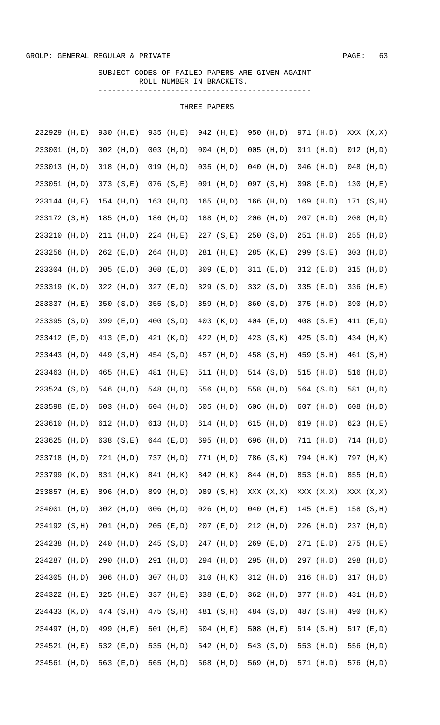## SUBJECT CODES OF FAILED PAPERS ARE GIVEN AGAINT ROLL NUMBER IN BRACKETS. -----------------------------------------------

| 232929<br>(H,E)  | 930 (H,E)     | 935 (H,E)     | 942 (H,E)    | 950 (H,D)     | 971 (H,D)     | XXX (X, X)  |
|------------------|---------------|---------------|--------------|---------------|---------------|-------------|
| 233001 (H,D)     | $002$ (H,D)   | $003$ (H,D)   | $004$ (H,D)  | $005$ (H,D)   | $011$ (H,D)   | $012$ (H,D) |
| 233013 (H,D)     | $018$ (H,D)   | $019$ $(H,D)$ | 035<br>(H,D) | $040$ (H,D)   | $046$ (H,D)   | $048$ (H,D) |
| 233051 (H,D)     | $073$ $(S,E)$ | $076$ $(S,E)$ | $091$ (H,D)  | $097$ $(S,H)$ | $098$ (E,D)   | 130 (H,E)   |
| 233144 (H,E)     | 154 (H,D)     | $163$ (H,D)   | $165$ (H,D)  | $166$ (H,D)   | $169$ (H,D)   | 171 (S, H)  |
| 233172 (S, H)    | 185 (H,D)     | 186 (H,D)     | 188 (H,D)    | $206$ (H,D)   | $207$ (H, D)  | $208$ (H,D) |
| 233210 (H,D)     | 211 (H, D)    | $224$ (H,E)   | 227 (S,E)    | 250 (S, D)    | 251 (H,D)     | 255 (H,D)   |
| 233256 (H,D)     | 262 (E,D)     | 264 (H,D)     | 281 (H,E)    | 285 (K,E)     | 299 (S,E)     | 303 (H,D)   |
| 233304 (H,D)     | 305 (E,D)     | 308 $(E, D)$  | 309 (E,D)    | 311 (E, D)    | $312$ (E,D)   | $315$ (H,D) |
| 233319 (K,D)     | 322 (H,D)     | 327 (E,D)     | 329 (S,D)    | 332 (S,D)     | 335 (E,D)     | 336 (H,E)   |
| 233337 (H,E)     | 350 (S,D)     | 355 (S, D)    | 359 (H,D)    | 360 (S,D)     | 375 (H,D)     | 390 (H,D)   |
| 233395 (S,D)     | 399 (E,D)     | 400 (S,D)     | 403 (K,D)    | 404 (E,D)     | 408 (S,E)     | 411 (E,D)   |
| 233412 (E,D)     | 413 (E,D)     | 421 (K,D)     | 422 (H,D)    | 423 (S, K)    | $425$ $(S,D)$ | 434 (H, K)  |
| 233443<br>(H, D) | 449 (S, H)    | 454 (S,D)     | 457 (H,D)    | 458 (S, H)    | 459 (S, H)    | 461 (S, H)  |
| 233463 (H,D)     | 465 (H,E)     | 481 (H,E)     | 511 (H,D)    | 514 (S,D)     | 515 $(H, D)$  | 516 (H,D)   |
| 233524 (S,D)     | 546 (H,D)     | 548 (H,D)     | 556<br>(H,D) | 558 (H,D)     | 564 (S,D)     | 581 (H,D)   |
| 233598<br>(E,D)  | 603 $(H, D)$  | 604 $(H, D)$  | 605<br>(H,D) | 606 $(H, D)$  | 607 $(H, D)$  | 608 (H,D)   |
| 233610<br>(H, D) | $612$ (H, D)  | $613$ (H,D)   | 614 $(H, D)$ | 615 $(H, D)$  | 619 (H,D)     | 623 (H,E)   |
| 233625<br>(H, D) | 638 $(S,E)$   | 644 (E,D)     | 695 (H,D)    | 696 (H,D)     | 711 (H, D)    | 714 (H,D)   |
| 233718 (H,D)     | 721 (H,D)     | 737 (H,D)     | 771 (H,D)    | 786 (S,K)     | 794 (H, K)    | 797 (H, K)  |
| 233799 (K,D)     | 831 (H, K)    | 841 (H, K)    | 842 (H, K)   | 844 (H,D)     | 853 (H,D)     | 855 (H,D)   |
| 233857 (H,E)     | 896 (H,D)     | 899 (H,D)     | 989 (S, H)   | XXX (X, X)    | XXX (X, X)    | XXX (X, X)  |
| 234001 (H,D)     | $002$ (H,D)   | $006$ (H,D)   | $026$ (H,D)  | $040$ (H,E)   | $145$ (H,E)   | 158 (S, H)  |
| 234192 (S, H)    | 201 (H,D)     | 205 (E,D)     | 207 (E,D)    | 212 (H,D)     | $226$ (H,D)   | 237 (H,D)   |
| 234238 (H,D)     | 240 (H,D)     | 245 (S,D)     | $247$ (H,D)  | 269 (E,D)     | 271 (E,D)     | $275$ (H,E) |
| 234287 (H,D)     | 290 (H,D)     | 291 (H,D)     | 294 (H,D)    | 295 (H,D)     | 297 (H,D)     | 298 (H,D)   |
| 234305 (H,D)     | $306$ (H,D)   | 307 (H,D)     | $310$ (H, K) | $312$ (H,D)   | $316$ (H,D)   | 317 (H,D)   |
| 234322 (H,E)     | 325 $(H,E)$   | 337 (H,E)     | 338 (E,D)    | 362 (H,D)     | 377 (H,D)     | 431 (H,D)   |
| 234433 (K,D)     | 474 (S, H)    | 475 (S, H)    | 481 (S, H)   | 484 (S,D)     | 487 (S, H)    | 490 (H, K)  |
| 234497 (H,D)     | 499 (H,E)     | 501 $(H,E)$   | $504$ (H,E)  | 508 $(H,E)$   | 514 (S,H)     | 517 (E,D)   |
| 234521 (H,E)     | 532 (E,D)     | 535 (H,D)     | 542 (H,D)    | 543 (S,D)     | 553 (H,D)     | 556 (H,D)   |
| 234561 (H,D)     | 563 (E,D)     | 565 (H,D)     | 568 (H,D)    | 569 (H,D)     | 571 (H,D)     | 576 (H,D)   |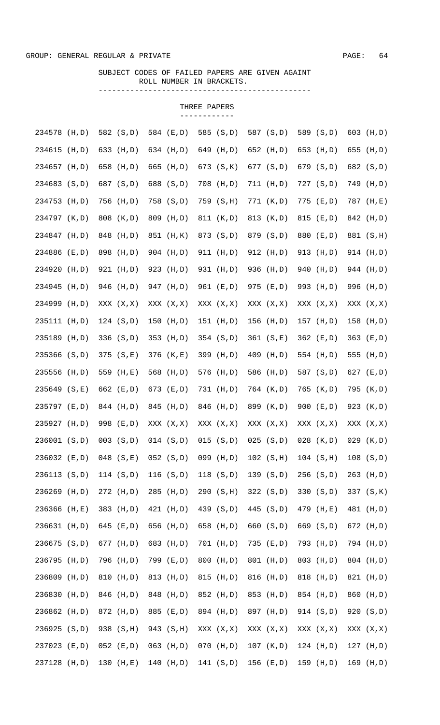#### GROUP: GENERAL REGULAR & PRIVATE  $\sim$  94  $\sim$  94  $\sim$  94  $\sim$  94  $\sim$  94  $\sim$  94  $\sim$  94  $\sim$  94  $\sim$  94  $\sim$  94  $\sim$  94  $\sim$  94  $\sim$  94  $\sim$  94  $\sim$  94  $\sim$  94  $\sim$  94  $\sim$  94  $\sim$  94  $\sim$  94  $\sim$  94  $\sim$  94  $\sim$  94  $\sim$

## SUBJECT CODES OF FAILED PAPERS ARE GIVEN AGAINT ROLL NUMBER IN BRACKETS. -----------------------------------------------

| 234578 (H,D)     | 582 (S,D)     | 584 (E,D)     | 585<br>(S, D) | 587 (S,D)     | 589 (S,D)     | 603 (H,D)   |
|------------------|---------------|---------------|---------------|---------------|---------------|-------------|
| 234615 (H,D)     | 633 (H,D)     | 634 (H,D)     | (H, D)<br>649 | 652 (H,D)     | 653 (H,D)     | 655 (H,D)   |
| 234657 (H,D)     | 658 (H,D)     | 665 (H,D)     | 673 (S,K)     | 677 (S,D)     | 679 (S,D)     | 682 (S,D)   |
| 234683 (S,D)     | 687 (S,D)     | 688 (S,D)     | 708 (H,D)     | 711 (H, D)    | 727 (S, D)    | 749 (H,D)   |
| 234753 (H,D)     | 756 (H,D)     | 758 (S,D)     | 759 (S, H)    | 771 (K,D)     | (E,D)<br>775  | 787 (H,E)   |
| 234797 (K,D)     | 808 (K,D)     | 809 (H,D)     | 811 (K,D)     | 813 (K,D)     | 815 (E,D)     | 842 (H,D)   |
| 234847 (H,D)     | 848 (H,D)     | 851 (H, K)    | 873 (S,D)     | 879 (S,D)     | 880 (E,D)     | 881 (S, H)  |
| 234886 (E,D)     | 898 (H,D)     | 904 (H,D)     | 911 (H,D)     | 912 (H,D)     | 913 (H,D)     | 914 (H,D)   |
| 234920<br>(H, D) | 921 (H,D)     | 923 (H,D)     | 931 (H,D)     | 936 (H,D)     | 940 (H,D)     | 944 (H,D)   |
| 234945<br>(H, D) | 946 (H,D)     | 947 (H,D)     | 961 (E,D)     | 975 (E,D)     | 993 (H,D)     | 996 (H,D)   |
| 234999 (H,D)     | XXX (X, X)    | XXX (X, X)    | XXX (X, X)    | XXX (X, X)    | XXX (X, X)    | XXX (X, X)  |
| 235111 (H,D)     | 124 (S,D)     | 150 (H,D)     | $151$ (H,D)   | $156$ (H,D)   | 157 (H,D)     | 158 (H,D)   |
| 235189<br>(H,D)  | 336 (S,D)     | 353<br>(H, D) | 354 (S,D)     | 361 (S,E)     | 362 (E,D)     | 363 (E,D)   |
| 235366 (S,D)     | 375 (S, E)    | 376 (K,E)     | 399 (H,D)     | 409 (H,D)     | 554 (H,D)     | 555 (H,D)   |
| 235556<br>(H, D) | 559 (H,E)     | 568 (H,D)     | 576<br>(H,D)  | 586 (H,D)     | 587 (S,D)     | 627 (E,D)   |
| 235649 (S,E)     | 662 (E,D)     | 673 (E,D)     | 731 (H,D)     | 764 (K,D)     | 765 (K,D)     | 795 (K,D)   |
| 235797 (E,D)     | 844 (H,D)     | 845<br>(H, D) | 846<br>(H,D)  | 899 (K,D)     | 900 $(E, D)$  | 923 (K,D)   |
| 235927 (H,D)     | 998 (E,D)     | XXX (X, X)    | XXX (X, X)    | XXX (X, X)    | XXX (X, X)    | XXX (X, X)  |
| 236001 (S,D)     | $003$ $(S,D)$ | 014 (S, D)    | 015 (S, D)    | $025$ $(S,D)$ | $028$ $(K,D)$ | $029$ (K,D) |
| 236032 (E,D)     | $048$ $(S,E)$ | $052$ $(S,D)$ | $099$ (H,D)   | 102 (S,H)     | 104 (S,H)     | 108 (S, D)  |
| 236113 (S,D)     | 114 (S,D)     | 116 (S,D)     | 118 $(S, D)$  | 139 (S,D)     | 256 (S,D)     | 263 (H,D)   |
| 236269 (H,D)     | 272 (H,D)     | 285 (H,D)     | 290 (S, H)    | 322 (S,D)     | 330 $(S,D)$   | 337 (S, K)  |
| 236366 (H,E)     | 383 (H,D)     | 421 (H,D)     | 439 (S,D)     | 445 (S,D)     | 479 (H,E)     | 481 (H,D)   |
| 236631 (H,D)     | 645 (E,D)     | 656 (H,D)     | 658 (H,D)     | 660 (S,D)     | 669 (S,D)     | 672 (H,D)   |
| 236675 (S,D)     | 677 (H,D)     | 683 (H,D)     | 701 (H,D)     | 735 (E,D)     | 793 (H,D)     | 794 (H,D)   |
| 236795 (H,D)     | 796 (H,D)     | 799 (E,D)     | 800 (H,D)     | 801 (H,D)     | 803 (H,D)     | 804 (H,D)   |
| 236809 (H,D)     | 810 (H,D)     | 813 (H, D)    | 815 (H,D)     | 816 (H,D)     | 818 (H,D)     | 821 (H,D)   |
| 236830 (H,D)     | 846 (H,D)     | 848 (H,D)     | 852 (H,D)     | 853 (H,D)     | 854 (H,D)     | 860 (H,D)   |
| 236862 (H,D)     | 872 (H,D)     | 885 (E,D)     | 894 (H,D)     | 897 (H,D)     | 914 (S,D)     | 920 (S,D)   |
| 236925 (S,D)     | 938 (S, H)    | 943 (S, H)    | XXX (X, X)    | XXX (X, X)    | XXX (X, X)    | XXX (X, X)  |
| 237023 (E,D)     | $052$ (E,D)   | $063$ (H,D)   | $070$ (H,D)   | $107$ (K,D)   | $124$ (H,D)   | $127$ (H,D) |
| 237128 (H,D)     | 130 (H,E)     | 140 (H,D)     | 141 (S,D)     | $156$ (E,D)   | 159 (H,D)     | 169 (H,D)   |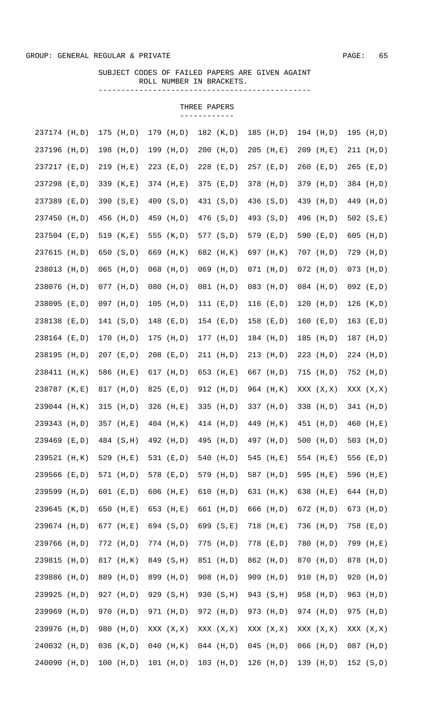## SUBJECT CODES OF FAILED PAPERS ARE GIVEN AGAINT ROLL NUMBER IN BRACKETS. -----------------------------------------------

| 237174 (H,D)     | $175$ (H,D)  | 179<br>(H, D) | 182 (K,D)     | 185 (H,D)   | 194 (H,D)    | 195 (H,D)    |
|------------------|--------------|---------------|---------------|-------------|--------------|--------------|
| 237196 (H,D)     | 198 (H,D)    | 199<br>(H, D) | $200$ (H,D)   | $205$ (H,E) | 209 (H,E)    | 211 (H,D)    |
| 237217 (E,D)     | $219$ (H,E)  | $223$ (E,D)   | 228 (E,D)     | $257$ (E,D) | $260$ (E,D)  | 265 (E,D)    |
| 237298 (E,D)     | 339 (K,E)    | 374 (H,E)     | 375<br>(E,D)  | 378 (H,D)   | 379 (H,D)    | 384 (H,D)    |
| 237389 (E,D)     | 390 (S,E)    | 409 (S,D)     | 431 (S,D)     | 436 (S,D)   | 439 (H,D)    | 449 (H,D)    |
| 237450<br>(H, D) | 456 (H,D)    | 459<br>(H, D) | 476 (S,D)     | 493 (S,D)   | 496 (H,D)    | 502 $(S,E)$  |
| 237504 (E,D)     | 519 (K,E)    | 555 (K,D)     | 577 (S,D)     | 579 (E,D)   | 590 (E,D)    | 605 (H,D)    |
| 237615<br>(H, D) | 650 (S,D)    | 669 (H, K)    | 682 (H, K)    | 697 (H, K)  | 707 (H,D)    | 729 (H,D)    |
| 238013 (H,D)     | $065$ (H,D)  | $068$ (H,D)   | $069$ (H,D)   | $071$ (H,D) | $072$ (H,D)  | $073$ (H,D)  |
| 238076 (H,D)     | $077$ (H,D)  | $080$ (H,D)   | $081$ (H,D)   | 083 (H,D)   | $084$ (H,D)  | $092$ (E,D)  |
| 238095 (E,D)     | 097 (H,D)    | $105$ (H,D)   | 111 $(E, D)$  | $116$ (E,D) | $120$ (H,D)  | 126 $(K, D)$ |
| 238138 (E,D)     | 141 (S,D)    | $148$ (E,D)   | $154$ (E,D)   | $158$ (E,D) | $160$ (E,D)  | 163 $(E,D)$  |
| 238164 (E,D)     | 170 (H,D)    | 175 (H,D)     | $177$ (H,D)   | 184 (H,D)   | 185 (H,D)    | 187 (H,D)    |
| 238195<br>(H, D) | 207 (E,D)    | $208$ (E,D)   | 211 (H,D)     | 213 (H,D)   | 223 (H,D)    | 224 (H,D)    |
| 238411 (H, K)    | 586 (H,E)    | 617<br>(H, D) | 653<br>(H,E)  | 667 (H,D)   | $715$ (H,D)  | 752 (H,D)    |
| 238787 (K,E)     | 817 (H,D)    | 825<br>(E,D)  | 912 (H,D)     | 964 (H, K)  | XXX (X, X)   | XXX (X, X)   |
| 239044 (H, K)    | $315$ (H,D)  | 326 (H,E)     | 335<br>(H,D)  | 337 (H,D)   | 338 (H,D)    | 341 (H,D)    |
| 239343<br>(H, D) | 357 (H,E)    | $404$ (H, K)  | $414$ (H,D)   | 449 (H, K)  | 451 (H,D)    | 460 (H,E)    |
| 239469 (E,D)     | 484 (S, H)   | 492 (H,D)     | 495<br>(H, D) | 497 (H,D)   | 500 $(H, D)$ | 503 (H,D)    |
| 239521 (H, K)    | 529 (H,E)    | 531 (E,D)     | 540 (H,D)     | 545 (H,E)   | 554 $(H,E)$  | 556 (E,D)    |
| 239566 (E,D)     | 571 (H,D)    | 578 (E,D)     | 579 (H,D)     | 587 (H,D)   | 595 (H,E)    | 596 (H,E)    |
| 239599 (H,D)     | 601 $(E, D)$ | 606 $(H,E)$   | 610 $(H, D)$  | 631 (H, K)  | 638 (H,E)    | 644 (H,D)    |
| 239645 (K,D)     | 650 (H,E)    | 653 (H,E)     | 661 (H,D)     | 666 (H,D)   | 672 (H,D)    | 673 (H,D)    |
| 239674 (H,D)     | 677 (H,E)    | 694 (S,D)     | 699 (S,E)     | 718 (H,E)   | 736 (H,D)    | 758 (E,D)    |
| 239766 (H,D)     | 772 (H,D)    | 774 (H,D)     | 775 (H,D)     | 778 (E,D)   | 780 (H,D)    | 799 (H,E)    |
| 239815 (H,D)     | 817 (H, K)   | 849 (S, H)    | 851 (H,D)     | 862 (H,D)   | 870 (H,D)    | 878 (H,D)    |
| 239886 (H,D)     | 889 (H,D)    | 899 (H,D)     | 908 (H,D)     | 909 (H,D)   | 910 (H,D)    | 920 (H,D)    |
| 239925 (H,D)     | 927 (H,D)    | 929 (S, H)    | 930 (S, H)    | 943 (S, H)  | 958 (H,D)    | 963 (H,D)    |
| 239969 (H,D)     | 970 (H,D)    | 971 (H,D)     | 972 (H,D)     | 973 (H,D)   | 974 (H,D)    | 975 (H,D)    |
| 239976<br>(H, D) | 980 (H,D)    | XXX (X, X)    | XXX (X, X)    | XXX (X, X)  | XXX (X, X)   | XXX (X, X)   |
| 240032 (H,D)     | 036 (K,D)    | 040 (H, K)    | $044$ (H,D)   | $045$ (H,D) | $066$ (H,D)  | 087 (H,D)    |
| 240090 (H,D)     | $100$ (H,D)  | $101$ (H,D)   | $103$ (H,D)   | $126$ (H,D) | 139 (H,D)    | 152 (S,D)    |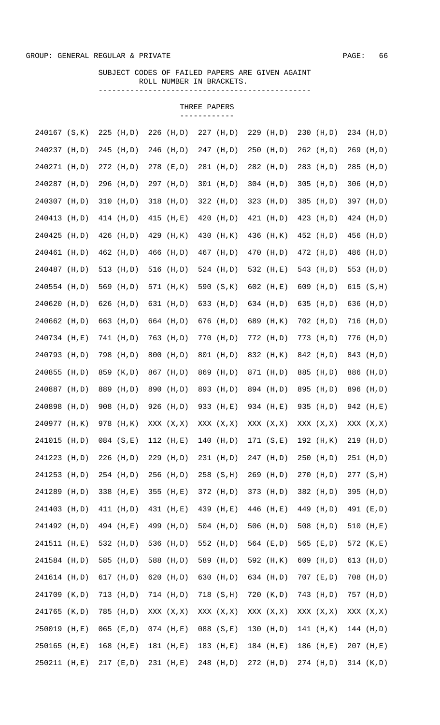## SUBJECT CODES OF FAILED PAPERS ARE GIVEN AGAINT ROLL NUMBER IN BRACKETS. -----------------------------------------------

| 240167 (S, K)    | $225$ (H, D)  | 226<br>(H, D) | 227<br>(H, D) | 229<br>(H, D) | $230$ (H,D)  | 234 (H,D)     |
|------------------|---------------|---------------|---------------|---------------|--------------|---------------|
| 240237 (H,D)     | 245 (H,D)     | 246 (H,D)     | 247 (H,D)     | 250<br>(H,D)  | $262$ (H,D)  | 269 (H,D)     |
| 240271 (H,D)     | 272 (H, D)    | 278 (E,D)     | 281 (H,D)     | 282 (H,D)     | 283 (H,D)    | 285 (H,D)     |
| 240287 (H,D)     | 296 (H,D)     | 297 (H,D)     | 301 (H,D)     | $304$ (H,D)   | $305$ (H,D)  | 306 (H,D)     |
| 240307 (H,D)     | $310$ (H,D)   | $318$ (H,D)   | 322 (H,D)     | $323$ (H,D)   | 385 (H,D)    | 397 (H,D)     |
| 240413<br>(H, D) | 414 (H,D)     | 415<br>(H,E)  | 420<br>(H,D)  | 421 (H, D)    | 423 (H,D)    | 424 (H,D)     |
| 240425<br>(H, D) | 426 (H,D)     | 429 (H, K)    | 430<br>(H, K) | 436 (H, K)    | 452 (H,D)    | 456 (H,D)     |
| 240461 (H,D)     | 462 (H,D)     | 466<br>(H, D) | 467 (H,D)     | 470<br>(H, D) | 472 (H,D)    | 486 (H,D)     |
| 240487 (H,D)     | 513 (H,D)     | 516<br>(H, D) | 524 (H,D)     | 532 (H,E)     | 543 (H,D)    | 553 (H,D)     |
| 240554 (H,D)     | 569 (H,D)     | 571 (H, K)    | 590 (S,K)     | 602 $(H,E)$   | 609 (H,D)    | 615 (S,H)     |
| 240620<br>(H,D)  | 626 (H,D)     | 631 (H,D)     | 633 (H,D)     | 634 (H,D)     | 635 (H,D)    | 636 (H,D)     |
| 240662 (H,D)     | 663 (H,D)     | 664 (H,D)     | 676 (H,D)     | 689 (H, K)    | 702 (H,D)    | 716 (H,D)     |
| 240734 (H,E)     | 741 (H,D)     | 763 (H,D)     | 770<br>(H,D)  | 772 (H,D)     | 773 (H,D)    | 776 (H,D)     |
| 240793 (H,D)     | 798 (H,D)     | 800<br>(H, D) | 801<br>(H,D)  | 832 (H, K)    | 842 (H,D)    | 843 (H,D)     |
| 240855<br>(H, D) | 859<br>(K, D) | 867<br>(H, D) | 869<br>(H,D)  | 871 (H,D)     | 885 (H,D)    | 886<br>(H, D) |
| 240887<br>(H, D) | 889<br>(H, D) | 890<br>(H, D) | 893<br>(H,D)  | 894 (H,D)     | 895 (H,D)    | 896<br>(H, D) |
| 240898<br>(H, D) | 908 (H,D)     | 926 (H,D)     | 933<br>(H,E)  | 934 (H,E)     | 935 (H,D)    | 942 (H,E)     |
| 240977 (H, K)    | 978 (H, K)    | XXX (X, X)    | XXX (X, X)    | XXX (X, X)    | XXX (X, X)   | XXX (X, X)    |
| 241015<br>(H, D) | $084$ (S,E)   | $112$ (H,E)   | $140$ (H,D)   | 171 (S,E)     | $192$ (H, K) | 219 (H,D)     |
| 241223 (H,D)     | $226$ (H,D)   | 229 (H,D)     | 231 (H,D)     | 247 (H,D)     | $250$ (H,D)  | 251 (H,D)     |
| 241253 (H,D)     | 254 (H,D)     | 256 (H,D)     | $258$ (S, H)  | 269 (H,D)     | 270 (H,D)    | 277 (S, H)    |
| 241289 (H,D)     | 338 (H,E)     | 355 (H,E)     | 372 (H,D)     | 373 (H,D)     | 382 (H,D)    | 395 (H,D)     |
| 241403 (H,D)     | 411 (H, D)    | 431 (H,E)     | 439 (H,E)     | 446 (H,E)     | 449 (H,D)    | 491 (E,D)     |
| 241492 (H,D)     | 494 (H,E)     | 499 (H,D)     | 504 (H,D)     | 506 $(H, D)$  | 508 (H,D)    | 510 (H,E)     |
| 241511 (H,E)     | 532 (H,D)     | 536 (H,D)     | 552 (H,D)     | 564 (E,D)     | 565 (E,D)    | 572 (K,E)     |
| 241584 (H,D)     | 585 (H,D)     | 588 (H,D)     | 589 (H,D)     | 592 (H, K)    | 609 (H,D)    | 613 (H,D)     |
| 241614 (H,D)     | 617 (H,D)     | 620 (H,D)     | 630 (H,D)     | 634 (H,D)     | $707$ (E,D)  | 708 (H,D)     |
| 241709 (K,D)     | 713 (H,D)     | 714 (H,D)     | 718 (S, H)    | 720 (K,D)     | 743 (H,D)    | 757 (H,D)     |
| 241765 (K,D)     | 785 (H,D)     | XXX (X,X)     | XXX (X, X)    | XXX (X, X)    | XXX (X, X)   | XXX (X,X)     |
| 250019 (H,E)     | $065$ (E,D)   | $074$ (H,E)   | $088$ $(S,E)$ | $130$ (H,D)   | 141 (H, K)   | $144$ (H,D)   |
| 250165 (H,E)     | $168$ (H,E)   | 181 (H,E)     | $183$ (H,E)   | $184$ (H,E)   | 186 (H,E)    | 207 (H,E)     |
| 250211 (H,E)     | $217$ (E,D)   | 231 (H,E)     | 248 (H,D)     | 272 (H,D)     | 274 (H,D)    | 314 (K,D)     |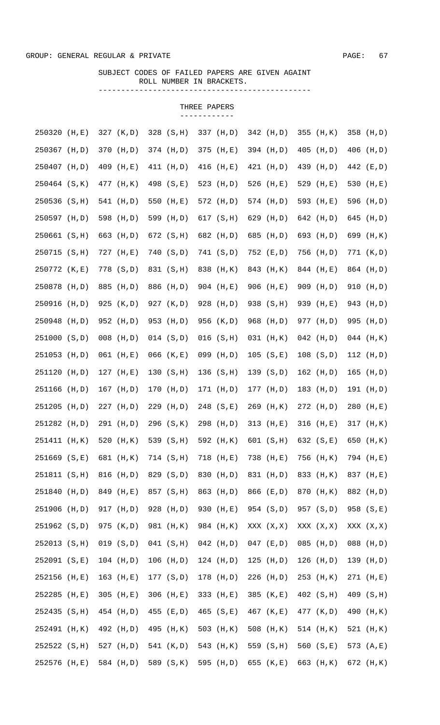## SUBJECT CODES OF FAILED PAPERS ARE GIVEN AGAINT ROLL NUMBER IN BRACKETS. -----------------------------------------------

| 250320           | (H, E) | 327 (K,D)    | 328 (S, H)  | 337 (H,D)     | 342 (H,D)    | 355 (H, K)   | 358 (H,D)    |
|------------------|--------|--------------|-------------|---------------|--------------|--------------|--------------|
| 250367 (H,D)     |        | 370 (H,D)    | 374 (H,D)   | 375 (H,E)     | 394 (H,D)    | $405$ (H,D)  | 406 (H,D)    |
| 250407 (H,D)     |        | 409 (H,E)    | 411 (H, D)  | $416$ (H,E)   | 421 (H,D)    | 439 (H,D)    | 442 (E,D)    |
| 250464 (S, K)    |        | 477 (H, K)   | 498 (S,E)   | 523 (H,D)     | 526 $(H,E)$  | 529 (H,E)    | 530 (H,E)    |
| 250536 (S, H)    |        | 541 (H,D)    | 550 $(H,E)$ | 572 (H,D)     | 574 (H,D)    | 593 (H,E)    | 596 (H,D)    |
| 250597 (H,D)     |        | 598 (H,D)    | 599 (H,D)   | 617 (S, H)    | 629 (H,D)    | 642 (H,D)    | 645 (H,D)    |
| 250661 (S, H)    |        | 663 (H,D)    | 672 (S, H)  | 682 (H,D)     | 685 (H,D)    | 693 (H,D)    | 699 (H, K)   |
| 250715 (S, H)    |        | 727 (H,E)    | 740 (S,D)   | 741 (S,D)     | 752 (E,D)    | 756 (H,D)    | 771 (K,D)    |
| 250772 (K,E)     |        | 778 (S,D)    | 831 (S, H)  | 838 (H, K)    | 843 (H, K)   | 844 (H,E)    | 864 (H,D)    |
| 250878 (H,D)     |        | 885 (H,D)    | 886 (H,D)   | 904 (H,E)     | 906 (H,E)    | 909 (H,D)    | 910 (H,D)    |
| 250916 (H,D)     |        | 925 (K,D)    | 927 (K,D)   | 928 (H,D)     | 938 (S, H)   | 939 (H,E)    | 943 (H,D)    |
| 250948           | (H, D) | 952 (H,D)    | 953 (H,D)   | 956 (K,D)     | 968 (H,D)    | 977 (H,D)    | 995 (H,D)    |
| 251000 (S,D)     |        | $008$ (H,D)  | 014 (S,D)   | $016$ $(S,H)$ | $031$ (H, K) | $042$ (H,D)  | $044$ (H, K) |
| 251053           | (H,D)  | $061$ (H,E)  | $066$ (K,E) | 099 (H,D)     | 105 (S,E)    | 108 (S, D)   | $112$ (H,D)  |
| 251120           | (H, D) | $127$ (H, E) | 130 (S,H)   | 136(S,H)      | 139 (S,D)    | 162 (H,D)    | $165$ (H,D)  |
| 251166           | (H, D) | 167 (H,D)    | 170 (H, D)  | 171 (H,D)     | $177$ (H,D)  | 183 (H,D)    | 191 (H,D)    |
| 251205           | (H, D) | $227$ (H, D) | 229 (H,D)   | $248$ (S,E)   | $269$ (H, K) | $272$ (H, D) | 280 (H,E)    |
| 251282 (H,D)     |        | 291 (H,D)    | 296 (S, K)  | 298 (H,D)     | $313$ (H,E)  | 316 (H,E)    | 317 (H, K)   |
| 251411 (H, K)    |        | 520 $(H, K)$ | 539 (S, H)  | 592 (H, K)    | 601 (S,H)    | 632 (S,E)    | 650 (H, K)   |
| $251669$ $(S,E)$ |        | 681 (H, K)   | 714 (S, H)  | 718 (H,E)     | 738 (H,E)    | 756 (H, K)   | 794 (H,E)    |
| 251811 (S, H)    |        | 816 (H,D)    | 829 (S,D)   | 830 (H,D)     | 831 (H,D)    | 833 (H, K)   | 837 (H,E)    |
| 251840 (H,D)     |        | 849 (H,E)    | 857 (S, H)  | 863 (H,D)     | 866 (E,D)    | 870 (H, K)   | 882 (H,D)    |
| 251906 (H,D)     |        | 917 (H,D)    | 928 (H,D)   | 930 (H,E)     | 954 (S,D)    | 957 (S,D)    | 958 (S,E)    |
| 251962 (S,D)     |        | 975 (K,D)    | 981 (H, K)  | 984 (H, K)    | XXX (X, X)   | XXX (X, X)   | XXX (X, X)   |
| 252013 (S, H)    |        | 019 (S, D)   | 041 (S,H)   | $042$ (H,D)   | $047$ (E,D)  | $085$ (H,D)  | 088 (H,D)    |
| 252091 (S,E)     |        | $104$ (H,D)  | $106$ (H,D) | $124$ (H,D)   | $125$ (H,D)  | $126$ (H,D)  | 139 (H,D)    |
| 252156 (H,E)     |        | 163 (H,E)    | 177 (S,D)   | 178 (H,D)     | 226 (H,D)    | 253 (H, K)   | 271 (H,E)    |
| 252285 (H,E)     |        | $305$ (H,E)  | 306 (H,E)   | 333 (H,E)     | 385 (K,E)    | 402 (S, H)   | 409 (S, H)   |
| 252435 (S, H)    |        | 454 (H,D)    | 455 (E,D)   | $465$ (S,E)   | 467 (K,E)    | 477 (K,D)    | 490 (H, K)   |
| 252491 (H, K)    |        | 492 (H,D)    | 495 (H, K)  | 503 (H, K)    | 508 $(H, K)$ | $514$ (H, K) | 521 (H, K)   |
| 252522 (S, H)    |        | 527 (H,D)    | 541 (K,D)   | 543 (H, K)    | 559 (S, H)   | 560 $(S,E)$  | 573 (A,E)    |
| 252576 (H,E)     |        | 584 (H,D)    | 589 (S, K)  | 595 (H,D)     | 655 (K,E)    | 663 (H, K)   | 672 (H, K)   |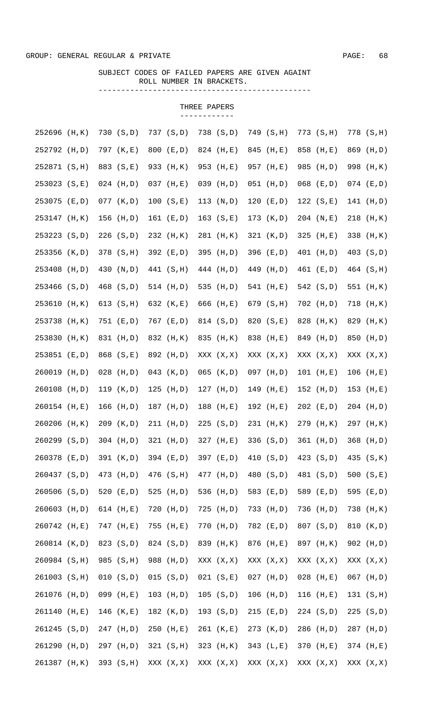## SUBJECT CODES OF FAILED PAPERS ARE GIVEN AGAINT ROLL NUMBER IN BRACKETS. -----------------------------------------------

| 252696 (H, K) |        | 730 (S, D)   | 737 (S,D)     | 738 (S,D)   | 749 (S,H)   | 773 (S, H)  | 778 (S, H)  |
|---------------|--------|--------------|---------------|-------------|-------------|-------------|-------------|
| 252792 (H,D)  |        | 797 (K,E)    | 800 (E,D)     | 824 (H,E)   | 845 (H,E)   | 858 (H,E)   | 869 (H,D)   |
| 252871 (S, H) |        | 883 (S,E)    | 933 (H, K)    | 953 (H,E)   | 957 (H,E)   | 985 (H,D)   | 998 (H, K)  |
| 253023 (S,E)  |        | $024$ (H,D)  | $037$ (H, E)  | $039$ (H,D) | $051$ (H,D) | $068$ (E,D) | $074$ (E,D) |
| 253075 (E,D)  |        | 077 (K,D)    | 100 (S,E)     | 113 $(N,D)$ | 120 $(E,D)$ | 122 $(S,E)$ | 141 (H,D)   |
| 253147 (H, K) |        | 156 (H,D)    | 161 (E,D)     | 163 (S,E)   | 173 (K,D)   | $204$ (N,E) | 218 (H, K)  |
| 253223 (S,D)  |        | 226 (S,D)    | 232 (H, K)    | 281 (H, K)  | 321 (K,D)   | 325 $(H,E)$ | 338 (H, K)  |
| 253356 (K,D)  |        | 378 (S, H)   | 392 (E,D)     | 395 (H,D)   | 396 (E,D)   | 401 (H,D)   | 403 (S,D)   |
| 253408 (H,D)  |        | 430 (N,D)    | 441 (S, H)    | 444 (H,D)   | 449 (H,D)   | 461 (E,D)   | 464 (S, H)  |
| 253466 (S,D)  |        | 468 (S,D)    | 514 (H,D)     | 535 (H,D)   | 541 (H,E)   | 542 (S,D)   | 551 (H, K)  |
| 253610        | (H, K) | 613 (S,H)    | 632 (K,E)     | 666 (H,E)   | 679 (S, H)  | 702 (H,D)   | 718 (H, K)  |
| 253738 (H, K) |        | 751 (E,D)    | 767 (E,D)     | 814 (S,D)   | 820 (S,E)   | 828 (H, K)  | 829 (H, K)  |
| 253830        | (H, K) | 831 (H,D)    | 832 (H, K)    | 835 (H, K)  | 838 (H,E)   | 849 (H,D)   | 850 (H,D)   |
| 253851 (E,D)  |        | 868 (S,E)    | 892 (H,D)     | XXX (X, X)  | XXX (X, X)  | XXX (X, X)  | XXX (X, X)  |
| 260019        | (H, D) | $028$ (H,D)  | 043 $(K, D)$  | $065$ (K,D) | $097$ (H,D) | $101$ (H,E) | $106$ (H,E) |
| 260108 (H,D)  |        | 119 $(K, D)$ | 125 $(H, D)$  | $127$ (H,D) | $149$ (H,E) | $152$ (H,D) | $153$ (H,E) |
| 260154 (H,E)  |        | 166 $(H, D)$ | 187 (H,D)     | $188$ (H,E) | $192$ (H,E) | $202$ (E,D) | 204 (H,D)   |
| 260206 (H, K) |        | 209 (K,D)    | $211$ (H, D)  | 225 (S, D)  | 231 (H, K)  | 279 (H, K)  | 297 (H, K)  |
| 260299 (S,D)  |        | $304$ (H,D)  | $321$ (H, D)  | $327$ (H,E) | 336 (S,D)   | 361 (H,D)   | 368 (H,D)   |
| 260378 (E,D)  |        | 391 (K,D)    | 394 (E,D)     | 397 (E,D)   | 410 (S,D)   | 423 (S,D)   | 435 (S, K)  |
| 260437 (S,D)  |        | 473 (H,D)    | 476 (S, H)    | 477 (H,D)   | 480 (S,D)   | 481 (S,D)   | 500 $(S,E)$ |
| 260506 (S,D)  |        | 520 $(E,D)$  | 525 $(H, D)$  | 536 (H,D)   | 583 (E,D)   | 589 (E,D)   | 595 (E,D)   |
| 260603 (H,D)  |        | 614 $(H,E)$  | $720$ $(H,D)$ | 725 (H,D)   | 733 (H,D)   | 736 (H,D)   | 738 (H, K)  |
| 260742 (H,E)  |        | 747 (H,E)    | 755 (H,E)     | 770 (H,D)   | 782 (E,D)   | 807 (S,D)   | 810 (K,D)   |
| 260814 (K,D)  |        | 823 (S,D)    | 824 (S,D)     | 839 (H, K)  | 876 (H,E)   | 897 (H, K)  | 902 (H,D)   |
| 260984 (S, H) |        | 985 (S, H)   | 988 (H,D)     | XXX (X, X)  | XXX (X,X)   | XXX (X, X)  | XXX (X, X)  |
| 261003 (S, H) |        | 010 (S, D)   | 015 (S, D)    | 021 (S,E)   | $027$ (H,D) | $028$ (H,E) | $067$ (H,D) |
| 261076 (H,D)  |        | 099 (H,E)    | $103$ (H,D)   | 105 (S, D)  | $106$ (H,D) | $116$ (H,E) | 131 (S, H)  |
| 261140 (H,E)  |        | $146$ (K,E)  | 182 (K,D)     | 193 (S,D)   | $215$ (E,D) | 224 (S,D)   | 225 (S, D)  |
| 261245 (S,D)  |        | 247 (H,D)    | 250 (H,E)     | 261 (K,E)   | 273 (K,D)   | 286 (H,D)   | 287 (H,D)   |
| 261290 (H,D)  |        | 297 (H,D)    | 321 (S,H)     | 323 (H, K)  | 343 (L,E)   | 370 (H,E)   | 374 (H,E)   |
| 261387 (H, K) |        | 393 (S, H)   | XXX (X,X)     | XXX (X, X)  | XXX (X, X)  | XXX (X, X)  | XXX (X, X)  |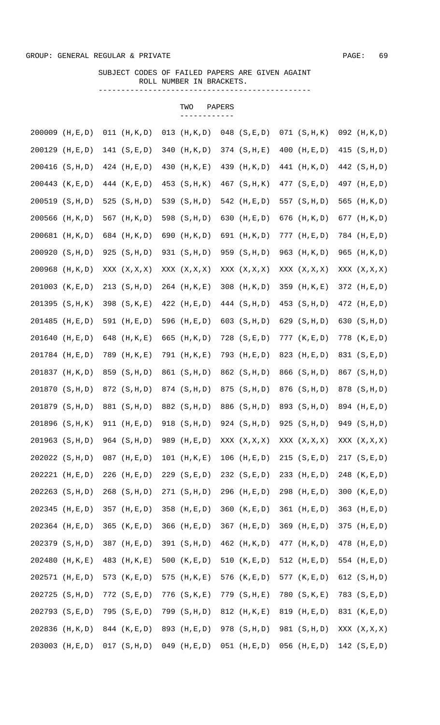# SUBJECT CODES OF FAILED PAPERS ARE GIVEN AGAINT ROLL NUMBER IN BRACKETS.

TWO PAPERS

-----------------------------------------------

|        |                      |                   |     | ------------    |                   |                 |                 |
|--------|----------------------|-------------------|-----|-----------------|-------------------|-----------------|-----------------|
| 200009 | (H, E, D)            | $011$ $(H, K, D)$ | 013 | (H, K, D)       | $048$ $(S, E, D)$ | 071 (S,H,K)     | 092 (H, K, D)   |
| 200129 | (H, E, D)            | 141 (S,E,D)       | 340 | (H, K, D)       | $374$ (S, H, E)   | $400$ (H, E, D) | 415 (S, H, D)   |
|        | 200416 (S, H, D)     | $424$ (H, E, D)   | 430 | (H, K, E)       | 439 (H, K, D)     | 441 (H, K, D)   | 442 (S, H, D)   |
| 200443 | (K, E, D)            | 444 $(K, E, D)$   |     | 453 (S, H, K)   | 467 (S, H, K)     | 477 (S, E, D)   | 497 (H, E, D)   |
|        | $200519$ (S, H, D)   | 525 $(S,H,D)$     |     | 539 (S, H, D)   | 542 (H, E, D)     | 557 (S, H, D)   | 565 (H, K, D)   |
| 200566 | (H, K, D)            | 567 (H, K, D)     |     | 598 (S, H, D)   | 630 $(H,E,D)$     | 676 (H, K, D)   | 677 (H, K, D)   |
|        | 200681 (H, K, D)     | 684 (H, K, D)     |     | 690 (H, K, D)   | 691 (H, K, D)     | $777$ (H, E, D) | 784 (H, E, D)   |
|        | 200920 (S, H, D)     | 925 (S, H, D)     |     | 931 (S, H, D)   | 959 (S, H, D)     | 963 (H, K, D)   | 965 (H, K, D)   |
| 200968 | (H, K, D)            | XXX (X, X, X)     |     | XXX (X, X, X)   | XXX (X, X, X)     | XXX (X, X, X)   | XXX (X, X, X)   |
|        | $201003$ $(K, E, D)$ | 213 (S, H, D)     |     | 264 (H, K, E)   | 308 (H, K, D)     | 359 (H, K, E)   | 372 (H, E, D)   |
|        | $201395$ (S, H, K)   | 398 (S, K, E)     |     | $422$ (H, E, D) | 444 (S, H, D)     | 453 (S, H, D)   | 472 (H, E, D)   |
|        | 201485 (H, E, D)     | 591 (H,E,D)       |     | 596 (H,E,D)     | 603 $(S,H,D)$     | 629 (S, H, D)   | 630 (S, H, D)   |
|        | 201640 (H,E,D)       | 648 (H, K, E)     |     | 665 (H, K, D)   | 728 (S,E,D)       | 777 (K, E, D)   | 778 (K,E,D)     |
|        | 201784 (H, E, D)     | 789 (H, K, E)     |     | 791 (H, K, E)   | 793 (H,E,D)       | 823 (H,E,D)     | 831 (S,E,D)     |
|        | 201837 (H, K, D)     | 859 (S, H, D)     |     | 861 (S, H, D)   | 862 (S, H, D)     | 866 (S, H, D)   | 867 (S, H, D)   |
|        | 201870 (S, H, D)     | 872 (S, H, D)     |     | 874 (S, H, D)   | 875 (S, H, D)     | 876 (S, H, D)   | 878 (S, H, D)   |
|        | 201879 (S, H, D)     | 881 (S, H, D)     |     | 882 (S, H, D)   | 886 (S, H, D)     | 893 (S, H, D)   | 894 (H, E, D)   |
|        | 201896 (S, H, K)     | 911 (H, E, D)     |     | 918 (S, H, D)   | 924 (S, H, D)     | $925$ (S, H, D) | 949 (S, H, D)   |
|        | 201963 (S, H, D)     | 964 (S, H, D)     |     | 989 (H,E,D)     | XXX (X, X, X)     | XXX (X, X, X)   | XXX (X, X, X)   |
|        | 202022 (S, H, D)     | $087$ (H, E, D)   |     | $101$ (H, K, E) | $106$ (H,E,D)     | 215 (S, E, D)   | 217 (S, E, D)   |
|        | 202221 (H, E, D)     | $226$ (H, E, D)   |     | $229$ (S, E, D) | 232 (S, E, D)     | 233 (H, E, D)   | 248 (K, E, D)   |
|        | 202263 (S, H, D)     | 268 (S, H, D)     |     | 271 (S, H, D)   | 296 (H, E, D)     | 298 (H, E, D)   | 300 $(K, E, D)$ |
|        | 202345 (H, E, D)     | 357 (H, E, D)     |     | 358 (H, E, D)   | 360 $(K, E, D)$   | $361$ (H, E, D) | $363$ (H, E, D) |
|        | 202364 (H, E, D)     | 365 $(K, E, D)$   |     | 366 (H,E,D)     | 367 (H, E, D)     | $369$ (H, E, D) | 375 (H,E,D)     |
|        | 202379 (S, H, D)     | 387 (H, E, D)     |     | 391 (S, H, D)   | 462 (H, K, D)     | 477 (H, K, D)   | 478 (H, E, D)   |
|        | 202480 (H, K, E)     | 483 (H, K, E)     |     | 500 $(K, E, D)$ | 510 $(K, E, D)$   | 512 $(H,E,D)$   | 554 $(H,E,D)$   |
|        | 202571 (H,E,D)       | 573 $(K, E, D)$   | 575 | (H, K, E)       | 576 $(K, E, D)$   | 577 $(K, E, D)$ | 612 $(S,H,D)$   |
| 202725 | (S,H,D)              | 772 (S,E,D)       |     | 776 (S, K, E)   | 779 (S, H, E)     | 780 (S, K, E)   | 783 (S,E,D)     |
|        | 202793 (S,E,D)       | 795 (S,E,D)       |     | 799 (S, H, D)   | 812 (H, K, E)     | 819 (H,E,D)     | 831 (K,E,D)     |
| 202836 | (H, K, D)            | 844 (K, E, D)     |     | 893 (H, E, D)   | 978 (S, H, D)     | 981 (S, H, D)   | XXX (X, X, X)   |
| 203003 | (H, E, D)            | 017 (S,H,D)       |     | $049$ (H,E,D)   | $051$ (H,E,D)     | $056$ (H,E,D)   | 142 $(S, E, D)$ |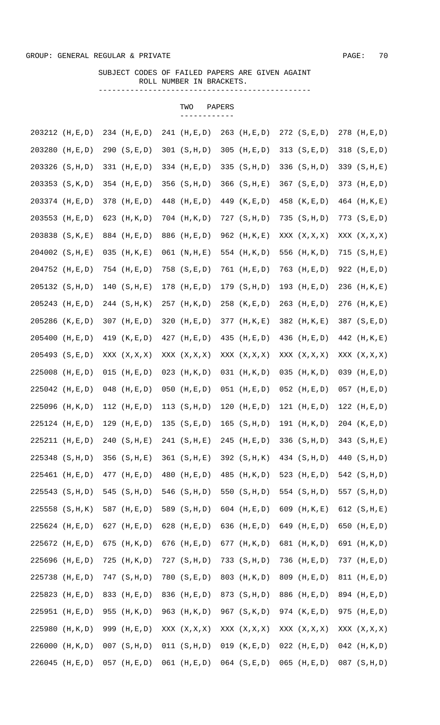# SUBJECT CODES OF FAILED PAPERS ARE GIVEN AGAINT ROLL NUMBER IN BRACKETS.

TWO PAPERS

-----------------------------------------------

|        |                    |                 | ------------    |                   |                 |                   |
|--------|--------------------|-----------------|-----------------|-------------------|-----------------|-------------------|
|        | 203212 (H,E,D)     | 234 (H, E, D)   | $241$ (H, E, D) | $263$ (H,E,D)     | 272 (S,E,D)     | 278 (H, E, D)     |
| 203280 | (H, E, D)          | 290 (S,E,D)     | 301 (S,H,D)     | $305$ (H,E,D)     | 313 $(S,E,D)$   | $318$ $(S, E, D)$ |
|        | 203326 (S, H, D)   | 331 (H, E, D)   | 334 (H,E,D)     | 335 (S,H,D)       | 336 (S, H, D)   | 339 (S, H, E)     |
|        | 203353 (S, K, D)   | 354 (H, E, D)   | 356 (S, H, D)   | $366$ $(S,H,E)$   | $367$ (S, E, D) | 373 (H, E, D)     |
|        | 203374 (H, E, D)   | 378 (H,E,D)     | 448 (H, E, D)   | 449 (K,E,D)       | 458 (K,E,D)     | 464 (H, K, E)     |
|        | $203553$ (H, E, D) | 623 (H, K, D)   | 704 (H, K, D)   | 727 (S, H, D)     | $735$ $(S,H,D)$ | 773 (S,E,D)       |
|        | $203838$ $(S,K,E)$ | 884 (H, E, D)   | 886 (H, E, D)   | 962 (H, K, E)     | XXX (X, X, X)   | XXX (X, X, X)     |
|        | 204002 (S, H, E)   | $035$ (H, K, E) | $061$ (N, H, E) | 554 (H, K, D)     | 556 (H, K, D)   | 715 (S,H,E)       |
|        | 204752 (H, E, D)   | $754$ (H,E,D)   | 758 (S,E,D)     | 761 (H,E,D)       | 763 (H, E, D)   | 922 (H, E, D)     |
|        | 205132 (S, H, D)   | 140 (S,H,E)     | 178 (H, E, D)   | 179 (S, H, D)     | 193 (H,E,D)     | 236 (H, K, E)     |
|        | $205243$ (H, E, D) | 244 (S, H, K)   | 257 (H, K, D)   | 258 (K,E,D)       | $263$ (H, E, D) | 276 (H, K, E)     |
|        | 205286 (K,E,D)     | 307 (H, E, D)   | $320$ (H, E, D) | 377 (H, K, E)     | 382 (H, K, E)   | 387 (S,E,D)       |
|        | $205400$ (H, E, D) | 419 (K, E, D)   | 427 (H, E, D)   | 435 (H, E, D)     | 436 (H, E, D)   | 442 (H, K, E)     |
|        | 205493 (S,E,D)     | XXX (X, X, X)   | XXX (X, X, X)   | XXX (X, X, X)     | XXX (X, X, X)   | XXX (X, X, X)     |
|        | 225008 (H, E, D)   | $015$ (H, E, D) | $023$ (H, K, D) | $031$ (H, K, D)   | $035$ (H, K, D) | 039 (H,E,D)       |
|        | 225042 (H,E,D)     | $048$ (H, E, D) | $050$ (H,E,D)   | $051$ (H,E,D)     | $052$ (H, E, D) | $057$ (H, E, D)   |
|        | 225096 (H, K, D)   | 112 $(H,E,D)$   | 113 $(S,H,D)$   | 120 $(H, E, D)$   | 121 $(H,E,D)$   | 122 $(H,E,D)$     |
|        | 225124 (H, E, D)   | $129$ (H, E, D) | 135 $(S,E,D)$   | $165$ (S, H, D)   | 191 (H,K,D)     | $204$ (K,E,D)     |
|        | 225211 (H,E,D)     | $240$ (S, H, E) | 241 (S,H,E)     | $245$ (H, E, D)   | 336 $(S,H,D)$   | 343 $(S,H,E)$     |
|        | 225348 (S, H, D)   | 356 (S, H, E)   | 361 (S, H, E)   | 392 (S, H, K)     | 434 (S, H, D)   | 440 (S, H, D)     |
|        | 225461 (H, E, D)   | 477 (H, E, D)   | 480 (H, E, D)   | 485 (H, K, D)     | 523 $(H, E, D)$ | 542 (S, H, D)     |
|        | 225543 (S, H, D)   | 545 (S, H, D)   | 546 (S, H, D)   | 550 (S, H, D)     | 554 (S, H, D)   | 557 (S, H, D)     |
|        | 225558 (S, H, K)   | 587 (H, E, D)   | 589 (S, H, D)   | 604 $(H, E, D)$   | 609 $(H, K, E)$ | 612 $(S,H,E)$     |
|        | 225624 (H, E, D)   | 627 (H, E, D)   | 628 (H, E, D)   | 636 $(H, E, D)$   | 649 (H, E, D)   | 650 (H, E, D)     |
|        | 225672 (H, E, D)   | 675 (H, K, D)   | 676 (H, E, D)   | 677 (H, K, D)     | 681 (H, K, D)   | 691 (H, K, D)     |
|        | 225696 (H, E, D)   | 725 (H, K, D)   | 727 (S, H, D)   | 733 (S, H, D)     | 736 (H,E,D)     | 737 (H, E, D)     |
| 225738 | (H, E, D)          | 747 (S, H, D)   | 780 (S,E,D)     | 803 (H, K, D)     | 809 $(H, E, D)$ | 811 (H,E,D)       |
| 225823 | (H, E, D)          | 833 (H, E, D)   | 836 (H, E, D)   | 873 (S, H, D)     | 886 (H,E,D)     | 894 (H, E, D)     |
| 225951 | (H, E, D)          | 955 (H, K, D)   | 963 (H, K, D)   | 967 (S, K, D)     | 974 (K,E,D)     | 975 (H, E, D)     |
| 225980 | (H, K, D)          | 999 (H,E,D)     | XXX (X, X, X)   | XXX (X, X, X)     | XXX (X, X, X)   | XXX (X, X, X)     |
| 226000 | (H, K, D)          | $007$ $(S,H,D)$ | 011 (S,H,D)     | $019$ (K,E,D)     | $022$ (H, E, D) | $042$ (H, K, D)   |
| 226045 | (H, E, D)          | $057$ (H, E, D) | $061$ (H,E,D)   | $064$ $(S, E, D)$ | $065$ (H,E,D)   | $087$ (S, H, D)   |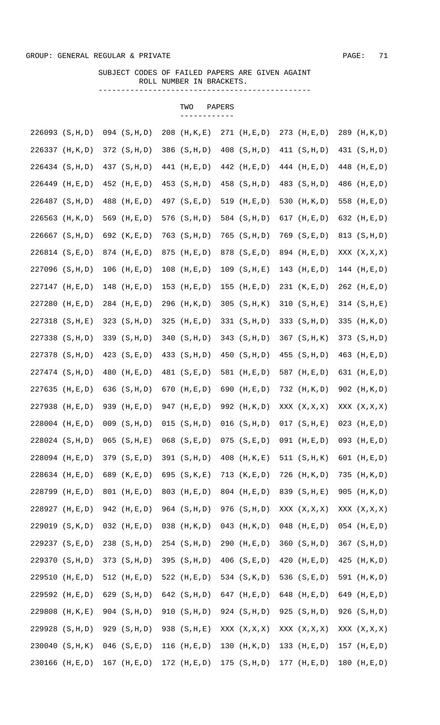# SUBJECT CODES OF FAILED PAPERS ARE GIVEN AGAINT ROLL NUMBER IN BRACKETS.

TWO PAPERS

-----------------------------------------------

|                    |           |     |                   | ------------      |                   |                 |                 |
|--------------------|-----------|-----|-------------------|-------------------|-------------------|-----------------|-----------------|
| 226093 (S, H, D)   |           |     | $094$ $(S,H,D)$   | 208 (H, K, E)     | 271 (H, E, D)     | $273$ (H, E, D) | 289 (H, K, D)   |
| 226337             | (H, K, D) |     | 372 (S, H, D)     | 386 (S, H, D)     | 408 (S, H, D)     | 411 (S,H,D)     | 431 (S, H, D)   |
| 226434 (S, H, D)   |           |     | 437 (S, H, D)     | $441$ (H, E, D)   | 442 (H, E, D)     | $444$ (H, E, D) | 448 (H, E, D)   |
| 226449             | (H, E, D) |     | $452$ (H, E, D)   | 453 (S, H, D)     | 458 (S, H, D)     | 483 (S, H, D)   | 486 (H, E, D)   |
| 226487 (S, H, D)   |           | 488 | (H, E, D)         | 497 (S,E,D)       | 519 (H, E, D)     | 530 (H, K, D)   | 558 (H, E, D)   |
| 226563             | (H, K, D) |     | 569 $(H,E,D)$     | 576 (S, H, D)     | 584 (S, H, D)     | 617 $(H, E, D)$ | 632 (H, E, D)   |
| $226667$ $(S,H,D)$ |           |     | 692 (K, E, D)     | $763$ $(S,H,D)$   | $765$ (S, H, D)   | 769 (S,E,D)     | 813 (S, H, D)   |
| 226814 (S,E,D)     |           |     | 874 (H, E, D)     | 875 (H, E, D)     | 878 (S,E,D)       | 894 (H, E, D)   | XXX (X, X, X)   |
| 227096 (S, H, D)   |           |     | $106$ (H, E, D)   | $108$ $(H,E,D)$   | 109 (S,H,E)       | 143 $(H,E,D)$   | $144$ (H,E,D)   |
| 227147 (H, E, D)   |           |     | 148 (H, E, D)     | $153$ (H, E, D)   | $155$ (H, E, D)   | 231 (K,E,D)     | 262 (H, E, D)   |
| 227280             | (H, E, D) |     | 284 (H, E, D)     | 296 (H, K, D)     | $305$ (S, H, K)   | 310 (S,H,E)     | 314 (S,H,E)     |
| $227318$ $(S,H,E)$ |           |     | $323$ (S, H, D)   | $325$ (H, E, D)   | 331 (S, H, D)     | 333 (S, H, D)   | 335 (H, K, D)   |
| 227338 (S, H, D)   |           |     | 339 (S, H, D)     | 340 (S, H, D)     | 343 (S, H, D)     | 367 (S, H, K)   | 373 (S, H, D)   |
| 227378 (S, H, D)   |           |     | 423 $(S, E, D)$   | 433 (S, H, D)     | 450 (S, H, D)     | $455$ (S, H, D) | 463 (H, E, D)   |
| 227474 (S, H, D)   |           |     | 480 (H,E,D)       | 481 (S,E,D)       | 581 (H, E, D)     | 587 (H, E, D)   | 631 (H,E,D)     |
| $227635$ (H, E, D) |           |     | 636 $(S,H,D)$     | 670 $(H,E,D)$     | 690 $(H,E,D)$     | 732 (H, K, D)   | 902 (H, K, D)   |
| 227938 (H,E,D)     |           |     | 939 (H,E,D)       | 947 (H, E, D)     | 992 (H, K, D)     | XXX (X, X, X)   | XXX (X, X, X)   |
| 228004 (H, E, D)   |           |     | $009$ $(S,H,D)$   | $015$ $(S,H,D)$   | $016$ $(S,H,D)$   | 017 (S,H,E)     | $023$ (H, E, D) |
| 228024 (S, H, D)   |           |     | $065$ (S, H, E)   | $068$ $(S, E, D)$ | $075$ (S,E,D)     | $091$ (H,E,D)   | $093$ (H, E, D) |
| 228094 (H,E,D)     |           |     | 379 (S,E,D)       | 391 (S, H, D)     | $408$ (H, K, E)   | 511 $(S,H,K)$   | 601 $(H,E,D)$   |
| 228634 (H, E, D)   |           |     | 689 (K,E,D)       | 695 (S, K, E)     | 713 $(K, E, D)$   | 726 (H, K, D)   | 735 (H, K, D)   |
| 228799 (H, E, D)   |           |     | 801 (H, E, D)     | 803 (H,E,D)       | 804 (H, E, D)     | 839 (S, H, E)   | 905 (H, K, D)   |
| 228927 (H, E, D)   |           |     | 942 (H, E, D)     | 964 (S, H, D)     | 976 (S, H, D)     | XXX (X, X, X)   | XXX (X, X, X)   |
| 229019 (S, K, D)   |           |     | $032$ (H, E, D)   | $038$ (H, K, D)   | $043$ (H, K, D)   | $048$ (H, E, D) | $054$ (H, E, D) |
| 229237 (S,E,D)     |           |     | 238 (S, H, D)     | 254 (S, H, D)     | 290 (H, E, D)     | $360$ $(S,H,D)$ | $367$ (S, H, D) |
| 229370 (S, H, D)   |           |     | 373 (S, H, D)     | 395 (S, H, D)     | $406$ $(S, E, D)$ | 420 (H,E,D)     | 425 $(H, K, D)$ |
| 229510             | (H, E, D) |     | 512 (H, E, D)     | 522 (H, E, D)     | 534 (S, K, D)     | 536 $(S, E, D)$ | 591 (H, K, D)   |
| 229592             | (H, E, D) |     | 629 (S, H, D)     | 642 (S, H, D)     | 647 (H, E, D)     | 648 (H, E, D)   | 649 (H, E, D)   |
| 229808             | (H, K, E) |     | 904 (S, H, D)     | 910 (S, H, D)     | 924 (S, H, D)     | $925$ (S, H, D) | 926 (S, H, D)   |
| 229928             | (S,H,D)   |     | 929 (S, H, D)     | 938 (S, H, E)     | XXX (X, X, X)     | XXX (X, X, X)   | XXX (X, X, X)   |
| 230040             | (S, H, K) |     | $046$ $(S, E, D)$ | 116 $(H, E, D)$   | 130 $(H, K, D)$   | 133 (H,E,D)     | $157$ (H, E, D) |
| 230166             | (H, E, D) |     | $167$ (H, E, D)   | $172$ (H,E,D)     | $175$ (S, H, D)   | $177$ (H, E, D) | 180 (H,E,D)     |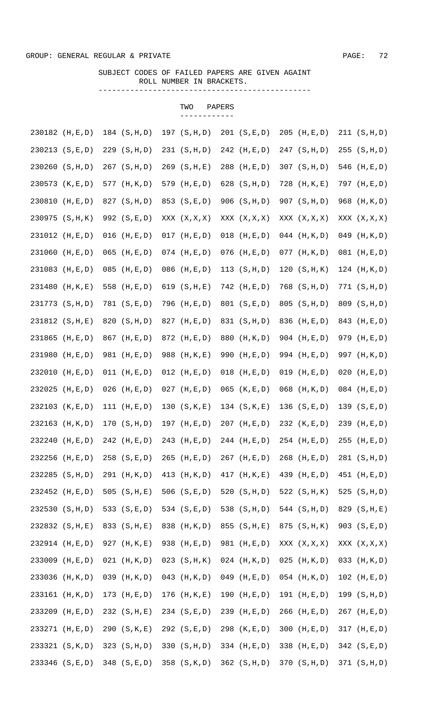#### SUBJECT CODES OF FAILED PAPERS ARE GIVEN AGAINT ROLL NUMBER IN BRACKETS.

TWO PAPERS

-----------------------------------------------

# ------------ 230182 (H,E,D) 184 (S,H,D) 197 (S,H,D) 201 (S,E,D) 205 (H,E,D) 211 (S,H,D) 230213 (S,E,D) 229 (S,H,D) 231 (S,H,D) 242 (H,E,D) 247 (S,H,D) 255 (S,H,D) 230260 (S,H,D) 267 (S,H,D) 269 (S,H,E) 288 (H,E,D) 307 (S,H,D) 546 (H,E,D) 230573 (K,E,D) 577 (H,K,D) 579 (H,E,D) 628 (S,H,D) 728 (H,K,E) 797 (H,E,D) 230810 (H,E,D) 827 (S,H,D) 853 (S,E,D) 906 (S,H,D) 907 (S,H,D) 968 (H,K,D) 230975 (S,H,K) 992 (S,E,D) XXX (X,X,X) XXX (X,X,X) XXX (X,X,X) XXX (X,X,X) 231012 (H,E,D) 016 (H,E,D) 017 (H,E,D) 018 (H,E,D) 044 (H,K,D) 049 (H,K,D) 231060 (H,E,D) 065 (H,E,D) 074 (H,E,D) 076 (H,E,D) 077 (H,K,D) 081 (H,E,D) 231083 (H,E,D) 085 (H,E,D) 086 (H,E,D) 113 (S,H,D) 120 (S,H,K) 124 (H,K,D) 231480 (H,K,E) 558 (H,E,D) 619 (S,H,E) 742 (H,E,D) 768 (S,H,D) 771 (S,H,D) 231773 (S,H,D) 781 (S,E,D) 796 (H,E,D) 801 (S,E,D) 805 (S,H,D) 809 (S,H,D) 231812 (S,H,E) 820 (S,H,D) 827 (H,E,D) 831 (S,H,D) 836 (H,E,D) 843 (H,E,D) 231865 (H,E,D) 867 (H,E,D) 872 (H,E,D) 880 (H,K,D) 904 (H,E,D) 979 (H,E,D) 231980 (H,E,D) 981 (H,E,D) 988 (H,K,E) 990 (H,E,D) 994 (H,E,D) 997 (H,K,D) 232010 (H,E,D) 011 (H,E,D) 012 (H,E,D) 018 (H,E,D) 019 (H,E,D) 020 (H,E,D) 232025 (H,E,D) 026 (H,E,D) 027 (H,E,D) 065 (K,E,D) 068 (H,K,D) 084 (H,E,D) 232103 (K,E,D) 111 (H,E,D) 130 (S,K,E) 134 (S,K,E) 136 (S,E,D) 139 (S,E,D) 232163 (H,K,D) 170 (S,H,D) 197 (H,E,D) 207 (H,E,D) 232 (K,E,D) 239 (H,E,D) 232240 (H,E,D) 242 (H,E,D) 243 (H,E,D) 244 (H,E,D) 254 (H,E,D) 255 (H,E,D) 232256 (H,E,D) 258 (S,E,D) 265 (H,E,D) 267 (H,E,D) 268 (H,E,D) 281 (S,H,D) 232285 (S,H,D) 291 (H,K,D) 413 (H,K,D) 417 (H,K,E) 439 (H,E,D) 451 (H,E,D) 232452 (H,E,D) 505 (S,H,E) 506 (S,E,D) 520 (S,H,D) 522 (S,H,K) 525 (S,H,D) 232530 (S,H,D) 533 (S,E,D) 534 (S,E,D) 538 (S,H,D) 544 (S,H,D) 829 (S,H,E) 232832 (S,H,E) 833 (S,H,E) 838 (H,K,D) 855 (S,H,E) 875 (S,H,K) 903 (S,E,D) 232914 (H,E,D) 927 (H,K,E) 938 (H,E,D) 981 (H,E,D) XXX (X,X,X) XXX (X,X,X) 233009 (H,E,D) 021 (H,K,D) 023 (S,H,K) 024 (H,K,D) 025 (H,K,D) 033 (H,K,D) 233036 (H,K,D) 039 (H,K,D) 043 (H,K,D) 049 (H,E,D) 054 (H,K,D) 102 (H,E,D) 233161 (H,K,D) 173 (H,E,D) 176 (H,K,E) 190 (H,E,D) 191 (H,E,D) 199 (S,H,D) 233209 (H,E,D) 232 (S,H,E) 234 (S,E,D) 239 (H,E,D) 266 (H,E,D) 267 (H,E,D) 233271 (H,E,D) 290 (S,K,E) 292 (S,E,D) 298 (K,E,D) 300 (H,E,D) 317 (H,E,D) 233321 (S,K,D) 323 (S,H,D) 330 (S,H,D) 334 (H,E,D) 338 (H,E,D) 342 (S,E,D) 233346 (S,E,D) 348 (S,E,D) 358 (S,K,D) 362 (S,H,D) 370 (S,H,D) 371 (S,H,D)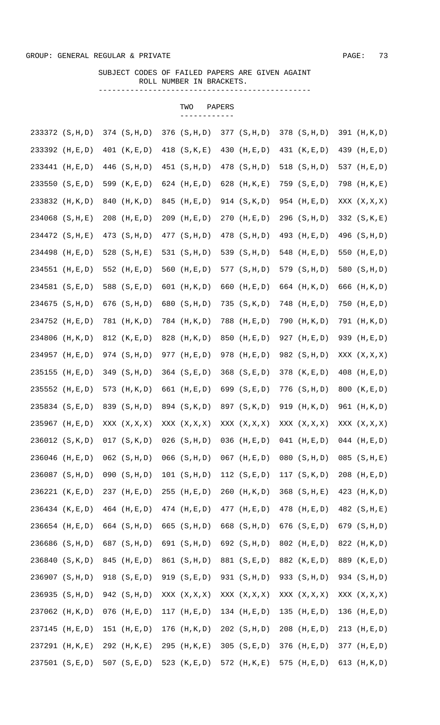# SUBJECT CODES OF FAILED PAPERS ARE GIVEN AGAINT ROLL NUMBER IN BRACKETS.

TWO PAPERS

-----------------------------------------------

|                     |                  | ------------     |                 |                 |                 |
|---------------------|------------------|------------------|-----------------|-----------------|-----------------|
| 233372 (S, H, D)    | $374$ (S, H, D)  | $376$ $(S,H,D)$  | 377 (S, H, D)   | 378 (S, H, D)   | 391 (H, K, D)   |
| 233392 (H, E, D)    | 401 (K, E, D)    | 418 (S, K, E)    | 430 (H, E, D)   | 431 (K,E,D)     | 439 (H, E, D)   |
| 233441 (H, E, D)    | 446 (S, H, D)    | 451 (S, H, D)    | 478 (S, H, D)   | 518 (S, H, D)   | 537 (H, E, D)   |
| 233550 (S, E, D)    | 599 (K, E, D)    | 624 $(H,E,D)$    | 628 (H, K, E)   | 759 (S,E,D)     | 798 (H, K, E)   |
| 233832 (H, K, D)    | 840<br>(H, K, D) | 845 (H,E,D)      | 914 (S, K, D)   | 954 (H, E, D)   | XXX (X, X, X)   |
| $234068$ (S, H, E)  | 208 (H, E, D)    | $209$ (H, E, D)  | 270 (H, E, D)   | 296 (S, H, D)   | 332 (S, K, E)   |
| 234472 (S, H, E)    | 473 (S, H, D)    | 477 (S, H, D)    | 478 (S, H, D)   | 493 (H, E, D)   | 496 (S, H, D)   |
| 234498 (H, E, D)    | 528 (S, H, E)    | 531 (S, H, D)    | 539 (S, H, D)   | 548 (H, E, D)   | 550 (H,E,D)     |
| 234551 (H, E, D)    | 552 (H, E, D)    | 560 $(H,E,D)$    | 577 (S, H, D)   | 579 (S, H, D)   | 580 (S, H, D)   |
| 234581 (S, E, D)    | 588 (S,E,D)      | 601 (H, K, D)    | 660 (H,E,D)     | 664 (H, K, D)   | 666 (H, K, D)   |
| 234675 (S, H, D)    | $676$ $(S,H,D)$  | 680 (S, H, D)    | 735 (S, K, D)   | 748 (H, E, D)   | 750 (H, E, D)   |
| 234752 (H, E, D)    | 781 (H, K, D)    | 784 (H, K, D)    | 788 (H,E,D)     | 790 (H, K, D)   | 791 (H, K, D)   |
| 234806 (H, K, D)    | 812 (K, E, D)    | 828 (H, K, D)    | 850 (H,E,D)     | 927 (H, E, D)   | 939 (H,E,D)     |
| 234957 (H, E, D)    | 974 (S, H, D)    | 977 (H, E, D)    | 978 (H, E, D)   | 982 (S, H, D)   | XXX (X, X, X)   |
| 235155 (H, E, D)    | 349 (S, H, D)    | 364 (S,E,D)      | 368 (S,E,D)     | 378 (K,E,D)     | 408 (H,E,D)     |
| 235552 (H, E, D)    | 573 (H, K, D)    | 661 (H, E, D)    | 699 (S,E,D)     | $776$ (S, H, D) | 800 (K, E, D)   |
| 235834 (S,E,D)      | 839 (S, H, D)    | 894 (S, K, D)    | 897 (S, K, D)   | 919 (H, K, D)   | 961 (H, K, D)   |
| 235967 (H, E, D)    | XXX (X, X, X)    | XXX (X, X, X)    | XXX (X, X, X)   | XXX (X, X, X)   | XXX (X, X, X)   |
| 236012 (S, K, D)    | $017$ $(S,K,D)$  | $026$ $(S,H,D)$  | $036$ (H,E,D)   | $041$ (H,E,D)   | $044$ (H, E, D) |
| 236046 (H, E, D)    | $062$ $(S,H,D)$  | $066$ $(S,H,D)$  | $067$ (H, E, D) | $080$ $(S,H,D)$ | $085$ (S, H, E) |
| 236087 (S, H, D)    | 090 (S,H,D)      | 101 (S,H,D)      | 112 $(S,E,D)$   | 117 $(S, K, D)$ | $208$ (H,E,D)   |
| 236221 (K, E, D)    | 237 (H, E, D)    | 255 (H, E, D)    | $260$ (H, K, D) | $368$ (S, H, E) | 423 (H, K, D)   |
| 236434 (K, E, D)    | 464 (H, E, D)    | 474 (H, E, D)    | $477$ (H, E, D) | $478$ (H, E, D) | 482 (S, H, E)   |
| 236654 (H, E, D)    | 664 (S, H, D)    | 665 (S, H, D)    | 668 (S, H, D)   | 676 (S,E,D)     | 679 (S, H, D)   |
| 236686 (S, H, D)    | 687 (S, H, D)    | 691 (S, H, D)    | 692 (S, H, D)   | 802 (H, E, D)   | 822 (H, K, D)   |
| 236840 (S, K, D)    | 845 (H, E, D)    | 861 (S, H, D)    | 881 (S,E,D)     | 882 (K,E,D)     | 889 (K,E,D)     |
| 236907 (S, H, D)    | 918 (S,E,D)      | 919 (S,E,D)      | 931 (S, H, D)   | 933 (S, H, D)   | 934 (S, H, D)   |
| 236935 (S, H, D)    | 942 (S, H, D)    | XXX (X, X, X)    | XXX (X, X, X)   | XXX (X, X, X)   | XXX (X, X, X)   |
| 237062<br>(H, K, D) | $076$ (H, E, D)  | $117$ (H, E, D)  | $134$ (H,E,D)   | 135 $(H,E,D)$   | 136 $(H,E,D)$   |
| 237145<br>(H, E, D) | $151$ (H, E, D)  | 176 (H, K, D)    | 202 (S, H, D)   | 208 (H, E, D)   | 213 $(H, E, D)$ |
| 237291<br>(H, K, E) | 292 (H, K, E)    | 295<br>(H, K, E) | 305 (S, E, D)   | $376$ (H, E, D) | 377 (H, E, D)   |
| 237501 (S,E,D)      | 507 $(S, E, D)$  | 523 $(K, E, D)$  | 572 (H, K, E)   | 575 $(H,E,D)$   | 613 $(H, K, D)$ |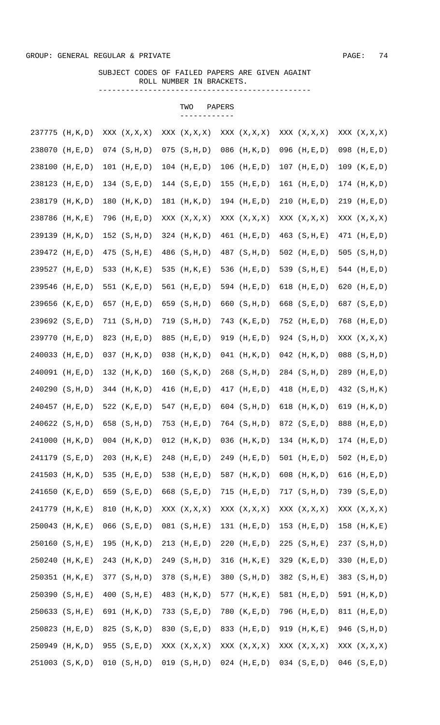#### SUBJECT CODES OF FAILED PAPERS ARE GIVEN AGAINT ROLL NUMBER IN BRACKETS. -----------------------------------------------

TWO PAPERS

|                     |                 | ------------    |                 |                 |                 |
|---------------------|-----------------|-----------------|-----------------|-----------------|-----------------|
| 237775 (H, K, D)    | XXX (X, X, X)   | XXX (X, X, X)   | XXX (X, X, X)   | XXX (X, X, X)   | XXX (X, X, X)   |
| 238070<br>(H, E, D) | $074$ $(S,H,D)$ | $075$ $(S,H,D)$ | 086 (H, K, D)   | $096$ (H,E,D)   | 098 (H,E,D)     |
| 238100<br>(H, E, D) | 101 $(H,E,D)$   | $104$ (H,E,D)   | $106$ (H,E,D)   | $107$ (H, E, D) | 109 (K,E,D)     |
| 238123<br>(H, E, D) | 134 (S,E,D)     | 144 $(S, E, D)$ | $155$ (H, E, D) | $161$ (H, E, D) | 174 (H, K, D)   |
| 238179<br>(H, K, D) | 180 (H, K, D)   | 181 (H, K, D)   | 194 $(H,E,D)$   | $210$ (H,E,D)   | 219 (H, E, D)   |
| 238786<br>(H, K, E) | 796 (H, E, D)   | XXX (X, X, X)   | XXX (X, X, X)   | XXX (X, X, X)   | XXX (X, X, X)   |
| 239139<br>(H, K, D) | 152 $(S,H,D)$   | $324$ (H, K, D) | 461 (H,E,D)     | $463$ (S, H, E) | $471$ (H, E, D) |
| 239472 (H, E, D)    | $475$ (S, H, E) | 486 (S, H, D)   | 487 (S, H, D)   | 502 $(H,E,D)$   | 505 $(S,H,D)$   |
| 239527 (H, E, D)    | 533 (H, K, E)   | 535 (H, K, E)   | 536 (H,E,D)     | 539 $(S,H,E)$   | 544 $(H,E,D)$   |
| 239546 (H, E, D)    | 551 $(K, E, D)$ | 561 (H,E,D)     | 594 (H, E, D)   | 618 $(H, E, D)$ | 620 (H, E, D)   |
| 239656 (K,E,D)      | 657 (H, E, D)   | 659 (S, H, D)   | 660 (S, H, D)   | 668 (S,E,D)     | 687 (S,E,D)     |
| 239692 (S,E,D)      | 711 (S, H, D)   | 719 (S, H, D)   | 743 (K,E,D)     | 752 (H, E, D)   | 768 (H, E, D)   |
| 239770 (H, E, D)    | 823 (H, E, D)   | 885 (H,E,D)     | 919 (H,E,D)     | 924 (S, H, D)   | XXX (X, X, X)   |
| 240033 (H,E,D)      | $037$ (H, K, D) | $038$ (H, K, D) | $041$ (H, K, D) | $042$ (H, K, D) | 088 (S, H, D)   |
| 240091 (H,E,D)      | 132 (H, K, D)   | 160 (S,K,D)     | 268 (S, H, D)   | 284 (S, H, D)   | 289 (H, E, D)   |
| 240290 (S, H, D)    | $344$ (H, K, D) | 416 $(H,E,D)$   | $417$ (H, E, D) | 418 (H, E, D)   | 432 (S, H, K)   |
| 240457 (H, E, D)    | 522 $(K, E, D)$ | 547 (H, E, D)   | $604$ $(S,H,D)$ | 618 $(H, K, D)$ | 619 (H, K, D)   |
| 240622 (S, H, D)    | 658 (S, H, D)   | 753 (H, E, D)   | 764 (S, H, D)   | 872 (S,E,D)     | 888 (H, E, D)   |
| 241000 (H, K, D)    | $004$ (H,K,D)   | $012$ (H, K, D) | $036$ (H, K, D) | 134 $(H,K,D)$   | $174$ (H,E,D)   |
| 241179 (S,E,D)      | 203 (H, K, E)   | 248 (H, E, D)   | 249 (H, E, D)   | 501 $(H,E,D)$   | 502 $(H,E,D)$   |
| 241503 (H, K, D)    | 535 (H, E, D)   | 538 (H, E, D)   | 587 (H, K, D)   | 608 $(H, K, D)$ | 616 $(H,E,D)$   |
| 241650 (K,E,D)      | 659 (S, E, D)   | 668 (S,E,D)     | $715$ (H, E, D) | 717 (S,H,D)     | 739 (S,E,D)     |
| 241779 (H, K, E)    | 810 (H, K, D)   | XXX (X, X, X)   | XXX (X, X, X)   | XXX (X, X, X)   | XXX (X, X, X)   |
| 250043 (H, K, E)    | $066$ $(S,E,D)$ | 081 (S,H,E)     | 131 $(H,E,D)$   | $153$ (H, E, D) | $158$ (H, K, E) |
| 250160 (S, H, E)    | 195 (H, K, D)   | $213$ (H, E, D) | $220$ (H, E, D) | $225$ (S, H, E) | 237 (S, H, D)   |
| 250240 (H, K, E)    | 243 (H, K, D)   | 249 (S, H, D)   | $316$ (H, K, E) | 329 $(K, E, D)$ | 330 (H,E,D)     |
| 250351 (H, K, E)    | 377 (S, H, D)   | 378 $(S,H,E)$   | 380 (S, H, D)   | 382 $(S,H,E)$   | 383 (S, H, D)   |
| 250390 (S, H, E)    | 400 (S, H, E)   | 483 (H, K, D)   | $577$ (H, K, E) | 581 (H,E,D)     | 591 (H, K, D)   |
| 250633 (S, H, E)    | 691 (H, K, D)   | 733 (S,E,D)     | 780 (K,E,D)     | 796 (H,E,D)     | 811 (H,E,D)     |
| 250823<br>(H, E, D) | 825 (S, K, D)   | 830 (S,E,D)     | 833 (H, E, D)   | 919 $(H, K, E)$ | 946 (S, H, D)   |
| 250949<br>(H, K, D) | 955 (S,E,D)     | XXX (X, X, X)   | XXX (X, X, X)   | XXX (X, X, X)   | XXX (X, X, X)   |
| 251003 (S, K, D)    | 010 (S,H,D)     | 019 (S,H,D)     | $024$ (H,E,D)   | $034$ $(S,E,D)$ | $046$ (S,E,D)   |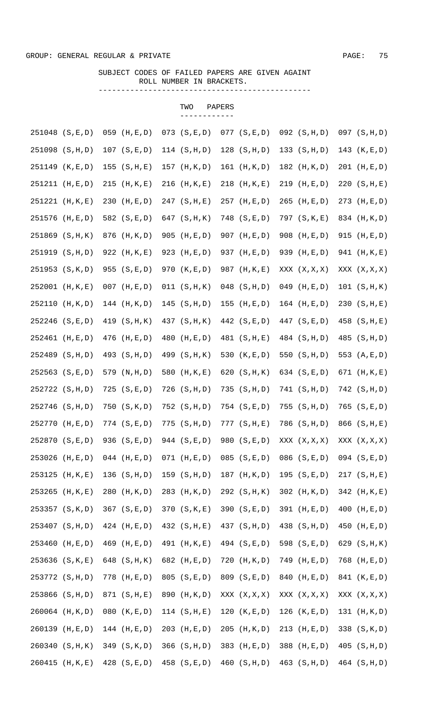#### SUBJECT CODES OF FAILED PAPERS ARE GIVEN AGAINT ROLL NUMBER IN BRACKETS.

TWO PAPERS

-----------------------------------------------

# ------------ 251048 (S,E,D) 059 (H,E,D) 073 (S,E,D) 077 (S,E,D) 092 (S,H,D) 097 (S,H,D) 251098 (S,H,D) 107 (S,E,D) 114 (S,H,D) 128 (S,H,D) 133 (S,H,D) 143 (K,E,D) 251149 (K,E,D) 155 (S,H,E) 157 (H,K,D) 161 (H,K,D) 182 (H,K,D) 201 (H,E,D) 251211 (H,E,D) 215 (H,K,E) 216 (H,K,E) 218 (H,K,E) 219 (H,E,D) 220 (S,H,E) 251221 (H,K,E) 230 (H,E,D) 247 (S,H,E) 257 (H,E,D) 265 (H,E,D) 273 (H,E,D) 251576 (H,E,D) 582 (S,E,D) 647 (S,H,K) 748 (S,E,D) 797 (S,K,E) 834 (H,K,D) 251869 (S,H,K) 876 (H,K,D) 905 (H,E,D) 907 (H,E,D) 908 (H,E,D) 915 (H,E,D) 251919 (S,H,D) 922 (H,K,E) 923 (H,E,D) 937 (H,E,D) 939 (H,E,D) 941 (H,K,E) 251953 (S,K,D) 955 (S,E,D) 970 (K,E,D) 987 (H,K,E) XXX (X,X,X) XXX (X,X,X) 252001 (H,K,E) 007 (H,E,D) 011 (S,H,K) 048 (S,H,D) 049 (H,E,D) 101 (S,H,K) 252110 (H,K,D) 144 (H,K,D) 145 (S,H,D) 155 (H,E,D) 164 (H,E,D) 230 (S,H,E) 252246 (S,E,D) 419 (S,H,K) 437 (S,H,K) 442 (S,E,D) 447 (S,E,D) 458 (S,H,E) 252461 (H,E,D) 476 (H,E,D) 480 (H,E,D) 481 (S,H,E) 484 (S,H,D) 485 (S,H,D) 252489 (S,H,D) 493 (S,H,D) 499 (S,H,K) 530 (K,E,D) 550 (S,H,D) 553 (A,E,D) 252563 (S,E,D) 579 (N,H,D) 580 (H,K,E) 620 (S,H,K) 634 (S,E,D) 671 (H,K,E) 252722 (S,H,D) 725 (S,E,D) 726 (S,H,D) 735 (S,H,D) 741 (S,H,D) 742 (S,H,D) 252746 (S,H,D) 750 (S,K,D) 752 (S,H,D) 754 (S,E,D) 755 (S,H,D) 765 (S,E,D) 252770 (H,E,D) 774 (S,E,D) 775 (S,H,D) 777 (S,H,E) 786 (S,H,D) 866 (S,H,E) 252870 (S,E,D) 936 (S,E,D) 944 (S,E,D) 980 (S,E,D) XXX (X,X,X) XXX (X,X,X) 253026 (H,E,D) 044 (H,E,D) 071 (H,E,D) 085 (S,E,D) 086 (S,E,D) 094 (S,E,D) 253125 (H,K,E) 136 (S,H,D) 159 (S,H,D) 187 (H,K,D) 195 (S,E,D) 217 (S,H,E) 253265 (H,K,E) 280 (H,K,D) 283 (H,K,D) 292 (S,H,K) 302 (H,K,D) 342 (H,K,E) 253357 (S,K,D) 367 (S,E,D) 370 (S,K,E) 390 (S,E,D) 391 (H,E,D) 400 (H,E,D) 253407 (S,H,D) 424 (H,E,D) 432 (S,H,E) 437 (S,H,D) 438 (S,H,D) 450 (H,E,D) 253460 (H,E,D) 469 (H,E,D) 491 (H,K,E) 494 (S,E,D) 598 (S,E,D) 629 (S,H,K) 253636 (S,K,E) 648 (S,H,K) 682 (H,E,D) 720 (H,K,D) 749 (H,E,D) 768 (H,E,D) 253772 (S,H,D) 778 (H,E,D) 805 (S,E,D) 809 (S,E,D) 840 (H,E,D) 841 (K,E,D) 253866 (S,H,D) 871 (S,H,E) 890 (H,K,D) XXX (X,X,X) XXX (X,X,X) XXX (X,X,X) 260064 (H,K,D) 080 (K,E,D) 114 (S,H,E) 120 (K,E,D) 126 (K,E,D) 131 (H,K,D) 260139 (H,E,D) 144 (H,E,D) 203 (H,E,D) 205 (H,K,D) 213 (H,E,D) 338 (S,K,D) 260340 (S,H,K) 349 (S,K,D) 366 (S,H,D) 383 (H,E,D) 388 (H,E,D) 405 (S,H,D) 260415 (H,K,E) 428 (S,E,D) 458 (S,E,D) 460 (S,H,D) 463 (S,H,D) 464 (S,H,D)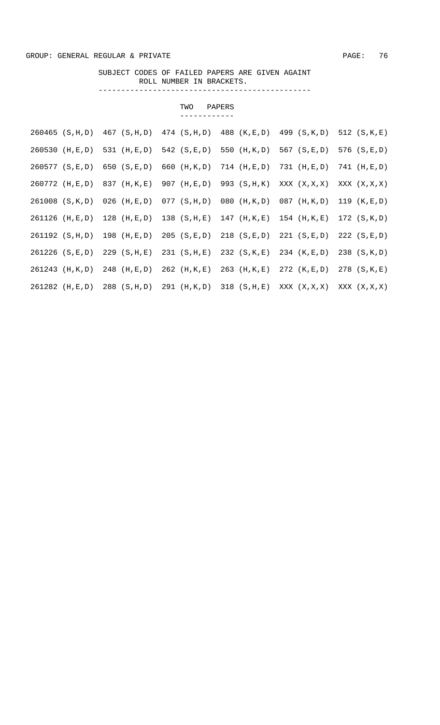#### SUBJECT CODES OF FAILED PAPERS ARE GIVEN AGAINT ROLL NUMBER IN BRACKETS. -----------------------------------------------

|                    |                 | TWO             | PAPERS          |                 |                 |
|--------------------|-----------------|-----------------|-----------------|-----------------|-----------------|
|                    |                 |                 |                 |                 |                 |
| $260465$ (S, H, D) | 467 (S, H, D)   | $474$ (S, H, D) | 488 (K,E,D)     | 499 (S, K, D)   | 512 $(S,K,E)$   |
| $260530$ (H, E, D) | 531 (H, E, D)   | 542 (S,E,D)     | 550 (H, K, D)   | 567 (S,E,D)     | 576 (S, E, D)   |
| $260577$ (S, E, D) | 650 $(S,E,D)$   | 660 (H, K, D)   | $714$ (H, E, D) | $731$ (H,E,D)   | $741$ (H, E, D) |
| $260772$ (H, E, D) | 837 (H, K, E)   | 907 (H, E, D)   | 993 (S, H, K)   | XXX (X, X, X)   | XXX (X, X, X)   |
| 261008 (S, K, D)   | $026$ (H,E,D)   | $077$ (S, H, D) | $080$ (H, K, D) | 087 (H, K, D)   | 119 (K, E, D)   |
| 261126 (H,E,D)     | $128$ (H, E, D) | $138$ (S, H, E) | $147$ (H, K, E) | $154$ (H, K, E) | 172 (S, K, D)   |
| 261192 (S, H, D)   | $198$ (H,E,D)   | $205$ $(S,E,D)$ | $218$ (S,E,D)   | 221 (S, E, D)   | 222 (S.E.D)     |
| 261226 (S,E,D)     | 229 (S,H,E)     | 231 (S,H,E)     | 232 (S,K,E)     | 234 (K, E, D)   | 238 (S, K, D)   |
| 261243 (H, K, D)   | $248$ (H, E, D) | $262$ (H, K, E) | $263$ (H, K, E) | $272$ (K, E, D) | $278$ $(S,K,E)$ |
| 261282 (H,E,D)     | 288 (S, H, D)   | 291 (H,K,D)     | $318$ (S, H, E) | XXX (X, X, X)   | XXX (X, X, X)   |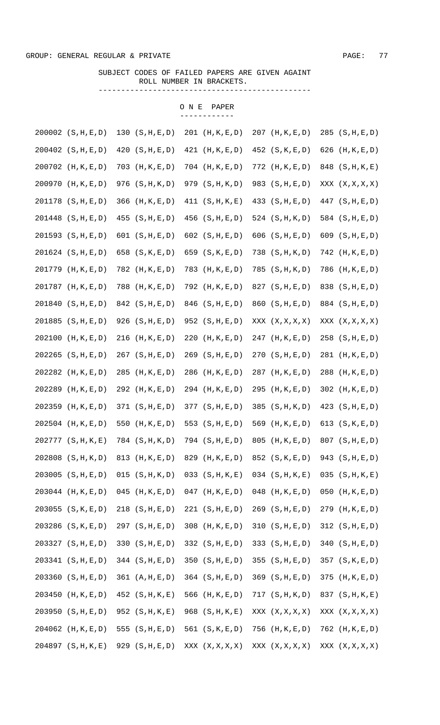#### SUBJECT CODES OF FAILED PAPERS ARE GIVEN AGAINT ROLL NUMBER IN BRACKETS. -----------------------------------------------

|        | 200002 (S, H, E, D)  |     | 130 $(S,H,E,D)$    |     | $201$ (H, K, E, D)   |     | 207 (H, K, E, D)     |     | $285$ $(S,H,E,D)$  |
|--------|----------------------|-----|--------------------|-----|----------------------|-----|----------------------|-----|--------------------|
|        | $200402$ $(S,H,E,D)$ | 420 | (S, H, E, D)       |     | $421$ (H, K, E, D)   |     | 452 (S, K, E, D)     |     | 626 $(H, K, E, D)$ |
| 200702 | (H, K, E, D)         | 703 | (H, K, E, D)       |     | $704$ $(H, K, E, D)$ |     | $772$ $(H, K, E, D)$ |     | 848 (S, H, K, E)   |
| 200970 | (H, K, E, D)         | 976 | (S, H, K, D)       | 979 | (S,H,K,D)            |     | 983 (S, H, E, D)     |     | XXX (X, X, X, X)   |
|        | 201178 (S, H, E, D)  | 366 | (H, K, E, D)       | 411 | (S, H, K, E)         | 433 | (S, H, E, D)         |     | $447$ (S, H, E, D) |
| 201448 | (S, H, E, D)         | 455 | (S, H, E, D)       |     | $456$ $(S,H,E,D)$    |     | 524 $(S,H,K,D)$      |     | 584 $(S,H,E,D)$    |
| 201593 | (S, H, E, D)         | 601 | (S, H, E, D)       |     | 602 $(S,H,E,D)$      |     | 606 $(S,H,E,D)$      |     | 609 $(S,H,E,D)$    |
|        | 201624 (S, H, E, D)  | 658 | (S, K, E, D)       | 659 | (S, K, E, D)         | 738 | (S, H, K, D)         |     | 742 (H, K, E, D)   |
| 201779 | (H, K, E, D)         | 782 | (H, K, E, D)       | 783 | (H, K, E, D)         | 785 | (S,H,K,D)            | 786 | (H, K, E, D)       |
| 201787 | (H, K, E, D)         | 788 | (H, K, E, D)       |     | 792 (H, K, E, D)     |     | 827 (S, H, E, D)     |     | 838 (S, H, E, D)   |
| 201840 | (S, H, E, D)         |     | 842 (S, H, E, D)   |     | 846 (S, H, E, D)     |     | 860 (S, H, E, D)     |     | 884 (S, H, E, D)   |
| 201885 | (S, H, E, D)         | 926 | (S, H, E, D)       |     | $952$ (S, H, E, D)   |     | XXX (X, X, X, X)     |     | XXX (X, X, X, X)   |
| 202100 | (H, K, E, D)         | 216 | (H, K, E, D)       | 220 | (H, K, E, D)         | 247 | (H, K, E, D)         |     | $258$ $(S,H,E,D)$  |
| 202265 | (S, H, E, D)         | 267 | (S, H, E, D)       |     | 269 (S, H, E, D)     |     | $270$ $(S,H,E,D)$    |     | 281 (H, K, E, D)   |
| 202282 | (H, K, E, D)         | 285 | (H, K, E, D)       |     | 286 (H, K, E, D)     | 287 | (H, K, E, D)         | 288 | (H, K, E, D)       |
| 202289 | (H, K, E, D)         | 292 | (H, K, E, D)       |     | 294 (H, K, E, D)     | 295 | (H, K, E, D)         |     | $302$ (H, K, E, D) |
| 202359 | (H, K, E, D)         | 371 | (S, H, E, D)       | 377 | (S, H, E, D)         |     | $385$ $(S,H,K,D)$    |     | $423$ $(S,H,E,D)$  |
| 202504 | (H, K, E, D)         | 550 | (H, K, E, D)       |     | 553 $(S,H,E,D)$      |     | 569 (H, K, E, D)     |     | 613 $(S,K,E,D)$    |
|        | 202777 (S, H, K, E)  |     | 784 (S, H, K, D)   |     | $794$ $(S,H,E,D)$    | 805 | (H, K, E, D)         |     | $807$ $(S,H,E,D)$  |
|        | 202808 (S, H, K, D)  |     | 813 $(H, K, E, D)$ |     | 829 (H, K, E, D)     |     | 852 $(S,K,E,D)$      |     | 943 (S, H, E, D)   |
|        | 203005 (S, H, E, D)  |     | $015$ $(S,H,K,D)$  |     | $033$ $(S,H,K,E)$    |     | $034$ (S, H, K, E)   |     | $035$ (S, H, K, E) |
|        | 203044 (H, K, E, D)  |     | $045$ (H, K, E, D) |     | $047$ (H, K, E, D)   |     | $048$ (H, K, E, D)   |     | $050$ (H, K, E, D) |
|        | 203055 (S, K, E, D)  |     | $218$ (S, H, E, D) |     | 221 (S,H,E,D)        |     | 269 (S, H, E, D)     |     | 279 (H, K, E, D)   |
|        | 203286 (S, K, E, D)  |     | 297 (S, H, E, D)   |     | $308$ (H, K, E, D)   |     | 310 (S,H,E,D)        |     | 312 (S,H,E,D)      |
|        | 203327 (S, H, E, D)  |     | 330 (S, H, E, D)   |     | 332 (S,H,E,D)        |     | 333 $(S,H,E,D)$      |     | 340 (S,H,E,D)      |
|        | 203341 (S, H, E, D)  |     | 344 $(S,H,E,D)$    |     | $350$ $(S,H,E,D)$    |     | 355 (S,H,E,D)        |     | $357$ $(S,K,E,D)$  |
|        | 203360 (S, H, E, D)  |     | 361 (A,H,E,D)      |     | $364$ (S, H, E, D)   |     | $369$ (S, H, E, D)   |     | $375$ (H, K, E, D) |
|        | 203450 (H, K, E, D)  |     | $452$ (S, H, K, E) |     | 566 (H, K, E, D)     |     | 717 (S,H,K,D)        |     | 837 (S, H, K, E)   |
|        | 203950 (S, H, E, D)  |     | $952$ (S, H, K, E) |     | $968$ (S, H, K, E)   |     | XXX (X, X, X, X)     |     | XXX (X, X, X, X)   |
|        | 204062 (H, K, E, D)  |     | 555 $(S,H,E,D)$    |     | 561 $(S,K,E,D)$      |     | $756$ (H, K, E, D)   |     | 762 (H, K, E, D)   |
|        | 204897 (S, H, K, E)  |     | 929 (S, H, E, D)   |     | XXX (X, X, X, X)     |     | XXX (X, X, X, X)     |     | XXX (X, X, X, X)   |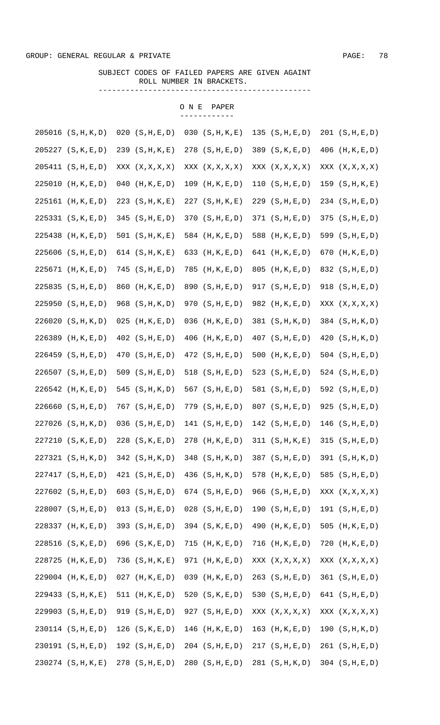SUBJECT CODES OF FAILED PAPERS ARE GIVEN AGAINT ROLL NUMBER IN BRACKETS. -----------------------------------------------

|        | 205016 (S, H, K, D) | 020 | (S, H, E, D)       | 030 | (S, H, K, E)       |     | 135 $(S,H,E,D)$    |     | 201 (S, H, E, D)     |
|--------|---------------------|-----|--------------------|-----|--------------------|-----|--------------------|-----|----------------------|
|        | 205227 (S, K, E, D) |     | 239 (S, H, K, E)   |     | $278$ (S, H, E, D) |     | 389 $(S,K,E,D)$    |     | 406 (H, K, E, D)     |
|        | 205411 (S, H, E, D) |     | XXX (X, X, X, X)   |     | XXX (X, X, X, X)   |     | XXX (X, X, X, X)   |     | XXX (X, X, X, X)     |
|        | 225010 (H, K, E, D) | 040 | (H, K, E, D)       | 109 | (H, K, E, D)       |     | 110 (S,H,E,D)      |     | 159 (S, H, K, E)     |
|        | 225161 (H, K, E, D) |     | $223$ (S, H, K, E) |     | 227 (S,H,K,E)      |     | $229$ (S, H, E, D) |     | $234$ $(S,H,E,D)$    |
|        | 225331 (S, K, E, D) | 345 | (S, H, E, D)       |     | 370 (S,H,E,D)      |     | 371 (S,H,E,D)      |     | 375 (S, H, E, D)     |
| 225438 | (H, K, E, D)        |     | 501 $(S,H,K,E)$    |     | 584 $(H, K, E, D)$ | 588 | (H, K, E, D)       |     | 599 (S, H, E, D)     |
|        | 225606 (S, H, E, D) |     | 614 $(S,H,K,E)$    | 633 | (H, K, E, D)       |     | 641 (H, K, E, D)   | 670 | (H, K, E, D)         |
|        | 225671 (H, K, E, D) | 745 | (S, H, E, D)       | 785 | (H, K, E, D)       | 805 | (H, K, E, D)       |     | 832 (S, H, E, D)     |
| 225835 | (S, H, E, D)        | 860 | (H, K, E, D)       | 890 | (S, H, E, D)       |     | 917 (S,H,E,D)      |     | 918 (S, H, E, D)     |
| 225950 | (S, H, E, D)        | 968 | (S, H, K, D)       | 970 | (S, H, E, D)       |     | 982 (H, K, E, D)   |     | XXX (X, X, X, X)     |
| 226020 | (S,H,K,D)           | 025 | (H, K, E, D)       | 036 | (H, K, E, D)       |     | 381 (S, H, K, D)   |     | 384 (S, H, K, D)     |
| 226389 | (H, K, E, D)        | 402 | (S, H, E, D)       | 406 | (H, K, E, D)       |     | $407$ $(S,H,E,D)$  | 420 | (S, H, K, D)         |
| 226459 | (S, H, E, D)        | 470 | (S, H, E, D)       |     | $472$ (S, H, E, D) | 500 | (H, K, E, D)       |     | 504 $(S,H,E,D)$      |
|        | 226507 (S, H, E, D) | 509 | (S, H, E, D)       |     | 518 $(S,H,E,D)$    | 523 | (S, H, E, D)       |     | 524 $(S,H,E,D)$      |
| 226542 | (H, K, E, D)        | 545 | (S, H, K, D)       | 567 | (S, H, E, D)       |     | 581 $(S,H,E,D)$    |     | 592 (S, H, E, D)     |
|        | 226660 (S, H, E, D) | 767 | (S, H, E, D)       |     | $779$ $(S,H,E,D)$  |     | 807 (S, H, E, D)   |     | $925$ (S, H, E, D)   |
|        | 227026 (S, H, K, D) | 036 | (S, H, E, D)       |     | 141 $(S,H,E,D)$    |     | 142 $(S,H,E,D)$    |     | $146$ (S, H, E, D)   |
|        | 227210 (S, K, E, D) |     | $228$ (S, K, E, D) |     | 278 (H, K, E, D)   |     | 311 (S,H,K,E)      |     | 315 (S,H,E,D)        |
|        | 227321 (S, H, K, D) |     | $342$ (S, H, K, D) |     | 348 (S, H, K, D)   |     | 387 (S, H, E, D)   |     | 391 (S, H, K, D)     |
|        | 227417 (S, H, E, D) |     | 421 (S,H,E,D)      |     | 436 (S, H, K, D)   |     | 578 (H, K, E, D)   |     | 585 (S, H, E, D)     |
|        | 227602 (S, H, E, D) |     | 603 $(S,H,E,D)$    |     | 674 $(S,H,E,D)$    |     | 966 (S, H, E, D)   |     | XXX (X, X, X, X)     |
|        | 228007 (S, H, E, D) |     | $013$ $(S,H,E,D)$  |     | $028$ (S, H, E, D) |     | 190 (S, H, E, D)   |     | 191 (S, H, E, D)     |
|        | 228337 (H, K, E, D) |     | 393 (S, H, E, D)   |     | 394 $(S,K,E,D)$    |     | 490 (H, K, E, D)   |     | 505 $(H, K, E, D)$   |
|        | 228516 (S, K, E, D) |     | 696 (S, K, E, D)   |     | $715$ (H, K, E, D) |     | $716$ (H, K, E, D) |     | $720$ $(H, K, E, D)$ |
|        | 228725 (H, K, E, D) |     | $736$ (S, H, K, E) |     | $971$ (H, K, E, D) |     | XXX (X, X, X, X)   |     | XXX (X, X, X, X)     |
|        | 229004 (H, K, E, D) |     | $027$ (H, K, E, D) |     | $039$ (H, K, E, D) |     | 263 (S, H, E, D)   |     | 361 (S,H,E,D)        |
|        | 229433 (S, H, K, E) |     | 511 $(H, K, E, D)$ |     | 520 (S, K, E, D)   |     | 530 (S, H, E, D)   |     | 641 $(S,H,E,D)$      |
|        | 229903 (S, H, E, D) |     | $919$ (S, H, E, D) |     | $927$ (S, H, E, D) |     | XXX (X, X, X, X)   |     | XXX (X, X, X, X)     |
|        | 230114 (S, H, E, D) |     | 126 (S, K, E, D)   |     | $146$ (H, K, E, D) |     | $163$ (H, K, E, D) |     | 190 (S, H, K, D)     |
|        | 230191 (S, H, E, D) |     | 192 (S, H, E, D)   |     | $204$ (S, H, E, D) |     | 217 (S,H,E,D)      |     | 261 (S, H, E, D)     |
|        | 230274 (S, H, K, E) |     | 278 (S, H, E, D)   |     | $280$ $(S,H,E,D)$  |     | 281 (S, H, K, D)   |     | $304$ $(S,H,E,D)$    |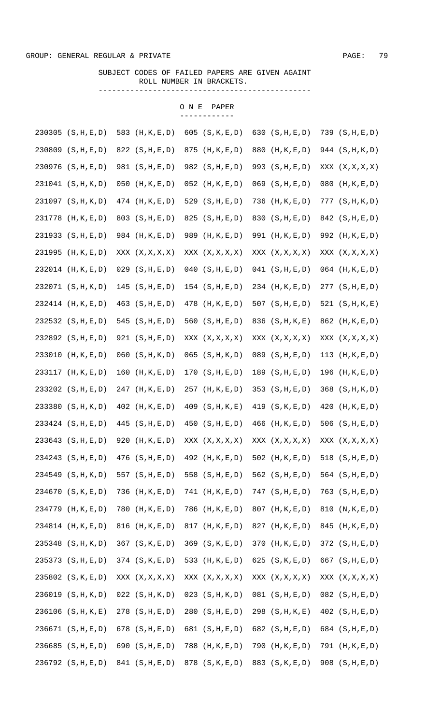SUBJECT CODES OF FAILED PAPERS ARE GIVEN AGAINT ROLL NUMBER IN BRACKETS. -----------------------------------------------

|        | 230305 (S, H, E, D) | 583 | (H, K, E, D)       |     | 605 $(S,K,E,D)$    |     | 630 $(S,H,E,D)$    |     | 739 (S,H,E,D)        |
|--------|---------------------|-----|--------------------|-----|--------------------|-----|--------------------|-----|----------------------|
|        | 230809 (S, H, E, D) |     | 822 $(S,H,E,D)$    | 875 | (H, K, E, D)       | 880 | (H, K, E, D)       |     | 944 (S, H, K, D)     |
|        | 230976 (S, H, E, D) |     | 981 (S,H,E,D)      |     | 982 $(S,H,E,D)$    |     | 993 (S, H, E, D)   |     | XXX (X, X, X, X)     |
|        | 231041 (S, H, K, D) | 050 | (H, K, E, D)       |     | $052$ (H, K, E, D) |     | $069$ $(S,H,E,D)$  |     | $080$ $(H, K, E, D)$ |
|        | 231097 (S, H, K, D) |     | $474$ (H, K, E, D) | 529 | (S, H, E, D)       | 736 | (H, K, E, D)       |     | 777 (S,H,K,D)        |
|        | 231778 (H, K, E, D) |     | 803 (S, H, E, D)   | 825 | (S, H, E, D)       |     | 830 (S, H, E, D)   |     | $842$ (S, H, E, D)   |
| 231933 | (S, H, E, D)        |     | 984 (H, K, E, D)   | 989 | (H, K, E, D)       |     | 991 (H, K, E, D)   |     | 992 (H, K, E, D)     |
| 231995 | (H, K, E, D)        |     | XXX (X, X, X, X)   |     | XXX (X, X, X, X)   |     | XXX (X, X, X, X)   |     | XXX (X, X, X, X)     |
|        | 232014 (H, K, E, D) | 029 | (S, H, E, D)       | 040 | (S, H, E, D)       |     | 041 (S,H,E,D)      |     | $064$ (H, K, E, D)   |
|        | 232071 (S, H, K, D) | 145 | (S, H, E, D)       |     | $154$ (S, H, E, D) |     | 234 (H, K, E, D)   |     | 277 (S,H,E,D)        |
|        | 232414 (H, K, E, D) | 463 | (S, H, E, D)       |     | 478 (H, K, E, D)   |     | 507 $(S,H,E,D)$    |     | 521 $(S,H,K,E)$      |
|        | 232532 (S, H, E, D) | 545 | (S, H, E, D)       | 560 | (S, H, E, D)       |     | 836 (S, H, K, E)   |     | 862 (H, K, E, D)     |
|        | 232892 (S, H, E, D) | 921 | (S, H, E, D)       |     | XXX (X, X, X, X)   |     | XXX (X, X, X, X)   |     | XXX (X, X, X, X)     |
| 233010 | (H, K, E, D)        | 060 | (S,H,K,D)          |     | $065$ $(S,H,K,D)$  | 089 | (S, H, E, D)       | 113 | (H, K, E, D)         |
| 233117 | (H, K, E, D)        | 160 | (H, K, E, D)       |     | 170 (S,H,E,D)      |     | 189 $(S,H,E,D)$    | 196 | (H, K, E, D)         |
|        | 233202 (S, H, E, D) | 247 | (H, K, E, D)       | 257 | (H, K, E, D)       | 353 | (S, H, E, D)       |     | 368 (S, H, K, D)     |
|        | 233380 (S, H, K, D) | 402 | (H, K, E, D)       | 409 | (S, H, K, E)       | 419 | (S, K, E, D)       | 420 | (H, K, E, D)         |
|        | 233424 (S, H, E, D) | 445 | (S, H, E, D)       |     | 450 $(S,H,E,D)$    | 466 | (H, K, E, D)       |     | 506 $(S,H,E,D)$      |
|        | 233643 (S, H, E, D) | 920 | (H, K, E, D)       |     | XXX (X, X, X, X)   |     | XXX (X, X, X, X)   |     | XXX (X, X, X, X)     |
|        | 234243 (S, H, E, D) |     | $476$ (S, H, E, D) |     | 492 (H, K, E, D)   |     | 502 $(H, K, E, D)$ |     | 518 $(S,H,E,D)$      |
|        | 234549 (S, H, K, D) |     | 557 $(S,H,E,D)$    |     | 558 $(S,H,E,D)$    |     | 562 (S, H, E, D)   |     | 564 $(S,H,E,D)$      |
|        | 234670 (S, K, E, D) |     | 736 $(H, K, E, D)$ |     | $741$ (H, K, E, D) |     | 747 (S, H, E, D)   |     | $763$ $(S,H,E,D)$    |
|        | 234779 (H, K, E, D) |     | 780 (H, K, E, D)   |     | 786 (H, K, E, D)   |     | 807 (H, K, E, D)   |     | 810 (N, K, E, D)     |
|        | 234814 (H, K, E, D) |     | 816 (H, K, E, D)   |     | 817 (H, K, E, D)   |     | 827 (H, K, E, D)   |     | 845 (H, K, E, D)     |
|        | 235348 (S, H, K, D) |     | 367 (S, K, E, D)   |     | $369$ (S, K, E, D) |     | 370 (H, K, E, D)   |     | $372$ (S, H, E, D)   |
|        | 235373 (S, H, E, D) |     | 374 (S, K, E, D)   |     | 533 (H, K, E, D)   |     | 625 (S, K, E, D)   |     | 667 $(S,H,E,D)$      |
|        | 235802 (S, K, E, D) |     | XXX (X, X, X, X)   |     | XXX (X, X, X, X)   |     | XXX (X, X, X, X)   |     | XXX (X, X, X, X)     |
|        | 236019 (S, H, K, D) |     | $022$ (S, H, K, D) |     | $023$ (S, H, K, D) |     | $081$ (S, H, E, D) |     | $082$ (S, H, E, D)   |
|        | 236106 (S, H, K, E) |     | 278 (S, H, E, D)   |     | 280 (S, H, E, D)   |     | 298 (S, H, K, E)   |     | $402$ (S, H, E, D)   |
|        | 236671 (S, H, E, D) |     | 678 $(S,H,E,D)$    |     | 681 (S, H, E, D)   |     | 682 $(S,H,E,D)$    |     | 684 $(S,H,E,D)$      |
|        | 236685 (S, H, E, D) |     | 690 (S, H, E, D)   |     | $788$ (H, K, E, D) |     | 790 (H, K, E, D)   |     | 791 (H, K, E, D)     |
|        | 236792 (S, H, E, D) |     | 841 (S, H, E, D)   |     | 878 (S, K, E, D)   |     | 883 (S, K, E, D)   |     | 908 (S, H, E, D)     |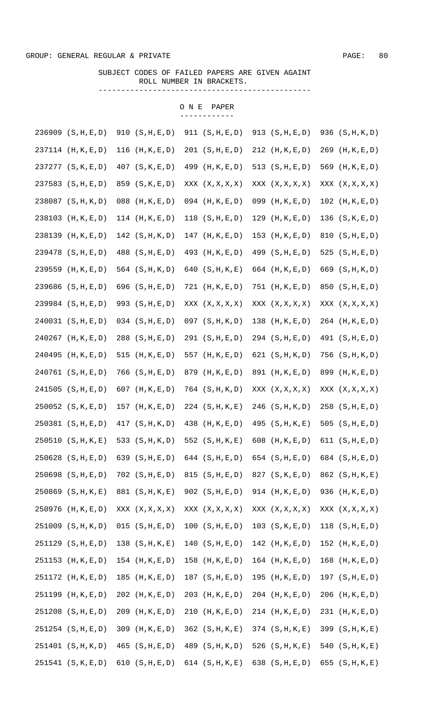SUBJECT CODES OF FAILED PAPERS ARE GIVEN AGAINT ROLL NUMBER IN BRACKETS.

-----------------------------------------------

|        | 236909 (S, H, E, D) |     | 910 (S,H,E,D)      |     | 911 (S,H,E,D)        | 913 | (S, H, E, D)         |     | 936 (S, H, K, D)   |
|--------|---------------------|-----|--------------------|-----|----------------------|-----|----------------------|-----|--------------------|
|        | 237114 (H, K, E, D) | 116 | (H, K, E, D)       |     | 201 (S,H,E,D)        |     | $212$ (H, K, E, D)   | 269 | (H, K, E, D)       |
|        | 237277 (S, K, E, D) |     | $407$ (S, K, E, D) | 499 | (H, K, E, D)         |     | 513 $(S,H,E,D)$      |     | 569 (H, K, E, D)   |
|        | 237583 (S, H, E, D) | 859 | (S, K, E, D)       |     | XXX (X, X, X, X)     |     | XXX (X, X, X, X)     |     | XXX (X, X, X, X)   |
|        | 238087 (S, H, K, D) | 088 | (H, K, E, D)       |     | $094$ (H, K, E, D)   |     | $099$ (H, K, E, D)   |     | $102$ (H, K, E, D) |
| 238103 | (H, K, E, D)        |     | 114 $(H,K,E,D)$    |     | $118$ $(S,H,E,D)$    | 129 | (H, K, E, D)         |     | 136 (S, K, E, D)   |
| 238139 | (H, K, E, D)        |     | 142 (S, H, K, D)   | 147 | (H, K, E, D)         | 153 | (H, K, E, D)         |     | 810 (S, H, E, D)   |
| 239478 | (S, H, E, D)        | 488 | (S, H, E, D)       | 493 | (H, K, E, D)         |     | 499 (S, H, E, D)     | 525 | (S, H, E, D)       |
| 239559 | (H, K, E, D)        |     | 564 (S, H, K, D)   | 640 | (S, H, K, E)         |     | 664 (H, K, E, D)     | 669 | (S, H, K, D)       |
|        | 239686 (S, H, E, D) | 696 | (S, H, E, D)       |     | $721$ $(H, K, E, D)$ |     | $751$ $(H, K, E, D)$ |     | 850 (S, H, E, D)   |
|        | 239984 (S, H, E, D) | 993 | (S, H, E, D)       |     | XXX (X, X, X, X)     |     | XXX (X, X, X, X)     |     | XXX (X, X, X, X)   |
|        | 240031 (S, H, E, D) |     | $034$ $(S,H,E,D)$  |     | $097$ (S, H, K, D)   | 138 | (H, K, E, D)         |     | 264 (H, K, E, D)   |
| 240267 | (H, K, E, D)        | 288 | (S, H, E, D)       |     | 291 (S,H,E,D)        |     | 294 (S, H, E, D)     |     | 491 (S, H, E, D)   |
| 240495 | (H, K, E, D)        | 515 | (H, K, E, D)       | 557 | (H, K, E, D)         |     | 621 $(S,H,K,D)$      |     | 756 (S, H, K, D)   |
|        | 240761 (S, H, E, D) | 766 | (S, H, E, D)       | 879 | (H, K, E, D)         |     | 891 (H, K, E, D)     | 899 | (H, K, E, D)       |
| 241505 | (S, H, E, D)        | 607 | (H, K, E, D)       |     | $764$ $(S,H,K,D)$    |     | XXX (X, X, X, X)     |     | XXX (X, X, X, X)   |
|        | 250052 (S, K, E, D) | 157 | (H, K, E, D)       |     | $224$ (S, H, K, E)   | 246 | (S, H, K, D)         |     | $258$ $(S,H,E,D)$  |
|        | 250381 (S, H, E, D) | 417 | (S,H,K,D)          | 438 | (H, K, E, D)         | 495 | (S, H, K, E)         |     | 505 $(S,H,E,D)$    |
|        | 250510 (S, H, K, E) |     | 533 $(S,H,K,D)$    |     | 552 $(S,H,K,E)$      | 608 | (H, K, E, D)         |     | 611 $(S,H,E,D)$    |
|        | 250628 (S, H, E, D) |     | 639 $(S,H,E,D)$    |     | 644 $(S,H,E,D)$      |     | 654 $(S,H,E,D)$      |     | 684 $(S,H,E,D)$    |
|        | 250698 (S, H, E, D) |     | $702$ (S, H, E, D) |     | $815$ (S, H, E, D)   |     | 827 (S, K, E, D)     |     | 862 (S, H, K, E)   |
|        | 250869 (S, H, K, E) |     | 881 (S, H, K, E)   |     | $902$ (S, H, E, D)   |     | $914$ (H, K, E, D)   |     | 936 (H, K, E, D)   |
|        | 250976 (H, K, E, D) |     | XXX (X, X, X, X)   |     | XXX (X, X, X, X)     |     | XXX (X, X, X, X)     |     | XXX (X, X, X, X)   |
|        | 251009 (S, H, K, D) |     | 015 (S,H,E,D)      |     | 100 (S,H,E,D)        |     | 103 (S,K,E,D)        |     | $118$ $(S,H,E,D)$  |
|        | 251129 (S, H, E, D) |     | 138 $(S,H,K,E)$    |     | 140 (S,H,E,D)        |     | $142$ (H, K, E, D)   |     | $152$ (H, K, E, D) |
|        | 251153 (H, K, E, D) |     | $154$ (H, K, E, D) |     | $158$ (H, K, E, D)   |     | $164$ (H, K, E, D)   |     | $168$ (H, K, E, D) |
|        | 251172 (H, K, E, D) |     | $185$ (H, K, E, D) |     | 187 $(S,H,E,D)$      |     | $195$ (H, K, E, D)   |     | $197$ (S, H, E, D) |
|        | 251199 (H, K, E, D) |     | $202$ (H, K, E, D) |     | $203$ (H, K, E, D)   |     | $204$ (H, K, E, D)   |     | 206 (H, K, E, D)   |
|        | 251208 (S, H, E, D) |     | 209 (H, K, E, D)   |     | $210$ (H, K, E, D)   |     | $214$ (H, K, E, D)   |     | 231 (H, K, E, D)   |
|        | 251254 (S, H, E, D) |     | 309 (H, K, E, D)   |     | $362$ (S, H, K, E)   |     | $374$ (S, H, K, E)   |     | 399 (S, H, K, E)   |
|        | 251401 (S, H, K, D) |     | 465 (S, H, E, D)   |     | 489 (S, H, K, D)     |     | 526 $(S,H,K,E)$      |     | 540 $(S,H,K,E)$    |
|        | 251541 (S, K, E, D) |     | 610 $(S,H,E,D)$    |     | 614 $(S,H,K,E)$      |     | 638 (S, H, E, D)     |     | 655 $(S,H,K,E)$    |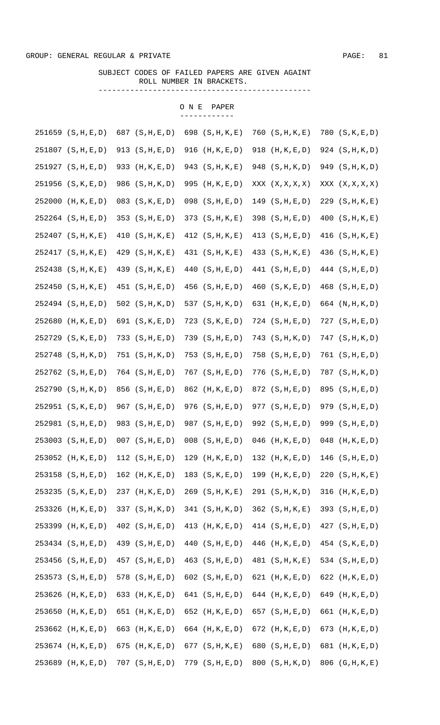SUBJECT CODES OF FAILED PAPERS ARE GIVEN AGAINT ROLL NUMBER IN BRACKETS. -----------------------------------------------

|        | 251659 (S, H, E, D) |     | 687 $(S,H,E,D)$    |     | 698 (S, H, K, E)   |     | $760$ $(S,H,K,E)$  |     | 780 (S, K, E, D)   |
|--------|---------------------|-----|--------------------|-----|--------------------|-----|--------------------|-----|--------------------|
|        | 251807 (S, H, E, D) | 913 | (S, H, E, D)       | 916 | (H, K, E, D)       | 918 | (H, K, E, D)       |     | 924 (S, H, K, D)   |
|        | 251927 (S, H, E, D) | 933 | (H, K, E, D)       | 943 | (S, H, K, E)       |     | 948 (S, H, K, D)   |     | 949 (S, H, K, D)   |
|        | 251956 (S, K, E, D) | 986 | (S, H, K, D)       | 995 | (H, K, E, D)       |     | XXX (X, X, X, X)   |     | XXX (X, X, X, X)   |
| 252000 | (H, K, E, D)        |     | $083$ $(S,K,E,D)$  |     | $098$ $(S,H,E,D)$  |     | $149$ (S, H, E, D) |     | $229$ (S, H, K, E) |
|        | 252264 (S, H, E, D) |     | $353$ $(S,H,E,D)$  |     | 373 $(S,H,K,E)$    |     | $398$ $(S,H,E,D)$  |     | 400 (S,H,K,E)      |
|        | 252407 (S, H, K, E) | 410 | (S, H, K, E)       |     | 412 $(S,H,K,E)$    |     | 413 $(S,H,E,D)$    |     | 416 (S,H,K,E)      |
|        | 252417 (S, H, K, E) | 429 | (S, H, K, E)       |     | 431 (S, H, K, E)   |     | 433 (S, H, K, E)   |     | 436 (S, H, K, E)   |
|        | 252438 (S, H, K, E) | 439 | (S, H, K, E)       | 440 | (S, H, E, D)       |     | 441 (S, H, E, D)   |     | 444 (S, H, E, D)   |
| 252450 | (S, H, K, E)        | 451 | (S, H, E, D)       | 456 | (S, H, E, D)       | 460 | (S, K, E, D)       |     | 468 (S, H, E, D)   |
|        | 252494 (S, H, E, D) | 502 | (S, H, K, D)       | 537 | (S, H, K, D)       |     | 631 (H, K, E, D)   |     | 664 (N, H, K, D)   |
| 252680 | (H, K, E, D)        | 691 | (S, K, E, D)       | 723 | (S, K, E, D)       |     | 724 (S, H, E, D)   |     | 727 (S, H, E, D)   |
| 252729 | (S, K, E, D)        | 733 | (S, H, E, D)       | 739 | (S, H, E, D)       | 743 | (S, H, K, D)       |     | 747 (S, H, K, D)   |
| 252748 | (S, H, K, D)        | 751 | (S,H,K,D)          | 753 | (S, H, E, D)       | 758 | (S, H, E, D)       |     | 761 (S, H, E, D)   |
|        | 252762 (S, H, E, D) |     | $764$ $(S,H,E,D)$  |     | $767$ $(S,H,E,D)$  | 776 | (S, H, E, D)       |     | 787 (S, H, K, D)   |
| 252790 | (S,H,K,D)           | 856 | (S, H, E, D)       |     | 862 (H, K, E, D)   |     | 872 (S, H, E, D)   |     | 895 (S, H, E, D)   |
|        | 252951 (S, K, E, D) | 967 | (S, H, E, D)       |     | $976$ $(S,H,E,D)$  |     | 977 (S,H,E,D)      |     | 979 (S, H, E, D)   |
|        | 252981 (S, H, E, D) | 983 | (S, H, E, D)       |     | $987$ (S, H, E, D) |     | 992 $(S,H,E,D)$    | 999 | (S, H, E, D)       |
|        | 253003 (S, H, E, D) |     | $007$ $(S,H,E,D)$  |     | $008$ $(S,H,E,D)$  | 046 | (H, K, E, D)       | 048 | (H, K, E, D)       |
|        | 253052 (H, K, E, D) |     | 112 $(S,H,E,D)$    |     | $129$ (H, K, E, D) |     | $132$ (H, K, E, D) |     | $146$ (S, H, E, D) |
|        | 253158 (S, H, E, D) |     | $162$ (H, K, E, D) |     | 183 (S, K, E, D)   |     | 199 (H, K, E, D)   |     | 220 (S, H, K, E)   |
|        | 253235 (S, K, E, D) |     | 237 (H, K, E, D)   |     | $269$ (S, H, K, E) |     | 291 (S, H, K, D)   |     | $316$ (H, K, E, D) |
|        | 253326 (H, K, E, D) |     | 337 $(S,H,K,D)$    |     | 341 (S,H,K,D)      |     | 362 (S, H, K, E)   |     | 393 $(S,H,E,D)$    |
|        | 253399 (H, K, E, D) |     | $402$ (S, H, E, D) |     | 413 $(H, K, E, D)$ |     | 414 $(S,H,E,D)$    |     | $427$ (S, H, E, D) |
|        | 253434 (S, H, E, D) |     | 439 (S, H, E, D)   |     | 440 (S, H, E, D)   |     | 446 (H, K, E, D)   |     | $454$ (S, K, E, D) |
|        | 253456 (S, H, E, D) |     | 457 (S, H, E, D)   |     | $463$ (S, H, E, D) |     | 481 (S, H, K, E)   |     | 534 $(S,H,E,D)$    |
|        | 253573 (S, H, E, D) |     | 578 (S, H, E, D)   |     | 602 $(S,H,E,D)$    |     | 621 $(H, K, E, D)$ |     | 622 $(H, K, E, D)$ |
|        | 253626 (H, K, E, D) |     | 633 (H, K, E, D)   |     | 641 $(S,H,E,D)$    |     | 644 (H, K, E, D)   |     | 649 $(H, K, E, D)$ |
|        | 253650 (H, K, E, D) |     | 651 $(H,K,E,D)$    |     | 652 $(H, K, E, D)$ |     | 657 $(S,H,E,D)$    |     | 661 $(H, K, E, D)$ |
|        | 253662 (H, K, E, D) |     | 663 (H, K, E, D)   |     | 664 $(H, K, E, D)$ |     | 672 $(H, K, E, D)$ |     | 673 $(H, K, E, D)$ |
|        | 253674 (H, K, E, D) |     | 675 (H, K, E, D)   |     | 677 $(S,H,K,E)$    |     | 680 $(S,H,E,D)$    |     | 681 $(H, K, E, D)$ |
|        | 253689 (H, K, E, D) |     | 707 (S, H, E, D)   |     | 779 (S, H, E, D)   |     | 800 (S, H, K, D)   |     | 806 (G, H, K, E)   |